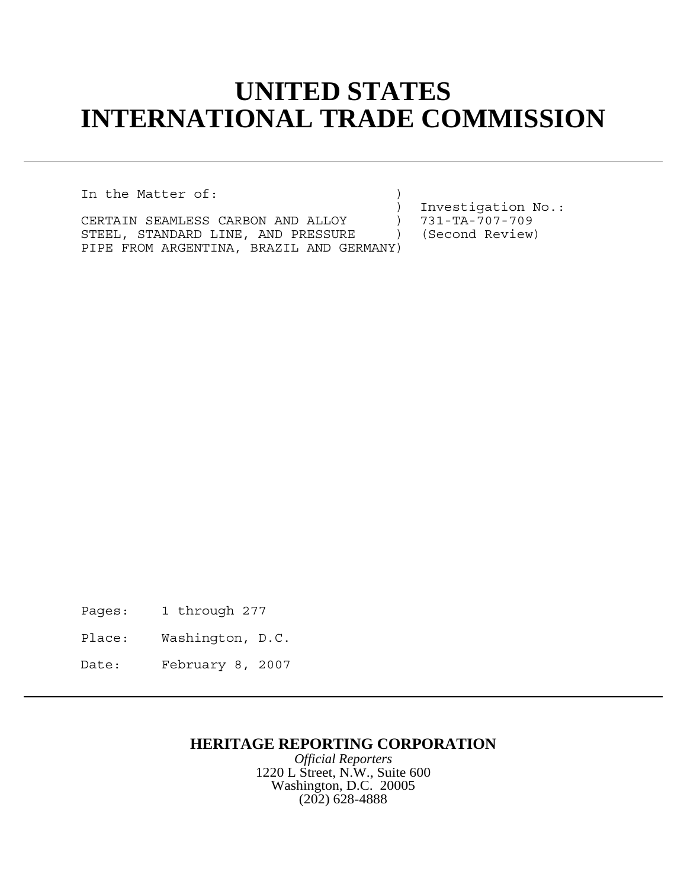## **UNITED STATES INTERNATIONAL TRADE COMMISSION**

In the Matter of:  $\qquad \qquad$ 

CERTAIN SEAMLESS CARBON AND ALLOY ) 731-TA-707-709<br>STEEL, STANDARD LINE, AND PRESSURE ) (Second Review) STEEL, STANDARD LINE, AND PRESSURE ) PIPE FROM ARGENTINA, BRAZIL AND GERMANY)

) Investigation No.:<br>) 731-TA-707-709

Pages: 1 through 277

Place: Washington, D.C.

Date: February 8, 2007

## **HERITAGE REPORTING CORPORATION**

*Official Reporters* 1220 L Street, N.W., Suite 600 Washington, D.C. 20005 (202) 628-4888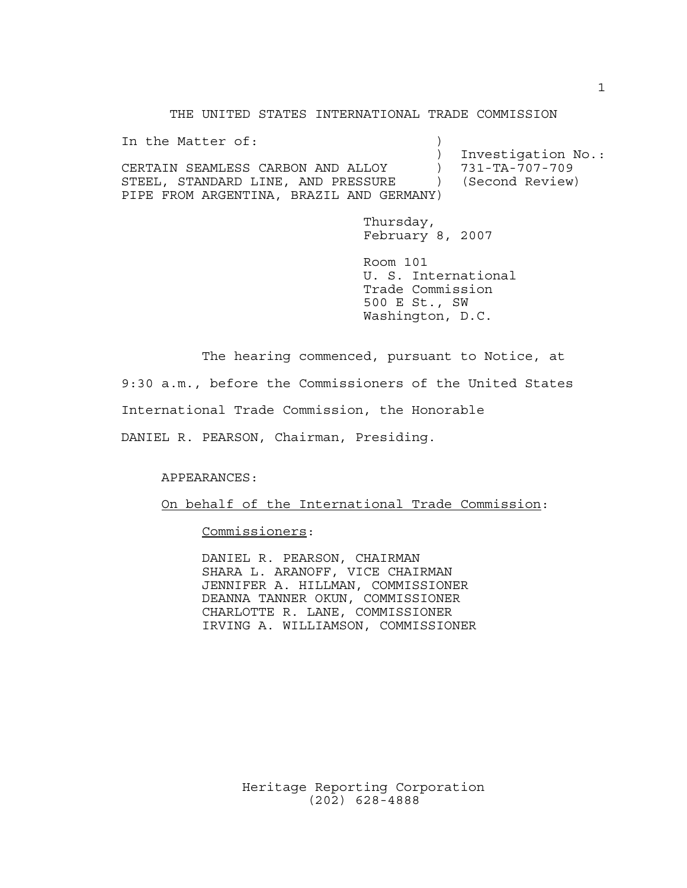THE UNITED STATES INTERNATIONAL TRADE COMMISSION

In the Matter of: ) Investigation No.: CERTAIN SEAMLESS CARBON AND ALLOY ) 731-TA-707-709 STEEL, STANDARD LINE, AND PRESSURE ) (Second Review) PIPE FROM ARGENTINA, BRAZIL AND GERMANY)

> Thursday, February 8, 2007

Room 101 U. S. International Trade Commission 500 E St., SW Washington, D.C.

The hearing commenced, pursuant to Notice, at

9:30 a.m., before the Commissioners of the United States

International Trade Commission, the Honorable

DANIEL R. PEARSON, Chairman, Presiding.

APPEARANCES:

On behalf of the International Trade Commission:

Commissioners:

DANIEL R. PEARSON, CHAIRMAN SHARA L. ARANOFF, VICE CHAIRMAN JENNIFER A. HILLMAN, COMMISSIONER DEANNA TANNER OKUN, COMMISSIONER CHARLOTTE R. LANE, COMMISSIONER IRVING A. WILLIAMSON, COMMISSIONER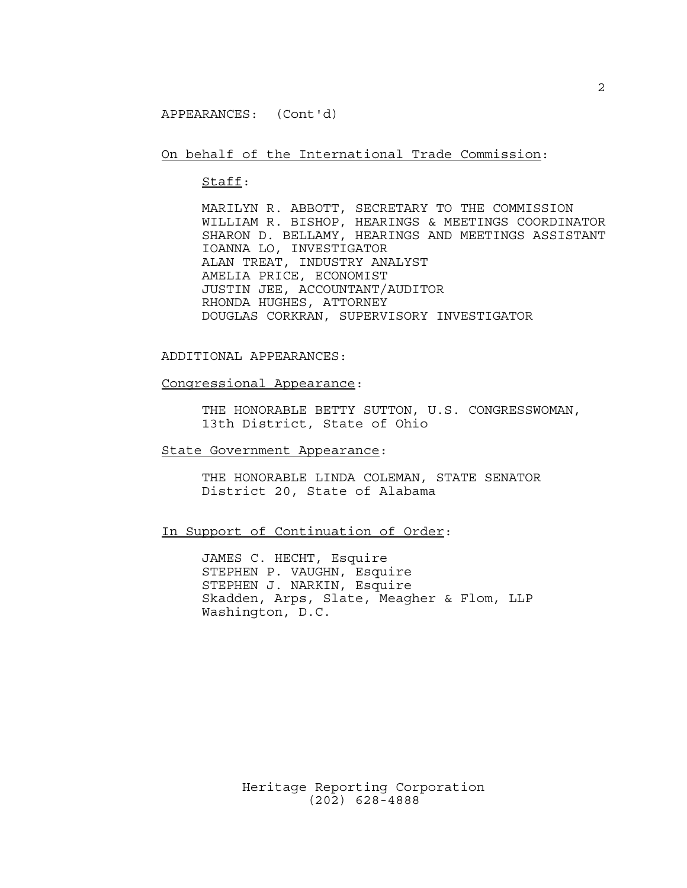APPEARANCES: (Cont'd)

On behalf of the International Trade Commission:

Staff:

MARILYN R. ABBOTT, SECRETARY TO THE COMMISSION WILLIAM R. BISHOP, HEARINGS & MEETINGS COORDINATOR SHARON D. BELLAMY, HEARINGS AND MEETINGS ASSISTANT IOANNA LO, INVESTIGATOR ALAN TREAT, INDUSTRY ANALYST AMELIA PRICE, ECONOMIST JUSTIN JEE, ACCOUNTANT/AUDITOR RHONDA HUGHES, ATTORNEY DOUGLAS CORKRAN, SUPERVISORY INVESTIGATOR

ADDITIONAL APPEARANCES:

Congressional Appearance:

THE HONORABLE BETTY SUTTON, U.S. CONGRESSWOMAN, 13th District, State of Ohio

State Government Appearance:

THE HONORABLE LINDA COLEMAN, STATE SENATOR District 20, State of Alabama

In Support of Continuation of Order:

JAMES C. HECHT, Esquire STEPHEN P. VAUGHN, Esquire STEPHEN J. NARKIN, Esquire Skadden, Arps, Slate, Meagher & Flom, LLP Washington, D.C.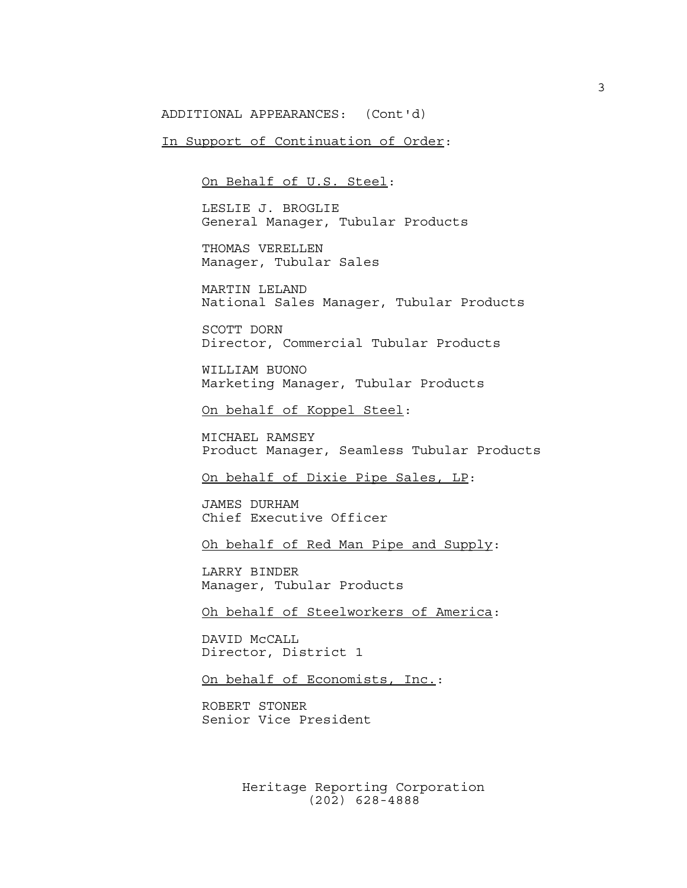ADDITIONAL APPEARANCES: (Cont'd)

In Support of Continuation of Order:

On Behalf of U.S. Steel:

LESLIE J. BROGLIE General Manager, Tubular Products

THOMAS VERELLEN Manager, Tubular Sales

MARTIN LELAND National Sales Manager, Tubular Products

SCOTT DORN Director, Commercial Tubular Products

WILLIAM BUONO Marketing Manager, Tubular Products

On behalf of Koppel Steel:

MICHAEL RAMSEY Product Manager, Seamless Tubular Products

On behalf of Dixie Pipe Sales, LP:

JAMES DURHAM Chief Executive Officer

Oh behalf of Red Man Pipe and Supply:

LARRY BINDER Manager, Tubular Products

Oh behalf of Steelworkers of America:

DAVID McCALL Director, District 1

On behalf of Economists, Inc.:

ROBERT STONER Senior Vice President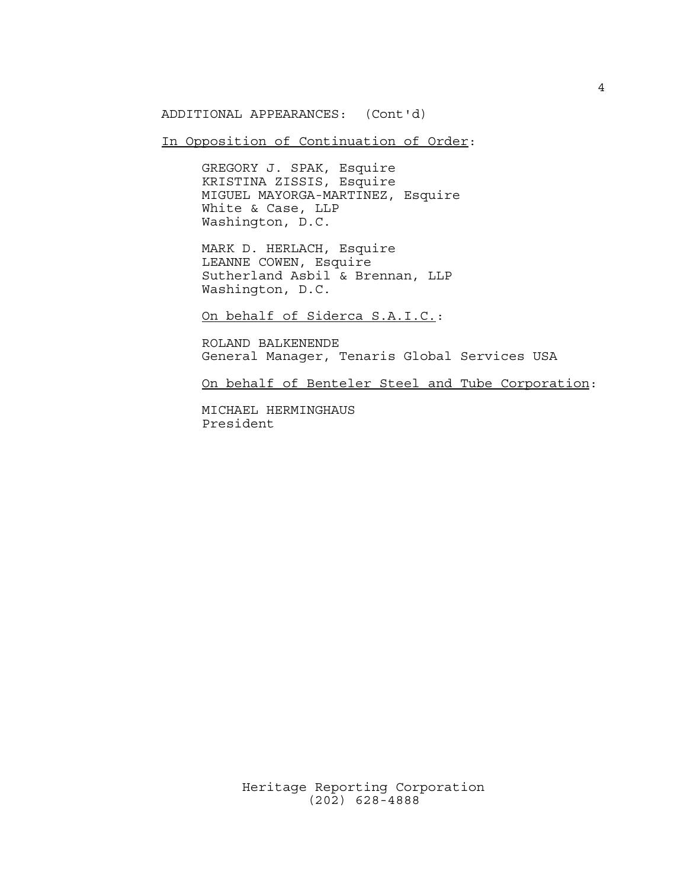ADDITIONAL APPEARANCES: (Cont'd)

In Opposition of Continuation of Order:

GREGORY J. SPAK, Esquire KRISTINA ZISSIS, Esquire MIGUEL MAYORGA-MARTINEZ, Esquire White & Case, LLP Washington, D.C.

MARK D. HERLACH, Esquire LEANNE COWEN, Esquire Sutherland Asbil & Brennan, LLP Washington, D.C.

On behalf of Siderca S.A.I.C.:

ROLAND BALKENENDE General Manager, Tenaris Global Services USA

On behalf of Benteler Steel and Tube Corporation:

MICHAEL HERMINGHAUS President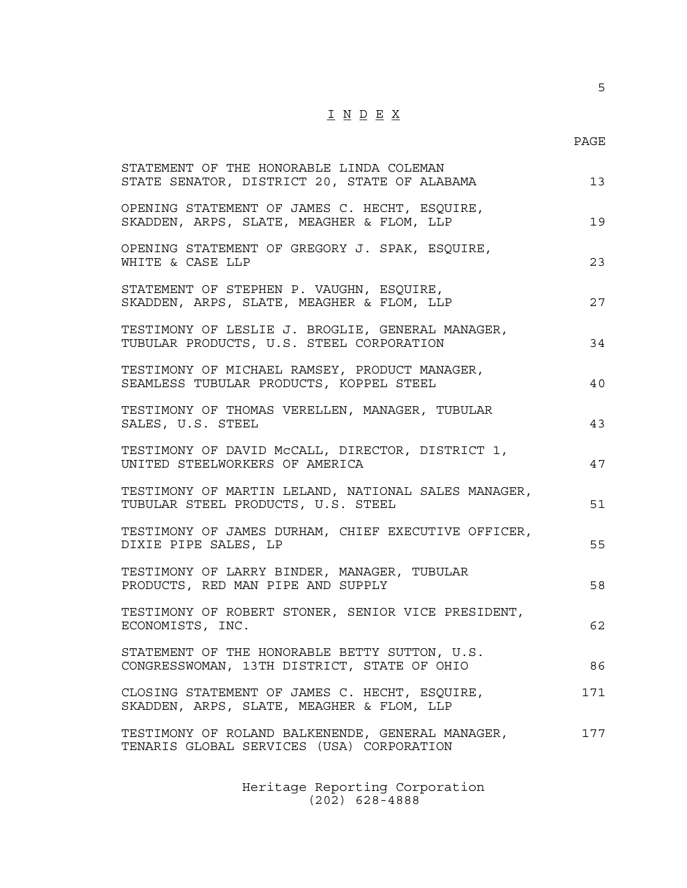## $\underline{\texttt{I}} \underline{\texttt{N}} \underline{\texttt{D}} \underline{\texttt{E}} \underline{\texttt{X}}$

5

| STATEMENT OF THE HONORABLE LINDA COLEMAN<br>STATE SENATOR, DISTRICT 20, STATE OF ALABAMA      | 13  |
|-----------------------------------------------------------------------------------------------|-----|
| OPENING STATEMENT OF JAMES C. HECHT, ESQUIRE,<br>SKADDEN, ARPS, SLATE, MEAGHER & FLOM, LLP    | 19  |
| OPENING STATEMENT OF GREGORY J. SPAK, ESQUIRE,<br>WHITE & CASE LLP                            | 23  |
| STATEMENT OF STEPHEN P. VAUGHN, ESQUIRE,<br>SKADDEN, ARPS, SLATE, MEAGHER & FLOM, LLP         | 27  |
| TESTIMONY OF LESLIE J. BROGLIE, GENERAL MANAGER,<br>TUBULAR PRODUCTS, U.S. STEEL CORPORATION  | 34  |
| TESTIMONY OF MICHAEL RAMSEY, PRODUCT MANAGER,<br>SEAMLESS TUBULAR PRODUCTS, KOPPEL STEEL      | 40  |
| TESTIMONY OF THOMAS VERELLEN, MANAGER, TUBULAR<br>SALES, U.S. STEEL                           | 43  |
| TESTIMONY OF DAVID MCCALL, DIRECTOR, DISTRICT 1,<br>UNITED STEELWORKERS OF AMERICA            | 47  |
| TESTIMONY OF MARTIN LELAND, NATIONAL SALES MANAGER,<br>TUBULAR STEEL PRODUCTS, U.S. STEEL     | 51  |
| TESTIMONY OF JAMES DURHAM, CHIEF EXECUTIVE OFFICER,<br>DIXIE PIPE SALES, LP                   | 55  |
| TESTIMONY OF LARRY BINDER, MANAGER, TUBULAR<br>PRODUCTS, RED MAN PIPE AND SUPPLY              | 58  |
| TESTIMONY OF ROBERT STONER, SENIOR VICE PRESIDENT,<br>ECONOMISTS, INC.                        | 62  |
| STATEMENT OF THE HONORABLE BETTY SUTTON, U.S.<br>CONGRESSWOMAN, 13TH DISTRICT, STATE OF OHIO  | 86  |
| CLOSING STATEMENT OF JAMES C. HECHT, ESQUIRE,<br>SKADDEN, ARPS, SLATE, MEAGHER & FLOM, LLP    | 171 |
| TESTIMONY OF ROLAND BALKENENDE, GENERAL MANAGER,<br>TENARIS GLOBAL SERVICES (USA) CORPORATION | 177 |
|                                                                                               |     |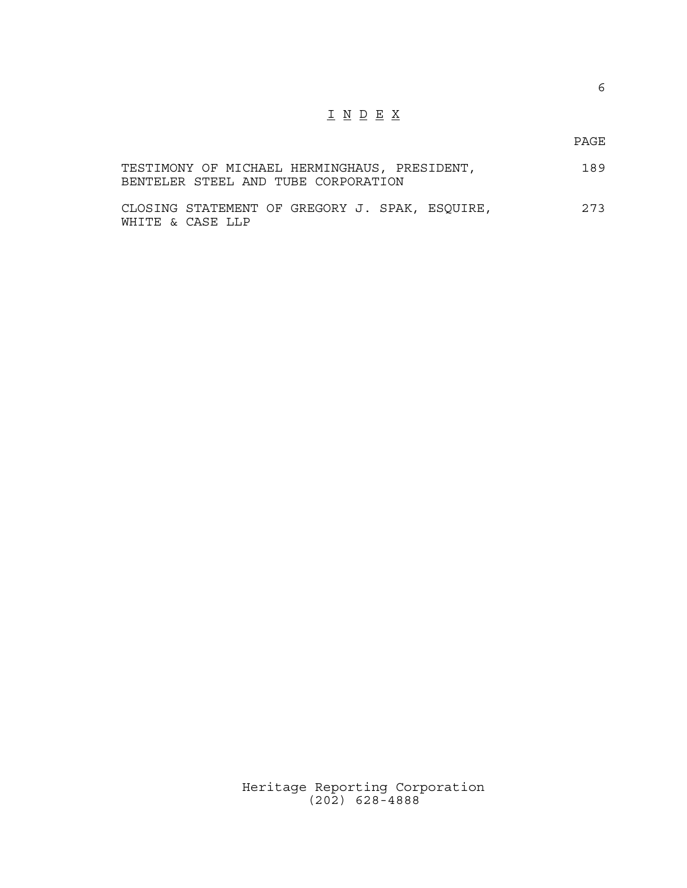## $\underline{\texttt{I}} \underline{\texttt{N}} \underline{\texttt{D}} \underline{\texttt{E}} \underline{\texttt{X}}$

PAGE

|  |  |                                     | TESTIMONY OF MICHAEL HERMINGHAUS, PRESIDENT, | 189 |
|--|--|-------------------------------------|----------------------------------------------|-----|
|  |  | BENTELER STEEL AND TUBE CORPORATION |                                              |     |
|  |  |                                     |                                              |     |

| CLOSING STATEMENT OF GREGORY J. SPAK, ESQUIRE, |                  |  |  |  | 273 |
|------------------------------------------------|------------------|--|--|--|-----|
|                                                | WHITE & CASE LLP |  |  |  |     |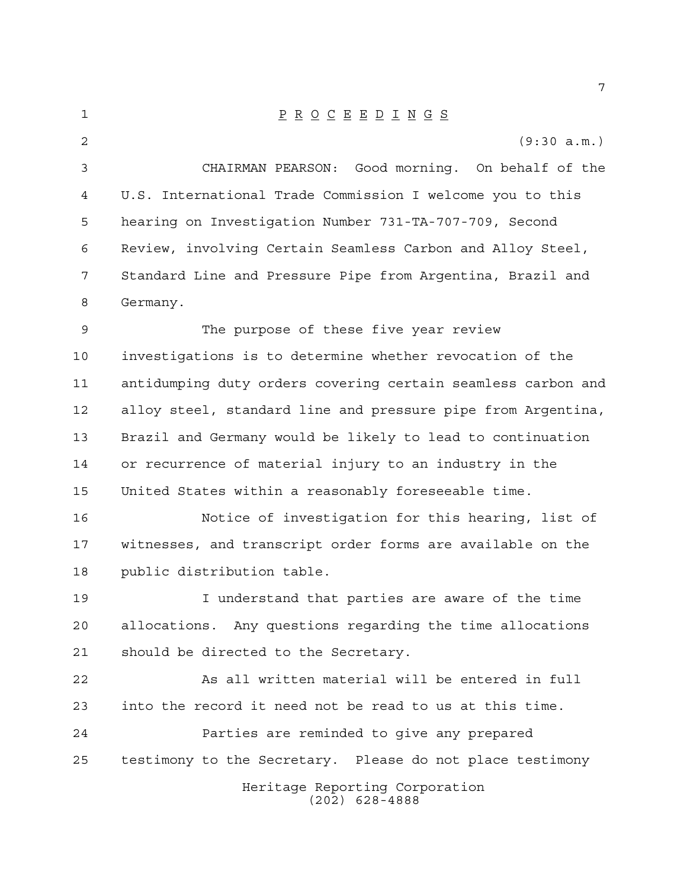P R O C E E D I N G S (9:30 a.m.) CHAIRMAN PEARSON: Good morning. On behalf of the U.S. International Trade Commission I welcome you to this hearing on Investigation Number 731-TA-707-709, Second Review, involving Certain Seamless Carbon and Alloy Steel, Standard Line and Pressure Pipe from Argentina, Brazil and Germany. The purpose of these five year review investigations is to determine whether revocation of the antidumping duty orders covering certain seamless carbon and alloy steel, standard line and pressure pipe from Argentina, Brazil and Germany would be likely to lead to continuation or recurrence of material injury to an industry in the United States within a reasonably foreseeable time. Notice of investigation for this hearing, list of witnesses, and transcript order forms are available on the public distribution table. I understand that parties are aware of the time allocations. Any questions regarding the time allocations

should be directed to the Secretary.

 As all written material will be entered in full into the record it need not be read to us at this time. Parties are reminded to give any prepared testimony to the Secretary. Please do not place testimony

> Heritage Reporting Corporation (202) 628-4888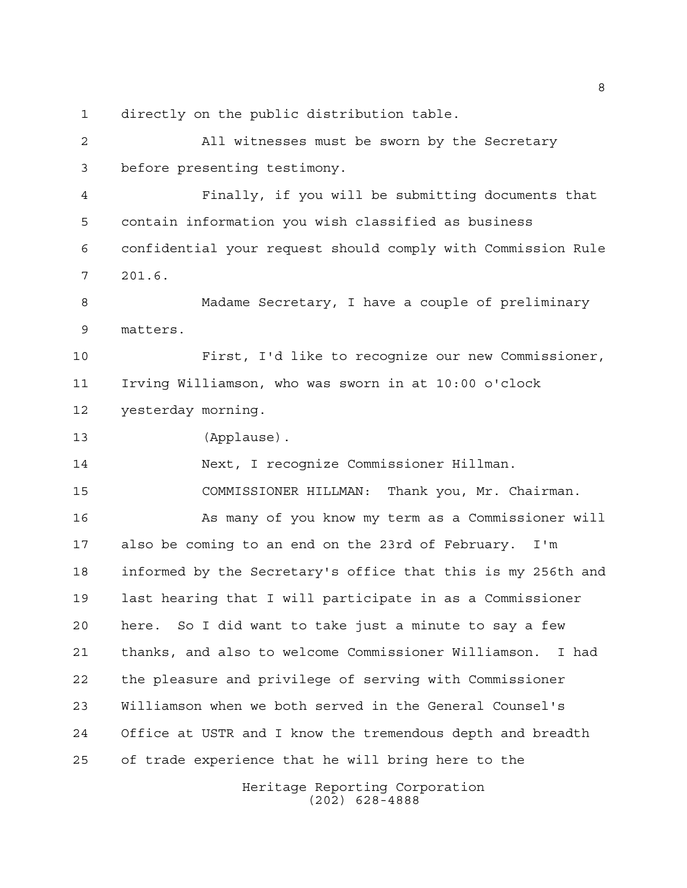directly on the public distribution table.

 All witnesses must be sworn by the Secretary before presenting testimony. Finally, if you will be submitting documents that contain information you wish classified as business confidential your request should comply with Commission Rule 201.6. Madame Secretary, I have a couple of preliminary matters. First, I'd like to recognize our new Commissioner, Irving Williamson, who was sworn in at 10:00 o'clock yesterday morning. (Applause). Next, I recognize Commissioner Hillman. COMMISSIONER HILLMAN: Thank you, Mr. Chairman. As many of you know my term as a Commissioner will also be coming to an end on the 23rd of February. I'm informed by the Secretary's office that this is my 256th and last hearing that I will participate in as a Commissioner here. So I did want to take just a minute to say a few thanks, and also to welcome Commissioner Williamson. I had the pleasure and privilege of serving with Commissioner Williamson when we both served in the General Counsel's Office at USTR and I know the tremendous depth and breadth of trade experience that he will bring here to the

> Heritage Reporting Corporation (202) 628-4888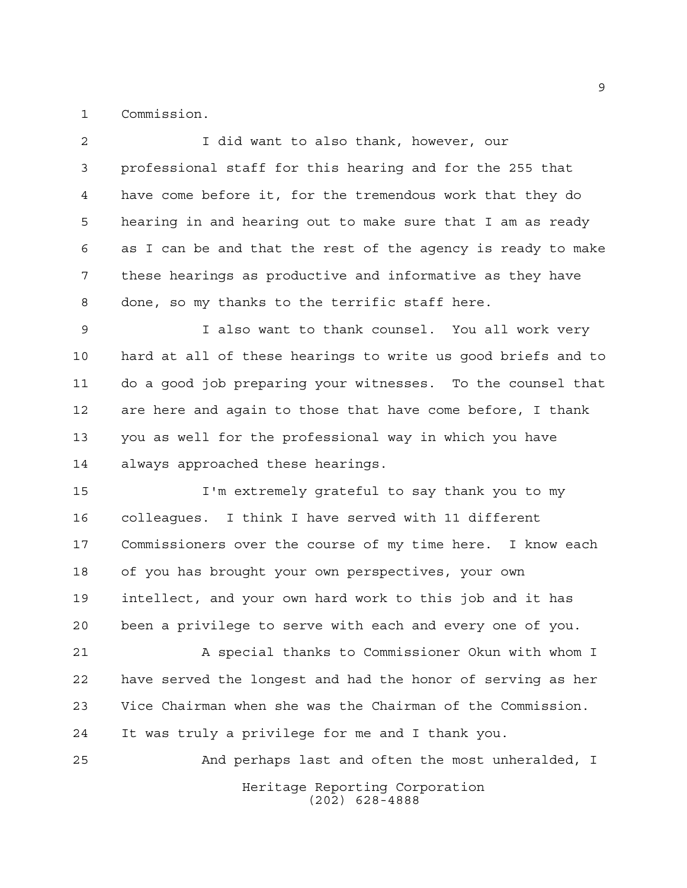Commission.

Heritage Reporting Corporation I did want to also thank, however, our professional staff for this hearing and for the 255 that have come before it, for the tremendous work that they do hearing in and hearing out to make sure that I am as ready as I can be and that the rest of the agency is ready to make these hearings as productive and informative as they have done, so my thanks to the terrific staff here. I also want to thank counsel. You all work very hard at all of these hearings to write us good briefs and to do a good job preparing your witnesses. To the counsel that are here and again to those that have come before, I thank you as well for the professional way in which you have always approached these hearings. I'm extremely grateful to say thank you to my colleagues. I think I have served with 11 different Commissioners over the course of my time here. I know each of you has brought your own perspectives, your own intellect, and your own hard work to this job and it has been a privilege to serve with each and every one of you. A special thanks to Commissioner Okun with whom I have served the longest and had the honor of serving as her Vice Chairman when she was the Chairman of the Commission. It was truly a privilege for me and I thank you. And perhaps last and often the most unheralded, I

(202) 628-4888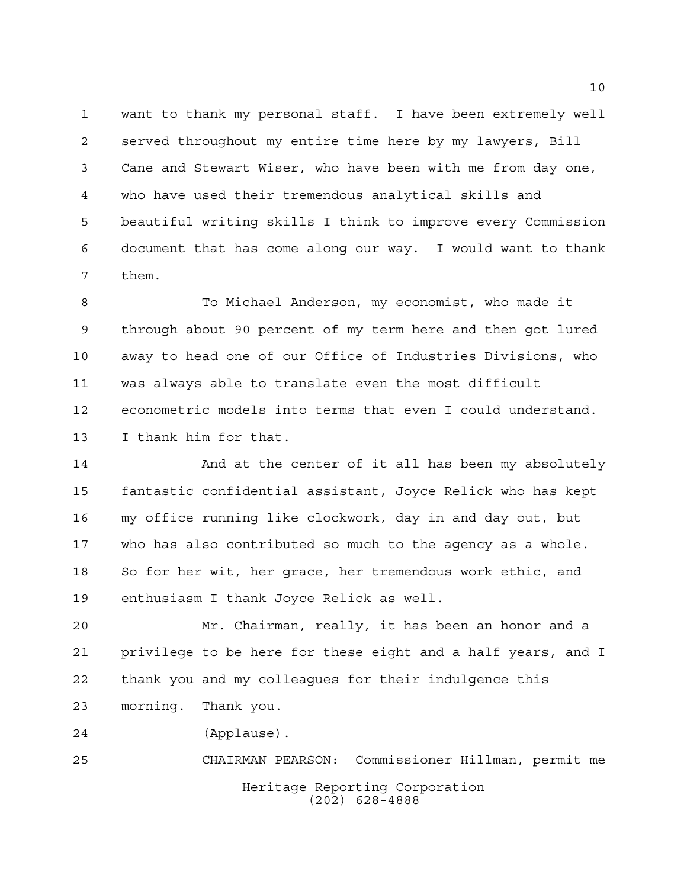want to thank my personal staff. I have been extremely well served throughout my entire time here by my lawyers, Bill Cane and Stewart Wiser, who have been with me from day one, who have used their tremendous analytical skills and beautiful writing skills I think to improve every Commission document that has come along our way. I would want to thank them.

 To Michael Anderson, my economist, who made it through about 90 percent of my term here and then got lured away to head one of our Office of Industries Divisions, who was always able to translate even the most difficult econometric models into terms that even I could understand. I thank him for that.

14 And at the center of it all has been my absolutely fantastic confidential assistant, Joyce Relick who has kept my office running like clockwork, day in and day out, but who has also contributed so much to the agency as a whole. So for her wit, her grace, her tremendous work ethic, and enthusiasm I thank Joyce Relick as well.

 Mr. Chairman, really, it has been an honor and a privilege to be here for these eight and a half years, and I thank you and my colleagues for their indulgence this morning. Thank you.

(Applause).

Heritage Reporting Corporation (202) 628-4888 CHAIRMAN PEARSON: Commissioner Hillman, permit me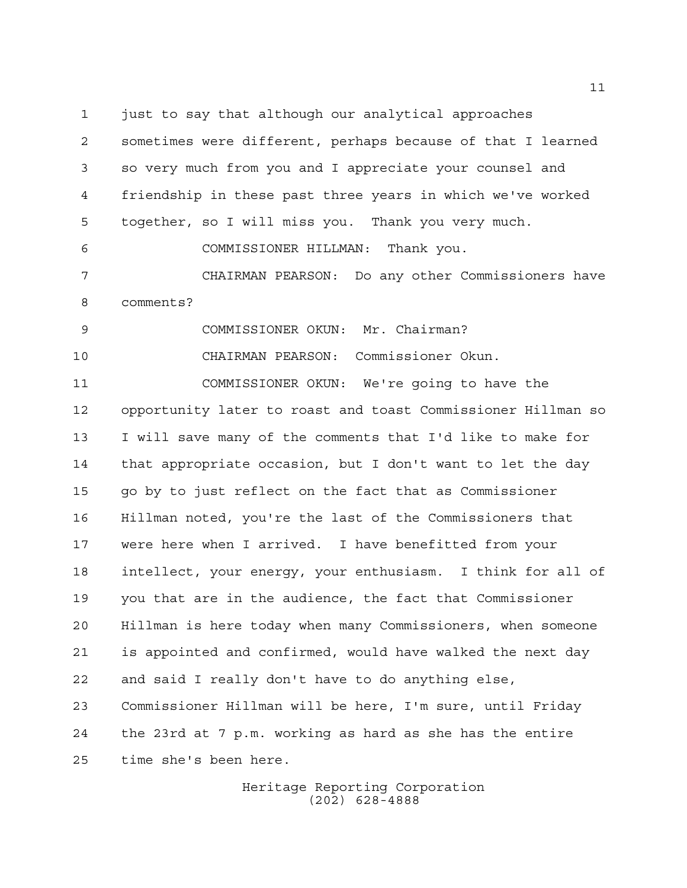just to say that although our analytical approaches sometimes were different, perhaps because of that I learned so very much from you and I appreciate your counsel and friendship in these past three years in which we've worked together, so I will miss you. Thank you very much. COMMISSIONER HILLMAN: Thank you. CHAIRMAN PEARSON: Do any other Commissioners have comments? COMMISSIONER OKUN: Mr. Chairman? CHAIRMAN PEARSON: Commissioner Okun. COMMISSIONER OKUN: We're going to have the opportunity later to roast and toast Commissioner Hillman so I will save many of the comments that I'd like to make for that appropriate occasion, but I don't want to let the day go by to just reflect on the fact that as Commissioner Hillman noted, you're the last of the Commissioners that were here when I arrived. I have benefitted from your intellect, your energy, your enthusiasm. I think for all of you that are in the audience, the fact that Commissioner Hillman is here today when many Commissioners, when someone is appointed and confirmed, would have walked the next day and said I really don't have to do anything else, Commissioner Hillman will be here, I'm sure, until Friday the 23rd at 7 p.m. working as hard as she has the entire time she's been here.

> Heritage Reporting Corporation (202) 628-4888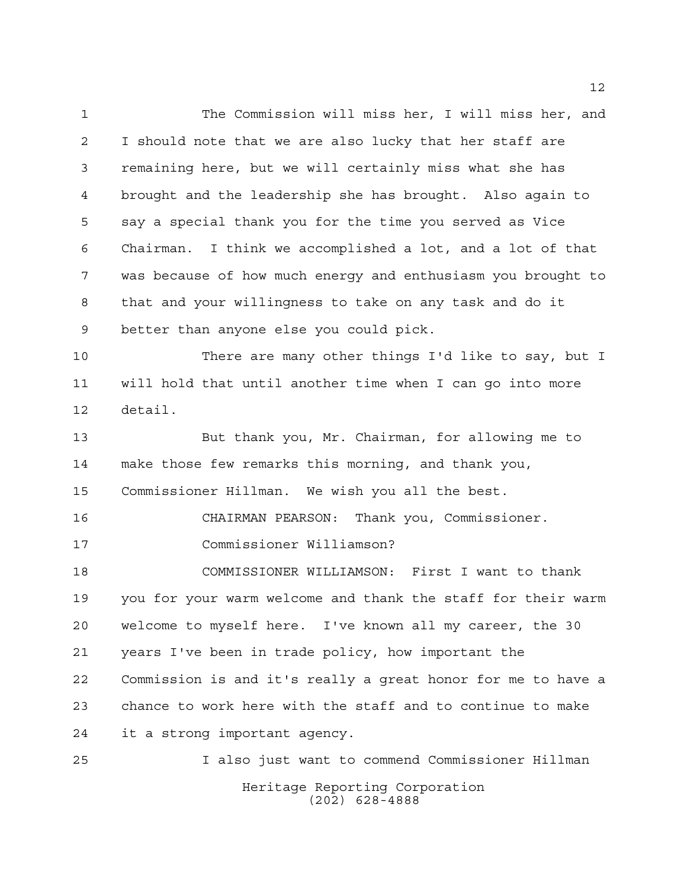The Commission will miss her, I will miss her, and I should note that we are also lucky that her staff are remaining here, but we will certainly miss what she has brought and the leadership she has brought. Also again to say a special thank you for the time you served as Vice Chairman. I think we accomplished a lot, and a lot of that was because of how much energy and enthusiasm you brought to that and your willingness to take on any task and do it better than anyone else you could pick.

 There are many other things I'd like to say, but I will hold that until another time when I can go into more detail.

 But thank you, Mr. Chairman, for allowing me to make those few remarks this morning, and thank you, Commissioner Hillman. We wish you all the best.

 CHAIRMAN PEARSON: Thank you, Commissioner. Commissioner Williamson?

 COMMISSIONER WILLIAMSON: First I want to thank you for your warm welcome and thank the staff for their warm welcome to myself here. I've known all my career, the 30 years I've been in trade policy, how important the Commission is and it's really a great honor for me to have a chance to work here with the staff and to continue to make it a strong important agency.

Heritage Reporting Corporation (202) 628-4888 I also just want to commend Commissioner Hillman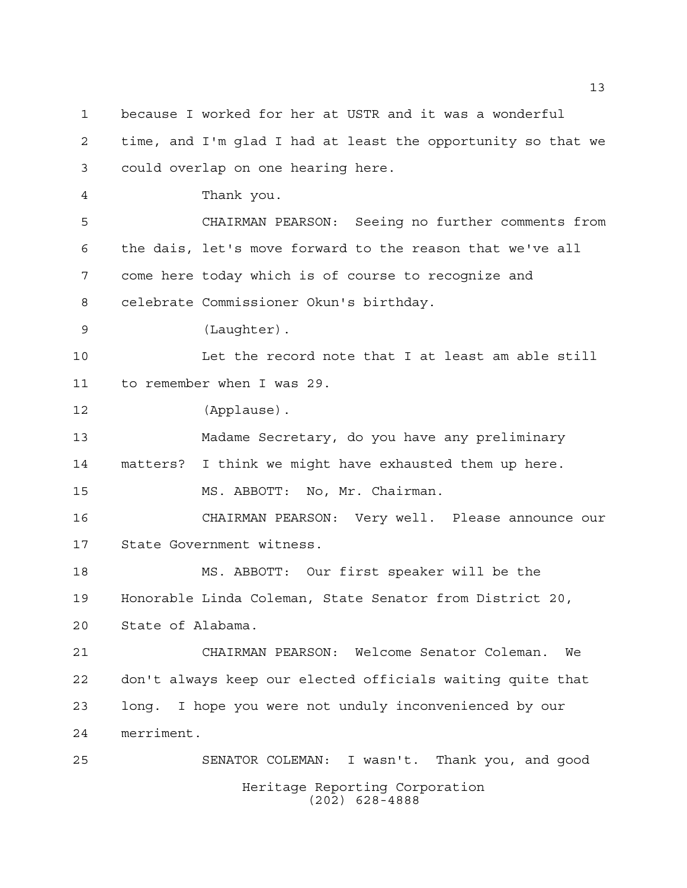Heritage Reporting Corporation (202) 628-4888 because I worked for her at USTR and it was a wonderful time, and I'm glad I had at least the opportunity so that we could overlap on one hearing here. Thank you. CHAIRMAN PEARSON: Seeing no further comments from the dais, let's move forward to the reason that we've all come here today which is of course to recognize and celebrate Commissioner Okun's birthday. (Laughter). Let the record note that I at least am able still to remember when I was 29. (Applause). Madame Secretary, do you have any preliminary matters? I think we might have exhausted them up here. MS. ABBOTT: No, Mr. Chairman. CHAIRMAN PEARSON: Very well. Please announce our State Government witness. MS. ABBOTT: Our first speaker will be the Honorable Linda Coleman, State Senator from District 20, State of Alabama. CHAIRMAN PEARSON: Welcome Senator Coleman. We don't always keep our elected officials waiting quite that long. I hope you were not unduly inconvenienced by our merriment. SENATOR COLEMAN: I wasn't. Thank you, and good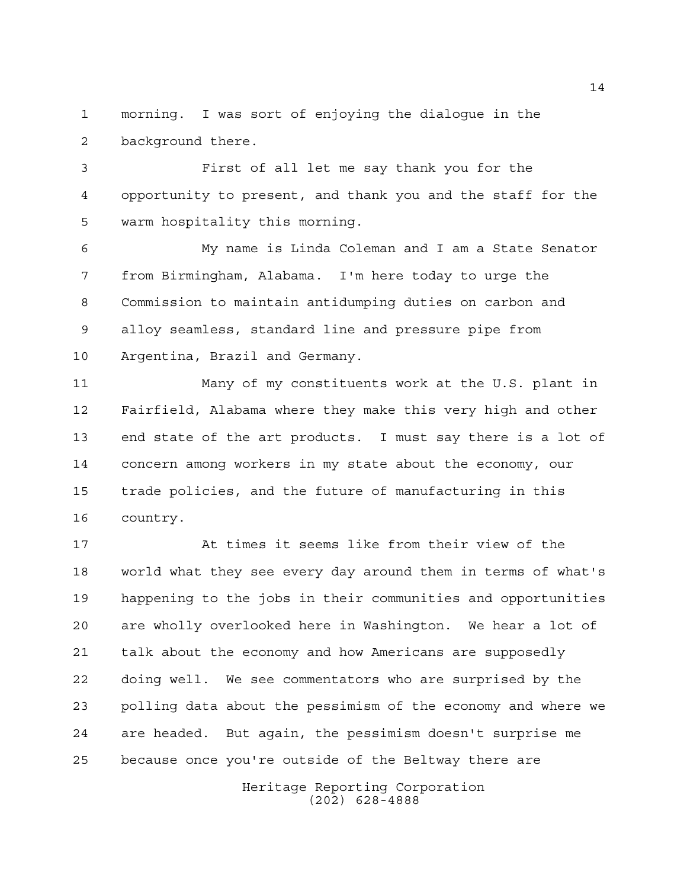morning. I was sort of enjoying the dialogue in the background there.

 First of all let me say thank you for the opportunity to present, and thank you and the staff for the warm hospitality this morning.

 My name is Linda Coleman and I am a State Senator from Birmingham, Alabama. I'm here today to urge the Commission to maintain antidumping duties on carbon and alloy seamless, standard line and pressure pipe from Argentina, Brazil and Germany.

 Many of my constituents work at the U.S. plant in Fairfield, Alabama where they make this very high and other end state of the art products. I must say there is a lot of concern among workers in my state about the economy, our trade policies, and the future of manufacturing in this country.

 At times it seems like from their view of the world what they see every day around them in terms of what's happening to the jobs in their communities and opportunities are wholly overlooked here in Washington. We hear a lot of talk about the economy and how Americans are supposedly doing well. We see commentators who are surprised by the polling data about the pessimism of the economy and where we are headed. But again, the pessimism doesn't surprise me because once you're outside of the Beltway there are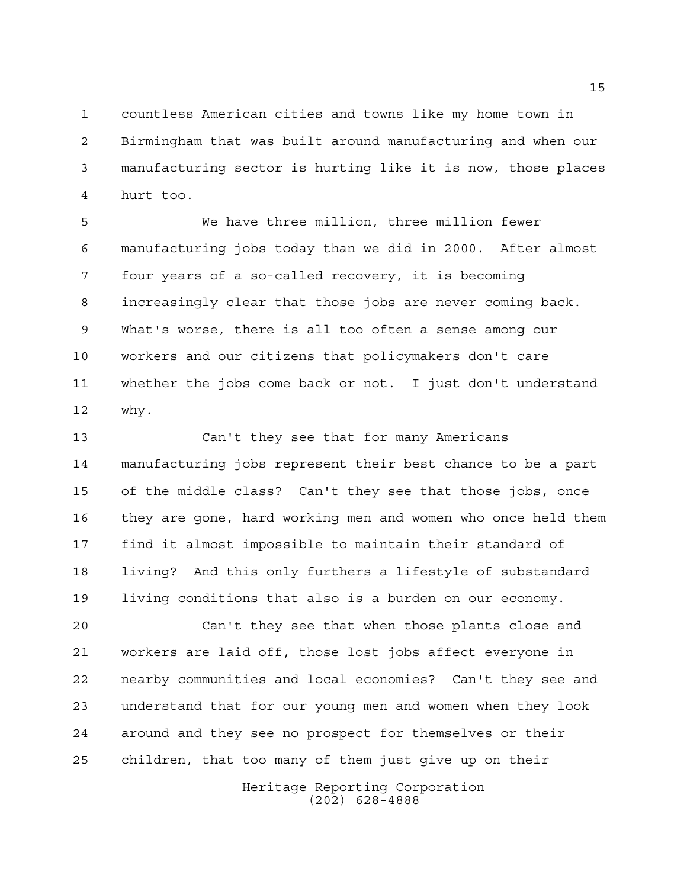countless American cities and towns like my home town in Birmingham that was built around manufacturing and when our manufacturing sector is hurting like it is now, those places hurt too.

 We have three million, three million fewer manufacturing jobs today than we did in 2000. After almost four years of a so-called recovery, it is becoming increasingly clear that those jobs are never coming back. What's worse, there is all too often a sense among our workers and our citizens that policymakers don't care whether the jobs come back or not. I just don't understand why.

 Can't they see that for many Americans manufacturing jobs represent their best chance to be a part of the middle class? Can't they see that those jobs, once they are gone, hard working men and women who once held them find it almost impossible to maintain their standard of living? And this only furthers a lifestyle of substandard living conditions that also is a burden on our economy.

 Can't they see that when those plants close and workers are laid off, those lost jobs affect everyone in nearby communities and local economies? Can't they see and understand that for our young men and women when they look around and they see no prospect for themselves or their children, that too many of them just give up on their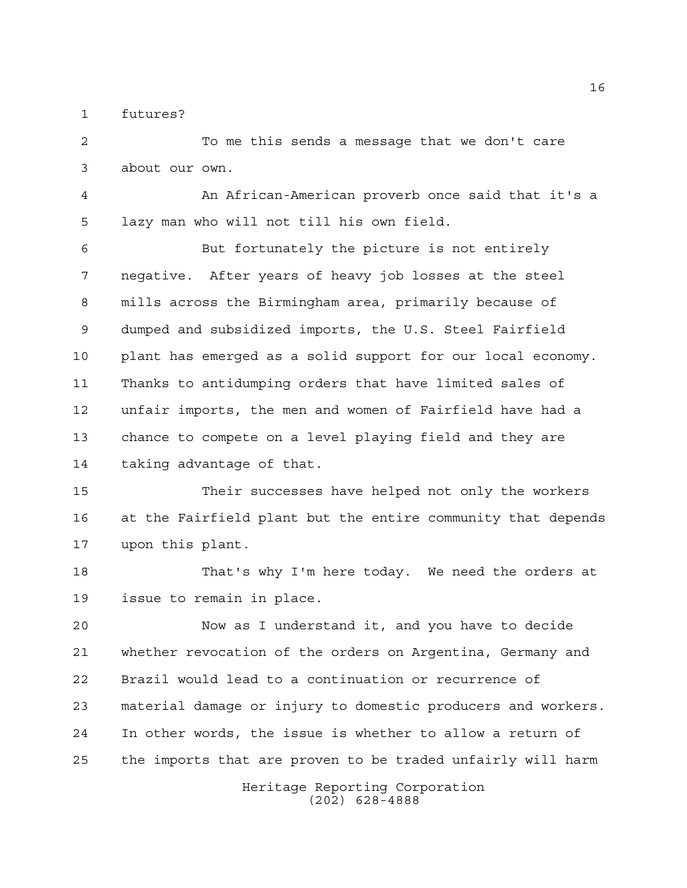futures?

 To me this sends a message that we don't care about our own.

 An African-American proverb once said that it's a lazy man who will not till his own field.

 But fortunately the picture is not entirely negative. After years of heavy job losses at the steel mills across the Birmingham area, primarily because of dumped and subsidized imports, the U.S. Steel Fairfield plant has emerged as a solid support for our local economy. Thanks to antidumping orders that have limited sales of unfair imports, the men and women of Fairfield have had a chance to compete on a level playing field and they are taking advantage of that.

 Their successes have helped not only the workers at the Fairfield plant but the entire community that depends upon this plant.

 That's why I'm here today. We need the orders at issue to remain in place.

 Now as I understand it, and you have to decide whether revocation of the orders on Argentina, Germany and Brazil would lead to a continuation or recurrence of material damage or injury to domestic producers and workers. In other words, the issue is whether to allow a return of the imports that are proven to be traded unfairly will harm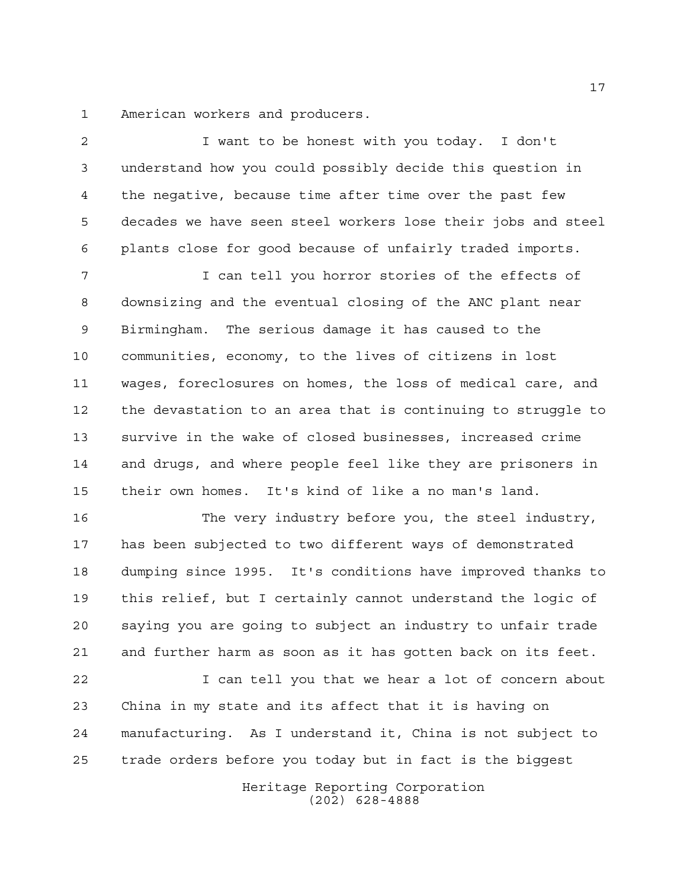American workers and producers.

 I want to be honest with you today. I don't understand how you could possibly decide this question in the negative, because time after time over the past few decades we have seen steel workers lose their jobs and steel plants close for good because of unfairly traded imports. I can tell you horror stories of the effects of downsizing and the eventual closing of the ANC plant near Birmingham. The serious damage it has caused to the communities, economy, to the lives of citizens in lost wages, foreclosures on homes, the loss of medical care, and the devastation to an area that is continuing to struggle to survive in the wake of closed businesses, increased crime and drugs, and where people feel like they are prisoners in their own homes. It's kind of like a no man's land.

16 The very industry before you, the steel industry, has been subjected to two different ways of demonstrated dumping since 1995. It's conditions have improved thanks to this relief, but I certainly cannot understand the logic of saying you are going to subject an industry to unfair trade and further harm as soon as it has gotten back on its feet.

 I can tell you that we hear a lot of concern about China in my state and its affect that it is having on manufacturing. As I understand it, China is not subject to trade orders before you today but in fact is the biggest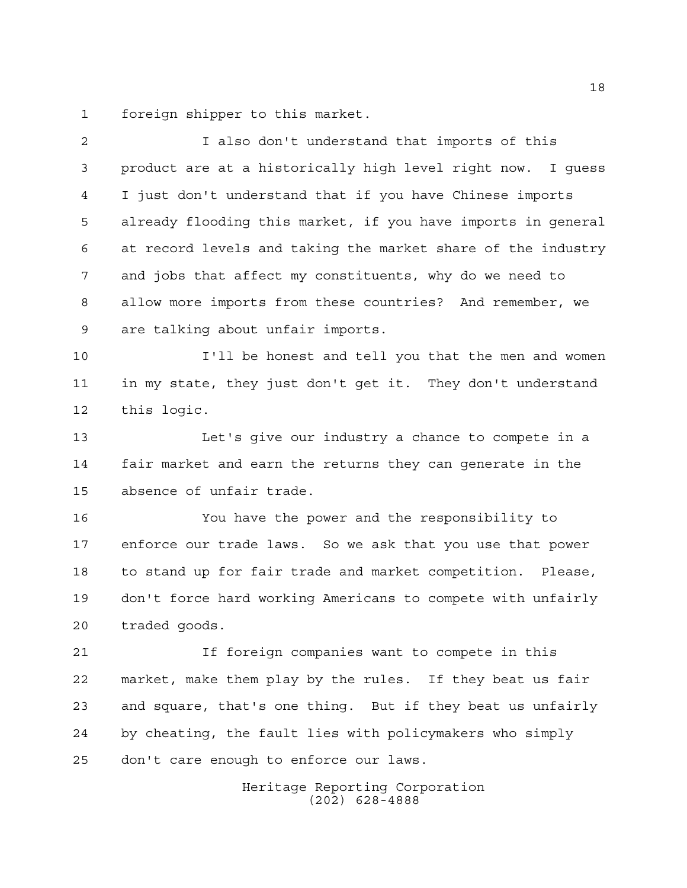foreign shipper to this market.

 product are at a historically high level right now. I guess I just don't understand that if you have Chinese imports already flooding this market, if you have imports in general at record levels and taking the market share of the industry and jobs that affect my constituents, why do we need to allow more imports from these countries? And remember, we are talking about unfair imports. I'll be honest and tell you that the men and women in my state, they just don't get it. They don't understand this logic. Let's give our industry a chance to compete in a fair market and earn the returns they can generate in the absence of unfair trade. You have the power and the responsibility to enforce our trade laws. So we ask that you use that power to stand up for fair trade and market competition. Please, don't force hard working Americans to compete with unfairly traded goods. If foreign companies want to compete in this market, make them play by the rules. If they beat us fair and square, that's one thing. But if they beat us unfairly by cheating, the fault lies with policymakers who simply

I also don't understand that imports of this

don't care enough to enforce our laws.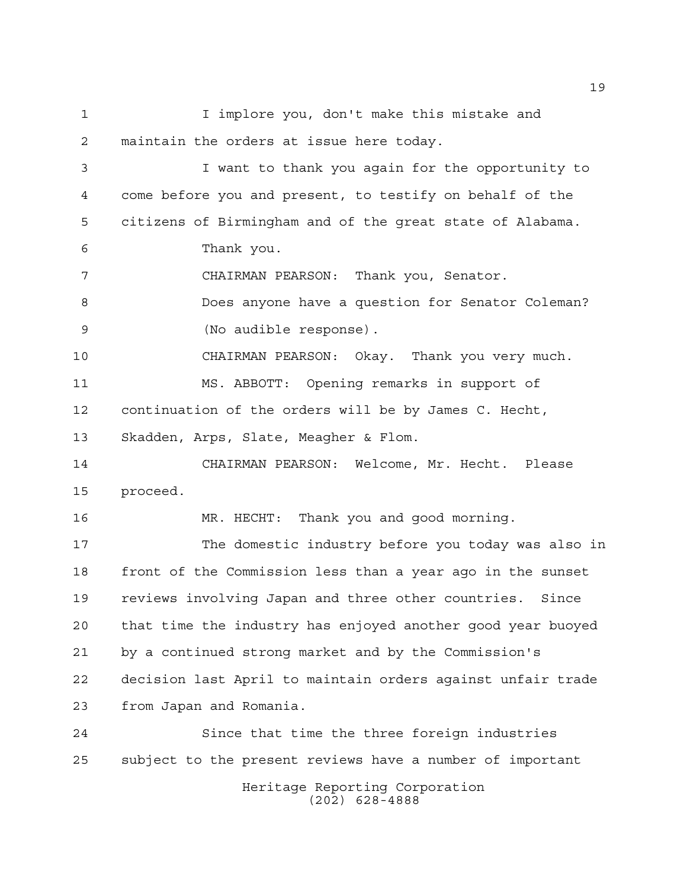I implore you, don't make this mistake and maintain the orders at issue here today. I want to thank you again for the opportunity to come before you and present, to testify on behalf of the citizens of Birmingham and of the great state of Alabama. Thank you. CHAIRMAN PEARSON: Thank you, Senator. Does anyone have a question for Senator Coleman? (No audible response). CHAIRMAN PEARSON: Okay. Thank you very much. MS. ABBOTT: Opening remarks in support of continuation of the orders will be by James C. Hecht, Skadden, Arps, Slate, Meagher & Flom. CHAIRMAN PEARSON: Welcome, Mr. Hecht. Please proceed. MR. HECHT: Thank you and good morning. The domestic industry before you today was also in front of the Commission less than a year ago in the sunset reviews involving Japan and three other countries. Since that time the industry has enjoyed another good year buoyed by a continued strong market and by the Commission's decision last April to maintain orders against unfair trade from Japan and Romania. Since that time the three foreign industries subject to the present reviews have a number of important

> Heritage Reporting Corporation (202) 628-4888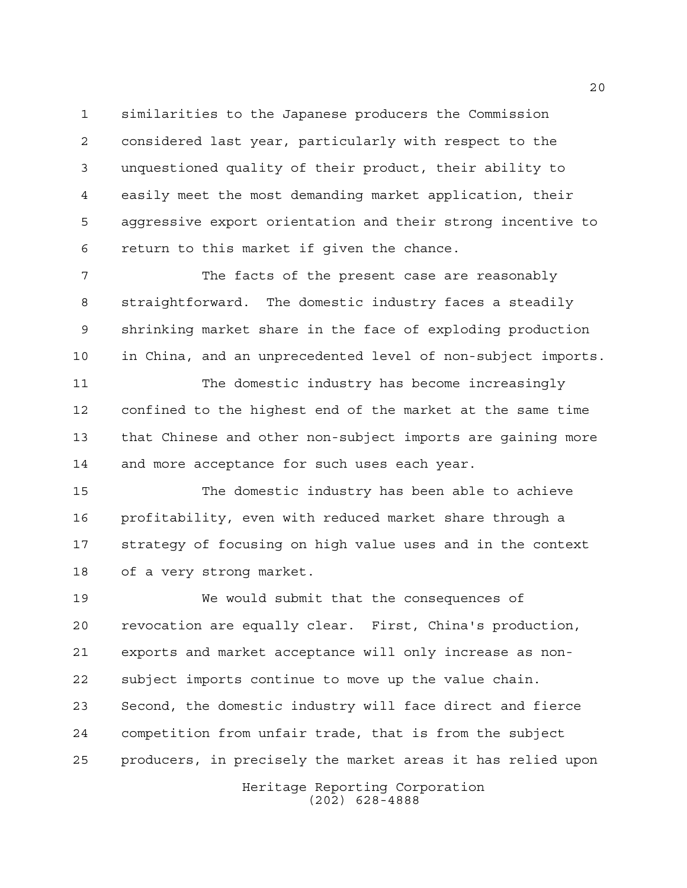similarities to the Japanese producers the Commission considered last year, particularly with respect to the unquestioned quality of their product, their ability to easily meet the most demanding market application, their aggressive export orientation and their strong incentive to return to this market if given the chance.

 The facts of the present case are reasonably straightforward. The domestic industry faces a steadily shrinking market share in the face of exploding production in China, and an unprecedented level of non-subject imports.

 The domestic industry has become increasingly confined to the highest end of the market at the same time that Chinese and other non-subject imports are gaining more 14 and more acceptance for such uses each year.

 The domestic industry has been able to achieve profitability, even with reduced market share through a strategy of focusing on high value uses and in the context of a very strong market.

 We would submit that the consequences of revocation are equally clear. First, China's production, exports and market acceptance will only increase as non- subject imports continue to move up the value chain. Second, the domestic industry will face direct and fierce competition from unfair trade, that is from the subject producers, in precisely the market areas it has relied upon

Heritage Reporting Corporation (202) 628-4888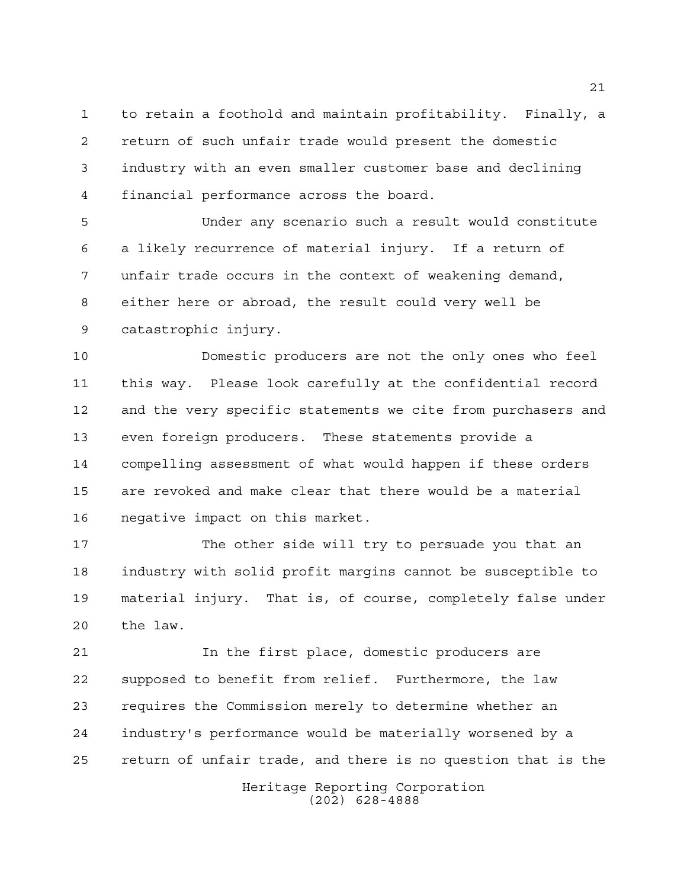to retain a foothold and maintain profitability. Finally, a return of such unfair trade would present the domestic industry with an even smaller customer base and declining financial performance across the board.

 Under any scenario such a result would constitute a likely recurrence of material injury. If a return of unfair trade occurs in the context of weakening demand, either here or abroad, the result could very well be catastrophic injury.

 Domestic producers are not the only ones who feel this way. Please look carefully at the confidential record and the very specific statements we cite from purchasers and even foreign producers. These statements provide a compelling assessment of what would happen if these orders are revoked and make clear that there would be a material negative impact on this market.

 The other side will try to persuade you that an industry with solid profit margins cannot be susceptible to material injury. That is, of course, completely false under the law.

 In the first place, domestic producers are supposed to benefit from relief. Furthermore, the law requires the Commission merely to determine whether an industry's performance would be materially worsened by a return of unfair trade, and there is no question that is the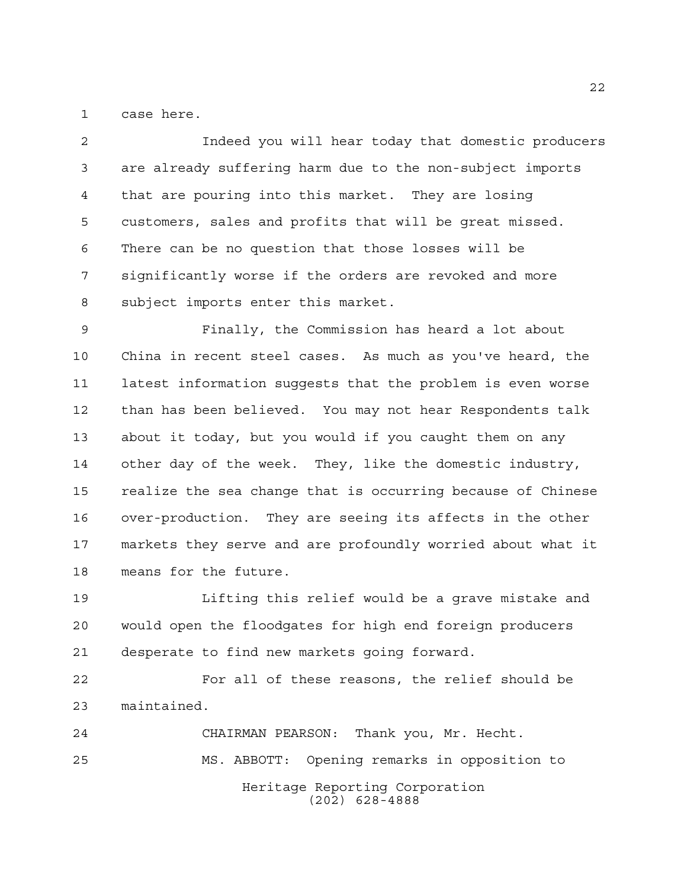case here.

 Indeed you will hear today that domestic producers are already suffering harm due to the non-subject imports that are pouring into this market. They are losing customers, sales and profits that will be great missed. There can be no question that those losses will be significantly worse if the orders are revoked and more subject imports enter this market.

 Finally, the Commission has heard a lot about China in recent steel cases. As much as you've heard, the latest information suggests that the problem is even worse than has been believed. You may not hear Respondents talk about it today, but you would if you caught them on any other day of the week. They, like the domestic industry, realize the sea change that is occurring because of Chinese over-production. They are seeing its affects in the other markets they serve and are profoundly worried about what it means for the future.

 Lifting this relief would be a grave mistake and would open the floodgates for high end foreign producers desperate to find new markets going forward.

 For all of these reasons, the relief should be maintained.

Heritage Reporting Corporation (202) 628-4888 CHAIRMAN PEARSON: Thank you, Mr. Hecht. MS. ABBOTT: Opening remarks in opposition to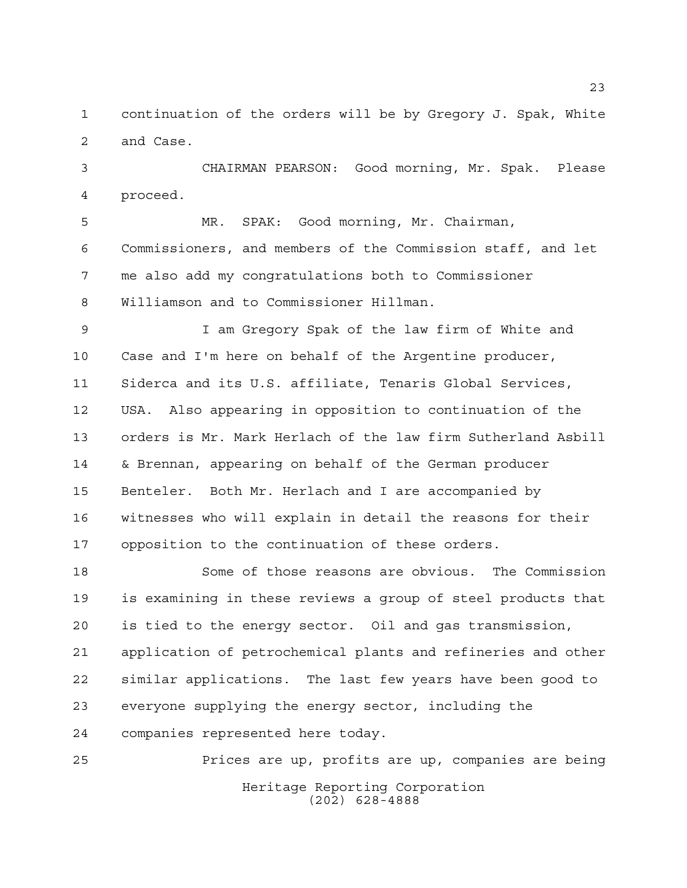continuation of the orders will be by Gregory J. Spak, White and Case.

 CHAIRMAN PEARSON: Good morning, Mr. Spak. Please proceed.

 MR. SPAK: Good morning, Mr. Chairman, Commissioners, and members of the Commission staff, and let me also add my congratulations both to Commissioner Williamson and to Commissioner Hillman.

 I am Gregory Spak of the law firm of White and Case and I'm here on behalf of the Argentine producer, Siderca and its U.S. affiliate, Tenaris Global Services, USA. Also appearing in opposition to continuation of the orders is Mr. Mark Herlach of the law firm Sutherland Asbill & Brennan, appearing on behalf of the German producer Benteler. Both Mr. Herlach and I are accompanied by witnesses who will explain in detail the reasons for their opposition to the continuation of these orders.

 Some of those reasons are obvious. The Commission is examining in these reviews a group of steel products that is tied to the energy sector. Oil and gas transmission, application of petrochemical plants and refineries and other similar applications. The last few years have been good to everyone supplying the energy sector, including the companies represented here today.

Heritage Reporting Corporation (202) 628-4888 Prices are up, profits are up, companies are being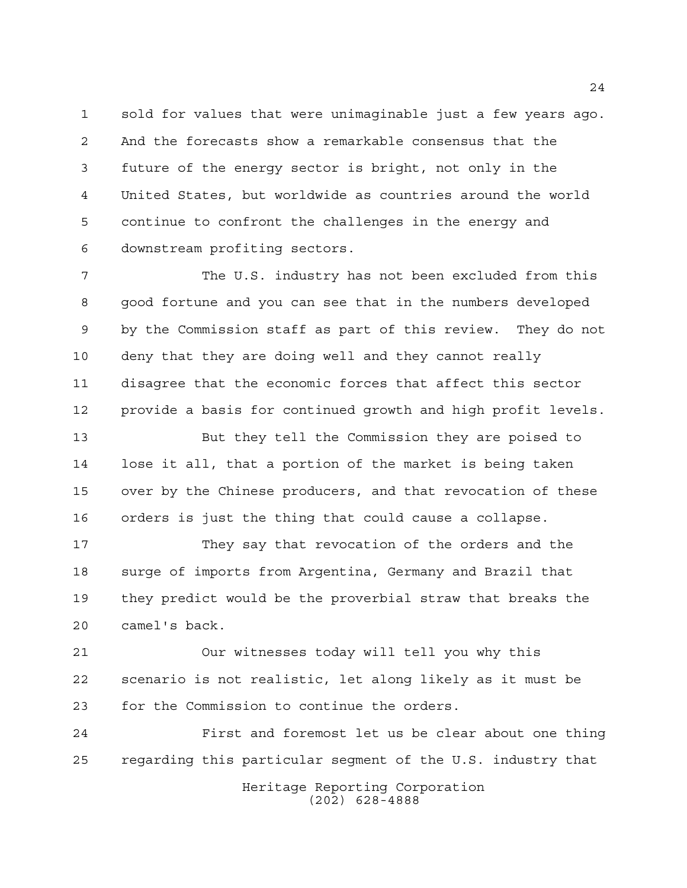sold for values that were unimaginable just a few years ago. And the forecasts show a remarkable consensus that the future of the energy sector is bright, not only in the United States, but worldwide as countries around the world continue to confront the challenges in the energy and downstream profiting sectors.

7 The U.S. industry has not been excluded from this good fortune and you can see that in the numbers developed by the Commission staff as part of this review. They do not deny that they are doing well and they cannot really disagree that the economic forces that affect this sector provide a basis for continued growth and high profit levels.

 But they tell the Commission they are poised to lose it all, that a portion of the market is being taken over by the Chinese producers, and that revocation of these orders is just the thing that could cause a collapse.

 They say that revocation of the orders and the surge of imports from Argentina, Germany and Brazil that they predict would be the proverbial straw that breaks the camel's back.

 Our witnesses today will tell you why this scenario is not realistic, let along likely as it must be for the Commission to continue the orders.

Heritage Reporting Corporation First and foremost let us be clear about one thing regarding this particular segment of the U.S. industry that

(202) 628-4888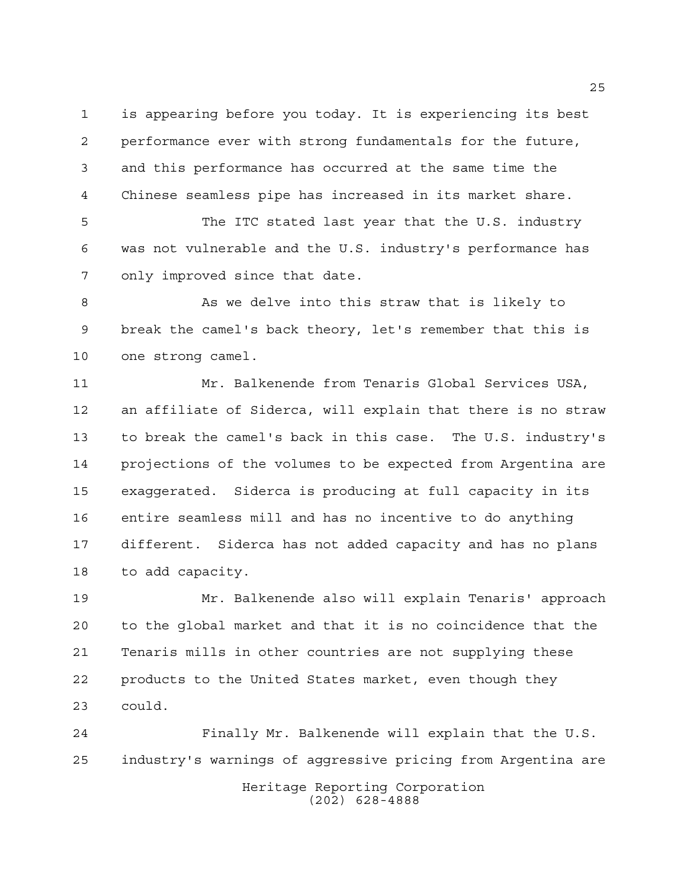is appearing before you today. It is experiencing its best performance ever with strong fundamentals for the future, and this performance has occurred at the same time the Chinese seamless pipe has increased in its market share.

 The ITC stated last year that the U.S. industry was not vulnerable and the U.S. industry's performance has only improved since that date.

8 As we delve into this straw that is likely to break the camel's back theory, let's remember that this is one strong camel.

 Mr. Balkenende from Tenaris Global Services USA, an affiliate of Siderca, will explain that there is no straw to break the camel's back in this case. The U.S. industry's projections of the volumes to be expected from Argentina are exaggerated. Siderca is producing at full capacity in its entire seamless mill and has no incentive to do anything different. Siderca has not added capacity and has no plans to add capacity.

 Mr. Balkenende also will explain Tenaris' approach to the global market and that it is no coincidence that the Tenaris mills in other countries are not supplying these products to the United States market, even though they could.

Heritage Reporting Corporation (202) 628-4888 Finally Mr. Balkenende will explain that the U.S. industry's warnings of aggressive pricing from Argentina are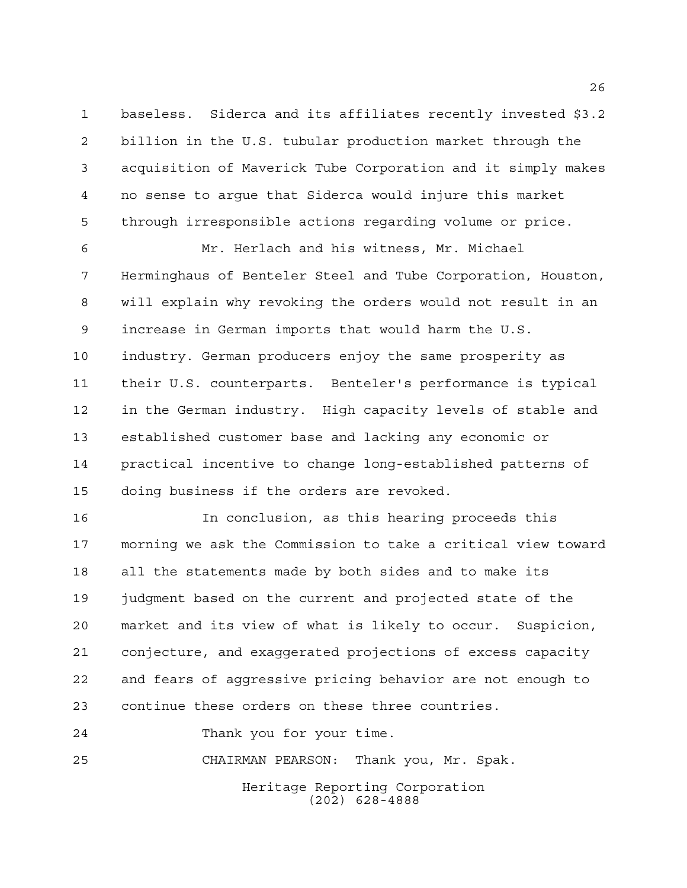baseless. Siderca and its affiliates recently invested \$3.2 billion in the U.S. tubular production market through the acquisition of Maverick Tube Corporation and it simply makes no sense to argue that Siderca would injure this market through irresponsible actions regarding volume or price.

 Mr. Herlach and his witness, Mr. Michael Herminghaus of Benteler Steel and Tube Corporation, Houston, will explain why revoking the orders would not result in an increase in German imports that would harm the U.S. industry. German producers enjoy the same prosperity as their U.S. counterparts. Benteler's performance is typical in the German industry. High capacity levels of stable and established customer base and lacking any economic or practical incentive to change long-established patterns of doing business if the orders are revoked.

 In conclusion, as this hearing proceeds this morning we ask the Commission to take a critical view toward all the statements made by both sides and to make its judgment based on the current and projected state of the market and its view of what is likely to occur. Suspicion, conjecture, and exaggerated projections of excess capacity and fears of aggressive pricing behavior are not enough to continue these orders on these three countries.

Thank you for your time.

CHAIRMAN PEARSON: Thank you, Mr. Spak.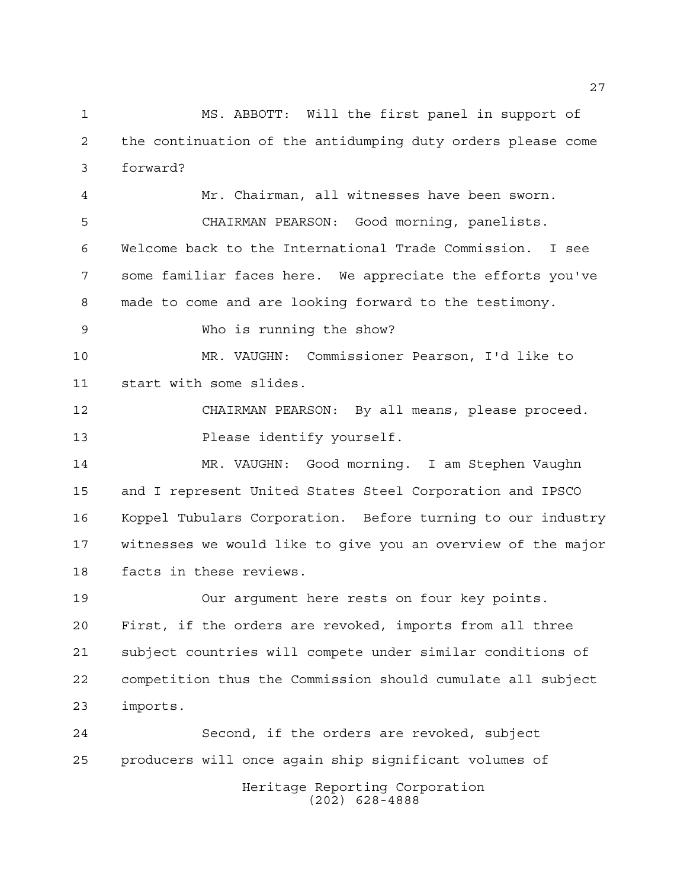MS. ABBOTT: Will the first panel in support of the continuation of the antidumping duty orders please come forward?

 Mr. Chairman, all witnesses have been sworn. CHAIRMAN PEARSON: Good morning, panelists. Welcome back to the International Trade Commission. I see some familiar faces here. We appreciate the efforts you've made to come and are looking forward to the testimony.

Who is running the show?

 MR. VAUGHN: Commissioner Pearson, I'd like to start with some slides.

 CHAIRMAN PEARSON: By all means, please proceed. Please identify yourself.

 MR. VAUGHN: Good morning. I am Stephen Vaughn and I represent United States Steel Corporation and IPSCO Koppel Tubulars Corporation. Before turning to our industry witnesses we would like to give you an overview of the major facts in these reviews.

 Our argument here rests on four key points. First, if the orders are revoked, imports from all three subject countries will compete under similar conditions of competition thus the Commission should cumulate all subject imports.

Heritage Reporting Corporation (202) 628-4888 Second, if the orders are revoked, subject producers will once again ship significant volumes of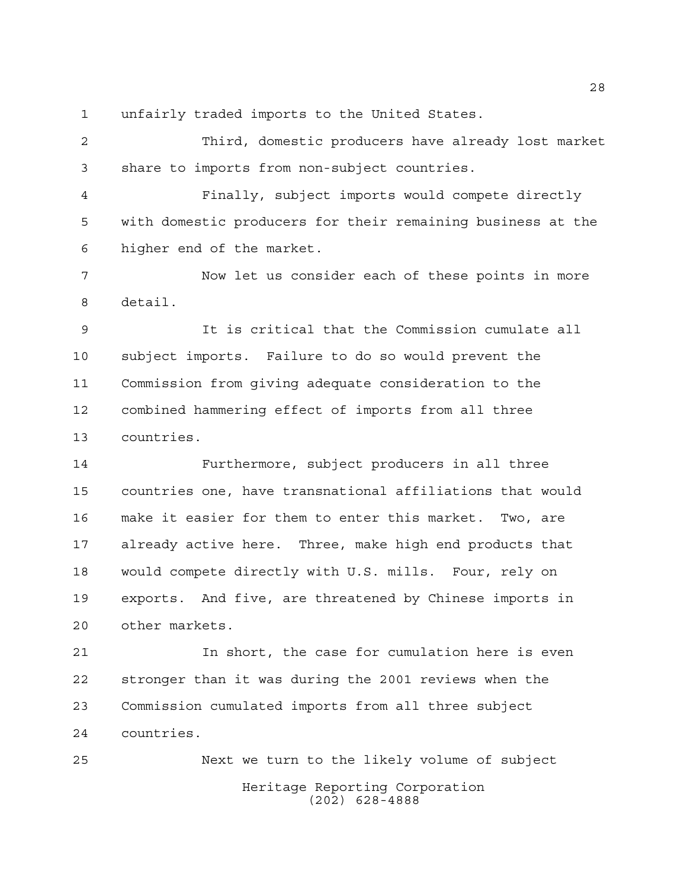unfairly traded imports to the United States.

 Third, domestic producers have already lost market share to imports from non-subject countries.

 Finally, subject imports would compete directly with domestic producers for their remaining business at the higher end of the market.

 Now let us consider each of these points in more detail.

 It is critical that the Commission cumulate all subject imports. Failure to do so would prevent the Commission from giving adequate consideration to the combined hammering effect of imports from all three countries.

 Furthermore, subject producers in all three countries one, have transnational affiliations that would make it easier for them to enter this market. Two, are already active here. Three, make high end products that would compete directly with U.S. mills. Four, rely on exports. And five, are threatened by Chinese imports in other markets.

 In short, the case for cumulation here is even stronger than it was during the 2001 reviews when the Commission cumulated imports from all three subject countries.

Heritage Reporting Corporation (202) 628-4888 Next we turn to the likely volume of subject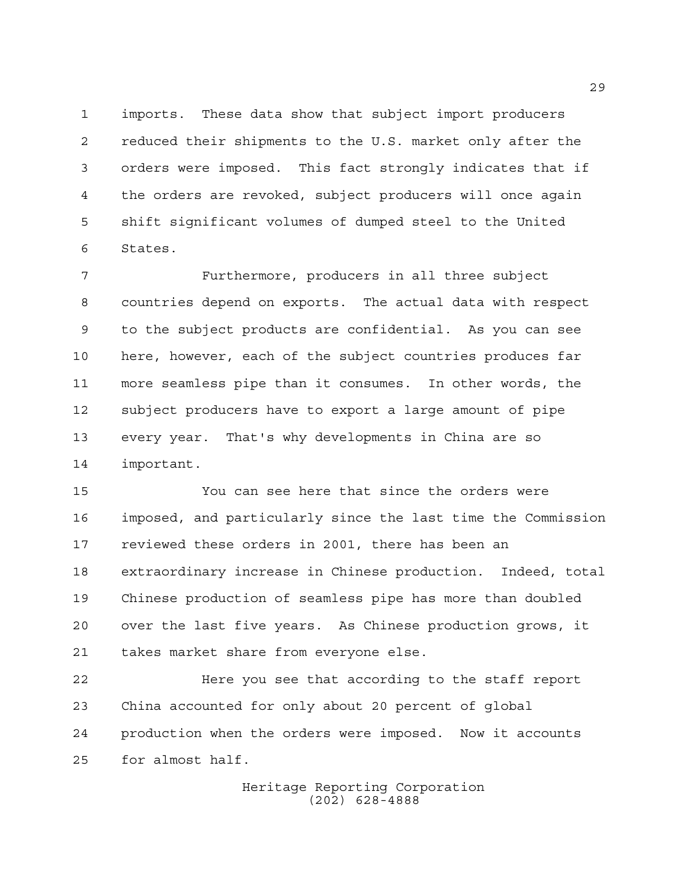imports. These data show that subject import producers reduced their shipments to the U.S. market only after the orders were imposed. This fact strongly indicates that if the orders are revoked, subject producers will once again shift significant volumes of dumped steel to the United States.

 Furthermore, producers in all three subject countries depend on exports. The actual data with respect to the subject products are confidential. As you can see here, however, each of the subject countries produces far more seamless pipe than it consumes. In other words, the subject producers have to export a large amount of pipe every year. That's why developments in China are so important.

 You can see here that since the orders were imposed, and particularly since the last time the Commission reviewed these orders in 2001, there has been an extraordinary increase in Chinese production. Indeed, total Chinese production of seamless pipe has more than doubled over the last five years. As Chinese production grows, it takes market share from everyone else.

 Here you see that according to the staff report China accounted for only about 20 percent of global production when the orders were imposed. Now it accounts for almost half.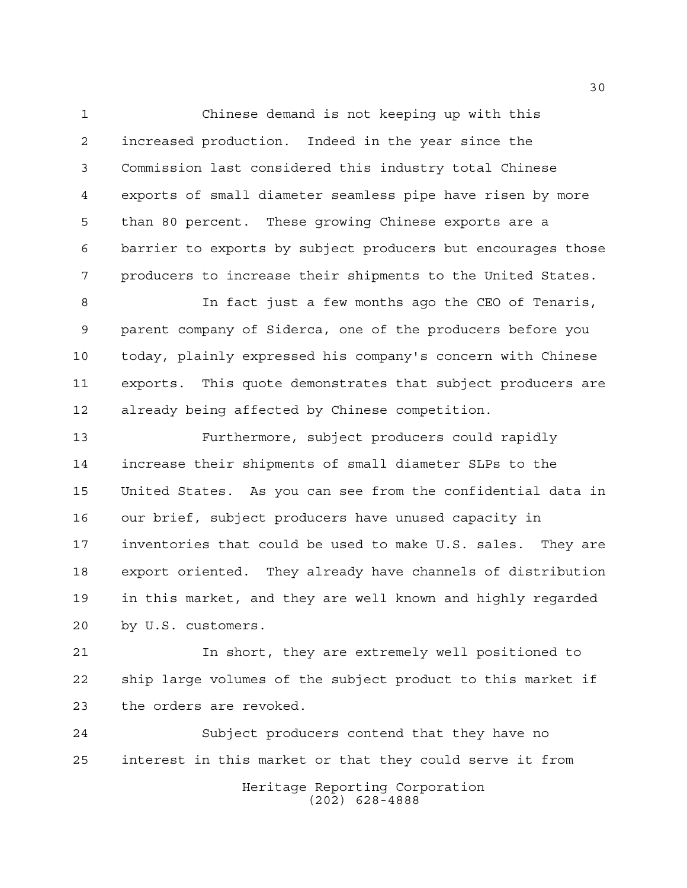Chinese demand is not keeping up with this increased production. Indeed in the year since the Commission last considered this industry total Chinese exports of small diameter seamless pipe have risen by more than 80 percent. These growing Chinese exports are a barrier to exports by subject producers but encourages those producers to increase their shipments to the United States.

 In fact just a few months ago the CEO of Tenaris, parent company of Siderca, one of the producers before you today, plainly expressed his company's concern with Chinese exports. This quote demonstrates that subject producers are already being affected by Chinese competition.

 Furthermore, subject producers could rapidly increase their shipments of small diameter SLPs to the United States. As you can see from the confidential data in our brief, subject producers have unused capacity in inventories that could be used to make U.S. sales. They are export oriented. They already have channels of distribution in this market, and they are well known and highly regarded by U.S. customers.

 In short, they are extremely well positioned to ship large volumes of the subject product to this market if the orders are revoked.

Heritage Reporting Corporation (202) 628-4888 Subject producers contend that they have no interest in this market or that they could serve it from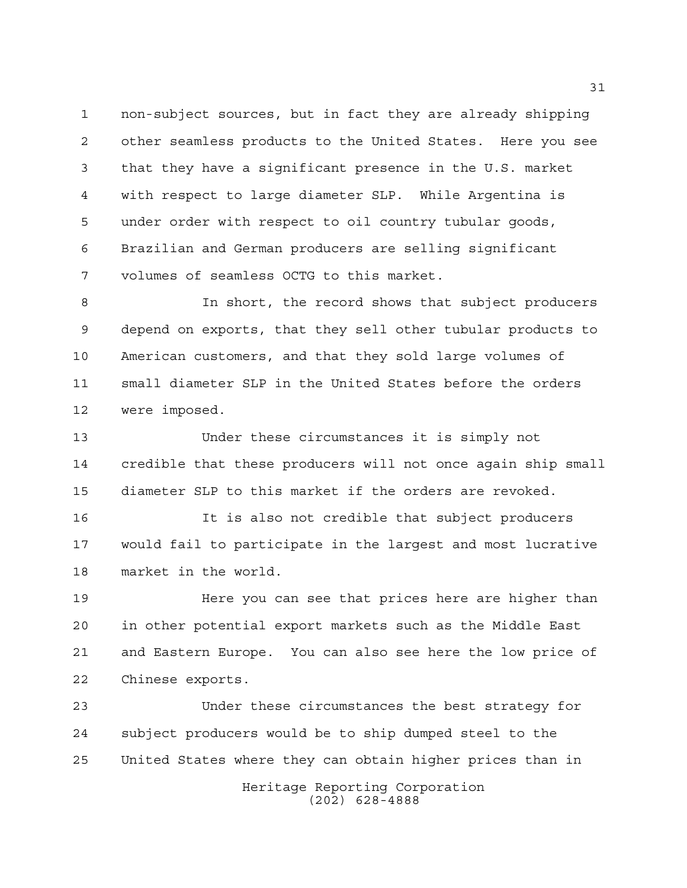non-subject sources, but in fact they are already shipping other seamless products to the United States. Here you see that they have a significant presence in the U.S. market with respect to large diameter SLP. While Argentina is under order with respect to oil country tubular goods, Brazilian and German producers are selling significant volumes of seamless OCTG to this market.

 In short, the record shows that subject producers depend on exports, that they sell other tubular products to American customers, and that they sold large volumes of small diameter SLP in the United States before the orders were imposed.

 Under these circumstances it is simply not credible that these producers will not once again ship small diameter SLP to this market if the orders are revoked.

 It is also not credible that subject producers would fail to participate in the largest and most lucrative market in the world.

 Here you can see that prices here are higher than in other potential export markets such as the Middle East and Eastern Europe. You can also see here the low price of Chinese exports.

 Under these circumstances the best strategy for subject producers would be to ship dumped steel to the United States where they can obtain higher prices than in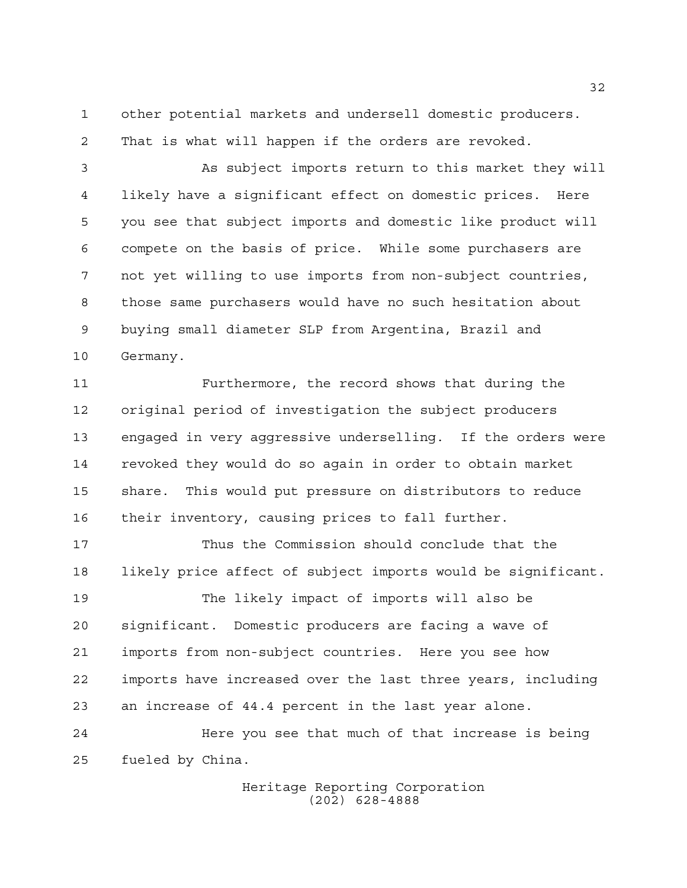other potential markets and undersell domestic producers.

That is what will happen if the orders are revoked.

 As subject imports return to this market they will likely have a significant effect on domestic prices. Here you see that subject imports and domestic like product will compete on the basis of price. While some purchasers are not yet willing to use imports from non-subject countries, those same purchasers would have no such hesitation about buying small diameter SLP from Argentina, Brazil and Germany.

 Furthermore, the record shows that during the original period of investigation the subject producers engaged in very aggressive underselling. If the orders were revoked they would do so again in order to obtain market share. This would put pressure on distributors to reduce their inventory, causing prices to fall further.

 Thus the Commission should conclude that the likely price affect of subject imports would be significant. The likely impact of imports will also be significant. Domestic producers are facing a wave of imports from non-subject countries. Here you see how imports have increased over the last three years, including an increase of 44.4 percent in the last year alone. Here you see that much of that increase is being

fueled by China.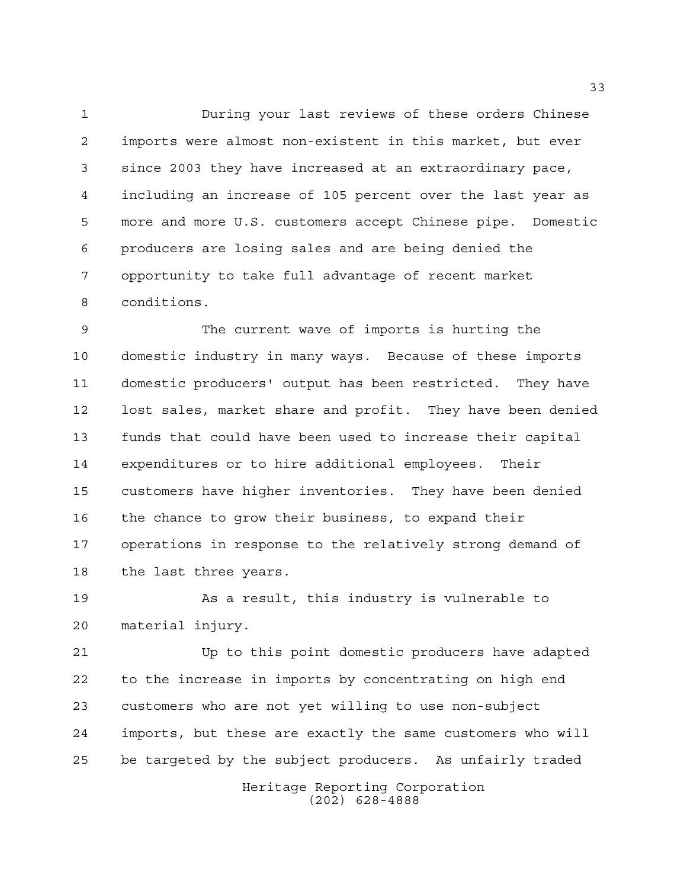During your last reviews of these orders Chinese imports were almost non-existent in this market, but ever since 2003 they have increased at an extraordinary pace, including an increase of 105 percent over the last year as more and more U.S. customers accept Chinese pipe. Domestic producers are losing sales and are being denied the opportunity to take full advantage of recent market conditions.

 The current wave of imports is hurting the domestic industry in many ways. Because of these imports domestic producers' output has been restricted. They have lost sales, market share and profit. They have been denied funds that could have been used to increase their capital expenditures or to hire additional employees. Their customers have higher inventories. They have been denied the chance to grow their business, to expand their operations in response to the relatively strong demand of the last three years.

 As a result, this industry is vulnerable to material injury.

 Up to this point domestic producers have adapted to the increase in imports by concentrating on high end customers who are not yet willing to use non-subject imports, but these are exactly the same customers who will be targeted by the subject producers. As unfairly traded

> Heritage Reporting Corporation (202) 628-4888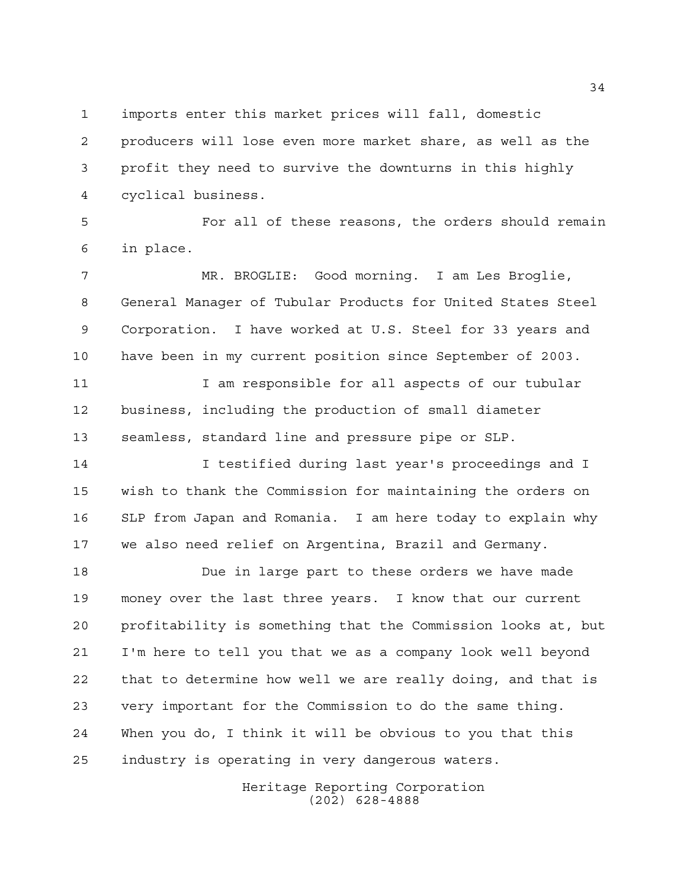imports enter this market prices will fall, domestic

 producers will lose even more market share, as well as the profit they need to survive the downturns in this highly cyclical business.

 For all of these reasons, the orders should remain in place.

 MR. BROGLIE: Good morning. I am Les Broglie, General Manager of Tubular Products for United States Steel Corporation. I have worked at U.S. Steel for 33 years and have been in my current position since September of 2003.

11 11 I am responsible for all aspects of our tubular business, including the production of small diameter seamless, standard line and pressure pipe or SLP.

 I testified during last year's proceedings and I wish to thank the Commission for maintaining the orders on SLP from Japan and Romania. I am here today to explain why we also need relief on Argentina, Brazil and Germany.

 Due in large part to these orders we have made money over the last three years. I know that our current profitability is something that the Commission looks at, but I'm here to tell you that we as a company look well beyond that to determine how well we are really doing, and that is very important for the Commission to do the same thing. When you do, I think it will be obvious to you that this industry is operating in very dangerous waters.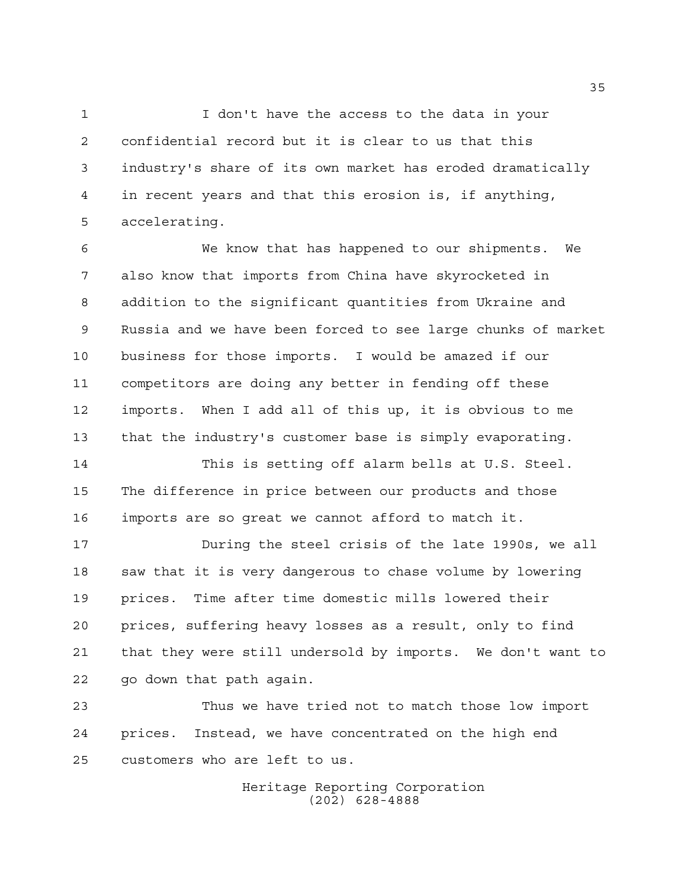1 I don't have the access to the data in your confidential record but it is clear to us that this industry's share of its own market has eroded dramatically in recent years and that this erosion is, if anything, accelerating.

 We know that has happened to our shipments. We also know that imports from China have skyrocketed in addition to the significant quantities from Ukraine and Russia and we have been forced to see large chunks of market business for those imports. I would be amazed if our competitors are doing any better in fending off these imports. When I add all of this up, it is obvious to me that the industry's customer base is simply evaporating.

 This is setting off alarm bells at U.S. Steel. The difference in price between our products and those imports are so great we cannot afford to match it.

 During the steel crisis of the late 1990s, we all saw that it is very dangerous to chase volume by lowering prices. Time after time domestic mills lowered their prices, suffering heavy losses as a result, only to find that they were still undersold by imports. We don't want to go down that path again.

 Thus we have tried not to match those low import prices. Instead, we have concentrated on the high end customers who are left to us.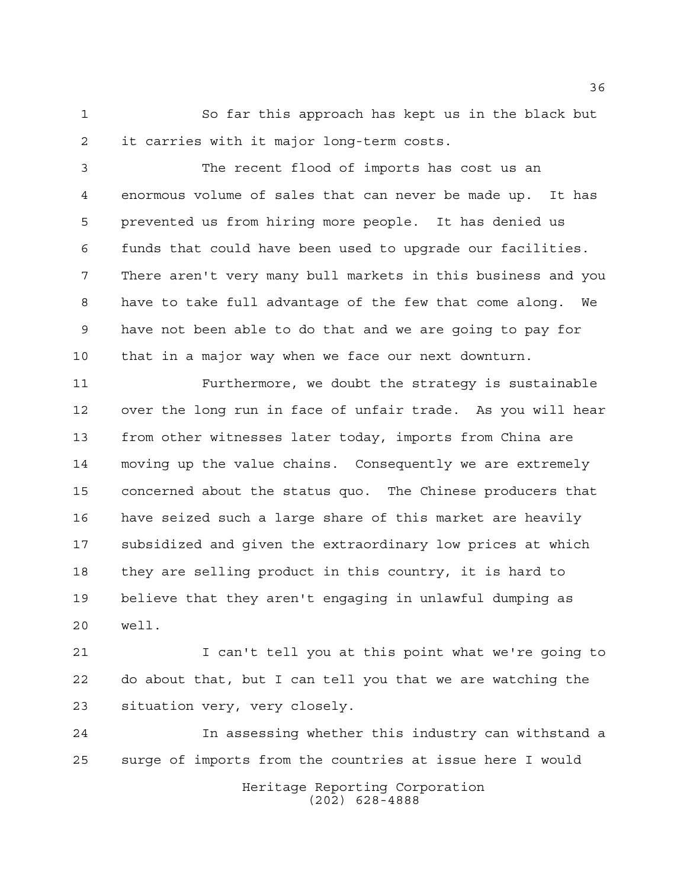So far this approach has kept us in the black but it carries with it major long-term costs.

 The recent flood of imports has cost us an enormous volume of sales that can never be made up. It has prevented us from hiring more people. It has denied us funds that could have been used to upgrade our facilities. There aren't very many bull markets in this business and you have to take full advantage of the few that come along. We have not been able to do that and we are going to pay for that in a major way when we face our next downturn.

 Furthermore, we doubt the strategy is sustainable over the long run in face of unfair trade. As you will hear from other witnesses later today, imports from China are moving up the value chains. Consequently we are extremely concerned about the status quo. The Chinese producers that have seized such a large share of this market are heavily subsidized and given the extraordinary low prices at which they are selling product in this country, it is hard to believe that they aren't engaging in unlawful dumping as well.

 I can't tell you at this point what we're going to do about that, but I can tell you that we are watching the situation very, very closely.

Heritage Reporting Corporation In assessing whether this industry can withstand a surge of imports from the countries at issue here I would

(202) 628-4888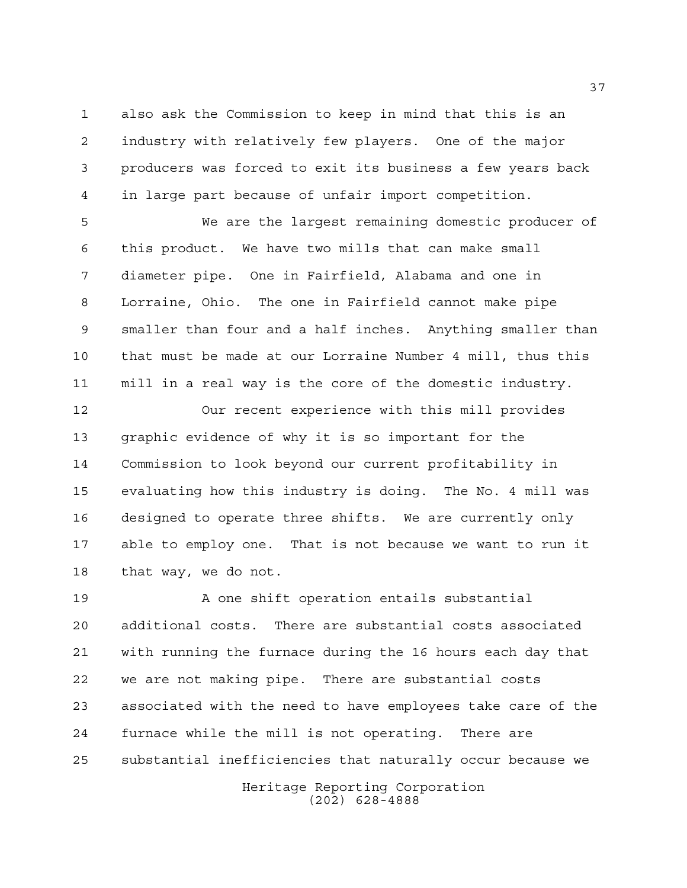also ask the Commission to keep in mind that this is an industry with relatively few players. One of the major producers was forced to exit its business a few years back in large part because of unfair import competition.

 We are the largest remaining domestic producer of this product. We have two mills that can make small diameter pipe. One in Fairfield, Alabama and one in Lorraine, Ohio. The one in Fairfield cannot make pipe smaller than four and a half inches. Anything smaller than that must be made at our Lorraine Number 4 mill, thus this mill in a real way is the core of the domestic industry.

 Our recent experience with this mill provides graphic evidence of why it is so important for the Commission to look beyond our current profitability in evaluating how this industry is doing. The No. 4 mill was designed to operate three shifts. We are currently only able to employ one. That is not because we want to run it that way, we do not.

 A one shift operation entails substantial additional costs. There are substantial costs associated with running the furnace during the 16 hours each day that we are not making pipe. There are substantial costs associated with the need to have employees take care of the furnace while the mill is not operating. There are substantial inefficiencies that naturally occur because we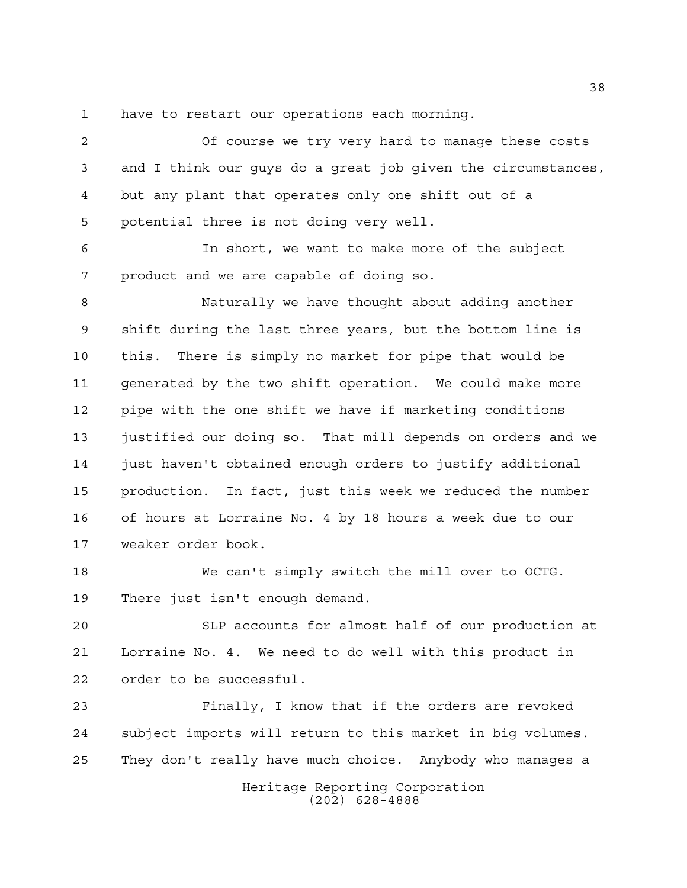have to restart our operations each morning.

 Of course we try very hard to manage these costs and I think our guys do a great job given the circumstances, but any plant that operates only one shift out of a potential three is not doing very well.

 In short, we want to make more of the subject product and we are capable of doing so.

 Naturally we have thought about adding another shift during the last three years, but the bottom line is this. There is simply no market for pipe that would be generated by the two shift operation. We could make more pipe with the one shift we have if marketing conditions justified our doing so. That mill depends on orders and we just haven't obtained enough orders to justify additional production. In fact, just this week we reduced the number of hours at Lorraine No. 4 by 18 hours a week due to our weaker order book.

 We can't simply switch the mill over to OCTG. There just isn't enough demand.

 SLP accounts for almost half of our production at Lorraine No. 4. We need to do well with this product in order to be successful.

 Finally, I know that if the orders are revoked subject imports will return to this market in big volumes. They don't really have much choice. Anybody who manages a

> Heritage Reporting Corporation (202) 628-4888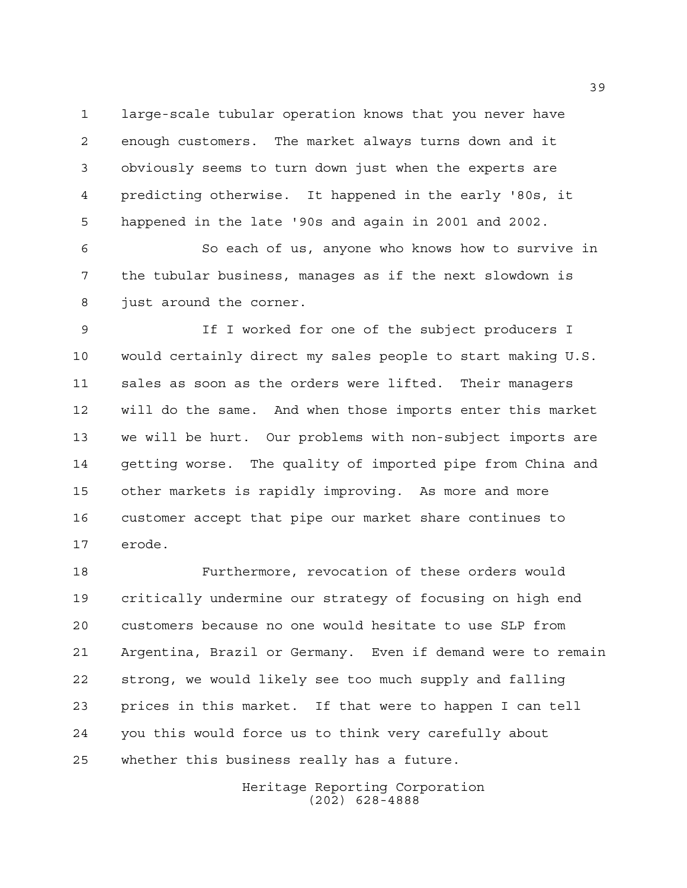large-scale tubular operation knows that you never have enough customers. The market always turns down and it obviously seems to turn down just when the experts are predicting otherwise. It happened in the early '80s, it happened in the late '90s and again in 2001 and 2002.

 So each of us, anyone who knows how to survive in the tubular business, manages as if the next slowdown is just around the corner.

 If I worked for one of the subject producers I would certainly direct my sales people to start making U.S. sales as soon as the orders were lifted. Their managers will do the same. And when those imports enter this market we will be hurt. Our problems with non-subject imports are getting worse. The quality of imported pipe from China and other markets is rapidly improving. As more and more customer accept that pipe our market share continues to erode.

 Furthermore, revocation of these orders would critically undermine our strategy of focusing on high end customers because no one would hesitate to use SLP from Argentina, Brazil or Germany. Even if demand were to remain strong, we would likely see too much supply and falling prices in this market. If that were to happen I can tell you this would force us to think very carefully about whether this business really has a future.

> Heritage Reporting Corporation (202) 628-4888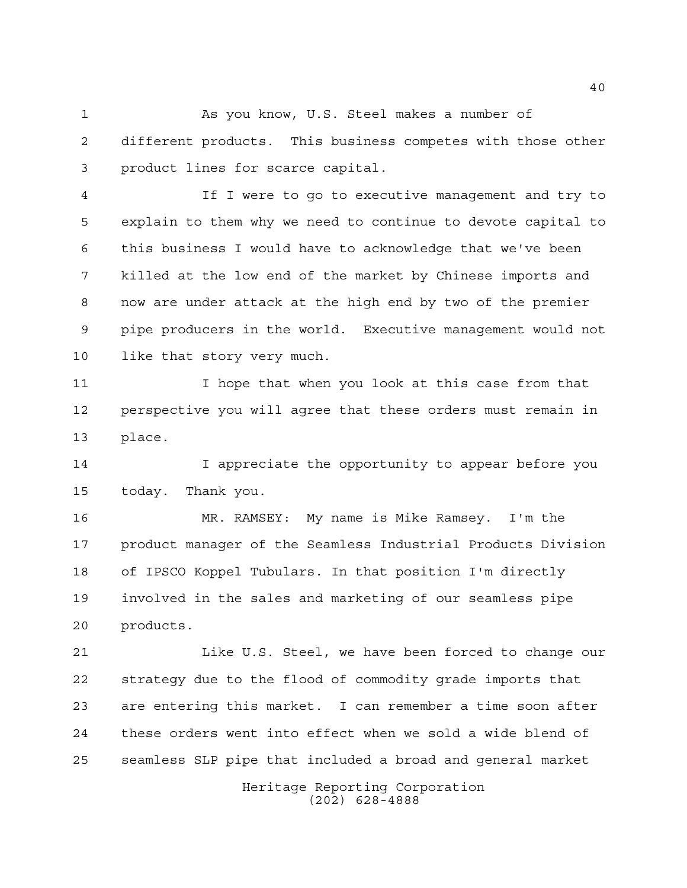As you know, U.S. Steel makes a number of different products. This business competes with those other product lines for scarce capital.

 If I were to go to executive management and try to explain to them why we need to continue to devote capital to this business I would have to acknowledge that we've been killed at the low end of the market by Chinese imports and now are under attack at the high end by two of the premier pipe producers in the world. Executive management would not like that story very much.

 I hope that when you look at this case from that perspective you will agree that these orders must remain in place.

 I appreciate the opportunity to appear before you today. Thank you.

 MR. RAMSEY: My name is Mike Ramsey. I'm the product manager of the Seamless Industrial Products Division of IPSCO Koppel Tubulars. In that position I'm directly involved in the sales and marketing of our seamless pipe products.

 Like U.S. Steel, we have been forced to change our strategy due to the flood of commodity grade imports that are entering this market. I can remember a time soon after these orders went into effect when we sold a wide blend of seamless SLP pipe that included a broad and general market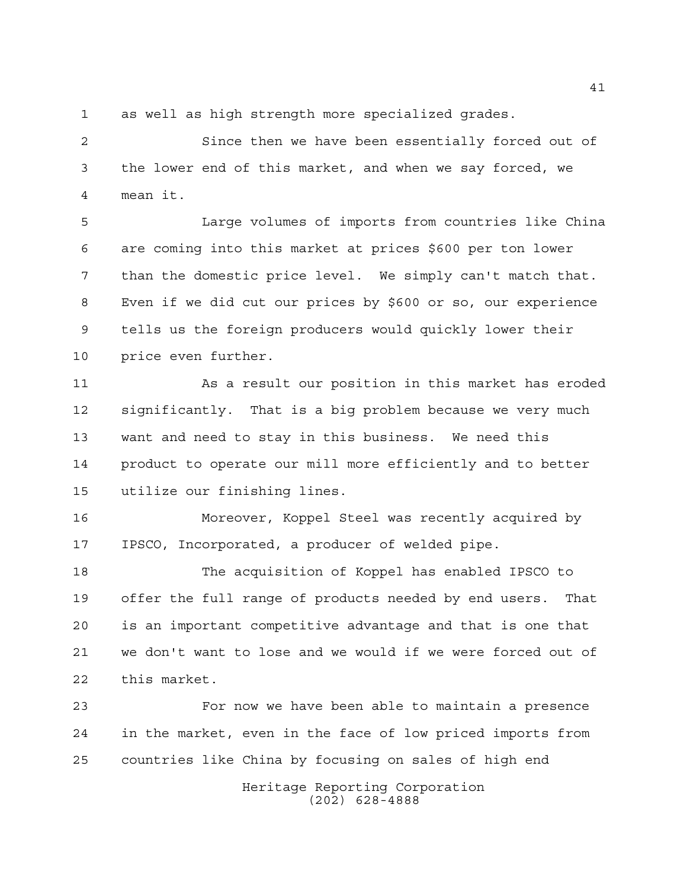as well as high strength more specialized grades.

 Since then we have been essentially forced out of the lower end of this market, and when we say forced, we mean it.

 Large volumes of imports from countries like China are coming into this market at prices \$600 per ton lower than the domestic price level. We simply can't match that. Even if we did cut our prices by \$600 or so, our experience tells us the foreign producers would quickly lower their price even further.

 As a result our position in this market has eroded significantly. That is a big problem because we very much want and need to stay in this business. We need this product to operate our mill more efficiently and to better utilize our finishing lines.

 Moreover, Koppel Steel was recently acquired by IPSCO, Incorporated, a producer of welded pipe.

 The acquisition of Koppel has enabled IPSCO to offer the full range of products needed by end users. That is an important competitive advantage and that is one that we don't want to lose and we would if we were forced out of this market.

 For now we have been able to maintain a presence in the market, even in the face of low priced imports from countries like China by focusing on sales of high end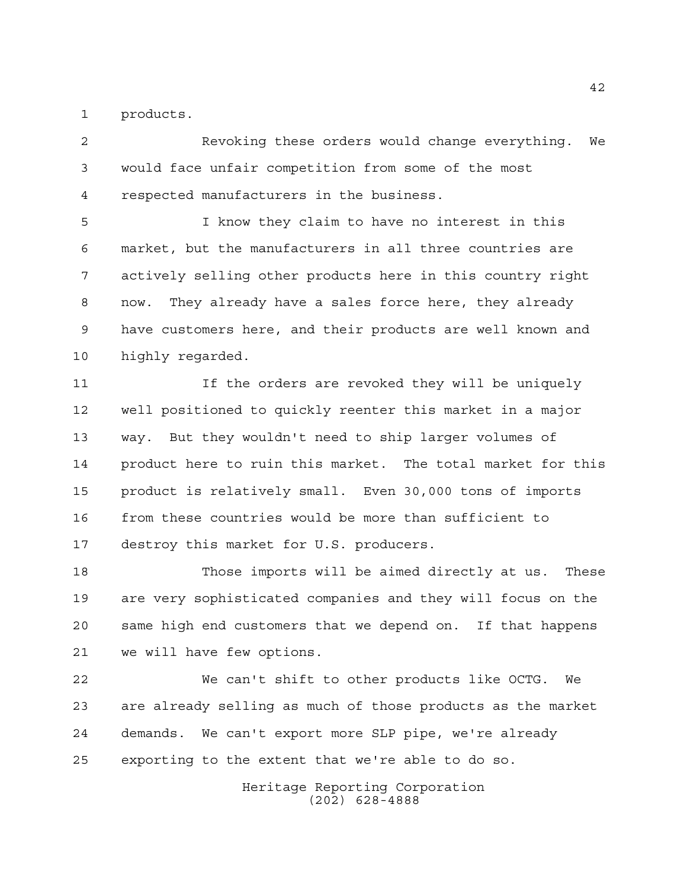products.

 Revoking these orders would change everything. We would face unfair competition from some of the most respected manufacturers in the business.

 I know they claim to have no interest in this market, but the manufacturers in all three countries are actively selling other products here in this country right now. They already have a sales force here, they already have customers here, and their products are well known and highly regarded.

 If the orders are revoked they will be uniquely well positioned to quickly reenter this market in a major way. But they wouldn't need to ship larger volumes of product here to ruin this market. The total market for this product is relatively small. Even 30,000 tons of imports from these countries would be more than sufficient to destroy this market for U.S. producers.

 Those imports will be aimed directly at us. These are very sophisticated companies and they will focus on the same high end customers that we depend on. If that happens we will have few options.

 We can't shift to other products like OCTG. We are already selling as much of those products as the market demands. We can't export more SLP pipe, we're already exporting to the extent that we're able to do so.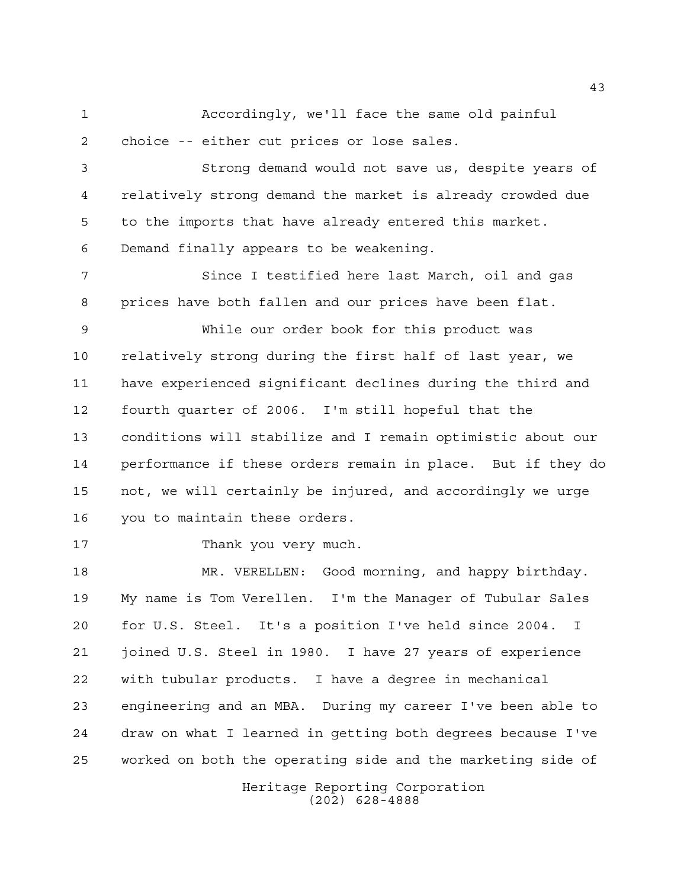Accordingly, we'll face the same old painful choice -- either cut prices or lose sales.

 Strong demand would not save us, despite years of relatively strong demand the market is already crowded due to the imports that have already entered this market. Demand finally appears to be weakening.

 Since I testified here last March, oil and gas prices have both fallen and our prices have been flat.

 While our order book for this product was relatively strong during the first half of last year, we have experienced significant declines during the third and fourth quarter of 2006. I'm still hopeful that the conditions will stabilize and I remain optimistic about our performance if these orders remain in place. But if they do not, we will certainly be injured, and accordingly we urge you to maintain these orders.

Thank you very much.

 MR. VERELLEN: Good morning, and happy birthday. My name is Tom Verellen. I'm the Manager of Tubular Sales for U.S. Steel. It's a position I've held since 2004. I joined U.S. Steel in 1980. I have 27 years of experience with tubular products. I have a degree in mechanical engineering and an MBA. During my career I've been able to draw on what I learned in getting both degrees because I've worked on both the operating side and the marketing side of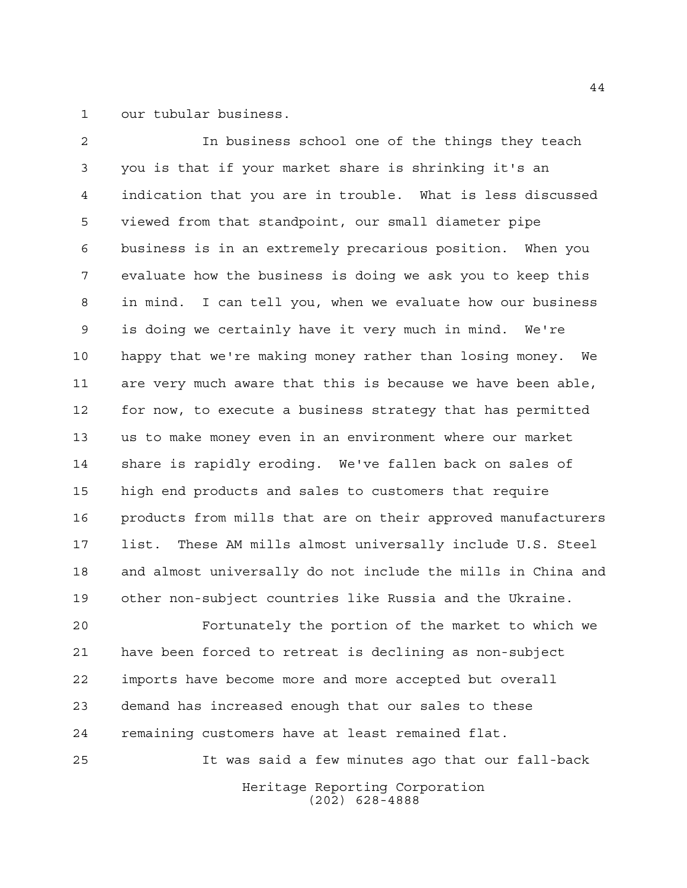our tubular business.

 In business school one of the things they teach you is that if your market share is shrinking it's an indication that you are in trouble. What is less discussed viewed from that standpoint, our small diameter pipe business is in an extremely precarious position. When you evaluate how the business is doing we ask you to keep this in mind. I can tell you, when we evaluate how our business is doing we certainly have it very much in mind. We're happy that we're making money rather than losing money. We are very much aware that this is because we have been able, for now, to execute a business strategy that has permitted us to make money even in an environment where our market share is rapidly eroding. We've fallen back on sales of high end products and sales to customers that require products from mills that are on their approved manufacturers list. These AM mills almost universally include U.S. Steel and almost universally do not include the mills in China and other non-subject countries like Russia and the Ukraine.

 Fortunately the portion of the market to which we have been forced to retreat is declining as non-subject imports have become more and more accepted but overall demand has increased enough that our sales to these remaining customers have at least remained flat.

It was said a few minutes ago that our fall-back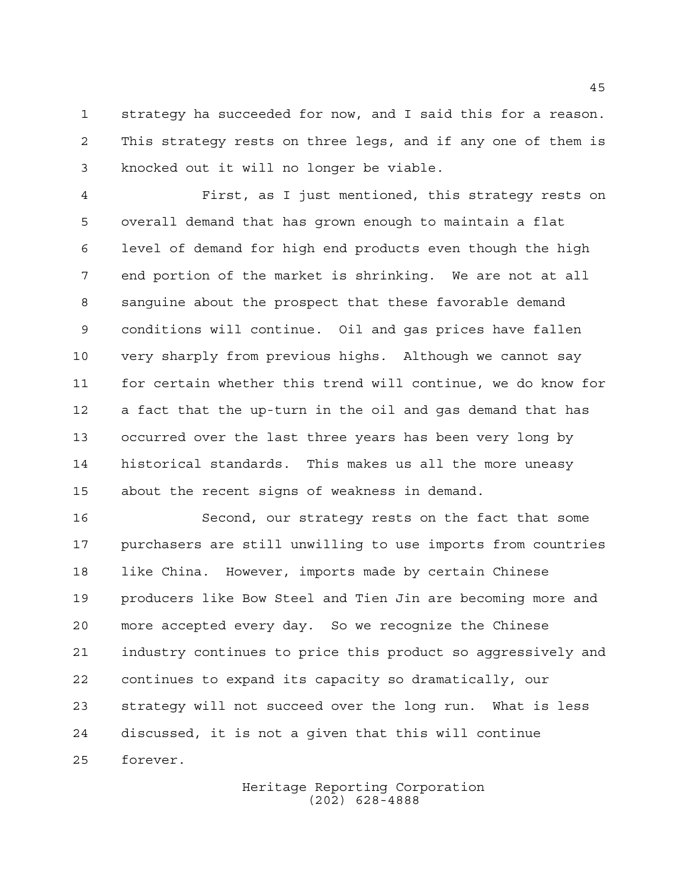strategy ha succeeded for now, and I said this for a reason. This strategy rests on three legs, and if any one of them is knocked out it will no longer be viable.

 First, as I just mentioned, this strategy rests on overall demand that has grown enough to maintain a flat level of demand for high end products even though the high end portion of the market is shrinking. We are not at all sanguine about the prospect that these favorable demand conditions will continue. Oil and gas prices have fallen very sharply from previous highs. Although we cannot say for certain whether this trend will continue, we do know for a fact that the up-turn in the oil and gas demand that has occurred over the last three years has been very long by historical standards. This makes us all the more uneasy about the recent signs of weakness in demand.

 Second, our strategy rests on the fact that some purchasers are still unwilling to use imports from countries like China. However, imports made by certain Chinese producers like Bow Steel and Tien Jin are becoming more and more accepted every day. So we recognize the Chinese industry continues to price this product so aggressively and continues to expand its capacity so dramatically, our strategy will not succeed over the long run. What is less discussed, it is not a given that this will continue forever.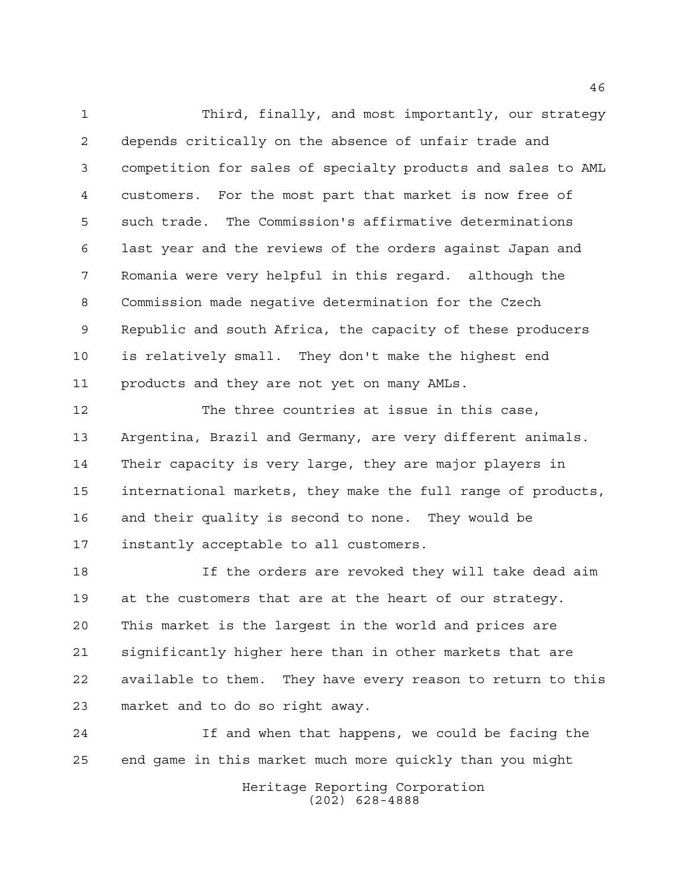Third, finally, and most importantly, our strategy depends critically on the absence of unfair trade and competition for sales of specialty products and sales to AML customers. For the most part that market is now free of such trade. The Commission's affirmative determinations last year and the reviews of the orders against Japan and Romania were very helpful in this regard. although the Commission made negative determination for the Czech Republic and south Africa, the capacity of these producers is relatively small. They don't make the highest end products and they are not yet on many AMLs.

 The three countries at issue in this case, Argentina, Brazil and Germany, are very different animals. Their capacity is very large, they are major players in international markets, they make the full range of products, and their quality is second to none. They would be instantly acceptable to all customers.

 If the orders are revoked they will take dead aim at the customers that are at the heart of our strategy. This market is the largest in the world and prices are significantly higher here than in other markets that are available to them. They have every reason to return to this market and to do so right away.

 If and when that happens, we could be facing the end game in this market much more quickly than you might

> Heritage Reporting Corporation (202) 628-4888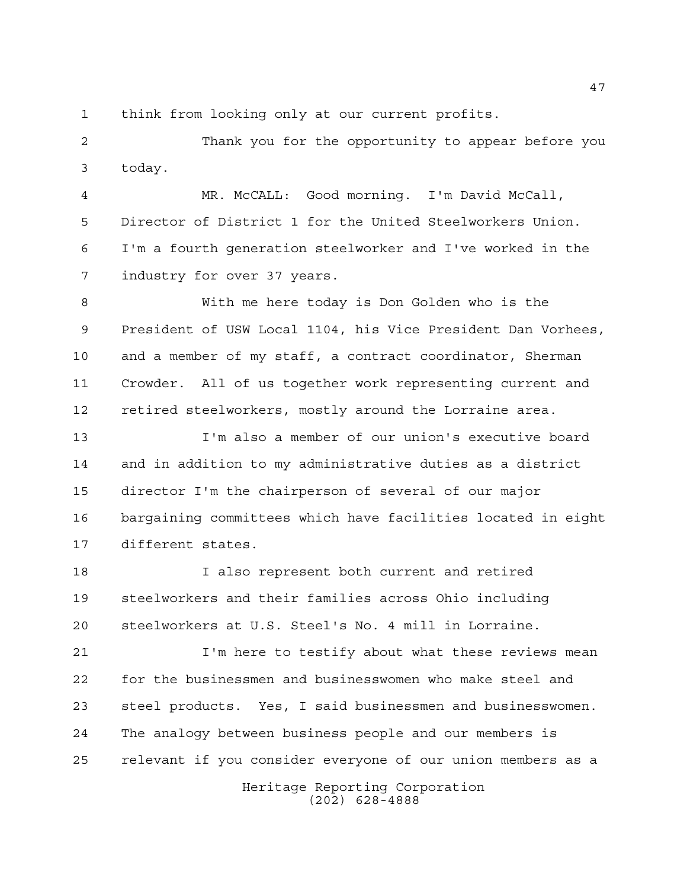think from looking only at our current profits.

 Thank you for the opportunity to appear before you today.

 MR. McCALL: Good morning. I'm David McCall, Director of District 1 for the United Steelworkers Union. I'm a fourth generation steelworker and I've worked in the industry for over 37 years.

 With me here today is Don Golden who is the President of USW Local 1104, his Vice President Dan Vorhees, and a member of my staff, a contract coordinator, Sherman Crowder. All of us together work representing current and retired steelworkers, mostly around the Lorraine area.

 I'm also a member of our union's executive board and in addition to my administrative duties as a district director I'm the chairperson of several of our major bargaining committees which have facilities located in eight different states.

 I also represent both current and retired steelworkers and their families across Ohio including steelworkers at U.S. Steel's No. 4 mill in Lorraine.

 I'm here to testify about what these reviews mean for the businessmen and businesswomen who make steel and steel products. Yes, I said businessmen and businesswomen. The analogy between business people and our members is relevant if you consider everyone of our union members as a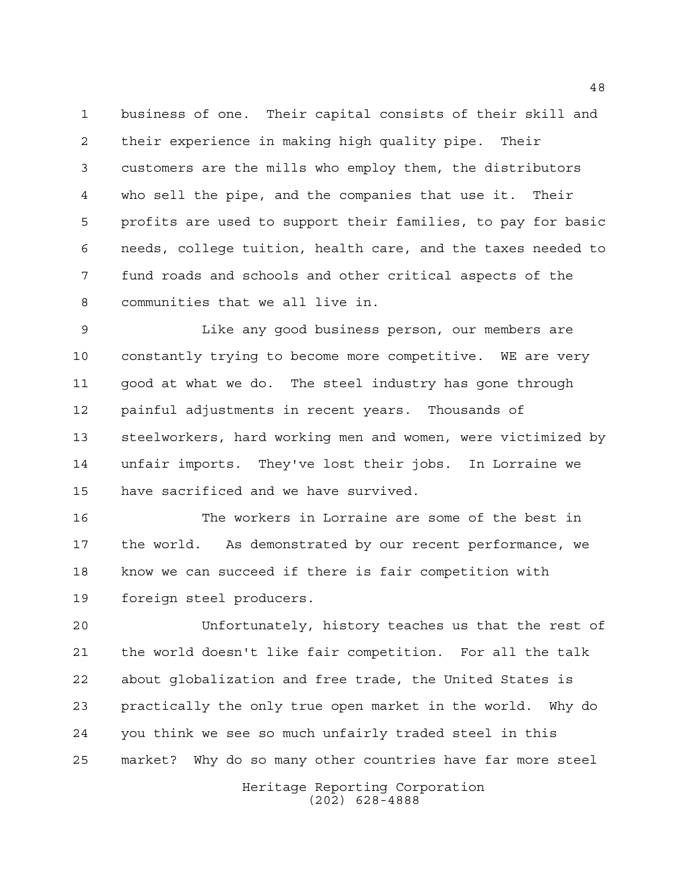business of one. Their capital consists of their skill and their experience in making high quality pipe. Their customers are the mills who employ them, the distributors who sell the pipe, and the companies that use it. Their profits are used to support their families, to pay for basic needs, college tuition, health care, and the taxes needed to fund roads and schools and other critical aspects of the communities that we all live in.

 Like any good business person, our members are constantly trying to become more competitive. WE are very good at what we do. The steel industry has gone through painful adjustments in recent years. Thousands of steelworkers, hard working men and women, were victimized by unfair imports. They've lost their jobs. In Lorraine we have sacrificed and we have survived.

 The workers in Lorraine are some of the best in the world. As demonstrated by our recent performance, we know we can succeed if there is fair competition with foreign steel producers.

 Unfortunately, history teaches us that the rest of the world doesn't like fair competition. For all the talk about globalization and free trade, the United States is practically the only true open market in the world. Why do you think we see so much unfairly traded steel in this market? Why do so many other countries have far more steel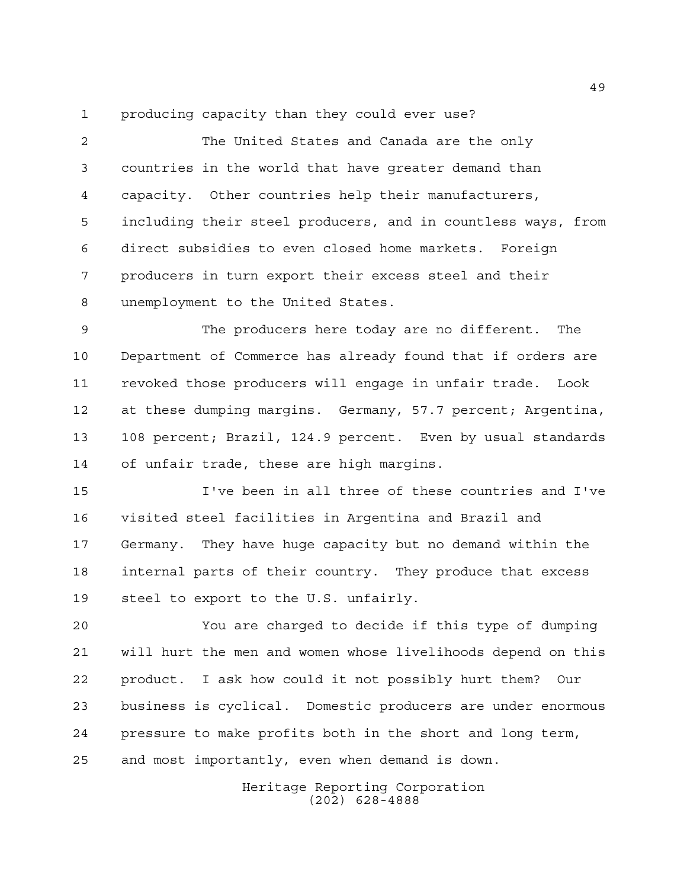producing capacity than they could ever use?

 The United States and Canada are the only countries in the world that have greater demand than capacity. Other countries help their manufacturers, including their steel producers, and in countless ways, from direct subsidies to even closed home markets. Foreign producers in turn export their excess steel and their unemployment to the United States.

 The producers here today are no different. The Department of Commerce has already found that if orders are revoked those producers will engage in unfair trade. Look at these dumping margins. Germany, 57.7 percent; Argentina, 108 percent; Brazil, 124.9 percent. Even by usual standards of unfair trade, these are high margins.

 I've been in all three of these countries and I've visited steel facilities in Argentina and Brazil and Germany. They have huge capacity but no demand within the internal parts of their country. They produce that excess steel to export to the U.S. unfairly.

 You are charged to decide if this type of dumping will hurt the men and women whose livelihoods depend on this product. I ask how could it not possibly hurt them? Our business is cyclical. Domestic producers are under enormous pressure to make profits both in the short and long term, and most importantly, even when demand is down.

> Heritage Reporting Corporation (202) 628-4888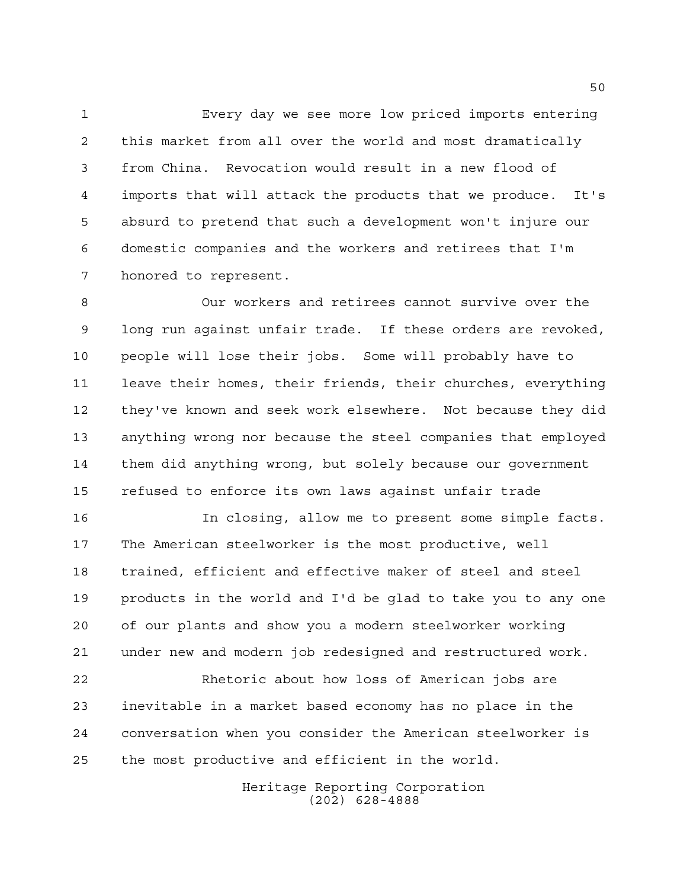Every day we see more low priced imports entering this market from all over the world and most dramatically from China. Revocation would result in a new flood of imports that will attack the products that we produce. It's absurd to pretend that such a development won't injure our domestic companies and the workers and retirees that I'm honored to represent.

 Our workers and retirees cannot survive over the long run against unfair trade. If these orders are revoked, people will lose their jobs. Some will probably have to leave their homes, their friends, their churches, everything they've known and seek work elsewhere. Not because they did anything wrong nor because the steel companies that employed them did anything wrong, but solely because our government refused to enforce its own laws against unfair trade

 In closing, allow me to present some simple facts. The American steelworker is the most productive, well trained, efficient and effective maker of steel and steel products in the world and I'd be glad to take you to any one of our plants and show you a modern steelworker working under new and modern job redesigned and restructured work.

 Rhetoric about how loss of American jobs are inevitable in a market based economy has no place in the conversation when you consider the American steelworker is the most productive and efficient in the world.

> Heritage Reporting Corporation (202) 628-4888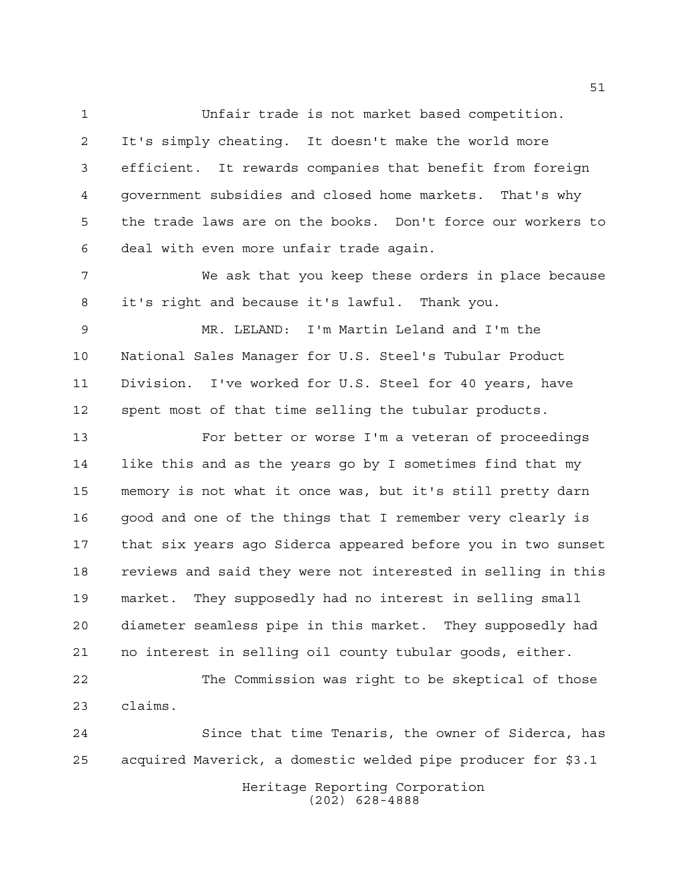Unfair trade is not market based competition. It's simply cheating. It doesn't make the world more efficient. It rewards companies that benefit from foreign government subsidies and closed home markets. That's why the trade laws are on the books. Don't force our workers to deal with even more unfair trade again.

 We ask that you keep these orders in place because it's right and because it's lawful. Thank you.

 MR. LELAND: I'm Martin Leland and I'm the National Sales Manager for U.S. Steel's Tubular Product Division. I've worked for U.S. Steel for 40 years, have spent most of that time selling the tubular products.

 For better or worse I'm a veteran of proceedings like this and as the years go by I sometimes find that my memory is not what it once was, but it's still pretty darn good and one of the things that I remember very clearly is that six years ago Siderca appeared before you in two sunset reviews and said they were not interested in selling in this market. They supposedly had no interest in selling small diameter seamless pipe in this market. They supposedly had no interest in selling oil county tubular goods, either.

 The Commission was right to be skeptical of those claims.

Heritage Reporting Corporation (202) 628-4888 Since that time Tenaris, the owner of Siderca, has acquired Maverick, a domestic welded pipe producer for \$3.1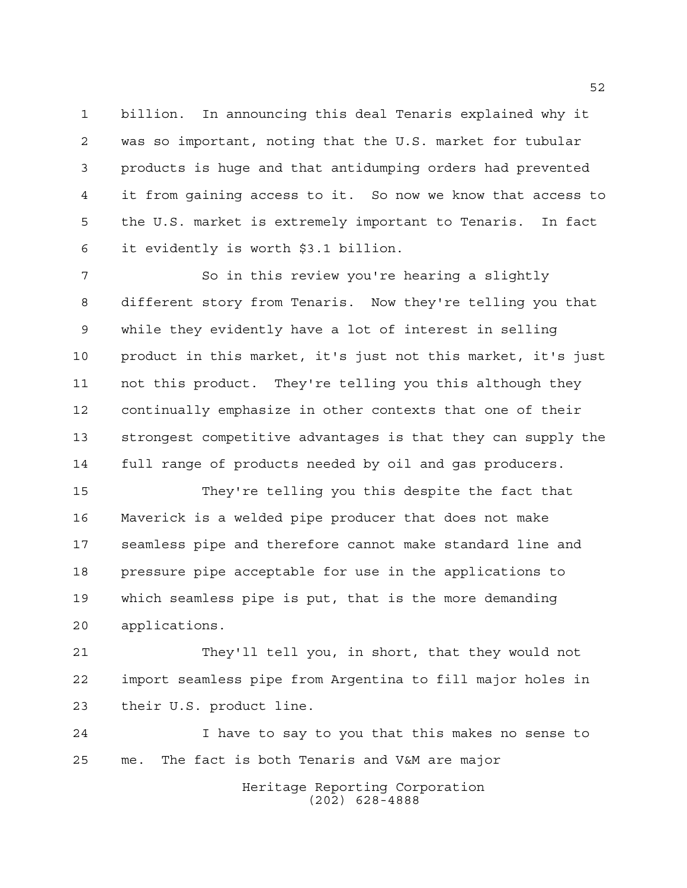billion. In announcing this deal Tenaris explained why it was so important, noting that the U.S. market for tubular products is huge and that antidumping orders had prevented it from gaining access to it. So now we know that access to the U.S. market is extremely important to Tenaris. In fact it evidently is worth \$3.1 billion.

7 So in this review you're hearing a slightly different story from Tenaris. Now they're telling you that while they evidently have a lot of interest in selling product in this market, it's just not this market, it's just not this product. They're telling you this although they continually emphasize in other contexts that one of their strongest competitive advantages is that they can supply the full range of products needed by oil and gas producers.

 They're telling you this despite the fact that Maverick is a welded pipe producer that does not make seamless pipe and therefore cannot make standard line and pressure pipe acceptable for use in the applications to which seamless pipe is put, that is the more demanding applications.

 They'll tell you, in short, that they would not import seamless pipe from Argentina to fill major holes in their U.S. product line.

 I have to say to you that this makes no sense to me. The fact is both Tenaris and V&M are major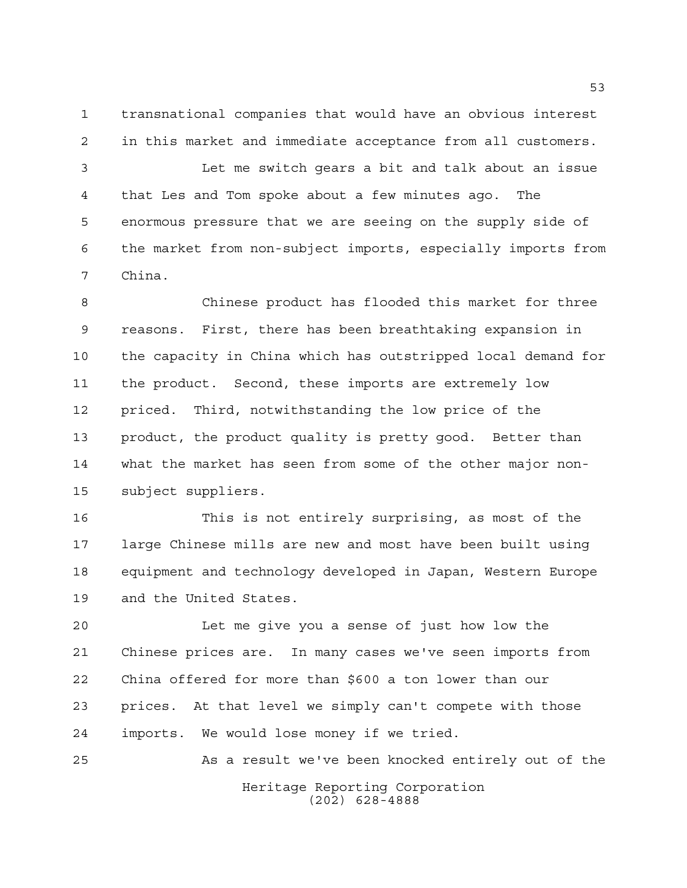transnational companies that would have an obvious interest in this market and immediate acceptance from all customers.

 Let me switch gears a bit and talk about an issue that Les and Tom spoke about a few minutes ago. The enormous pressure that we are seeing on the supply side of the market from non-subject imports, especially imports from China.

 Chinese product has flooded this market for three reasons. First, there has been breathtaking expansion in the capacity in China which has outstripped local demand for the product. Second, these imports are extremely low priced. Third, notwithstanding the low price of the product, the product quality is pretty good. Better than what the market has seen from some of the other major non-subject suppliers.

 This is not entirely surprising, as most of the large Chinese mills are new and most have been built using equipment and technology developed in Japan, Western Europe and the United States.

 Let me give you a sense of just how low the Chinese prices are. In many cases we've seen imports from China offered for more than \$600 a ton lower than our prices. At that level we simply can't compete with those imports. We would lose money if we tried.

Heritage Reporting Corporation (202) 628-4888 As a result we've been knocked entirely out of the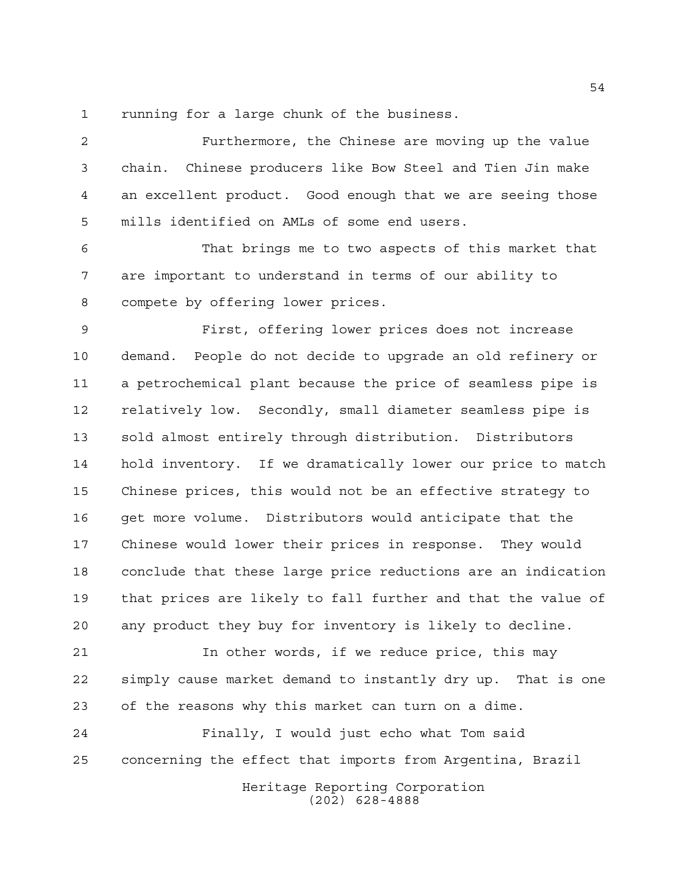running for a large chunk of the business.

 Furthermore, the Chinese are moving up the value chain. Chinese producers like Bow Steel and Tien Jin make an excellent product. Good enough that we are seeing those mills identified on AMLs of some end users.

 That brings me to two aspects of this market that are important to understand in terms of our ability to compete by offering lower prices.

 First, offering lower prices does not increase demand. People do not decide to upgrade an old refinery or a petrochemical plant because the price of seamless pipe is relatively low. Secondly, small diameter seamless pipe is sold almost entirely through distribution. Distributors hold inventory. If we dramatically lower our price to match Chinese prices, this would not be an effective strategy to get more volume. Distributors would anticipate that the Chinese would lower their prices in response. They would conclude that these large price reductions are an indication that prices are likely to fall further and that the value of any product they buy for inventory is likely to decline.

 In other words, if we reduce price, this may simply cause market demand to instantly dry up. That is one of the reasons why this market can turn on a dime.

 Finally, I would just echo what Tom said concerning the effect that imports from Argentina, Brazil

Heritage Reporting Corporation (202) 628-4888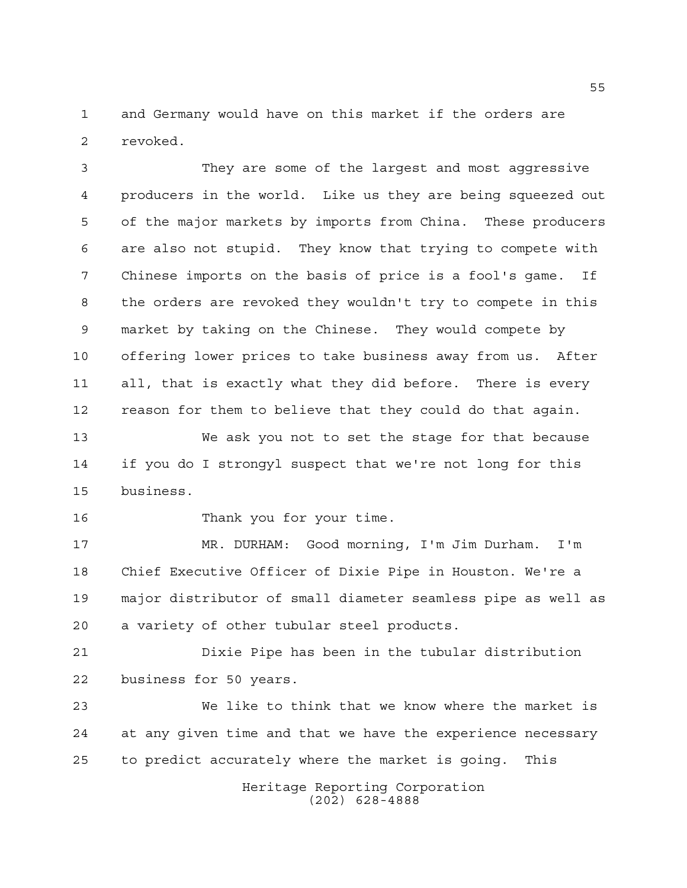and Germany would have on this market if the orders are revoked.

 They are some of the largest and most aggressive producers in the world. Like us they are being squeezed out of the major markets by imports from China. These producers are also not stupid. They know that trying to compete with Chinese imports on the basis of price is a fool's game. If the orders are revoked they wouldn't try to compete in this market by taking on the Chinese. They would compete by offering lower prices to take business away from us. After all, that is exactly what they did before. There is every reason for them to believe that they could do that again.

 We ask you not to set the stage for that because if you do I strongyl suspect that we're not long for this business.

16 Thank you for your time.

 MR. DURHAM: Good morning, I'm Jim Durham. I'm Chief Executive Officer of Dixie Pipe in Houston. We're a major distributor of small diameter seamless pipe as well as a variety of other tubular steel products.

 Dixie Pipe has been in the tubular distribution business for 50 years.

 We like to think that we know where the market is at any given time and that we have the experience necessary to predict accurately where the market is going. This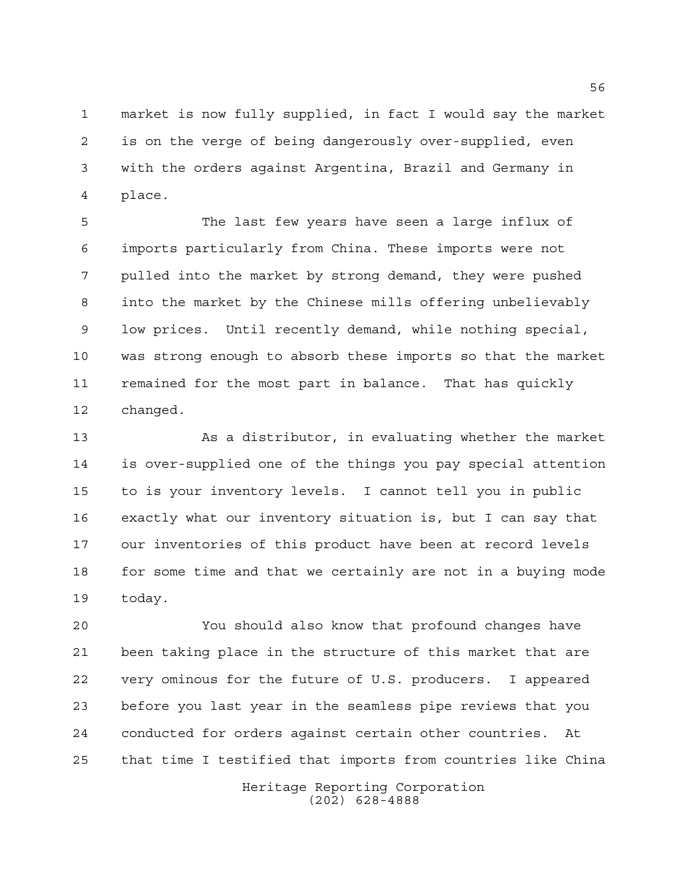market is now fully supplied, in fact I would say the market is on the verge of being dangerously over-supplied, even with the orders against Argentina, Brazil and Germany in place.

 The last few years have seen a large influx of imports particularly from China. These imports were not pulled into the market by strong demand, they were pushed into the market by the Chinese mills offering unbelievably low prices. Until recently demand, while nothing special, was strong enough to absorb these imports so that the market remained for the most part in balance. That has quickly changed.

 As a distributor, in evaluating whether the market is over-supplied one of the things you pay special attention to is your inventory levels. I cannot tell you in public exactly what our inventory situation is, but I can say that our inventories of this product have been at record levels for some time and that we certainly are not in a buying mode today.

 You should also know that profound changes have been taking place in the structure of this market that are very ominous for the future of U.S. producers. I appeared before you last year in the seamless pipe reviews that you conducted for orders against certain other countries. At that time I testified that imports from countries like China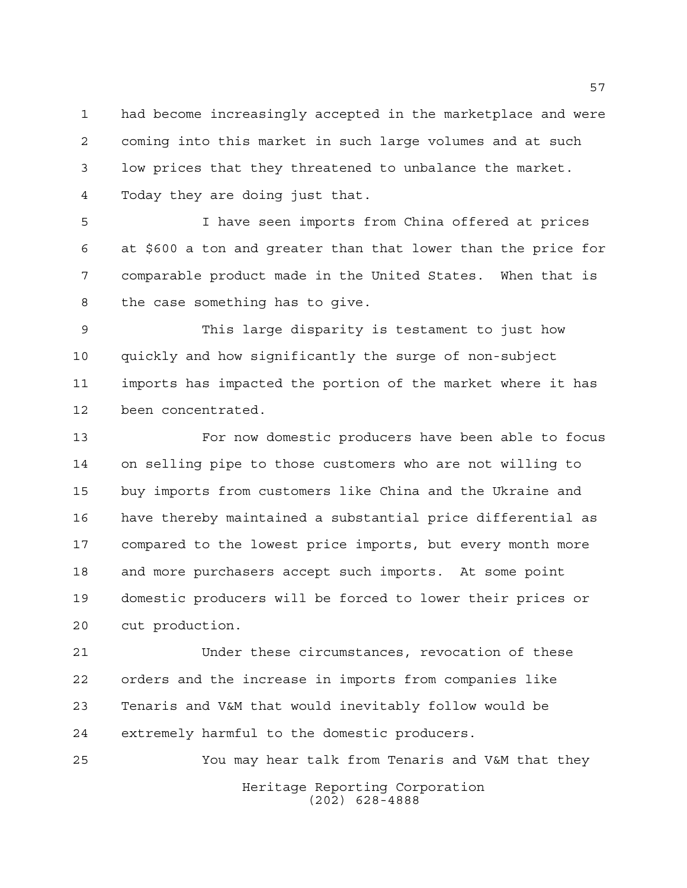had become increasingly accepted in the marketplace and were coming into this market in such large volumes and at such low prices that they threatened to unbalance the market. Today they are doing just that.

 I have seen imports from China offered at prices at \$600 a ton and greater than that lower than the price for comparable product made in the United States. When that is the case something has to give.

 This large disparity is testament to just how quickly and how significantly the surge of non-subject imports has impacted the portion of the market where it has been concentrated.

 For now domestic producers have been able to focus on selling pipe to those customers who are not willing to buy imports from customers like China and the Ukraine and have thereby maintained a substantial price differential as compared to the lowest price imports, but every month more and more purchasers accept such imports. At some point domestic producers will be forced to lower their prices or cut production.

 Under these circumstances, revocation of these orders and the increase in imports from companies like Tenaris and V&M that would inevitably follow would be extremely harmful to the domestic producers.

Heritage Reporting Corporation (202) 628-4888 You may hear talk from Tenaris and V&M that they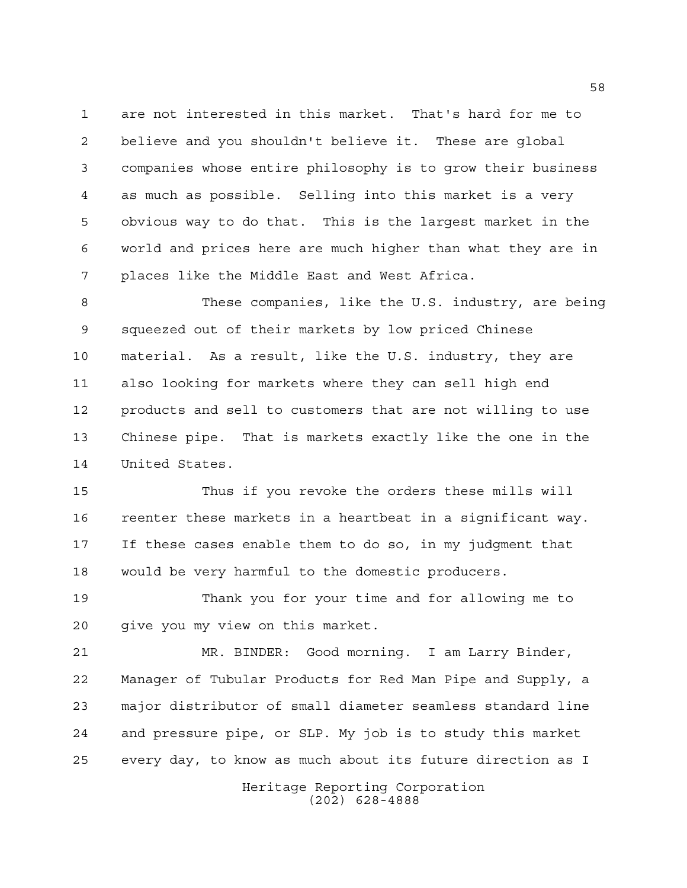are not interested in this market. That's hard for me to believe and you shouldn't believe it. These are global companies whose entire philosophy is to grow their business as much as possible. Selling into this market is a very obvious way to do that. This is the largest market in the world and prices here are much higher than what they are in places like the Middle East and West Africa.

 These companies, like the U.S. industry, are being squeezed out of their markets by low priced Chinese material. As a result, like the U.S. industry, they are also looking for markets where they can sell high end products and sell to customers that are not willing to use Chinese pipe. That is markets exactly like the one in the United States.

 Thus if you revoke the orders these mills will reenter these markets in a heartbeat in a significant way. If these cases enable them to do so, in my judgment that would be very harmful to the domestic producers.

 Thank you for your time and for allowing me to give you my view on this market.

 MR. BINDER: Good morning. I am Larry Binder, Manager of Tubular Products for Red Man Pipe and Supply, a major distributor of small diameter seamless standard line and pressure pipe, or SLP. My job is to study this market every day, to know as much about its future direction as I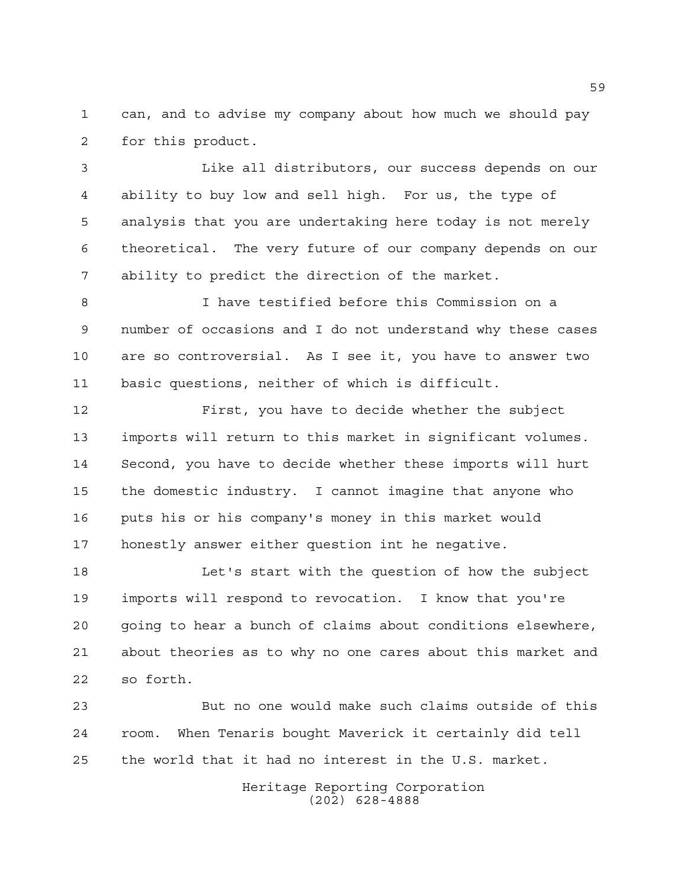can, and to advise my company about how much we should pay for this product.

 Like all distributors, our success depends on our ability to buy low and sell high. For us, the type of analysis that you are undertaking here today is not merely theoretical. The very future of our company depends on our ability to predict the direction of the market.

 I have testified before this Commission on a number of occasions and I do not understand why these cases are so controversial. As I see it, you have to answer two basic questions, neither of which is difficult.

 First, you have to decide whether the subject imports will return to this market in significant volumes. Second, you have to decide whether these imports will hurt the domestic industry. I cannot imagine that anyone who puts his or his company's money in this market would honestly answer either question int he negative.

 Let's start with the question of how the subject imports will respond to revocation. I know that you're going to hear a bunch of claims about conditions elsewhere, about theories as to why no one cares about this market and so forth.

 But no one would make such claims outside of this room. When Tenaris bought Maverick it certainly did tell the world that it had no interest in the U.S. market.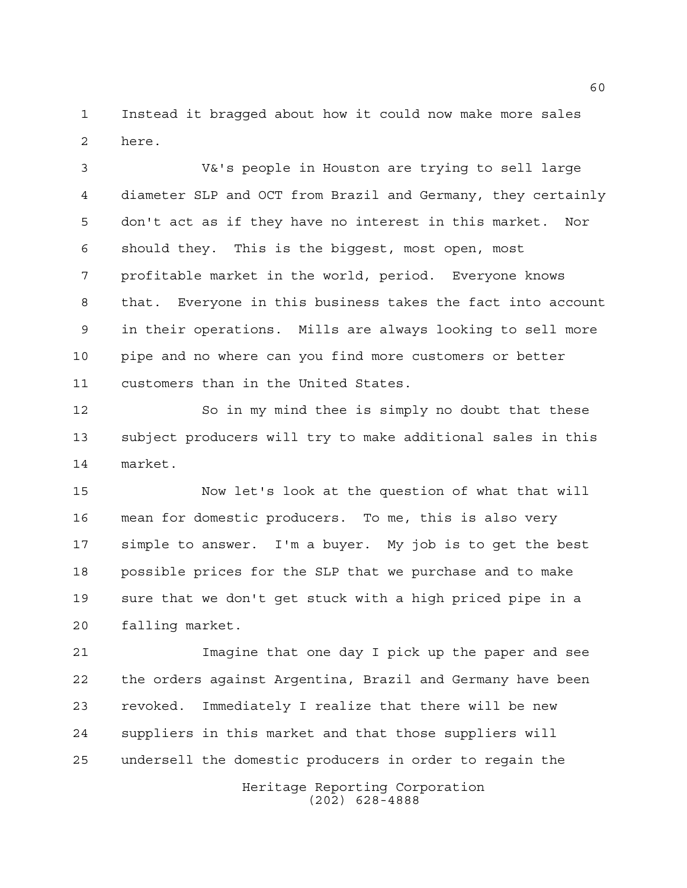Instead it bragged about how it could now make more sales here.

 V&'s people in Houston are trying to sell large diameter SLP and OCT from Brazil and Germany, they certainly don't act as if they have no interest in this market. Nor should they. This is the biggest, most open, most profitable market in the world, period. Everyone knows that. Everyone in this business takes the fact into account in their operations. Mills are always looking to sell more pipe and no where can you find more customers or better customers than in the United States.

 So in my mind thee is simply no doubt that these subject producers will try to make additional sales in this market.

 Now let's look at the question of what that will mean for domestic producers. To me, this is also very simple to answer. I'm a buyer. My job is to get the best possible prices for the SLP that we purchase and to make sure that we don't get stuck with a high priced pipe in a falling market.

 Imagine that one day I pick up the paper and see the orders against Argentina, Brazil and Germany have been revoked. Immediately I realize that there will be new suppliers in this market and that those suppliers will undersell the domestic producers in order to regain the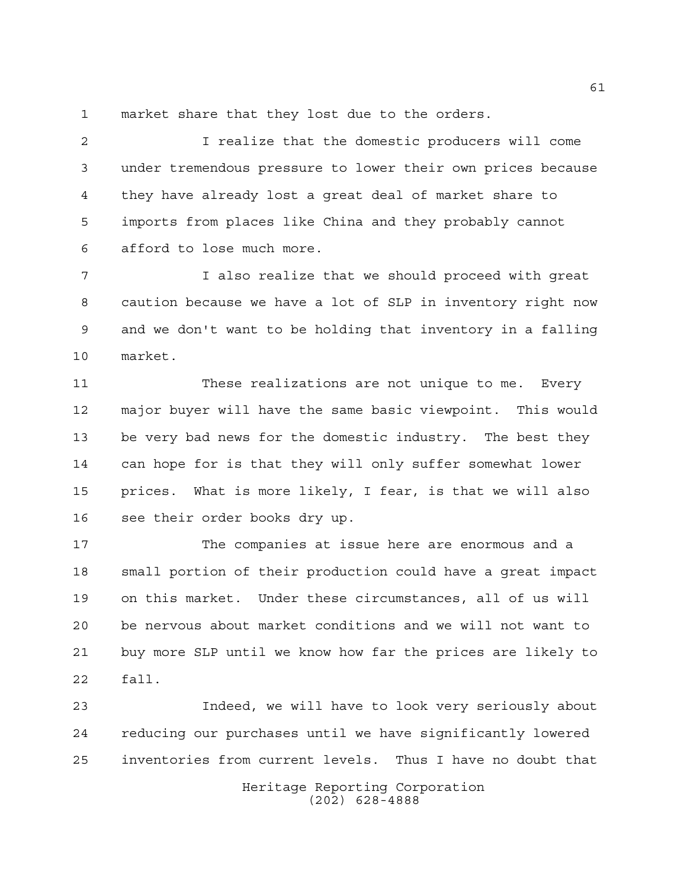market share that they lost due to the orders.

 I realize that the domestic producers will come under tremendous pressure to lower their own prices because they have already lost a great deal of market share to imports from places like China and they probably cannot afford to lose much more.

 I also realize that we should proceed with great caution because we have a lot of SLP in inventory right now and we don't want to be holding that inventory in a falling market.

 These realizations are not unique to me. Every major buyer will have the same basic viewpoint. This would be very bad news for the domestic industry. The best they can hope for is that they will only suffer somewhat lower prices. What is more likely, I fear, is that we will also see their order books dry up.

 The companies at issue here are enormous and a small portion of their production could have a great impact on this market. Under these circumstances, all of us will be nervous about market conditions and we will not want to buy more SLP until we know how far the prices are likely to fall.

 Indeed, we will have to look very seriously about reducing our purchases until we have significantly lowered inventories from current levels. Thus I have no doubt that

> Heritage Reporting Corporation (202) 628-4888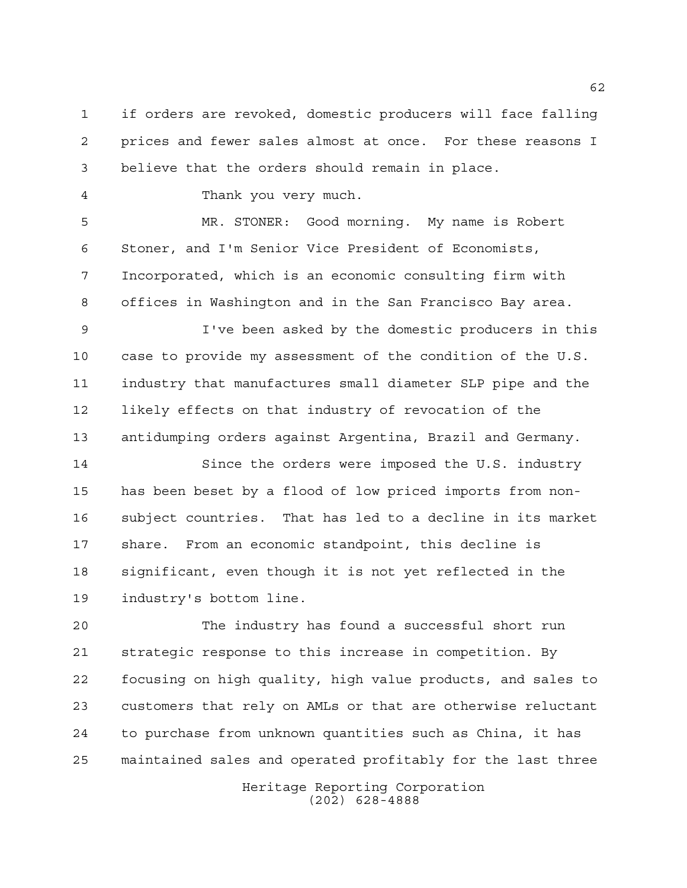if orders are revoked, domestic producers will face falling prices and fewer sales almost at once. For these reasons I believe that the orders should remain in place.

Thank you very much.

 MR. STONER: Good morning. My name is Robert Stoner, and I'm Senior Vice President of Economists, Incorporated, which is an economic consulting firm with offices in Washington and in the San Francisco Bay area.

 I've been asked by the domestic producers in this case to provide my assessment of the condition of the U.S. industry that manufactures small diameter SLP pipe and the likely effects on that industry of revocation of the antidumping orders against Argentina, Brazil and Germany.

 Since the orders were imposed the U.S. industry has been beset by a flood of low priced imports from non- subject countries. That has led to a decline in its market share. From an economic standpoint, this decline is significant, even though it is not yet reflected in the industry's bottom line.

 The industry has found a successful short run strategic response to this increase in competition. By focusing on high quality, high value products, and sales to customers that rely on AMLs or that are otherwise reluctant to purchase from unknown quantities such as China, it has maintained sales and operated profitably for the last three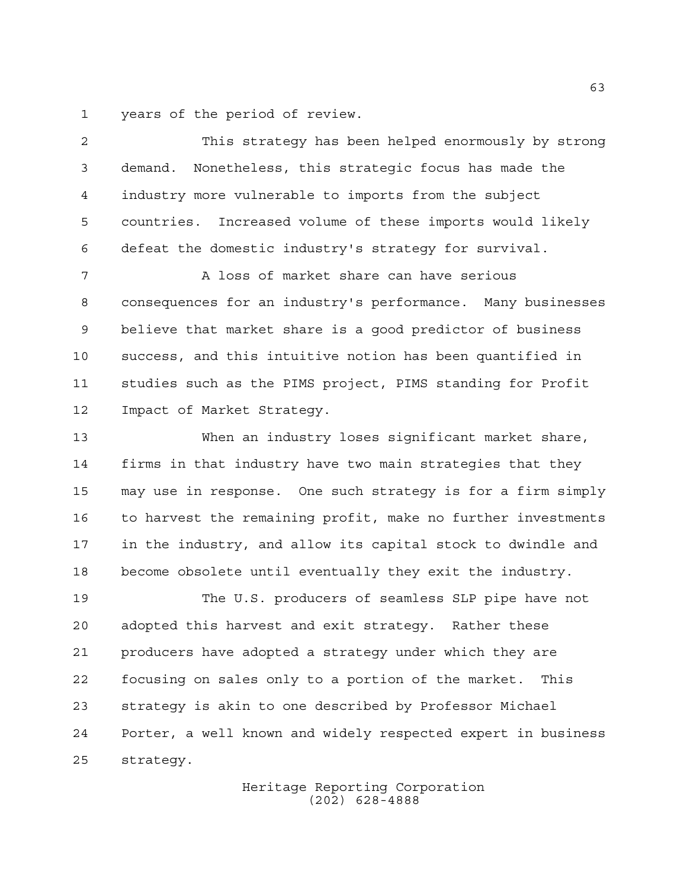years of the period of review.

 This strategy has been helped enormously by strong demand. Nonetheless, this strategic focus has made the industry more vulnerable to imports from the subject countries. Increased volume of these imports would likely defeat the domestic industry's strategy for survival.

 A loss of market share can have serious consequences for an industry's performance. Many businesses believe that market share is a good predictor of business success, and this intuitive notion has been quantified in studies such as the PIMS project, PIMS standing for Profit Impact of Market Strategy.

 When an industry loses significant market share, firms in that industry have two main strategies that they may use in response. One such strategy is for a firm simply to harvest the remaining profit, make no further investments in the industry, and allow its capital stock to dwindle and become obsolete until eventually they exit the industry.

 The U.S. producers of seamless SLP pipe have not adopted this harvest and exit strategy. Rather these producers have adopted a strategy under which they are focusing on sales only to a portion of the market. This strategy is akin to one described by Professor Michael Porter, a well known and widely respected expert in business strategy.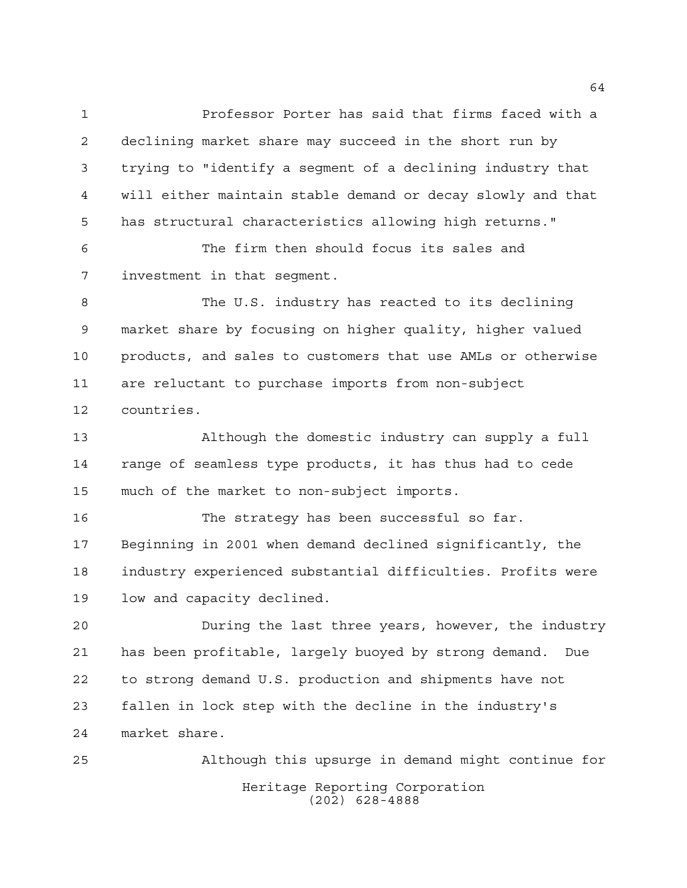Professor Porter has said that firms faced with a declining market share may succeed in the short run by trying to "identify a segment of a declining industry that will either maintain stable demand or decay slowly and that has structural characteristics allowing high returns."

 The firm then should focus its sales and investment in that segment.

 The U.S. industry has reacted to its declining market share by focusing on higher quality, higher valued products, and sales to customers that use AMLs or otherwise are reluctant to purchase imports from non-subject countries.

 Although the domestic industry can supply a full range of seamless type products, it has thus had to cede much of the market to non-subject imports.

 The strategy has been successful so far. Beginning in 2001 when demand declined significantly, the industry experienced substantial difficulties. Profits were low and capacity declined.

 During the last three years, however, the industry has been profitable, largely buoyed by strong demand. Due to strong demand U.S. production and shipments have not fallen in lock step with the decline in the industry's market share.

Heritage Reporting Corporation (202) 628-4888 Although this upsurge in demand might continue for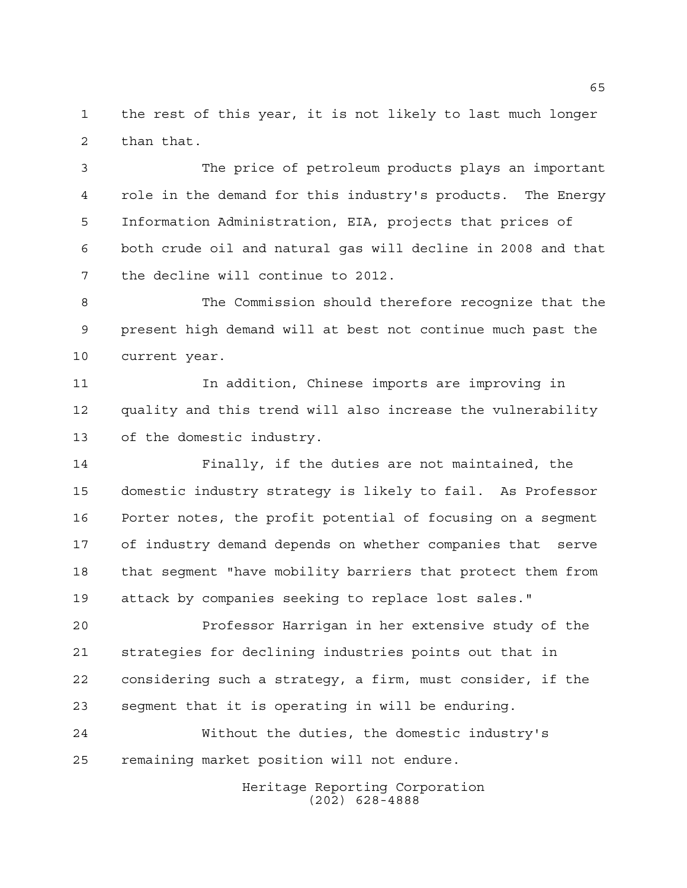the rest of this year, it is not likely to last much longer than that.

 The price of petroleum products plays an important role in the demand for this industry's products. The Energy Information Administration, EIA, projects that prices of both crude oil and natural gas will decline in 2008 and that the decline will continue to 2012.

 The Commission should therefore recognize that the present high demand will at best not continue much past the current year.

 In addition, Chinese imports are improving in quality and this trend will also increase the vulnerability of the domestic industry.

 Finally, if the duties are not maintained, the domestic industry strategy is likely to fail. As Professor Porter notes, the profit potential of focusing on a segment of industry demand depends on whether companies that serve that segment "have mobility barriers that protect them from attack by companies seeking to replace lost sales."

 Professor Harrigan in her extensive study of the strategies for declining industries points out that in considering such a strategy, a firm, must consider, if the segment that it is operating in will be enduring.

 Without the duties, the domestic industry's remaining market position will not endure.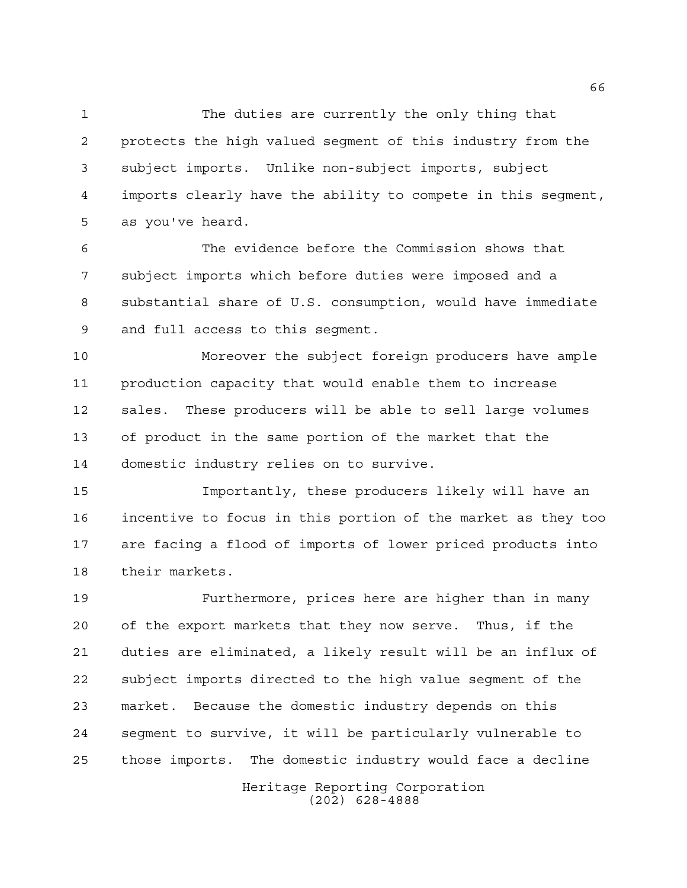The duties are currently the only thing that protects the high valued segment of this industry from the subject imports. Unlike non-subject imports, subject imports clearly have the ability to compete in this segment, as you've heard.

 The evidence before the Commission shows that subject imports which before duties were imposed and a substantial share of U.S. consumption, would have immediate and full access to this segment.

 Moreover the subject foreign producers have ample production capacity that would enable them to increase sales. These producers will be able to sell large volumes of product in the same portion of the market that the domestic industry relies on to survive.

 Importantly, these producers likely will have an incentive to focus in this portion of the market as they too are facing a flood of imports of lower priced products into their markets.

 Furthermore, prices here are higher than in many of the export markets that they now serve. Thus, if the duties are eliminated, a likely result will be an influx of subject imports directed to the high value segment of the market. Because the domestic industry depends on this segment to survive, it will be particularly vulnerable to those imports. The domestic industry would face a decline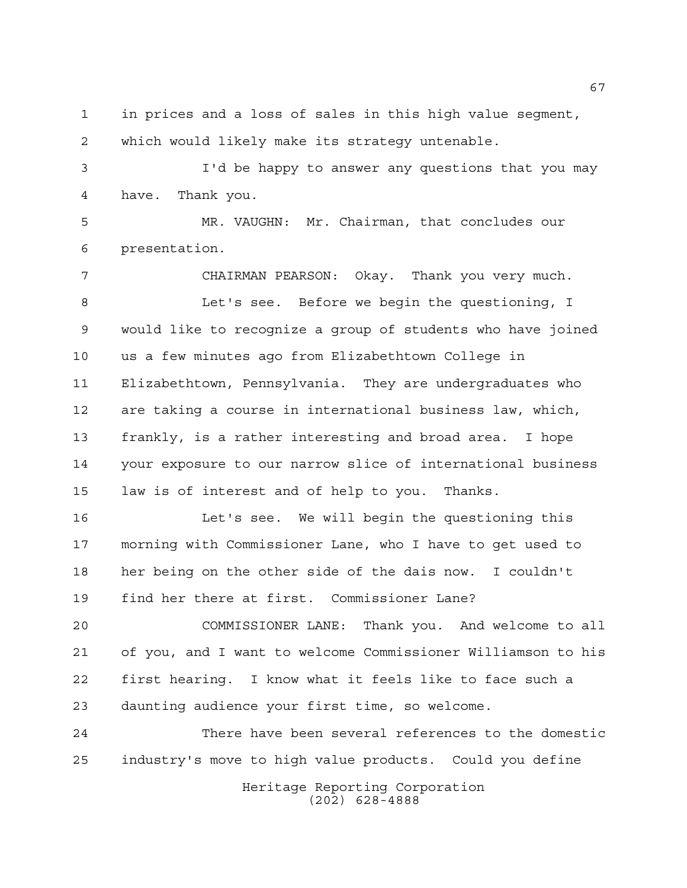in prices and a loss of sales in this high value segment, which would likely make its strategy untenable.

 I'd be happy to answer any questions that you may have. Thank you.

 MR. VAUGHN: Mr. Chairman, that concludes our presentation.

 CHAIRMAN PEARSON: Okay. Thank you very much. Let's see. Before we begin the questioning, I would like to recognize a group of students who have joined us a few minutes ago from Elizabethtown College in Elizabethtown, Pennsylvania. They are undergraduates who are taking a course in international business law, which, frankly, is a rather interesting and broad area. I hope your exposure to our narrow slice of international business law is of interest and of help to you. Thanks.

 Let's see. We will begin the questioning this morning with Commissioner Lane, who I have to get used to her being on the other side of the dais now. I couldn't find her there at first. Commissioner Lane?

 COMMISSIONER LANE: Thank you. And welcome to all of you, and I want to welcome Commissioner Williamson to his first hearing. I know what it feels like to face such a daunting audience your first time, so welcome.

Heritage Reporting Corporation (202) 628-4888 There have been several references to the domestic industry's move to high value products. Could you define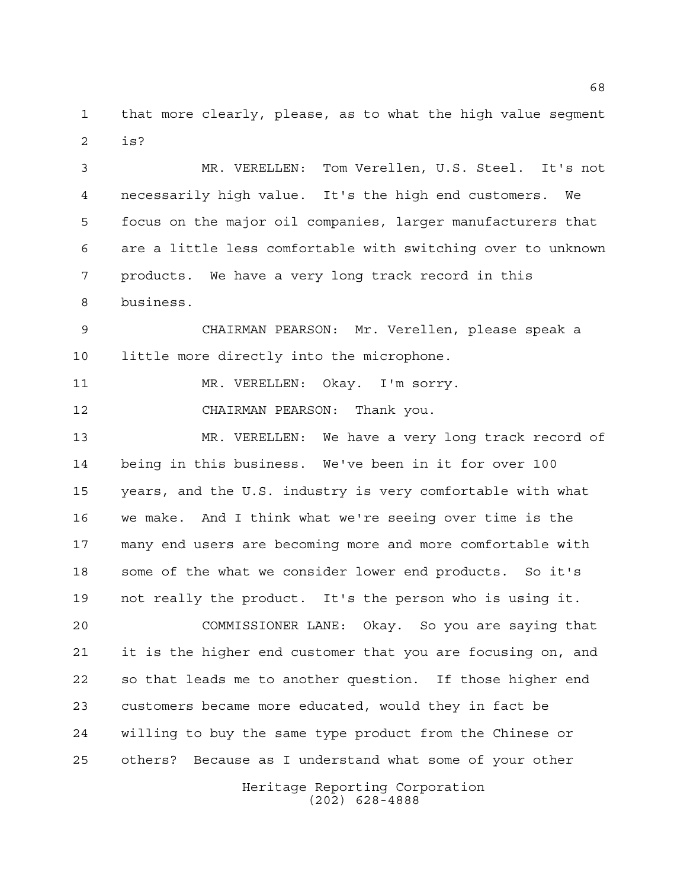that more clearly, please, as to what the high value segment is?

 MR. VERELLEN: Tom Verellen, U.S. Steel. It's not necessarily high value. It's the high end customers. We focus on the major oil companies, larger manufacturers that are a little less comfortable with switching over to unknown products. We have a very long track record in this business.

 CHAIRMAN PEARSON: Mr. Verellen, please speak a little more directly into the microphone.

MR. VERELLEN: Okay. I'm sorry.

CHAIRMAN PEARSON: Thank you.

 MR. VERELLEN: We have a very long track record of being in this business. We've been in it for over 100 years, and the U.S. industry is very comfortable with what we make. And I think what we're seeing over time is the many end users are becoming more and more comfortable with some of the what we consider lower end products. So it's not really the product. It's the person who is using it.

 COMMISSIONER LANE: Okay. So you are saying that it is the higher end customer that you are focusing on, and so that leads me to another question. If those higher end customers became more educated, would they in fact be willing to buy the same type product from the Chinese or others? Because as I understand what some of your other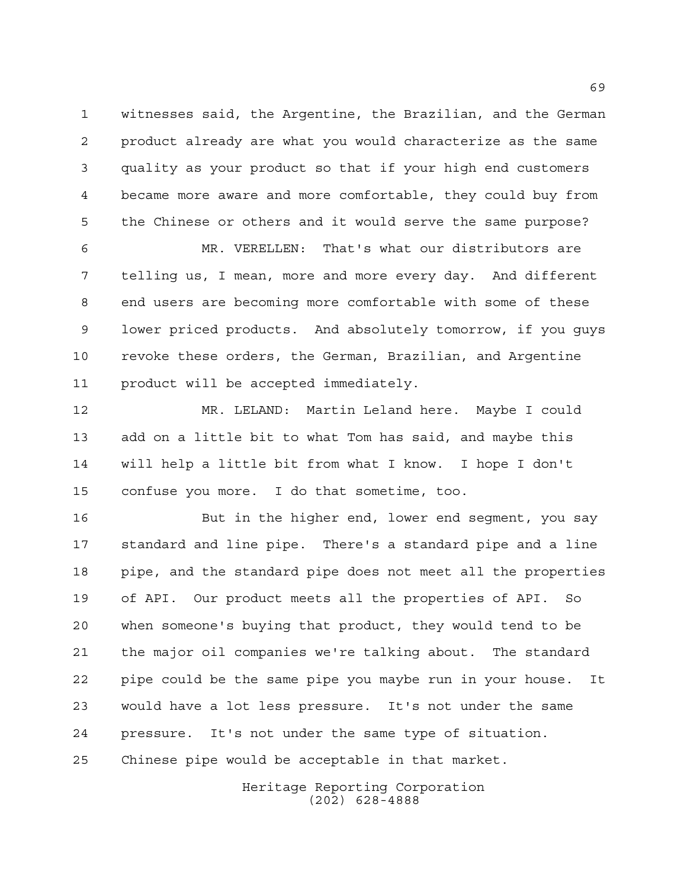witnesses said, the Argentine, the Brazilian, and the German product already are what you would characterize as the same quality as your product so that if your high end customers became more aware and more comfortable, they could buy from the Chinese or others and it would serve the same purpose?

 MR. VERELLEN: That's what our distributors are telling us, I mean, more and more every day. And different end users are becoming more comfortable with some of these lower priced products. And absolutely tomorrow, if you guys revoke these orders, the German, Brazilian, and Argentine product will be accepted immediately.

 MR. LELAND: Martin Leland here. Maybe I could add on a little bit to what Tom has said, and maybe this will help a little bit from what I know. I hope I don't confuse you more. I do that sometime, too.

 But in the higher end, lower end segment, you say standard and line pipe. There's a standard pipe and a line pipe, and the standard pipe does not meet all the properties of API. Our product meets all the properties of API. So when someone's buying that product, they would tend to be the major oil companies we're talking about. The standard pipe could be the same pipe you maybe run in your house. It would have a lot less pressure. It's not under the same pressure. It's not under the same type of situation. Chinese pipe would be acceptable in that market.

> Heritage Reporting Corporation (202) 628-4888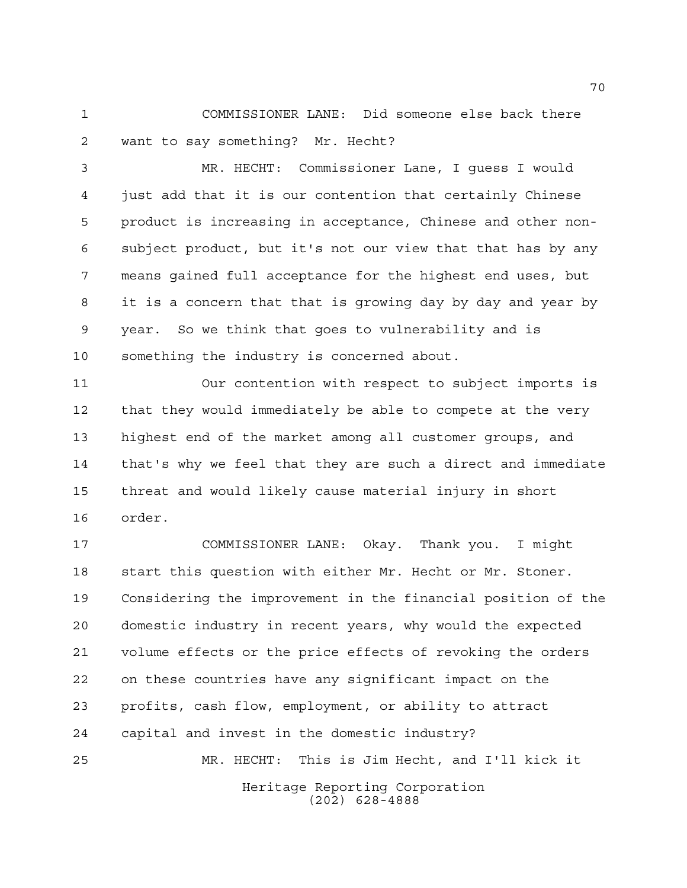COMMISSIONER LANE: Did someone else back there want to say something? Mr. Hecht?

 MR. HECHT: Commissioner Lane, I guess I would just add that it is our contention that certainly Chinese product is increasing in acceptance, Chinese and other non- subject product, but it's not our view that that has by any means gained full acceptance for the highest end uses, but it is a concern that that is growing day by day and year by year. So we think that goes to vulnerability and is something the industry is concerned about.

 Our contention with respect to subject imports is that they would immediately be able to compete at the very highest end of the market among all customer groups, and that's why we feel that they are such a direct and immediate threat and would likely cause material injury in short order.

Heritage Reporting Corporation COMMISSIONER LANE: Okay. Thank you. I might start this question with either Mr. Hecht or Mr. Stoner. Considering the improvement in the financial position of the domestic industry in recent years, why would the expected volume effects or the price effects of revoking the orders on these countries have any significant impact on the profits, cash flow, employment, or ability to attract capital and invest in the domestic industry? MR. HECHT: This is Jim Hecht, and I'll kick it

(202) 628-4888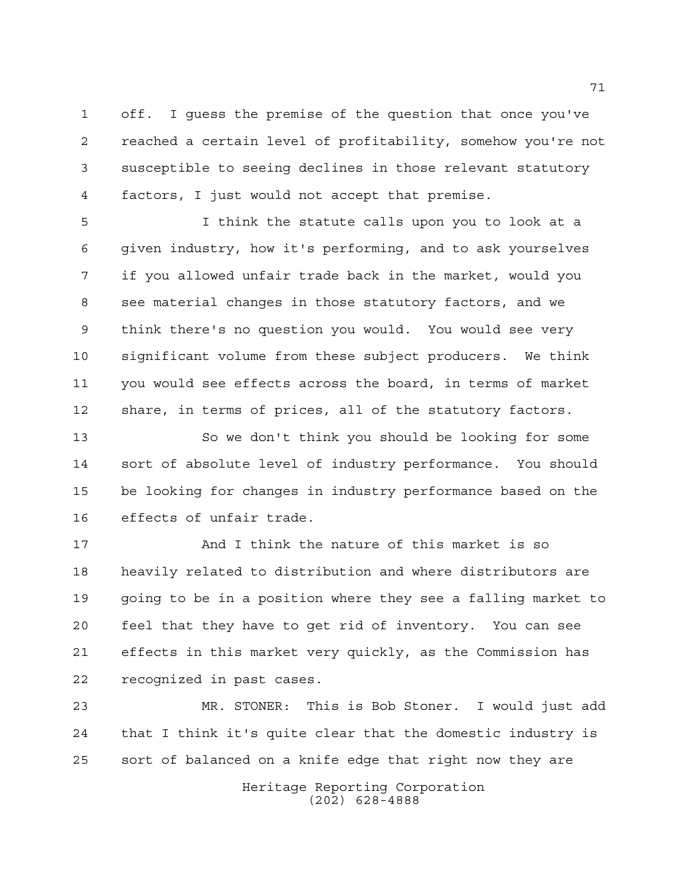off. I guess the premise of the question that once you've reached a certain level of profitability, somehow you're not susceptible to seeing declines in those relevant statutory factors, I just would not accept that premise.

 I think the statute calls upon you to look at a given industry, how it's performing, and to ask yourselves if you allowed unfair trade back in the market, would you see material changes in those statutory factors, and we think there's no question you would. You would see very significant volume from these subject producers. We think you would see effects across the board, in terms of market share, in terms of prices, all of the statutory factors.

 So we don't think you should be looking for some sort of absolute level of industry performance. You should be looking for changes in industry performance based on the effects of unfair trade.

 And I think the nature of this market is so heavily related to distribution and where distributors are going to be in a position where they see a falling market to feel that they have to get rid of inventory. You can see effects in this market very quickly, as the Commission has recognized in past cases.

 MR. STONER: This is Bob Stoner. I would just add that I think it's quite clear that the domestic industry is sort of balanced on a knife edge that right now they are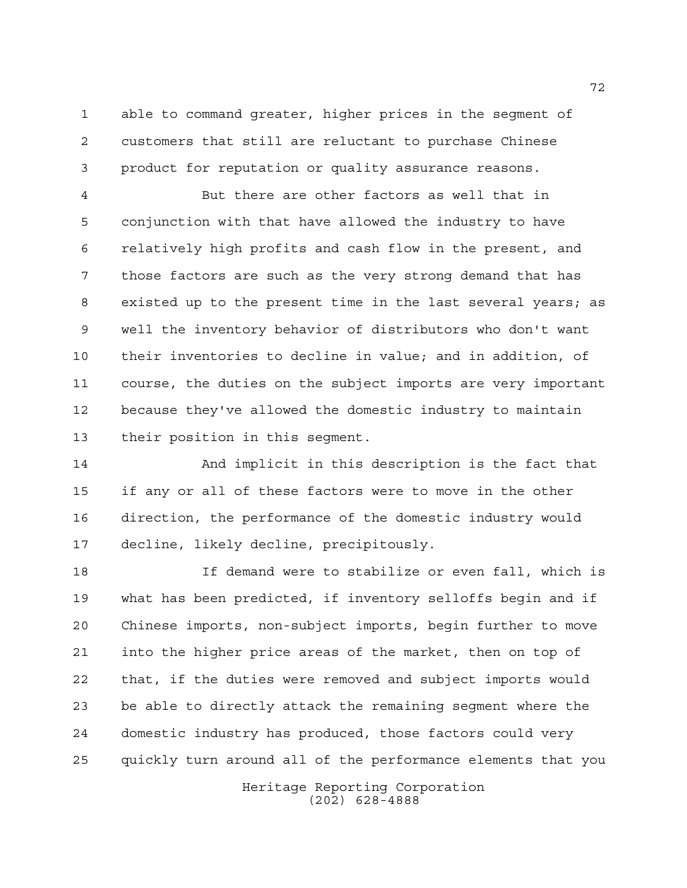able to command greater, higher prices in the segment of customers that still are reluctant to purchase Chinese product for reputation or quality assurance reasons.

 But there are other factors as well that in conjunction with that have allowed the industry to have relatively high profits and cash flow in the present, and those factors are such as the very strong demand that has existed up to the present time in the last several years; as well the inventory behavior of distributors who don't want their inventories to decline in value; and in addition, of course, the duties on the subject imports are very important because they've allowed the domestic industry to maintain their position in this segment.

 And implicit in this description is the fact that if any or all of these factors were to move in the other direction, the performance of the domestic industry would decline, likely decline, precipitously.

 If demand were to stabilize or even fall, which is what has been predicted, if inventory selloffs begin and if Chinese imports, non-subject imports, begin further to move into the higher price areas of the market, then on top of that, if the duties were removed and subject imports would be able to directly attack the remaining segment where the domestic industry has produced, those factors could very quickly turn around all of the performance elements that you

> Heritage Reporting Corporation (202) 628-4888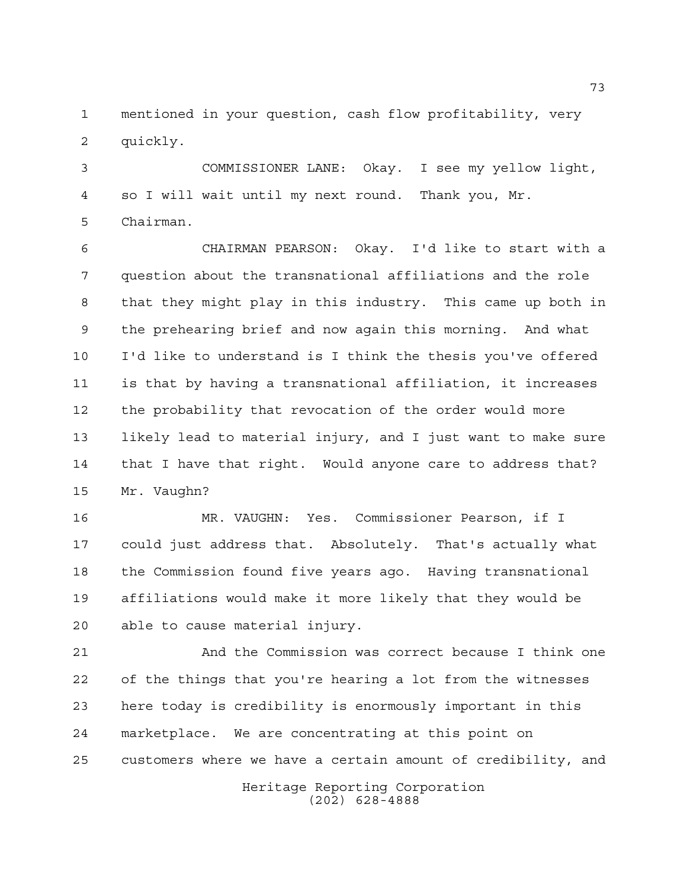mentioned in your question, cash flow profitability, very quickly.

 COMMISSIONER LANE: Okay. I see my yellow light, so I will wait until my next round. Thank you, Mr. Chairman.

 CHAIRMAN PEARSON: Okay. I'd like to start with a question about the transnational affiliations and the role that they might play in this industry. This came up both in the prehearing brief and now again this morning. And what I'd like to understand is I think the thesis you've offered is that by having a transnational affiliation, it increases the probability that revocation of the order would more likely lead to material injury, and I just want to make sure that I have that right. Would anyone care to address that? Mr. Vaughn?

 MR. VAUGHN: Yes. Commissioner Pearson, if I could just address that. Absolutely. That's actually what the Commission found five years ago. Having transnational affiliations would make it more likely that they would be able to cause material injury.

 And the Commission was correct because I think one of the things that you're hearing a lot from the witnesses here today is credibility is enormously important in this marketplace. We are concentrating at this point on customers where we have a certain amount of credibility, and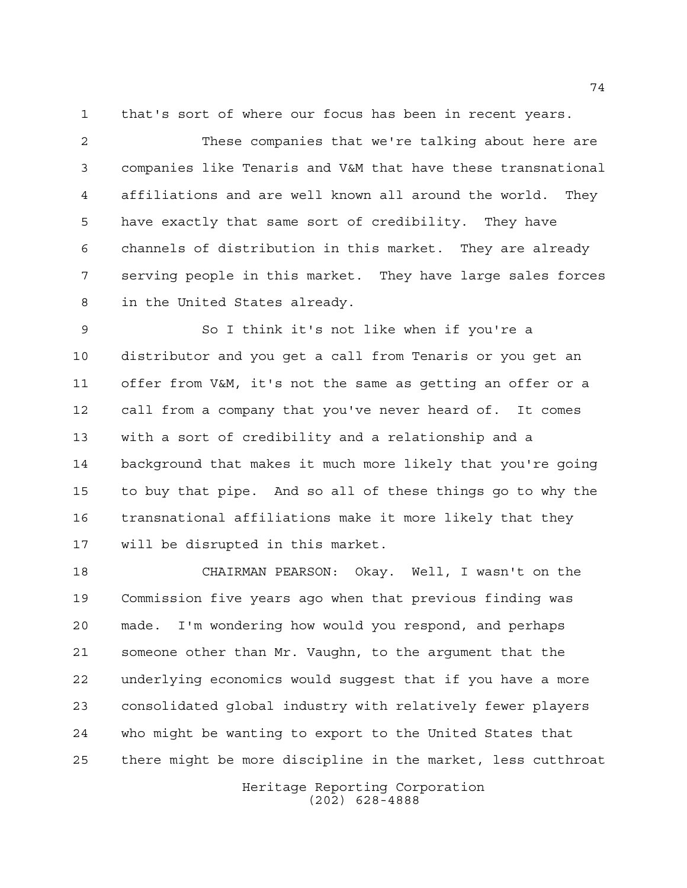that's sort of where our focus has been in recent years.

 These companies that we're talking about here are companies like Tenaris and V&M that have these transnational affiliations and are well known all around the world. They have exactly that same sort of credibility. They have channels of distribution in this market. They are already serving people in this market. They have large sales forces in the United States already.

 So I think it's not like when if you're a distributor and you get a call from Tenaris or you get an offer from V&M, it's not the same as getting an offer or a call from a company that you've never heard of. It comes with a sort of credibility and a relationship and a background that makes it much more likely that you're going to buy that pipe. And so all of these things go to why the transnational affiliations make it more likely that they will be disrupted in this market.

 CHAIRMAN PEARSON: Okay. Well, I wasn't on the Commission five years ago when that previous finding was made. I'm wondering how would you respond, and perhaps someone other than Mr. Vaughn, to the argument that the underlying economics would suggest that if you have a more consolidated global industry with relatively fewer players who might be wanting to export to the United States that there might be more discipline in the market, less cutthroat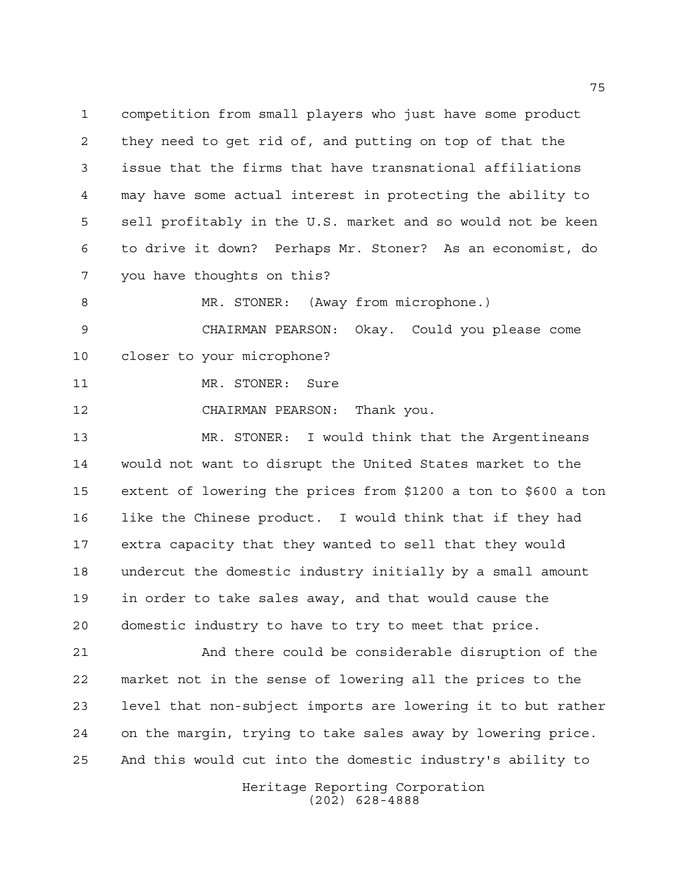competition from small players who just have some product they need to get rid of, and putting on top of that the issue that the firms that have transnational affiliations may have some actual interest in protecting the ability to sell profitably in the U.S. market and so would not be keen to drive it down? Perhaps Mr. Stoner? As an economist, do you have thoughts on this?

8 MR. STONER: (Away from microphone.) CHAIRMAN PEARSON: Okay. Could you please come

closer to your microphone?

11 MR. STONER: Sure

CHAIRMAN PEARSON: Thank you.

 MR. STONER: I would think that the Argentineans would not want to disrupt the United States market to the extent of lowering the prices from \$1200 a ton to \$600 a ton like the Chinese product. I would think that if they had extra capacity that they wanted to sell that they would undercut the domestic industry initially by a small amount in order to take sales away, and that would cause the domestic industry to have to try to meet that price.

 And there could be considerable disruption of the market not in the sense of lowering all the prices to the level that non-subject imports are lowering it to but rather on the margin, trying to take sales away by lowering price. And this would cut into the domestic industry's ability to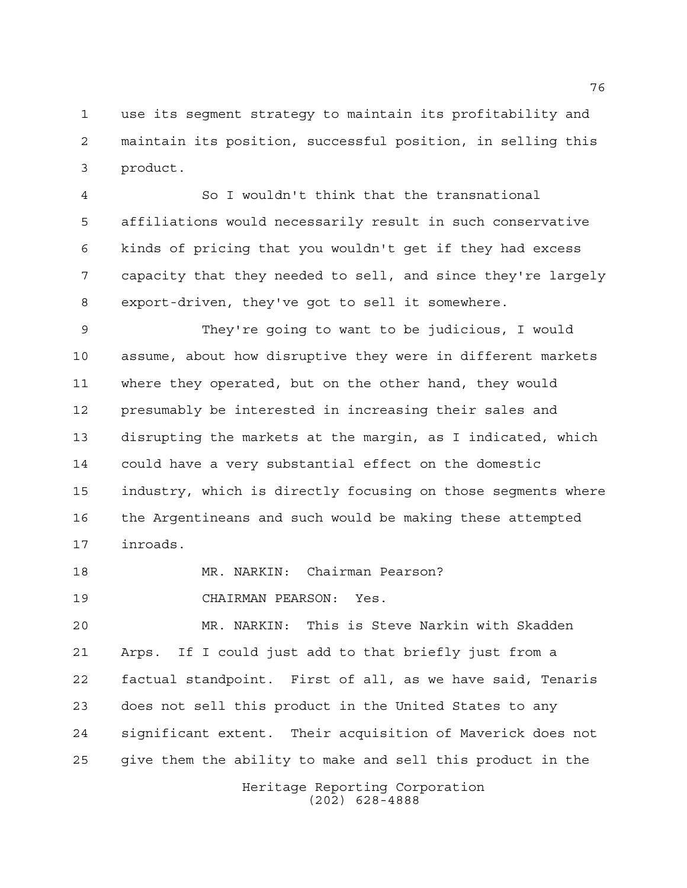use its segment strategy to maintain its profitability and maintain its position, successful position, in selling this product.

 So I wouldn't think that the transnational affiliations would necessarily result in such conservative kinds of pricing that you wouldn't get if they had excess capacity that they needed to sell, and since they're largely export-driven, they've got to sell it somewhere.

 They're going to want to be judicious, I would assume, about how disruptive they were in different markets where they operated, but on the other hand, they would presumably be interested in increasing their sales and disrupting the markets at the margin, as I indicated, which could have a very substantial effect on the domestic industry, which is directly focusing on those segments where the Argentineans and such would be making these attempted inroads.

MR. NARKIN: Chairman Pearson?

CHAIRMAN PEARSON: Yes.

 MR. NARKIN: This is Steve Narkin with Skadden Arps. If I could just add to that briefly just from a factual standpoint. First of all, as we have said, Tenaris does not sell this product in the United States to any significant extent. Their acquisition of Maverick does not give them the ability to make and sell this product in the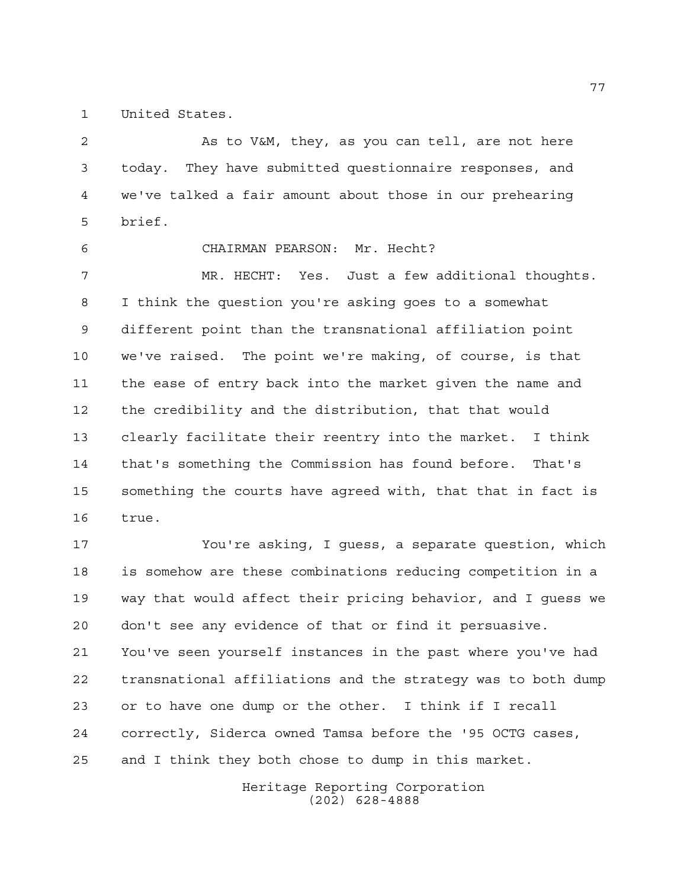United States.

2 As to V&M, they, as you can tell, are not here today. They have submitted questionnaire responses, and we've talked a fair amount about those in our prehearing brief.

CHAIRMAN PEARSON: Mr. Hecht?

 MR. HECHT: Yes. Just a few additional thoughts. I think the question you're asking goes to a somewhat different point than the transnational affiliation point we've raised. The point we're making, of course, is that the ease of entry back into the market given the name and the credibility and the distribution, that that would clearly facilitate their reentry into the market. I think that's something the Commission has found before. That's something the courts have agreed with, that that in fact is true.

 You're asking, I guess, a separate question, which is somehow are these combinations reducing competition in a way that would affect their pricing behavior, and I guess we don't see any evidence of that or find it persuasive. You've seen yourself instances in the past where you've had transnational affiliations and the strategy was to both dump or to have one dump or the other. I think if I recall correctly, Siderca owned Tamsa before the '95 OCTG cases, and I think they both chose to dump in this market.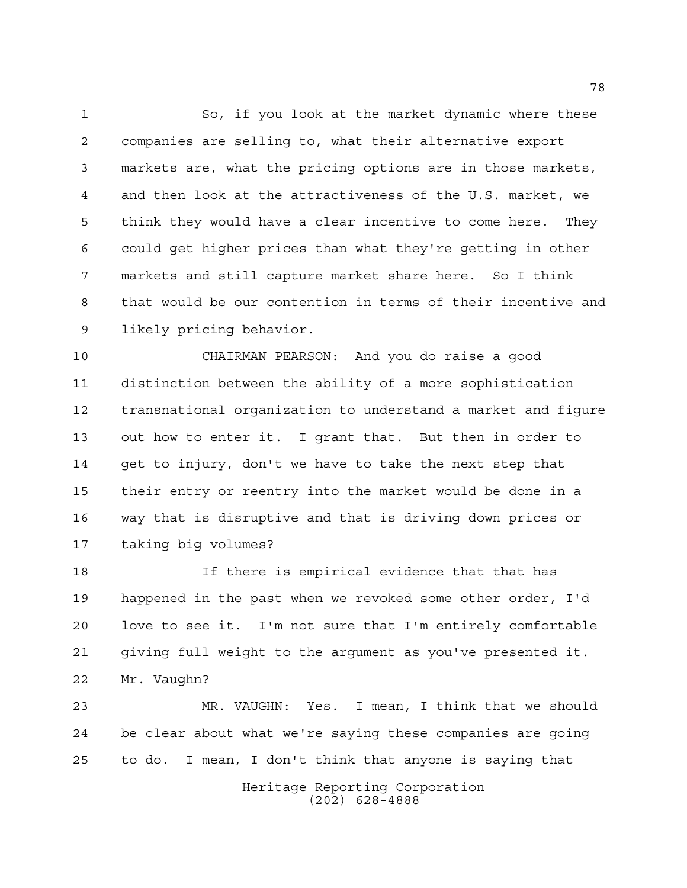So, if you look at the market dynamic where these companies are selling to, what their alternative export markets are, what the pricing options are in those markets, and then look at the attractiveness of the U.S. market, we think they would have a clear incentive to come here. They could get higher prices than what they're getting in other markets and still capture market share here. So I think that would be our contention in terms of their incentive and likely pricing behavior.

 CHAIRMAN PEARSON: And you do raise a good distinction between the ability of a more sophistication transnational organization to understand a market and figure out how to enter it. I grant that. But then in order to get to injury, don't we have to take the next step that their entry or reentry into the market would be done in a way that is disruptive and that is driving down prices or taking big volumes?

 If there is empirical evidence that that has happened in the past when we revoked some other order, I'd love to see it. I'm not sure that I'm entirely comfortable giving full weight to the argument as you've presented it. Mr. Vaughn?

 MR. VAUGHN: Yes. I mean, I think that we should be clear about what we're saying these companies are going to do. I mean, I don't think that anyone is saying that

> Heritage Reporting Corporation (202) 628-4888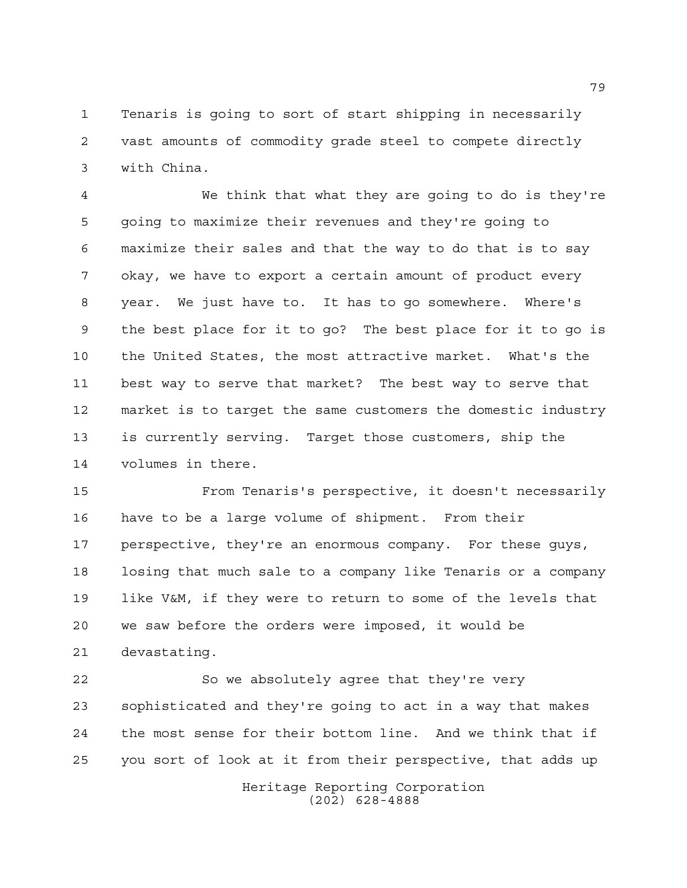Tenaris is going to sort of start shipping in necessarily vast amounts of commodity grade steel to compete directly with China.

 We think that what they are going to do is they're going to maximize their revenues and they're going to maximize their sales and that the way to do that is to say okay, we have to export a certain amount of product every year. We just have to. It has to go somewhere. Where's the best place for it to go? The best place for it to go is the United States, the most attractive market. What's the best way to serve that market? The best way to serve that market is to target the same customers the domestic industry is currently serving. Target those customers, ship the volumes in there.

 From Tenaris's perspective, it doesn't necessarily have to be a large volume of shipment. From their perspective, they're an enormous company. For these guys, losing that much sale to a company like Tenaris or a company like V&M, if they were to return to some of the levels that we saw before the orders were imposed, it would be devastating.

 So we absolutely agree that they're very sophisticated and they're going to act in a way that makes the most sense for their bottom line. And we think that if you sort of look at it from their perspective, that adds up

> Heritage Reporting Corporation (202) 628-4888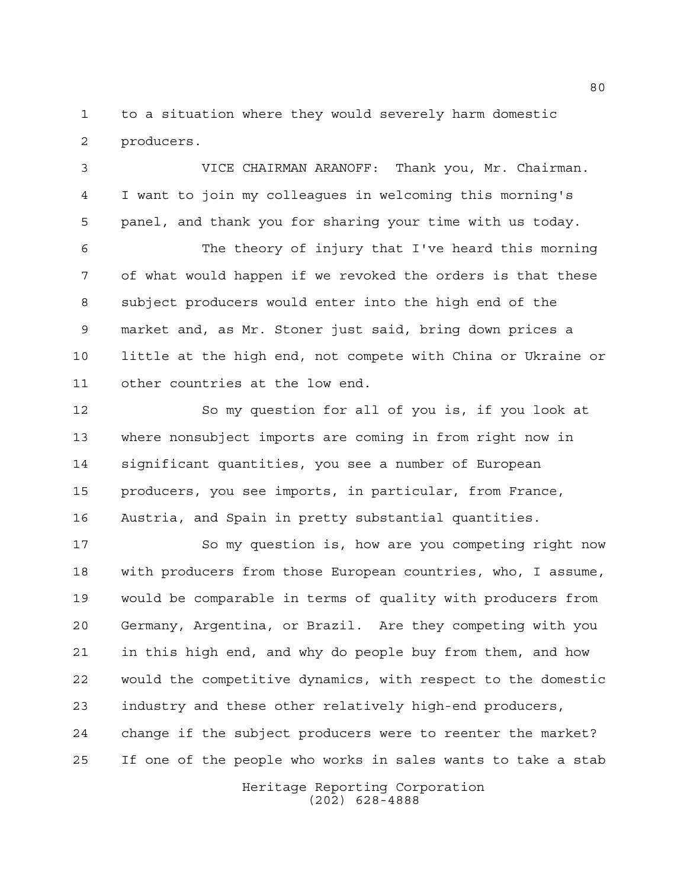to a situation where they would severely harm domestic producers.

 VICE CHAIRMAN ARANOFF: Thank you, Mr. Chairman. I want to join my colleagues in welcoming this morning's panel, and thank you for sharing your time with us today.

 The theory of injury that I've heard this morning of what would happen if we revoked the orders is that these subject producers would enter into the high end of the market and, as Mr. Stoner just said, bring down prices a little at the high end, not compete with China or Ukraine or other countries at the low end.

 So my question for all of you is, if you look at where nonsubject imports are coming in from right now in significant quantities, you see a number of European producers, you see imports, in particular, from France, Austria, and Spain in pretty substantial quantities.

 So my question is, how are you competing right now with producers from those European countries, who, I assume, would be comparable in terms of quality with producers from Germany, Argentina, or Brazil. Are they competing with you in this high end, and why do people buy from them, and how would the competitive dynamics, with respect to the domestic industry and these other relatively high-end producers, change if the subject producers were to reenter the market? If one of the people who works in sales wants to take a stab

> Heritage Reporting Corporation (202) 628-4888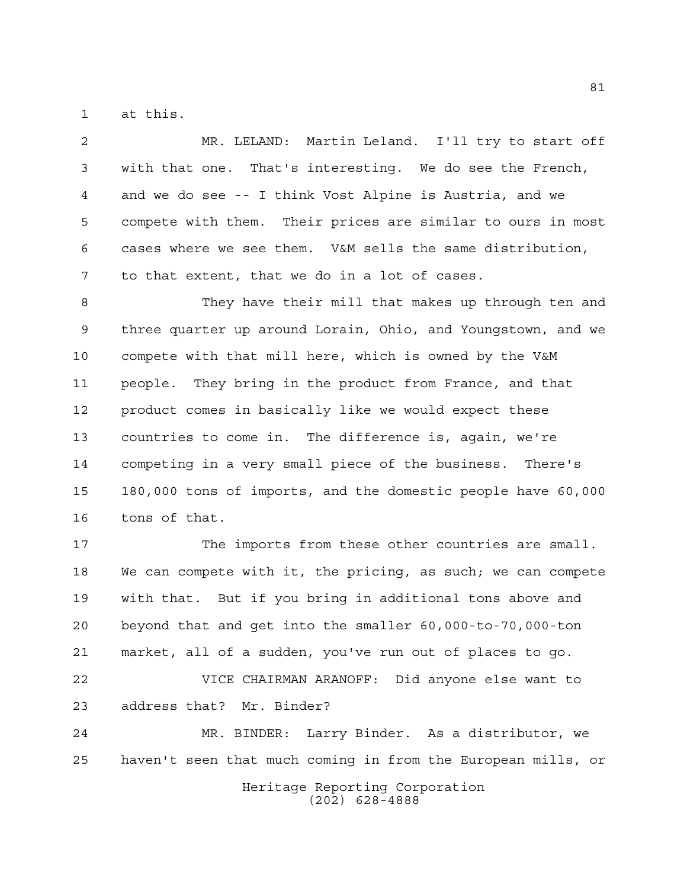at this.

 MR. LELAND: Martin Leland. I'll try to start off with that one. That's interesting. We do see the French, and we do see -- I think Vost Alpine is Austria, and we compete with them. Their prices are similar to ours in most cases where we see them. V&M sells the same distribution, to that extent, that we do in a lot of cases.

 They have their mill that makes up through ten and three quarter up around Lorain, Ohio, and Youngstown, and we compete with that mill here, which is owned by the V&M people. They bring in the product from France, and that product comes in basically like we would expect these countries to come in. The difference is, again, we're competing in a very small piece of the business. There's 180,000 tons of imports, and the domestic people have 60,000 tons of that.

 The imports from these other countries are small. We can compete with it, the pricing, as such; we can compete with that. But if you bring in additional tons above and beyond that and get into the smaller 60,000-to-70,000-ton market, all of a sudden, you've run out of places to go. VICE CHAIRMAN ARANOFF: Did anyone else want to address that? Mr. Binder?

 MR. BINDER: Larry Binder. As a distributor, we haven't seen that much coming in from the European mills, or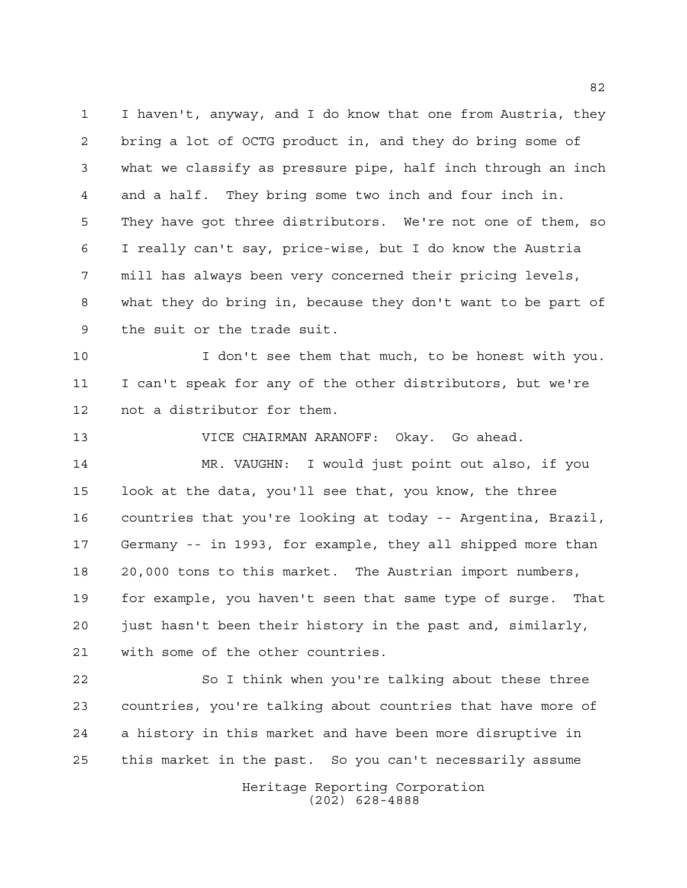I haven't, anyway, and I do know that one from Austria, they bring a lot of OCTG product in, and they do bring some of what we classify as pressure pipe, half inch through an inch and a half. They bring some two inch and four inch in. They have got three distributors. We're not one of them, so I really can't say, price-wise, but I do know the Austria mill has always been very concerned their pricing levels, what they do bring in, because they don't want to be part of the suit or the trade suit.

 I don't see them that much, to be honest with you. I can't speak for any of the other distributors, but we're not a distributor for them.

 VICE CHAIRMAN ARANOFF: Okay. Go ahead. MR. VAUGHN: I would just point out also, if you look at the data, you'll see that, you know, the three countries that you're looking at today -- Argentina, Brazil, Germany -- in 1993, for example, they all shipped more than 20,000 tons to this market. The Austrian import numbers, for example, you haven't seen that same type of surge. That just hasn't been their history in the past and, similarly, with some of the other countries.

 So I think when you're talking about these three countries, you're talking about countries that have more of a history in this market and have been more disruptive in this market in the past. So you can't necessarily assume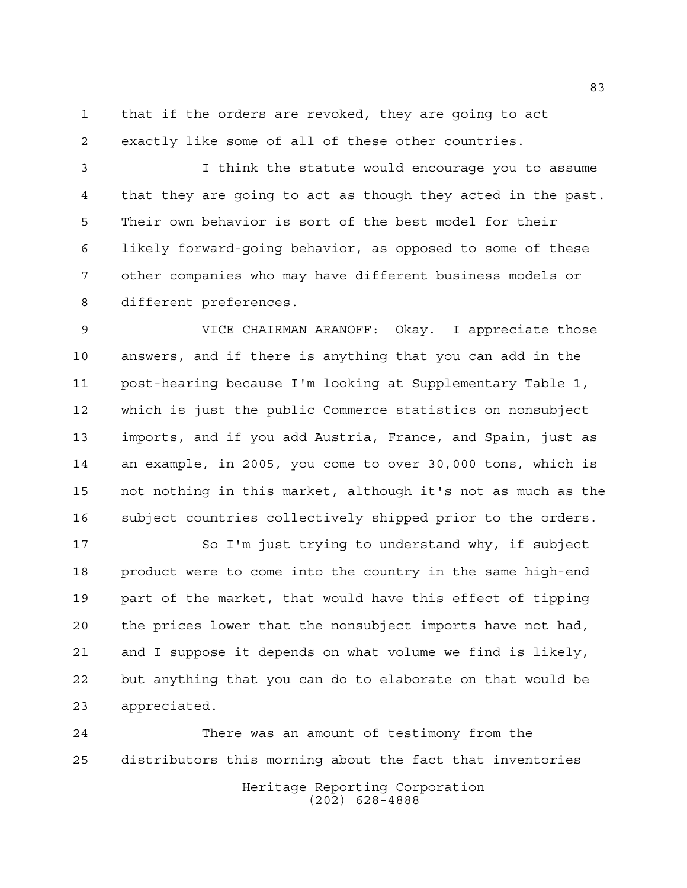that if the orders are revoked, they are going to act exactly like some of all of these other countries.

 I think the statute would encourage you to assume that they are going to act as though they acted in the past. Their own behavior is sort of the best model for their likely forward-going behavior, as opposed to some of these other companies who may have different business models or different preferences.

 VICE CHAIRMAN ARANOFF: Okay. I appreciate those answers, and if there is anything that you can add in the post-hearing because I'm looking at Supplementary Table 1, which is just the public Commerce statistics on nonsubject imports, and if you add Austria, France, and Spain, just as an example, in 2005, you come to over 30,000 tons, which is not nothing in this market, although it's not as much as the subject countries collectively shipped prior to the orders.

 So I'm just trying to understand why, if subject product were to come into the country in the same high-end part of the market, that would have this effect of tipping the prices lower that the nonsubject imports have not had, and I suppose it depends on what volume we find is likely, but anything that you can do to elaborate on that would be appreciated.

Heritage Reporting Corporation (202) 628-4888 There was an amount of testimony from the distributors this morning about the fact that inventories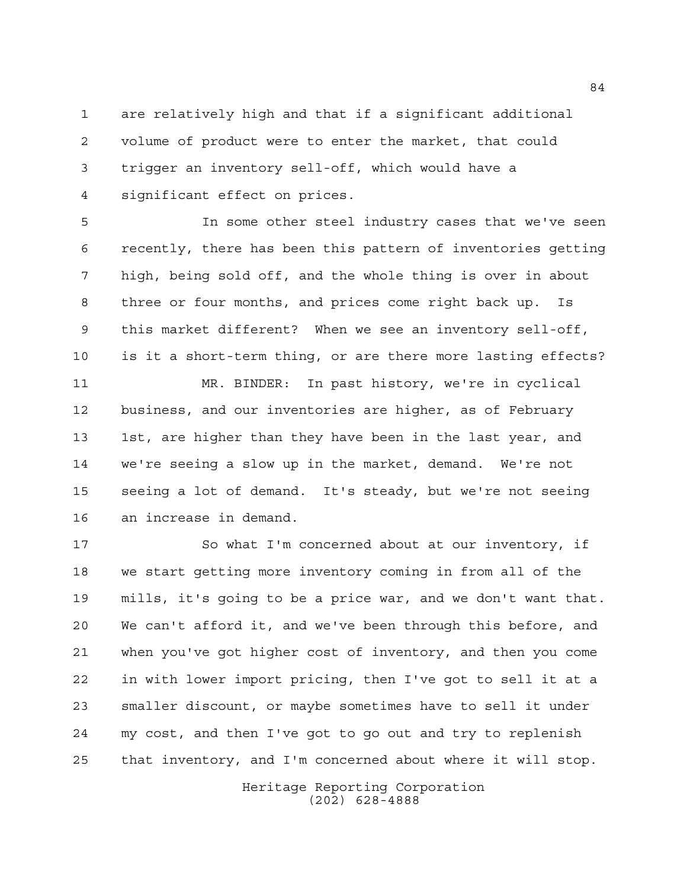are relatively high and that if a significant additional volume of product were to enter the market, that could trigger an inventory sell-off, which would have a significant effect on prices.

 In some other steel industry cases that we've seen recently, there has been this pattern of inventories getting high, being sold off, and the whole thing is over in about three or four months, and prices come right back up. Is this market different? When we see an inventory sell-off, is it a short-term thing, or are there more lasting effects?

 MR. BINDER: In past history, we're in cyclical business, and our inventories are higher, as of February 13 1st, are higher than they have been in the last year, and we're seeing a slow up in the market, demand. We're not seeing a lot of demand. It's steady, but we're not seeing an increase in demand.

17 So what I'm concerned about at our inventory, if we start getting more inventory coming in from all of the mills, it's going to be a price war, and we don't want that. We can't afford it, and we've been through this before, and when you've got higher cost of inventory, and then you come in with lower import pricing, then I've got to sell it at a smaller discount, or maybe sometimes have to sell it under my cost, and then I've got to go out and try to replenish that inventory, and I'm concerned about where it will stop.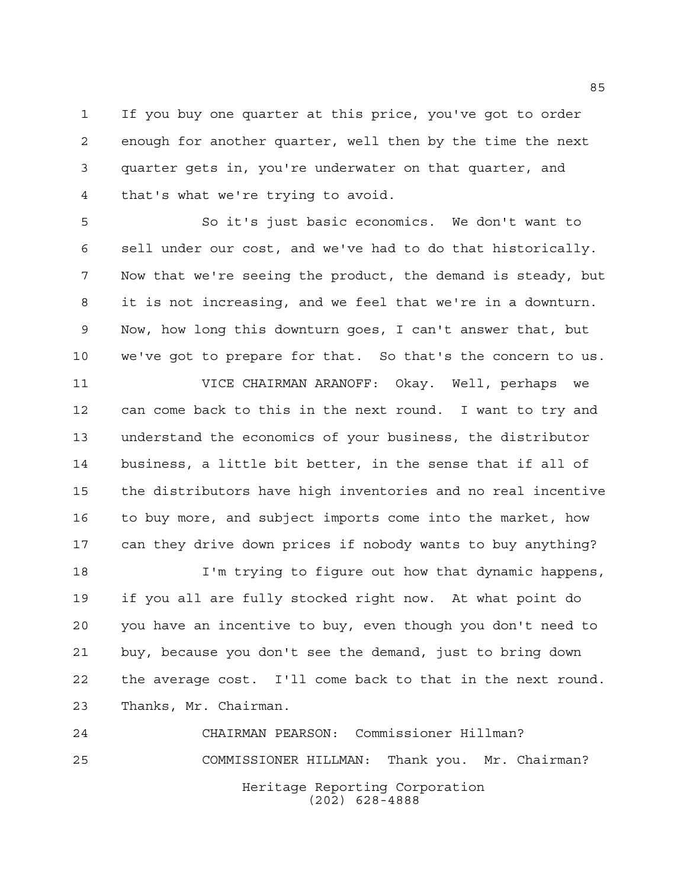If you buy one quarter at this price, you've got to order enough for another quarter, well then by the time the next quarter gets in, you're underwater on that quarter, and that's what we're trying to avoid.

 So it's just basic economics. We don't want to sell under our cost, and we've had to do that historically. Now that we're seeing the product, the demand is steady, but it is not increasing, and we feel that we're in a downturn. Now, how long this downturn goes, I can't answer that, but we've got to prepare for that. So that's the concern to us.

 VICE CHAIRMAN ARANOFF: Okay. Well, perhaps we can come back to this in the next round. I want to try and understand the economics of your business, the distributor business, a little bit better, in the sense that if all of the distributors have high inventories and no real incentive to buy more, and subject imports come into the market, how can they drive down prices if nobody wants to buy anything?

 I'm trying to figure out how that dynamic happens, if you all are fully stocked right now. At what point do you have an incentive to buy, even though you don't need to buy, because you don't see the demand, just to bring down the average cost. I'll come back to that in the next round. Thanks, Mr. Chairman.

Heritage Reporting Corporation (202) 628-4888 CHAIRMAN PEARSON: Commissioner Hillman? COMMISSIONER HILLMAN: Thank you. Mr. Chairman?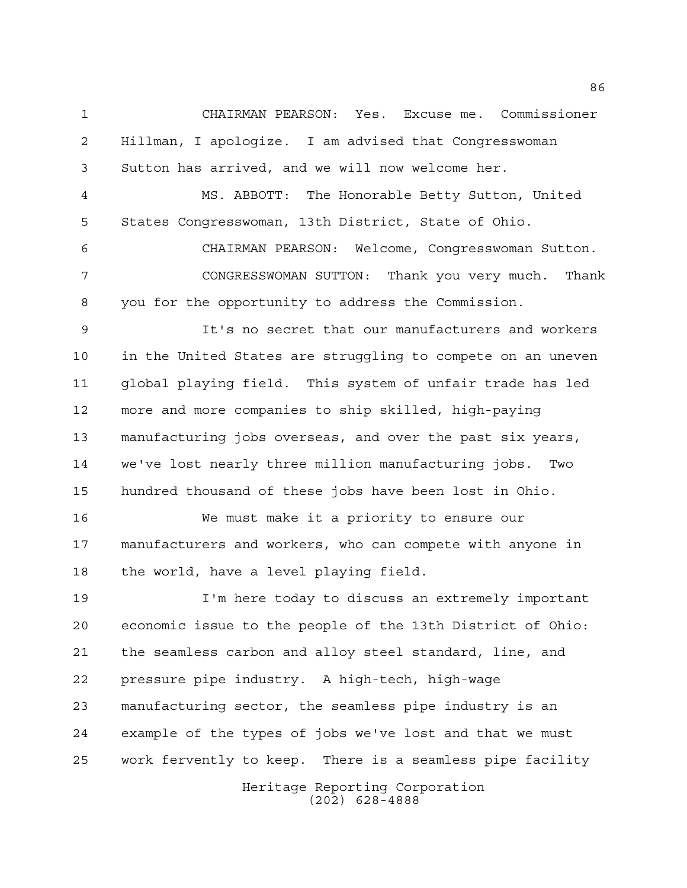CHAIRMAN PEARSON: Yes. Excuse me. Commissioner Hillman, I apologize. I am advised that Congresswoman Sutton has arrived, and we will now welcome her.

 MS. ABBOTT: The Honorable Betty Sutton, United States Congresswoman, 13th District, State of Ohio.

 CHAIRMAN PEARSON: Welcome, Congresswoman Sutton. CONGRESSWOMAN SUTTON: Thank you very much. Thank you for the opportunity to address the Commission.

 It's no secret that our manufacturers and workers in the United States are struggling to compete on an uneven global playing field. This system of unfair trade has led more and more companies to ship skilled, high-paying manufacturing jobs overseas, and over the past six years, we've lost nearly three million manufacturing jobs. Two hundred thousand of these jobs have been lost in Ohio.

 We must make it a priority to ensure our manufacturers and workers, who can compete with anyone in the world, have a level playing field.

 I'm here today to discuss an extremely important economic issue to the people of the 13th District of Ohio: the seamless carbon and alloy steel standard, line, and pressure pipe industry. A high-tech, high-wage manufacturing sector, the seamless pipe industry is an example of the types of jobs we've lost and that we must work fervently to keep. There is a seamless pipe facility

> Heritage Reporting Corporation (202) 628-4888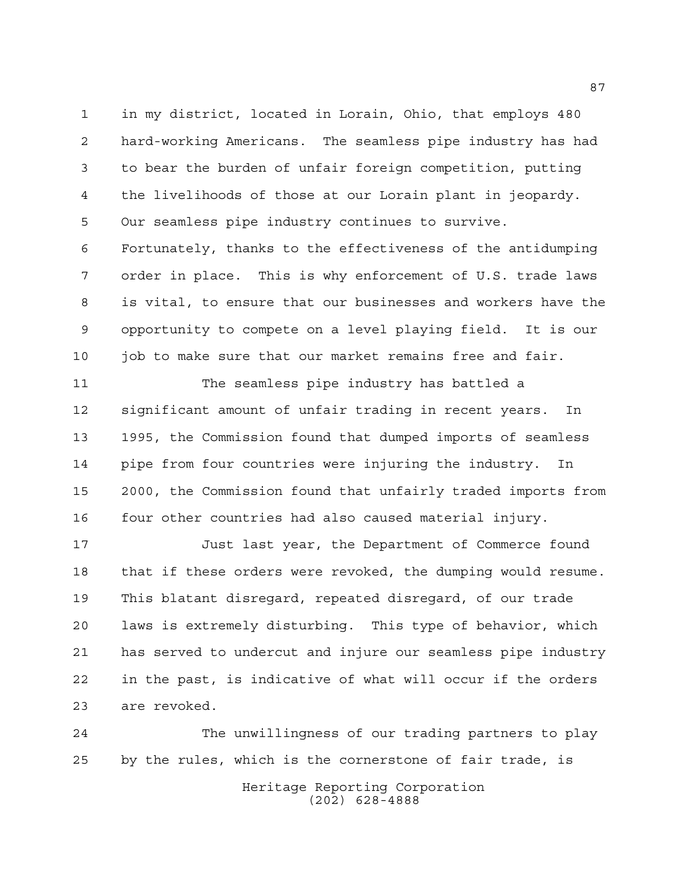in my district, located in Lorain, Ohio, that employs 480 hard-working Americans. The seamless pipe industry has had to bear the burden of unfair foreign competition, putting the livelihoods of those at our Lorain plant in jeopardy. Our seamless pipe industry continues to survive. Fortunately, thanks to the effectiveness of the antidumping order in place. This is why enforcement of U.S. trade laws is vital, to ensure that our businesses and workers have the opportunity to compete on a level playing field. It is our job to make sure that our market remains free and fair.

 The seamless pipe industry has battled a significant amount of unfair trading in recent years. In 1995, the Commission found that dumped imports of seamless pipe from four countries were injuring the industry. In 2000, the Commission found that unfairly traded imports from four other countries had also caused material injury.

 Just last year, the Department of Commerce found that if these orders were revoked, the dumping would resume. This blatant disregard, repeated disregard, of our trade laws is extremely disturbing. This type of behavior, which has served to undercut and injure our seamless pipe industry in the past, is indicative of what will occur if the orders are revoked.

Heritage Reporting Corporation (202) 628-4888 The unwillingness of our trading partners to play by the rules, which is the cornerstone of fair trade, is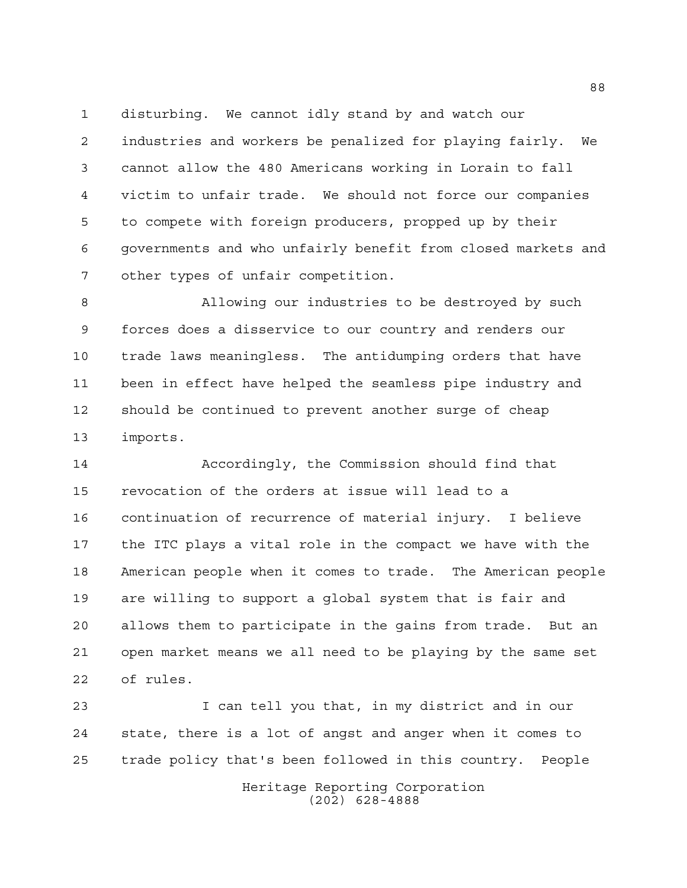disturbing. We cannot idly stand by and watch our

 industries and workers be penalized for playing fairly. We cannot allow the 480 Americans working in Lorain to fall victim to unfair trade. We should not force our companies to compete with foreign producers, propped up by their governments and who unfairly benefit from closed markets and other types of unfair competition.

 Allowing our industries to be destroyed by such forces does a disservice to our country and renders our trade laws meaningless. The antidumping orders that have been in effect have helped the seamless pipe industry and should be continued to prevent another surge of cheap imports.

 Accordingly, the Commission should find that revocation of the orders at issue will lead to a continuation of recurrence of material injury. I believe the ITC plays a vital role in the compact we have with the American people when it comes to trade. The American people are willing to support a global system that is fair and allows them to participate in the gains from trade. But an open market means we all need to be playing by the same set of rules.

 I can tell you that, in my district and in our state, there is a lot of angst and anger when it comes to trade policy that's been followed in this country. People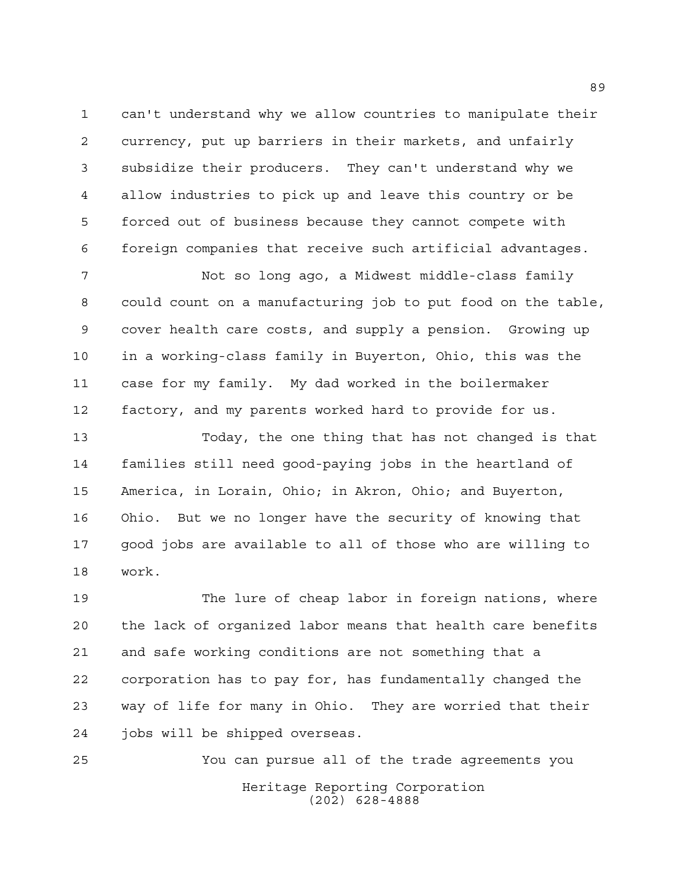can't understand why we allow countries to manipulate their currency, put up barriers in their markets, and unfairly subsidize their producers. They can't understand why we allow industries to pick up and leave this country or be forced out of business because they cannot compete with foreign companies that receive such artificial advantages.

 Not so long ago, a Midwest middle-class family could count on a manufacturing job to put food on the table, cover health care costs, and supply a pension. Growing up in a working-class family in Buyerton, Ohio, this was the case for my family. My dad worked in the boilermaker factory, and my parents worked hard to provide for us.

 Today, the one thing that has not changed is that families still need good-paying jobs in the heartland of America, in Lorain, Ohio; in Akron, Ohio; and Buyerton, Ohio. But we no longer have the security of knowing that good jobs are available to all of those who are willing to work.

 The lure of cheap labor in foreign nations, where the lack of organized labor means that health care benefits and safe working conditions are not something that a corporation has to pay for, has fundamentally changed the way of life for many in Ohio. They are worried that their jobs will be shipped overseas.

Heritage Reporting Corporation (202) 628-4888 You can pursue all of the trade agreements you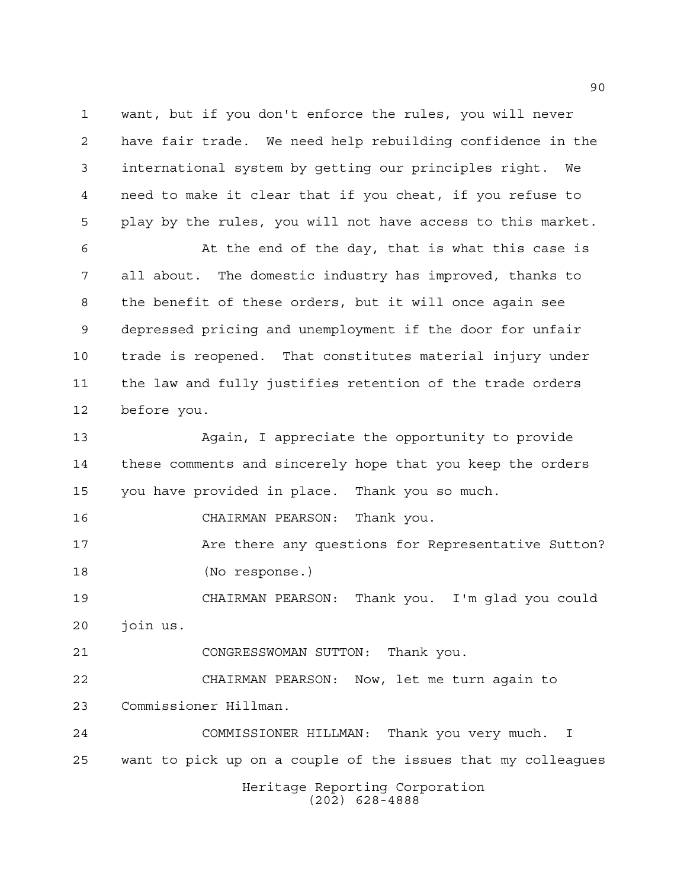want, but if you don't enforce the rules, you will never have fair trade. We need help rebuilding confidence in the international system by getting our principles right. We need to make it clear that if you cheat, if you refuse to play by the rules, you will not have access to this market.

 At the end of the day, that is what this case is all about. The domestic industry has improved, thanks to the benefit of these orders, but it will once again see depressed pricing and unemployment if the door for unfair trade is reopened. That constitutes material injury under the law and fully justifies retention of the trade orders before you.

 Again, I appreciate the opportunity to provide these comments and sincerely hope that you keep the orders you have provided in place. Thank you so much.

CHAIRMAN PEARSON: Thank you.

17 Are there any questions for Representative Sutton? (No response.)

 CHAIRMAN PEARSON: Thank you. I'm glad you could join us.

CONGRESSWOMAN SUTTON: Thank you.

 CHAIRMAN PEARSON: Now, let me turn again to Commissioner Hillman.

Heritage Reporting Corporation COMMISSIONER HILLMAN: Thank you very much. I want to pick up on a couple of the issues that my colleagues

(202) 628-4888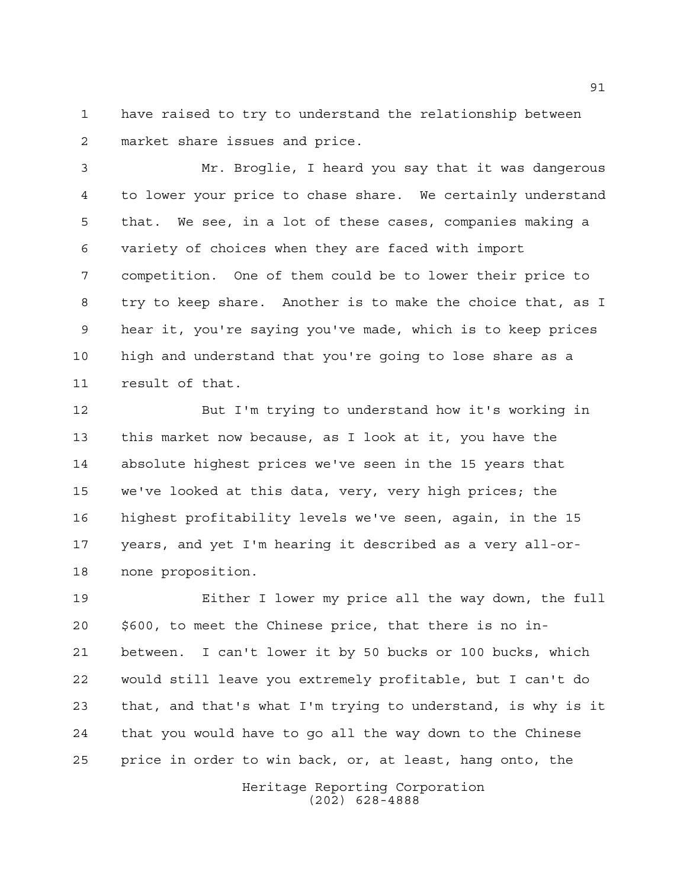have raised to try to understand the relationship between market share issues and price.

 Mr. Broglie, I heard you say that it was dangerous to lower your price to chase share. We certainly understand that. We see, in a lot of these cases, companies making a variety of choices when they are faced with import competition. One of them could be to lower their price to try to keep share. Another is to make the choice that, as I hear it, you're saying you've made, which is to keep prices high and understand that you're going to lose share as a result of that.

 But I'm trying to understand how it's working in this market now because, as I look at it, you have the absolute highest prices we've seen in the 15 years that we've looked at this data, very, very high prices; the highest profitability levels we've seen, again, in the 15 years, and yet I'm hearing it described as a very all-or-none proposition.

 Either I lower my price all the way down, the full \$600, to meet the Chinese price, that there is no in- between. I can't lower it by 50 bucks or 100 bucks, which would still leave you extremely profitable, but I can't do that, and that's what I'm trying to understand, is why is it that you would have to go all the way down to the Chinese price in order to win back, or, at least, hang onto, the

> Heritage Reporting Corporation (202) 628-4888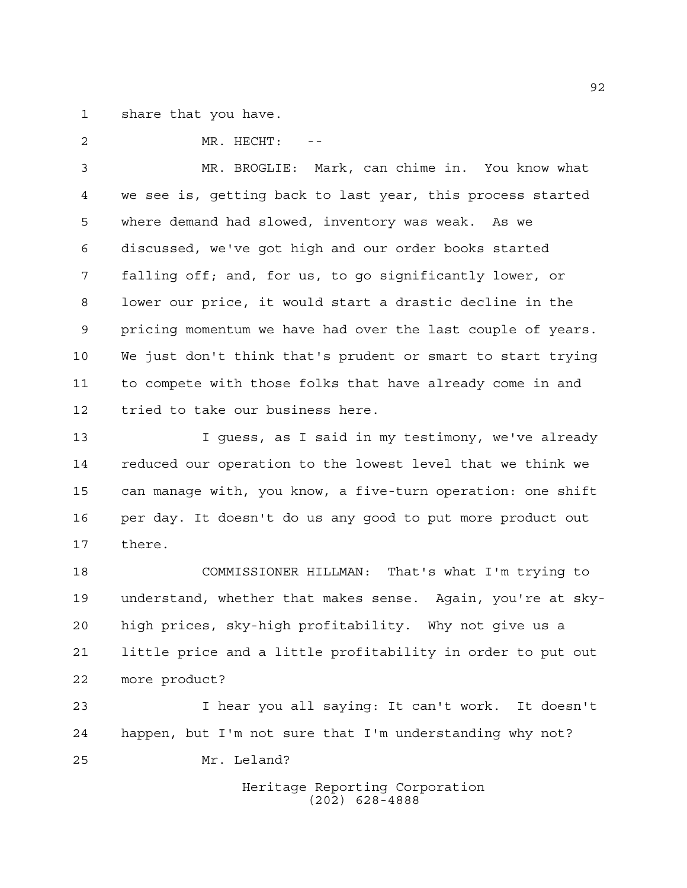share that you have.

2 MR. HECHT:

 MR. BROGLIE: Mark, can chime in. You know what we see is, getting back to last year, this process started where demand had slowed, inventory was weak. As we discussed, we've got high and our order books started falling off; and, for us, to go significantly lower, or lower our price, it would start a drastic decline in the pricing momentum we have had over the last couple of years. We just don't think that's prudent or smart to start trying to compete with those folks that have already come in and tried to take our business here.

13 I guess, as I said in my testimony, we've already reduced our operation to the lowest level that we think we can manage with, you know, a five-turn operation: one shift per day. It doesn't do us any good to put more product out there.

 COMMISSIONER HILLMAN: That's what I'm trying to understand, whether that makes sense. Again, you're at sky- high prices, sky-high profitability. Why not give us a little price and a little profitability in order to put out more product?

 I hear you all saying: It can't work. It doesn't happen, but I'm not sure that I'm understanding why not? Mr. Leland?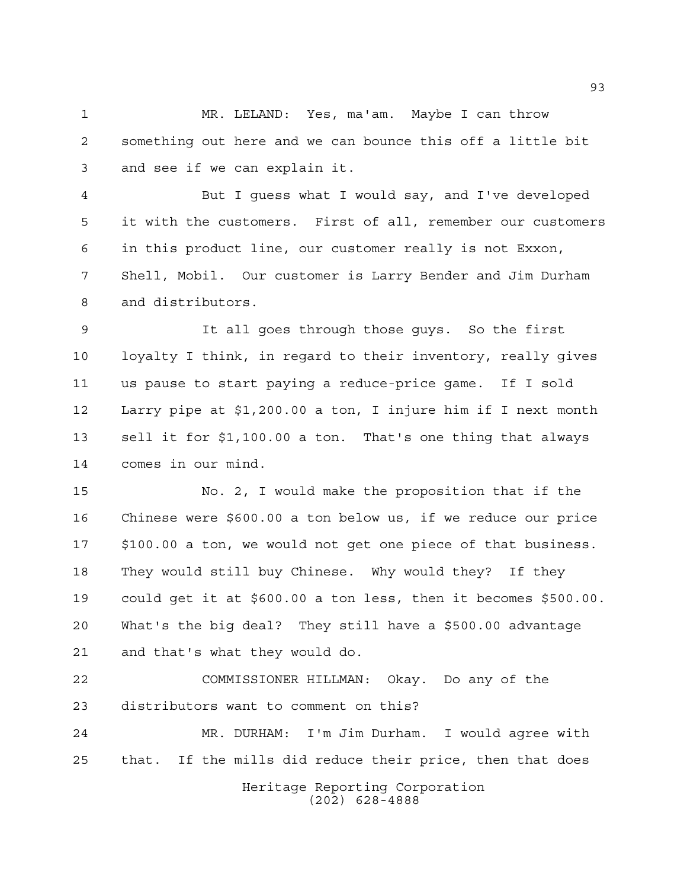MR. LELAND: Yes, ma'am. Maybe I can throw something out here and we can bounce this off a little bit and see if we can explain it.

 But I guess what I would say, and I've developed it with the customers. First of all, remember our customers in this product line, our customer really is not Exxon, Shell, Mobil. Our customer is Larry Bender and Jim Durham and distributors.

 It all goes through those guys. So the first loyalty I think, in regard to their inventory, really gives us pause to start paying a reduce-price game. If I sold Larry pipe at \$1,200.00 a ton, I injure him if I next month sell it for \$1,100.00 a ton. That's one thing that always comes in our mind.

 No. 2, I would make the proposition that if the Chinese were \$600.00 a ton below us, if we reduce our price \$100.00 a ton, we would not get one piece of that business. They would still buy Chinese. Why would they? If they could get it at \$600.00 a ton less, then it becomes \$500.00. What's the big deal? They still have a \$500.00 advantage and that's what they would do.

 COMMISSIONER HILLMAN: Okay. Do any of the distributors want to comment on this?

Heritage Reporting Corporation MR. DURHAM: I'm Jim Durham. I would agree with that. If the mills did reduce their price, then that does

(202) 628-4888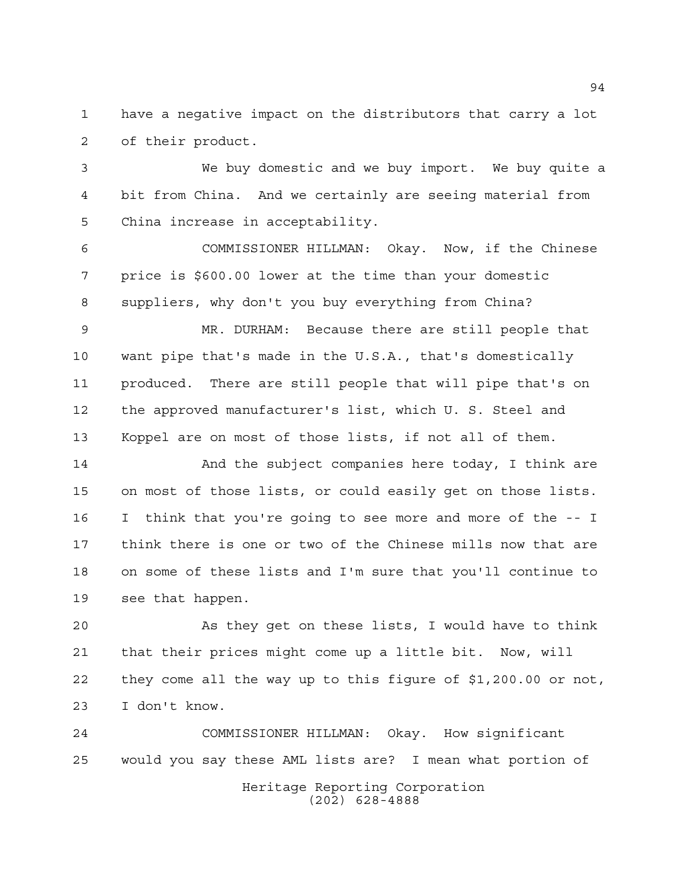have a negative impact on the distributors that carry a lot of their product.

 We buy domestic and we buy import. We buy quite a bit from China. And we certainly are seeing material from China increase in acceptability.

 COMMISSIONER HILLMAN: Okay. Now, if the Chinese price is \$600.00 lower at the time than your domestic suppliers, why don't you buy everything from China?

 MR. DURHAM: Because there are still people that want pipe that's made in the U.S.A., that's domestically produced. There are still people that will pipe that's on the approved manufacturer's list, which U. S. Steel and Koppel are on most of those lists, if not all of them.

 And the subject companies here today, I think are on most of those lists, or could easily get on those lists. I think that you're going to see more and more of the -- I think there is one or two of the Chinese mills now that are on some of these lists and I'm sure that you'll continue to see that happen.

 As they get on these lists, I would have to think that their prices might come up a little bit. Now, will they come all the way up to this figure of \$1,200.00 or not, I don't know.

Heritage Reporting Corporation (202) 628-4888 COMMISSIONER HILLMAN: Okay. How significant would you say these AML lists are? I mean what portion of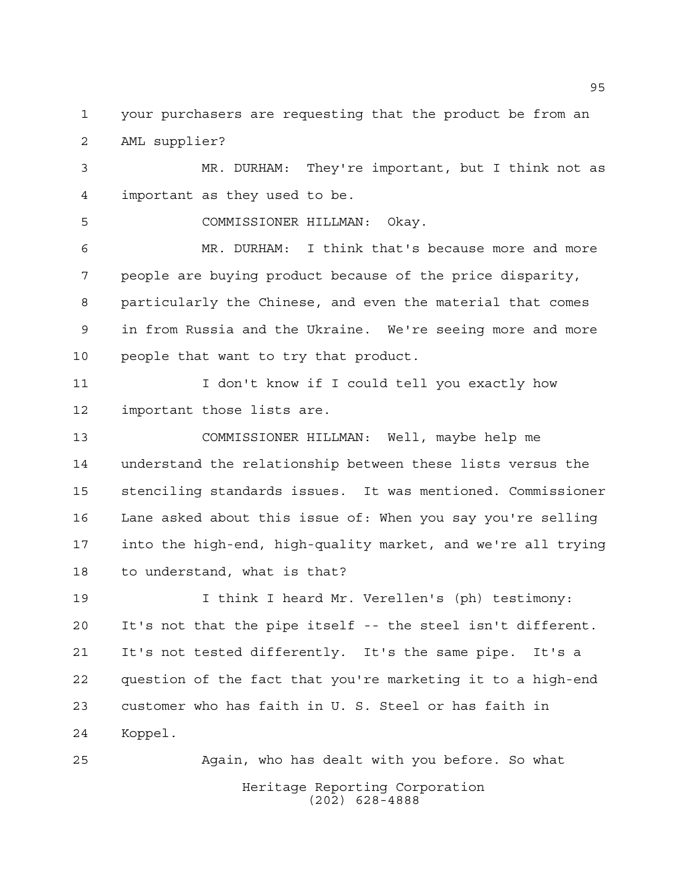your purchasers are requesting that the product be from an AML supplier?

 MR. DURHAM: They're important, but I think not as important as they used to be.

COMMISSIONER HILLMAN: Okay.

 MR. DURHAM: I think that's because more and more people are buying product because of the price disparity, particularly the Chinese, and even the material that comes in from Russia and the Ukraine. We're seeing more and more people that want to try that product.

 I don't know if I could tell you exactly how important those lists are.

 COMMISSIONER HILLMAN: Well, maybe help me understand the relationship between these lists versus the stenciling standards issues. It was mentioned. Commissioner Lane asked about this issue of: When you say you're selling into the high-end, high-quality market, and we're all trying to understand, what is that?

 I think I heard Mr. Verellen's (ph) testimony: It's not that the pipe itself -- the steel isn't different. It's not tested differently. It's the same pipe. It's a question of the fact that you're marketing it to a high-end customer who has faith in U. S. Steel or has faith in Koppel.

Heritage Reporting Corporation (202) 628-4888 Again, who has dealt with you before. So what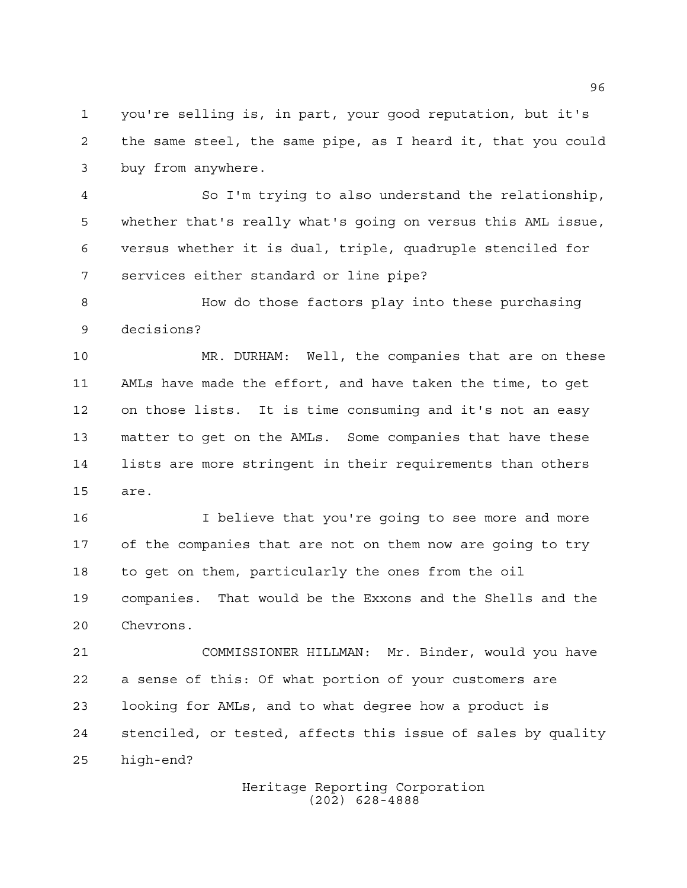you're selling is, in part, your good reputation, but it's the same steel, the same pipe, as I heard it, that you could buy from anywhere.

 So I'm trying to also understand the relationship, whether that's really what's going on versus this AML issue, versus whether it is dual, triple, quadruple stenciled for services either standard or line pipe?

 How do those factors play into these purchasing decisions?

 MR. DURHAM: Well, the companies that are on these AMLs have made the effort, and have taken the time, to get on those lists. It is time consuming and it's not an easy matter to get on the AMLs. Some companies that have these lists are more stringent in their requirements than others are.

 I believe that you're going to see more and more of the companies that are not on them now are going to try to get on them, particularly the ones from the oil companies. That would be the Exxons and the Shells and the Chevrons.

 COMMISSIONER HILLMAN: Mr. Binder, would you have a sense of this: Of what portion of your customers are looking for AMLs, and to what degree how a product is stenciled, or tested, affects this issue of sales by quality high-end?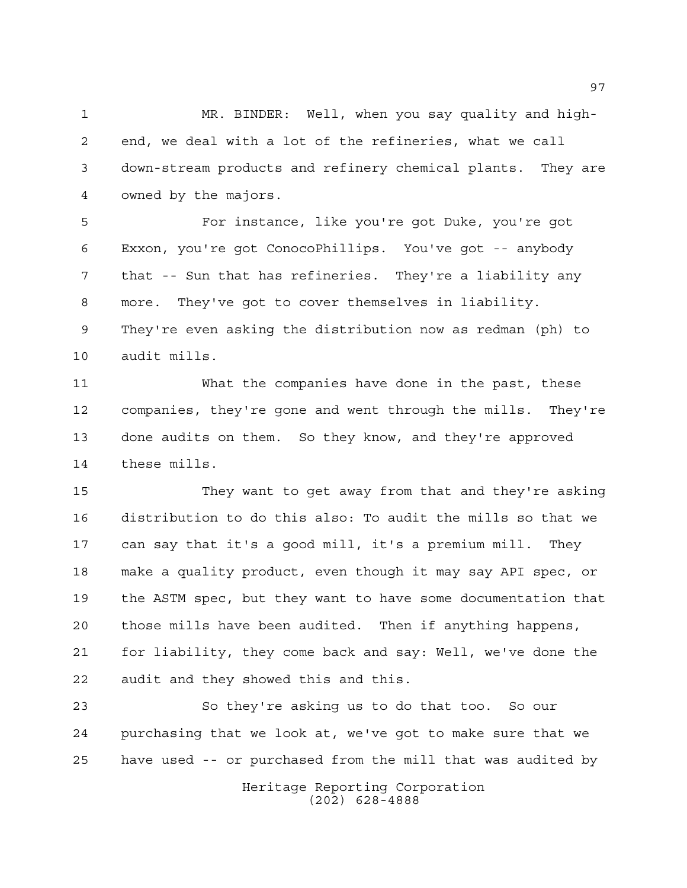MR. BINDER: Well, when you say quality and high- end, we deal with a lot of the refineries, what we call down-stream products and refinery chemical plants. They are owned by the majors.

 For instance, like you're got Duke, you're got Exxon, you're got ConocoPhillips. You've got -- anybody that -- Sun that has refineries. They're a liability any more. They've got to cover themselves in liability. They're even asking the distribution now as redman (ph) to audit mills.

 What the companies have done in the past, these companies, they're gone and went through the mills. They're done audits on them. So they know, and they're approved these mills.

 They want to get away from that and they're asking distribution to do this also: To audit the mills so that we can say that it's a good mill, it's a premium mill. They make a quality product, even though it may say API spec, or the ASTM spec, but they want to have some documentation that those mills have been audited. Then if anything happens, for liability, they come back and say: Well, we've done the audit and they showed this and this.

 So they're asking us to do that too. So our purchasing that we look at, we've got to make sure that we have used -- or purchased from the mill that was audited by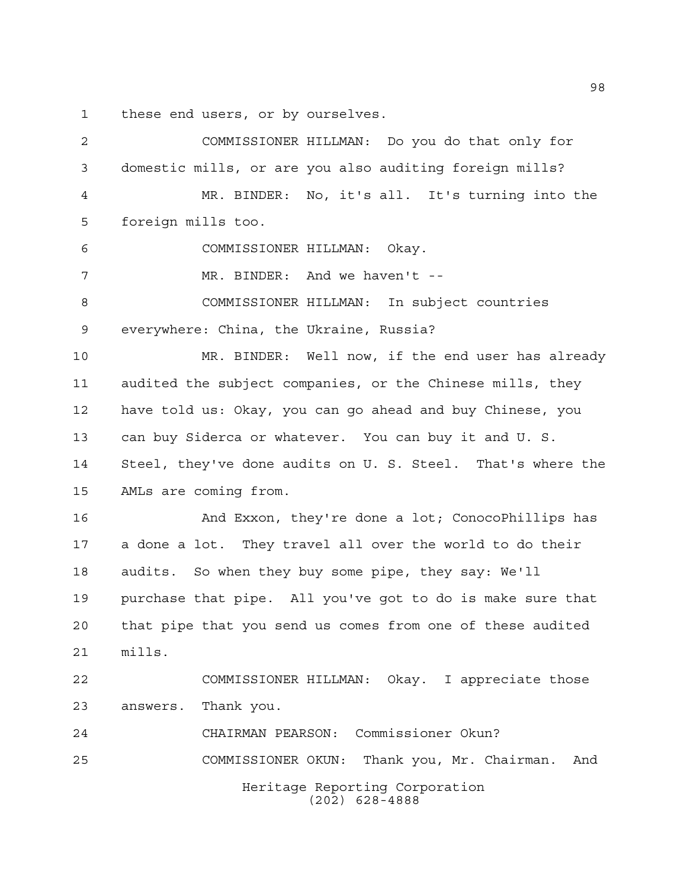these end users, or by ourselves.

| 2              | COMMISSIONER HILLMAN: Do you do that only for               |
|----------------|-------------------------------------------------------------|
| 3              | domestic mills, or are you also auditing foreign mills?     |
| $\overline{4}$ | MR. BINDER: No, it's all. It's turning into the             |
| 5              | foreign mills too.                                          |
| 6              | COMMISSIONER HILLMAN: Okay.                                 |
| 7              | MR. BINDER: And we haven't --                               |
| 8              | COMMISSIONER HILLMAN: In subject countries                  |
| 9              | everywhere: China, the Ukraine, Russia?                     |
| 10             | MR. BINDER: Well now, if the end user has already           |
| 11             | audited the subject companies, or the Chinese mills, they   |
| 12             | have told us: Okay, you can go ahead and buy Chinese, you   |
| 13             | can buy Siderca or whatever. You can buy it and U.S.        |
| 14             | Steel, they've done audits on U. S. Steel. That's where the |
| 15             | AMLs are coming from.                                       |
| 16             | And Exxon, they're done a lot; ConocoPhillips has           |
| 17             | a done a lot. They travel all over the world to do their    |
| 18             | audits. So when they buy some pipe, they say: We'll         |
| 19             | purchase that pipe. All you've got to do is make sure that  |
| 20             | that pipe that you send us comes from one of these audited  |
| 21             | mills.                                                      |
| 22             | COMMISSIONER HILLMAN: Okay. I appreciate those              |
| 23             | Thank you.<br>answers.                                      |
| 24             | CHAIRMAN PEARSON: Commissioner Okun?                        |
| 25             | Thank you, Mr. Chairman.<br>COMMISSIONER OKUN:<br>And       |
|                | Heritage Reporting Corporation<br>$(202)$ 628-4888          |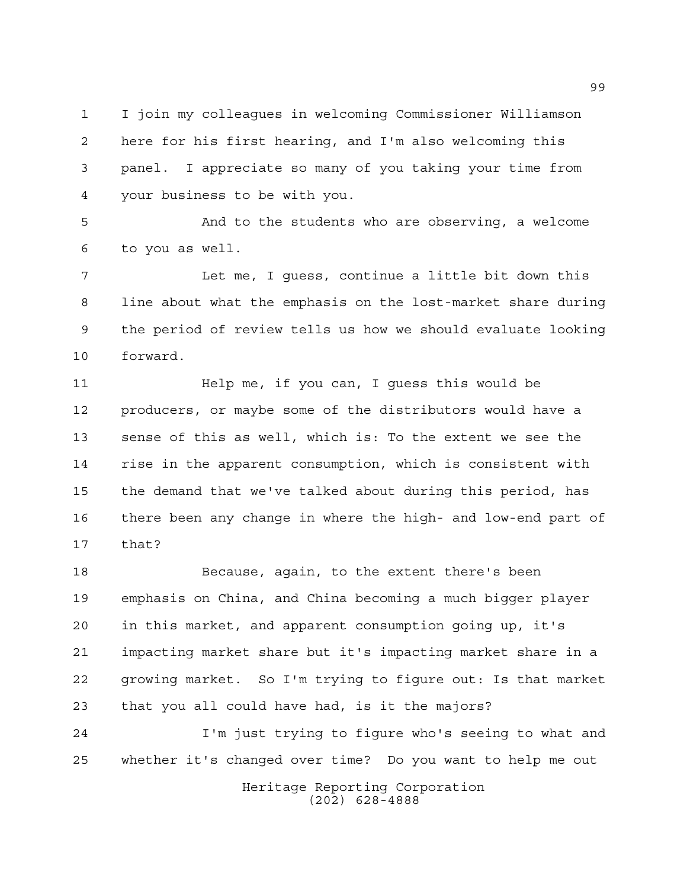I join my colleagues in welcoming Commissioner Williamson here for his first hearing, and I'm also welcoming this panel. I appreciate so many of you taking your time from your business to be with you.

 And to the students who are observing, a welcome to you as well.

 Let me, I guess, continue a little bit down this line about what the emphasis on the lost-market share during the period of review tells us how we should evaluate looking forward.

 Help me, if you can, I guess this would be producers, or maybe some of the distributors would have a sense of this as well, which is: To the extent we see the rise in the apparent consumption, which is consistent with the demand that we've talked about during this period, has there been any change in where the high- and low-end part of that?

 Because, again, to the extent there's been emphasis on China, and China becoming a much bigger player in this market, and apparent consumption going up, it's impacting market share but it's impacting market share in a growing market. So I'm trying to figure out: Is that market that you all could have had, is it the majors?

 I'm just trying to figure who's seeing to what and whether it's changed over time? Do you want to help me out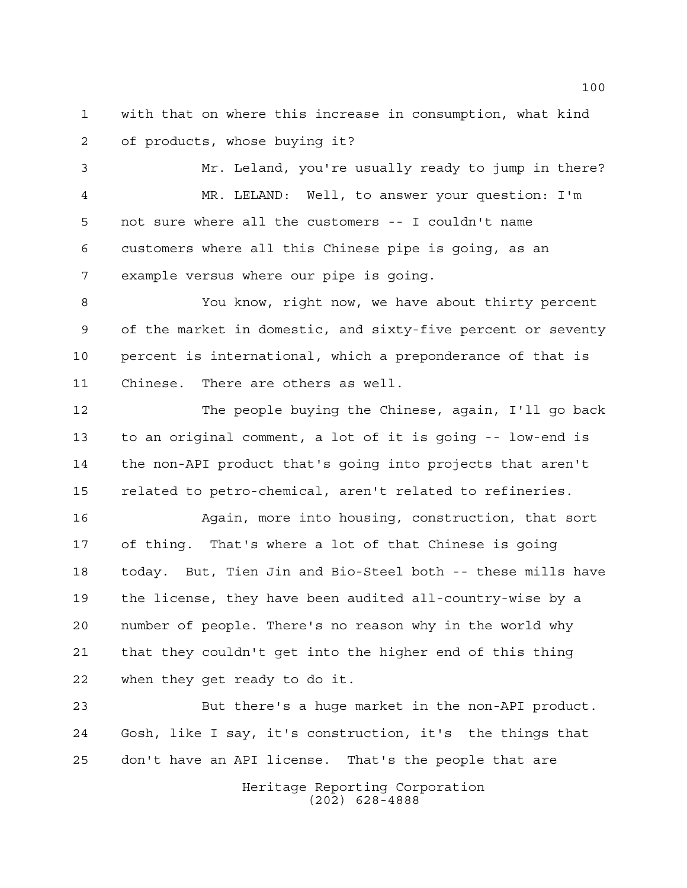with that on where this increase in consumption, what kind of products, whose buying it?

 Mr. Leland, you're usually ready to jump in there? MR. LELAND: Well, to answer your question: I'm not sure where all the customers -- I couldn't name customers where all this Chinese pipe is going, as an example versus where our pipe is going.

 You know, right now, we have about thirty percent of the market in domestic, and sixty-five percent or seventy percent is international, which a preponderance of that is Chinese. There are others as well.

 The people buying the Chinese, again, I'll go back to an original comment, a lot of it is going -- low-end is the non-API product that's going into projects that aren't related to petro-chemical, aren't related to refineries.

 Again, more into housing, construction, that sort of thing. That's where a lot of that Chinese is going today. But, Tien Jin and Bio-Steel both -- these mills have the license, they have been audited all-country-wise by a number of people. There's no reason why in the world why that they couldn't get into the higher end of this thing when they get ready to do it.

 But there's a huge market in the non-API product. Gosh, like I say, it's construction, it's the things that don't have an API license. That's the people that are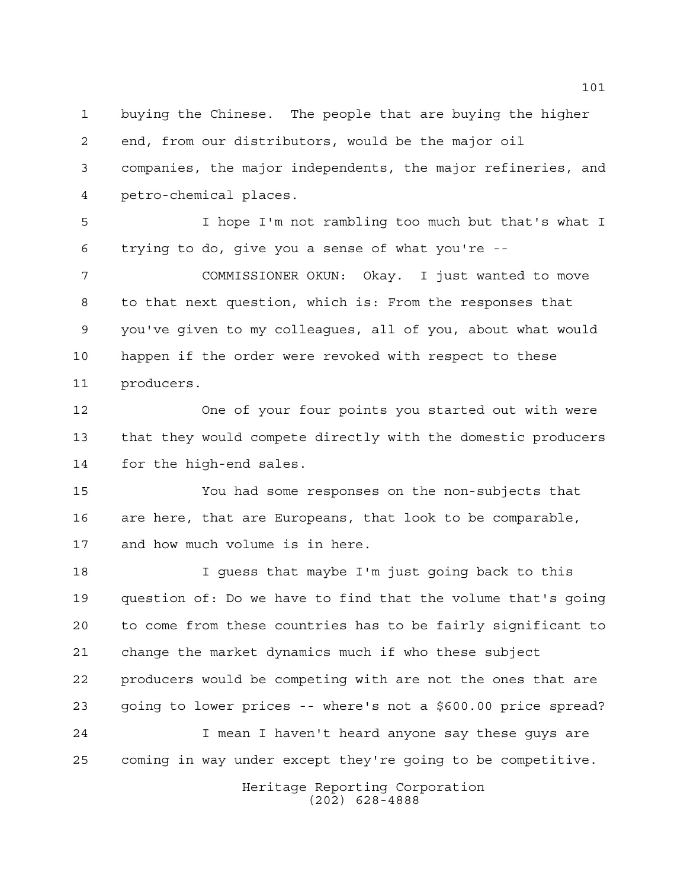buying the Chinese. The people that are buying the higher end, from our distributors, would be the major oil companies, the major independents, the major refineries, and petro-chemical places.

 I hope I'm not rambling too much but that's what I trying to do, give you a sense of what you're --

 COMMISSIONER OKUN: Okay. I just wanted to move to that next question, which is: From the responses that you've given to my colleagues, all of you, about what would happen if the order were revoked with respect to these producers.

 One of your four points you started out with were that they would compete directly with the domestic producers for the high-end sales.

 You had some responses on the non-subjects that are here, that are Europeans, that look to be comparable, and how much volume is in here.

 I guess that maybe I'm just going back to this question of: Do we have to find that the volume that's going to come from these countries has to be fairly significant to change the market dynamics much if who these subject producers would be competing with are not the ones that are going to lower prices -- where's not a \$600.00 price spread? I mean I haven't heard anyone say these guys are coming in way under except they're going to be competitive.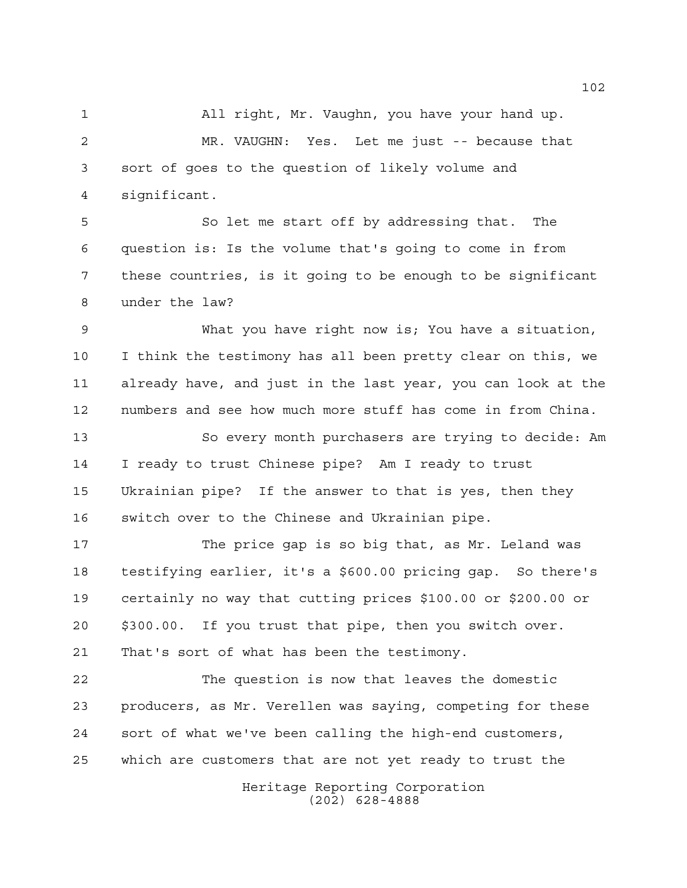All right, Mr. Vaughn, you have your hand up. MR. VAUGHN: Yes. Let me just -- because that sort of goes to the question of likely volume and significant.

 So let me start off by addressing that. The question is: Is the volume that's going to come in from these countries, is it going to be enough to be significant under the law?

 What you have right now is; You have a situation, I think the testimony has all been pretty clear on this, we already have, and just in the last year, you can look at the numbers and see how much more stuff has come in from China.

 So every month purchasers are trying to decide: Am I ready to trust Chinese pipe? Am I ready to trust Ukrainian pipe? If the answer to that is yes, then they switch over to the Chinese and Ukrainian pipe.

 The price gap is so big that, as Mr. Leland was testifying earlier, it's a \$600.00 pricing gap. So there's certainly no way that cutting prices \$100.00 or \$200.00 or \$300.00. If you trust that pipe, then you switch over. That's sort of what has been the testimony.

 The question is now that leaves the domestic producers, as Mr. Verellen was saying, competing for these sort of what we've been calling the high-end customers, which are customers that are not yet ready to trust the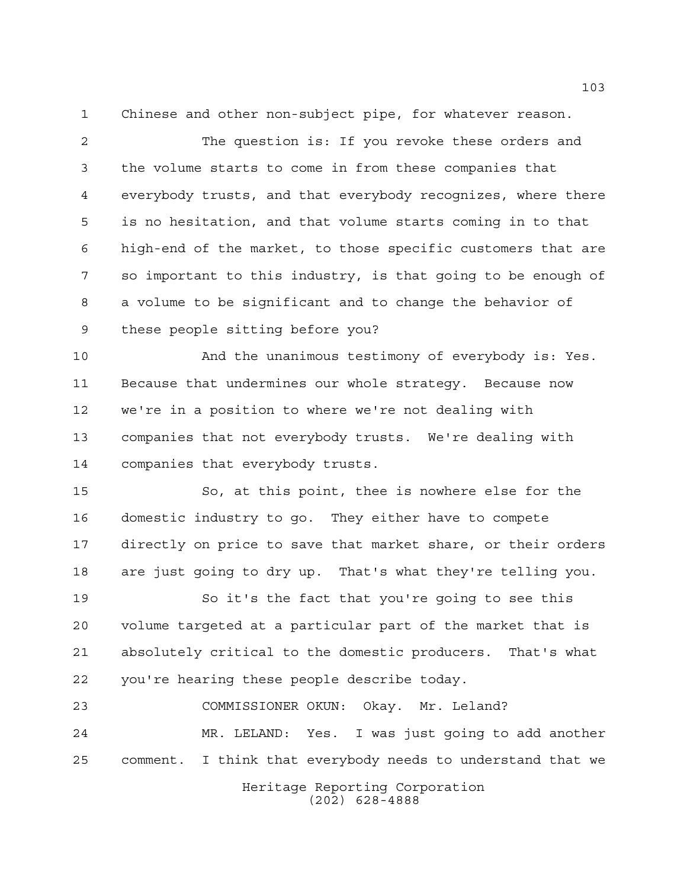Chinese and other non-subject pipe, for whatever reason.

 The question is: If you revoke these orders and the volume starts to come in from these companies that everybody trusts, and that everybody recognizes, where there is no hesitation, and that volume starts coming in to that high-end of the market, to those specific customers that are so important to this industry, is that going to be enough of a volume to be significant and to change the behavior of these people sitting before you?

 And the unanimous testimony of everybody is: Yes. Because that undermines our whole strategy. Because now we're in a position to where we're not dealing with companies that not everybody trusts. We're dealing with companies that everybody trusts.

 So, at this point, thee is nowhere else for the domestic industry to go. They either have to compete directly on price to save that market share, or their orders are just going to dry up. That's what they're telling you.

 So it's the fact that you're going to see this volume targeted at a particular part of the market that is absolutely critical to the domestic producers. That's what you're hearing these people describe today.

 COMMISSIONER OKUN: Okay. Mr. Leland? MR. LELAND: Yes. I was just going to add another comment. I think that everybody needs to understand that we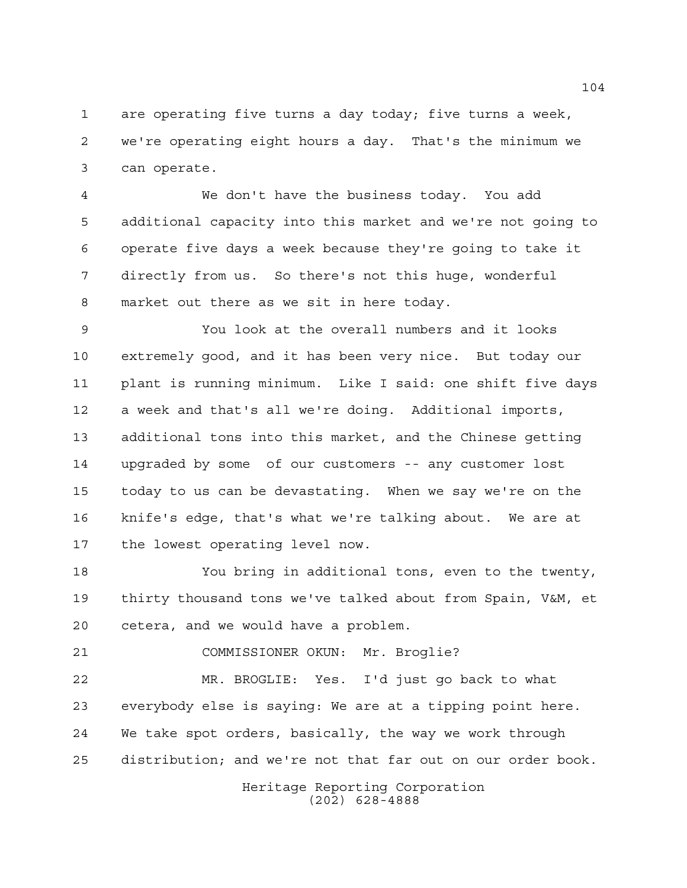are operating five turns a day today; five turns a week, we're operating eight hours a day. That's the minimum we can operate.

 We don't have the business today. You add additional capacity into this market and we're not going to operate five days a week because they're going to take it directly from us. So there's not this huge, wonderful market out there as we sit in here today.

 You look at the overall numbers and it looks extremely good, and it has been very nice. But today our plant is running minimum. Like I said: one shift five days a week and that's all we're doing. Additional imports, additional tons into this market, and the Chinese getting upgraded by some of our customers -- any customer lost today to us can be devastating. When we say we're on the knife's edge, that's what we're talking about. We are at the lowest operating level now.

 You bring in additional tons, even to the twenty, thirty thousand tons we've talked about from Spain, V&M, et cetera, and we would have a problem.

COMMISSIONER OKUN: Mr. Broglie?

 MR. BROGLIE: Yes. I'd just go back to what everybody else is saying: We are at a tipping point here. We take spot orders, basically, the way we work through distribution; and we're not that far out on our order book.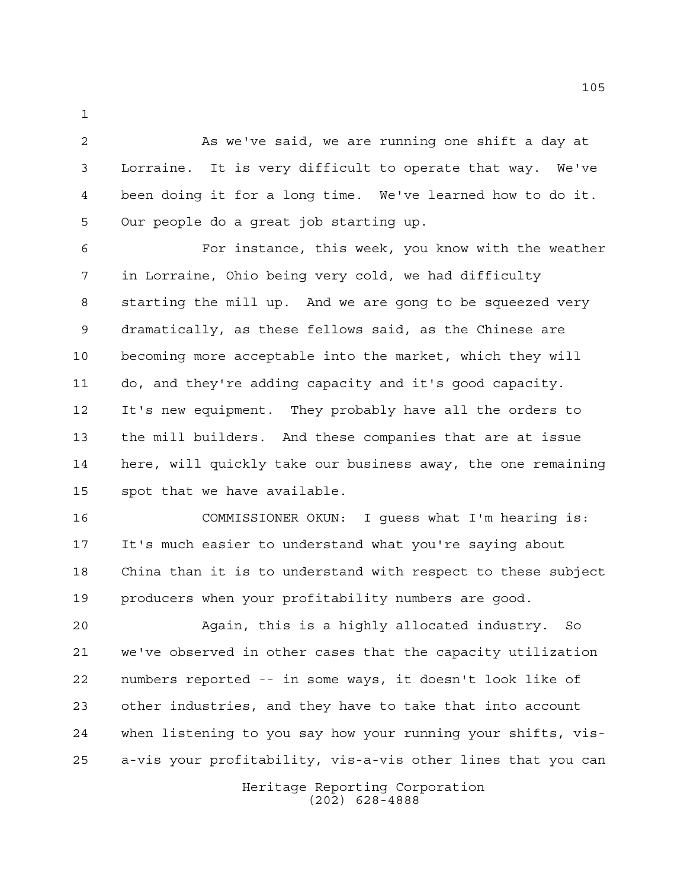2 As we've said, we are running one shift a day at Lorraine. It is very difficult to operate that way. We've been doing it for a long time. We've learned how to do it. Our people do a great job starting up.

 For instance, this week, you know with the weather in Lorraine, Ohio being very cold, we had difficulty starting the mill up. And we are gong to be squeezed very dramatically, as these fellows said, as the Chinese are becoming more acceptable into the market, which they will do, and they're adding capacity and it's good capacity. It's new equipment. They probably have all the orders to the mill builders. And these companies that are at issue here, will quickly take our business away, the one remaining spot that we have available.

 COMMISSIONER OKUN: I guess what I'm hearing is: It's much easier to understand what you're saying about China than it is to understand with respect to these subject producers when your profitability numbers are good.

 Again, this is a highly allocated industry. So we've observed in other cases that the capacity utilization numbers reported -- in some ways, it doesn't look like of other industries, and they have to take that into account when listening to you say how your running your shifts, vis-a-vis your profitability, vis-a-vis other lines that you can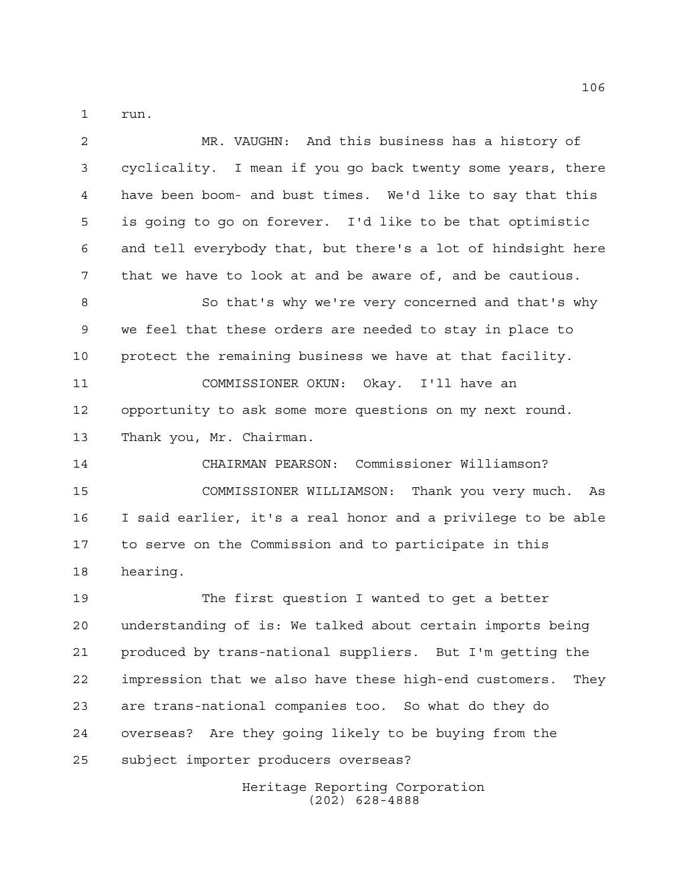run.

| $\overline{2}$ | MR. VAUGHN: And this business has a history of                 |
|----------------|----------------------------------------------------------------|
| 3              | cyclicality. I mean if you go back twenty some years, there    |
| 4              | have been boom- and bust times. We'd like to say that this     |
| 5              | is going to go on forever. I'd like to be that optimistic      |
| 6              | and tell everybody that, but there's a lot of hindsight here   |
| 7              | that we have to look at and be aware of, and be cautious.      |
| 8              | So that's why we're very concerned and that's why              |
| 9              | we feel that these orders are needed to stay in place to       |
| 10             | protect the remaining business we have at that facility.       |
| 11             | COMMISSIONER OKUN: Okay. I'll have an                          |
| 12             | opportunity to ask some more questions on my next round.       |
| 13             | Thank you, Mr. Chairman.                                       |
| 14             | CHAIRMAN PEARSON: Commissioner Williamson?                     |
| 15             | COMMISSIONER WILLIAMSON: Thank you very much.<br>As            |
| 16             | I said earlier, it's a real honor and a privilege to be able   |
| 17             | to serve on the Commission and to participate in this          |
| 18             | hearing.                                                       |
| 19             | The first question I wanted to get a better                    |
| 20             | understanding of is: We talked about certain imports being     |
| 21             | produced by trans-national suppliers. But I'm getting the      |
| 22             | impression that we also have these high-end customers.<br>They |
| 23             | are trans-national companies too. So what do they do           |
| 24             | overseas? Are they going likely to be buying from the          |
| 25             | subject importer producers overseas?                           |
|                | $\frac{1}{2}$ toge Depenting Companish                         |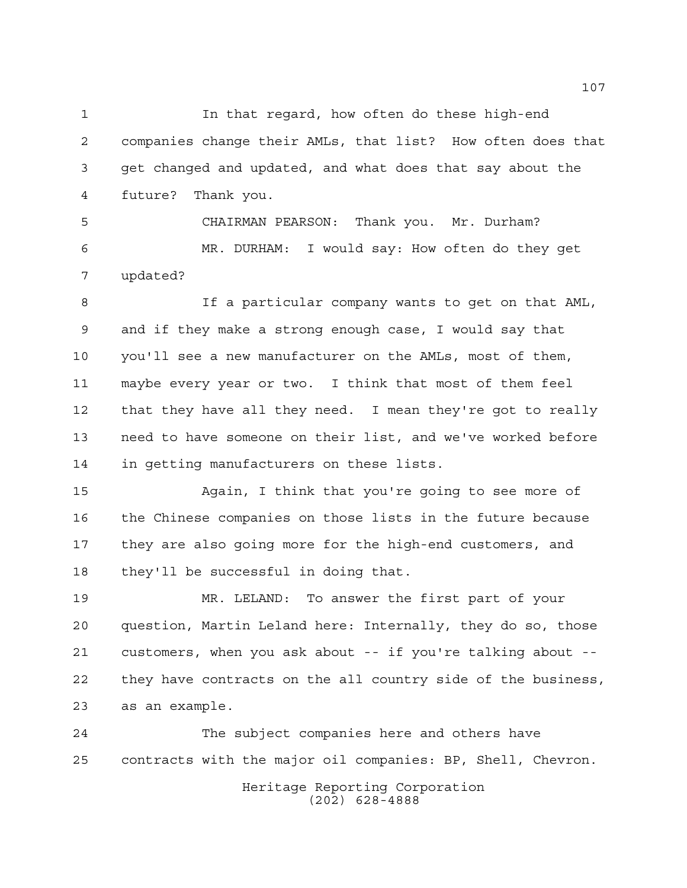In that regard, how often do these high-end companies change their AMLs, that list? How often does that get changed and updated, and what does that say about the future? Thank you.

 CHAIRMAN PEARSON: Thank you. Mr. Durham? MR. DURHAM: I would say: How often do they get updated?

 If a particular company wants to get on that AML, and if they make a strong enough case, I would say that you'll see a new manufacturer on the AMLs, most of them, maybe every year or two. I think that most of them feel that they have all they need. I mean they're got to really need to have someone on their list, and we've worked before in getting manufacturers on these lists.

 Again, I think that you're going to see more of the Chinese companies on those lists in the future because they are also going more for the high-end customers, and they'll be successful in doing that.

 MR. LELAND: To answer the first part of your question, Martin Leland here: Internally, they do so, those customers, when you ask about -- if you're talking about -- they have contracts on the all country side of the business, as an example.

 The subject companies here and others have contracts with the major oil companies: BP, Shell, Chevron.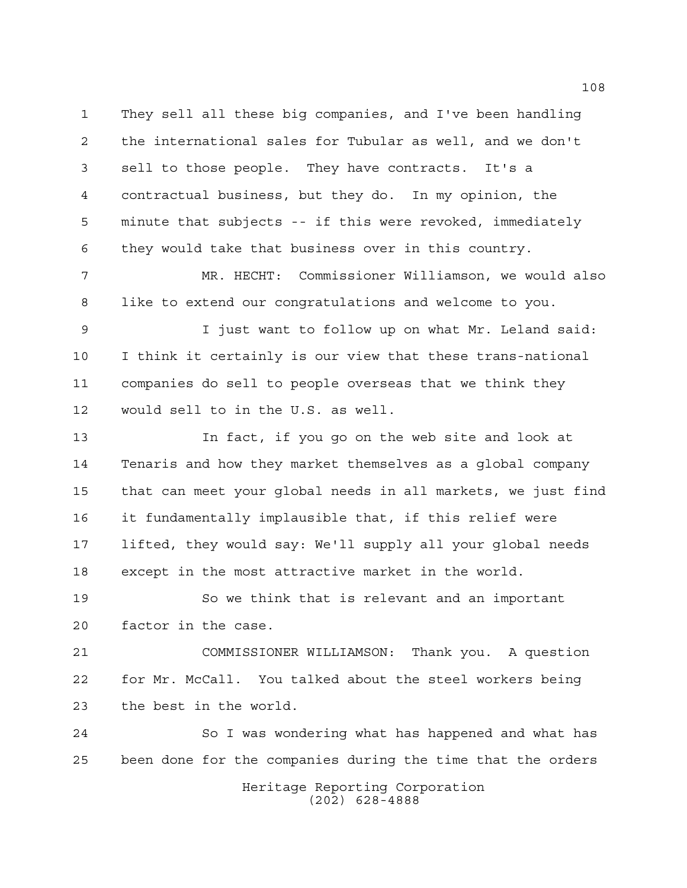They sell all these big companies, and I've been handling the international sales for Tubular as well, and we don't sell to those people. They have contracts. It's a contractual business, but they do. In my opinion, the minute that subjects -- if this were revoked, immediately they would take that business over in this country.

 MR. HECHT: Commissioner Williamson, we would also like to extend our congratulations and welcome to you.

 I just want to follow up on what Mr. Leland said: I think it certainly is our view that these trans-national companies do sell to people overseas that we think they would sell to in the U.S. as well.

 In fact, if you go on the web site and look at Tenaris and how they market themselves as a global company that can meet your global needs in all markets, we just find it fundamentally implausible that, if this relief were lifted, they would say: We'll supply all your global needs except in the most attractive market in the world.

 So we think that is relevant and an important factor in the case.

 COMMISSIONER WILLIAMSON: Thank you. A question for Mr. McCall. You talked about the steel workers being the best in the world.

 So I was wondering what has happened and what has been done for the companies during the time that the orders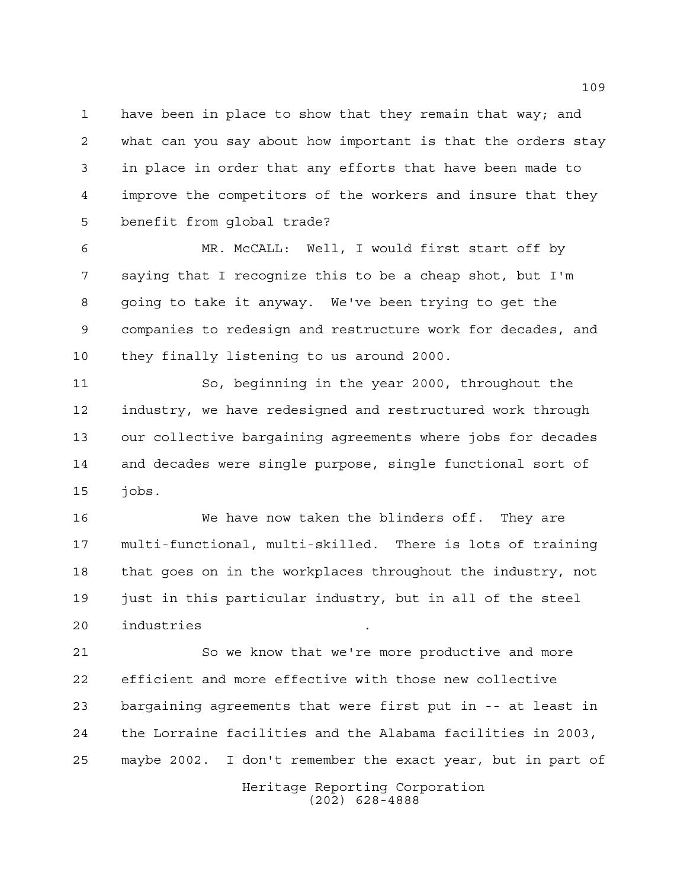have been in place to show that they remain that way; and what can you say about how important is that the orders stay in place in order that any efforts that have been made to improve the competitors of the workers and insure that they benefit from global trade?

 MR. McCALL: Well, I would first start off by saying that I recognize this to be a cheap shot, but I'm going to take it anyway. We've been trying to get the companies to redesign and restructure work for decades, and they finally listening to us around 2000.

 So, beginning in the year 2000, throughout the industry, we have redesigned and restructured work through our collective bargaining agreements where jobs for decades and decades were single purpose, single functional sort of jobs.

 We have now taken the blinders off. They are multi-functional, multi-skilled. There is lots of training that goes on in the workplaces throughout the industry, not just in this particular industry, but in all of the steel industries .

 So we know that we're more productive and more efficient and more effective with those new collective bargaining agreements that were first put in -- at least in the Lorraine facilities and the Alabama facilities in 2003, maybe 2002. I don't remember the exact year, but in part of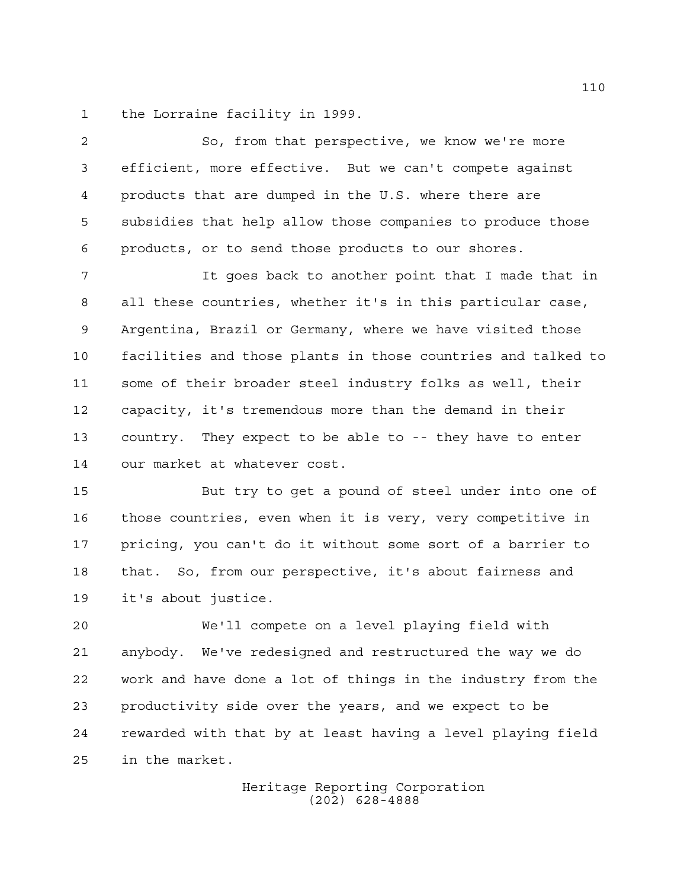the Lorraine facility in 1999.

 So, from that perspective, we know we're more efficient, more effective. But we can't compete against products that are dumped in the U.S. where there are subsidies that help allow those companies to produce those products, or to send those products to our shores.

 It goes back to another point that I made that in all these countries, whether it's in this particular case, Argentina, Brazil or Germany, where we have visited those facilities and those plants in those countries and talked to some of their broader steel industry folks as well, their capacity, it's tremendous more than the demand in their country. They expect to be able to -- they have to enter our market at whatever cost.

 But try to get a pound of steel under into one of those countries, even when it is very, very competitive in pricing, you can't do it without some sort of a barrier to that. So, from our perspective, it's about fairness and it's about justice.

 We'll compete on a level playing field with anybody. We've redesigned and restructured the way we do work and have done a lot of things in the industry from the productivity side over the years, and we expect to be rewarded with that by at least having a level playing field in the market.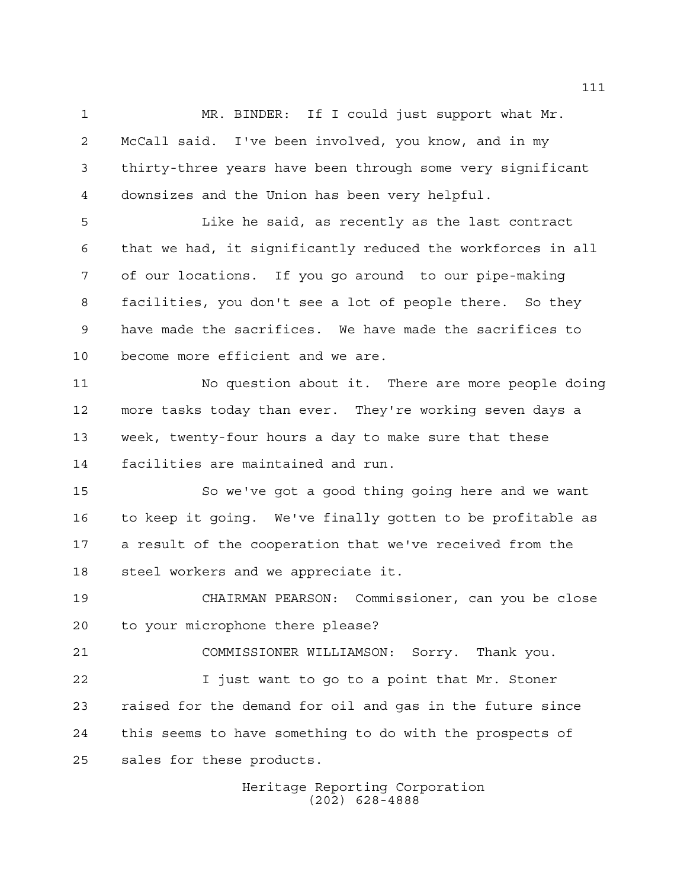MR. BINDER: If I could just support what Mr. McCall said. I've been involved, you know, and in my thirty-three years have been through some very significant downsizes and the Union has been very helpful.

 Like he said, as recently as the last contract that we had, it significantly reduced the workforces in all of our locations. If you go around to our pipe-making facilities, you don't see a lot of people there. So they have made the sacrifices. We have made the sacrifices to become more efficient and we are.

 No question about it. There are more people doing more tasks today than ever. They're working seven days a week, twenty-four hours a day to make sure that these facilities are maintained and run.

 So we've got a good thing going here and we want to keep it going. We've finally gotten to be profitable as a result of the cooperation that we've received from the steel workers and we appreciate it.

 CHAIRMAN PEARSON: Commissioner, can you be close to your microphone there please?

 COMMISSIONER WILLIAMSON: Sorry. Thank you. I just want to go to a point that Mr. Stoner raised for the demand for oil and gas in the future since this seems to have something to do with the prospects of sales for these products.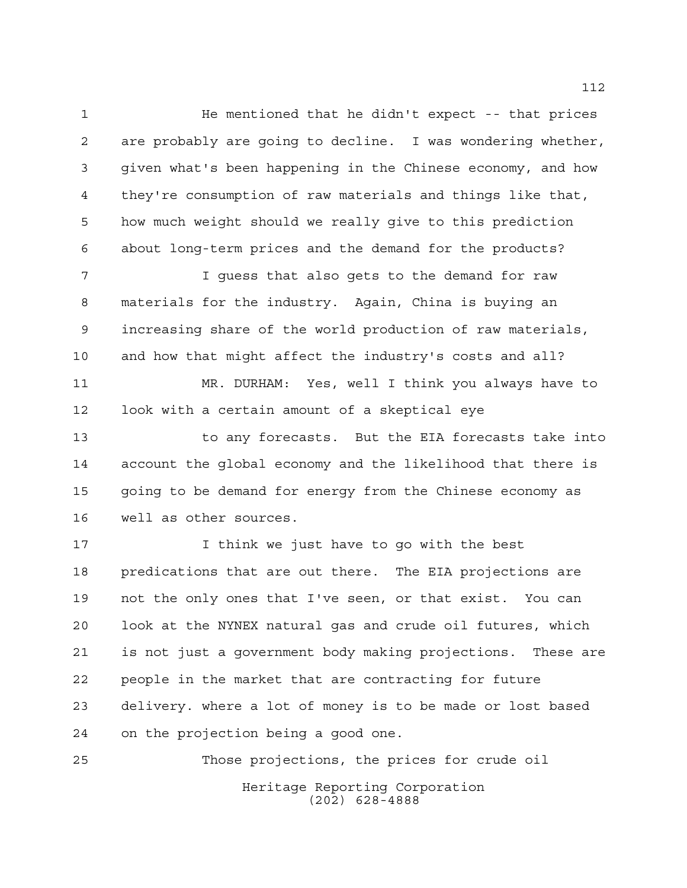1 He mentioned that he didn't expect -- that prices are probably are going to decline. I was wondering whether, given what's been happening in the Chinese economy, and how they're consumption of raw materials and things like that, how much weight should we really give to this prediction about long-term prices and the demand for the products?

 I guess that also gets to the demand for raw materials for the industry. Again, China is buying an increasing share of the world production of raw materials, and how that might affect the industry's costs and all?

 MR. DURHAM: Yes, well I think you always have to look with a certain amount of a skeptical eye

13 to any forecasts. But the EIA forecasts take into account the global economy and the likelihood that there is going to be demand for energy from the Chinese economy as well as other sources.

 I think we just have to go with the best predications that are out there. The EIA projections are not the only ones that I've seen, or that exist. You can look at the NYNEX natural gas and crude oil futures, which is not just a government body making projections. These are people in the market that are contracting for future delivery. where a lot of money is to be made or lost based on the projection being a good one.

Heritage Reporting Corporation (202) 628-4888 Those projections, the prices for crude oil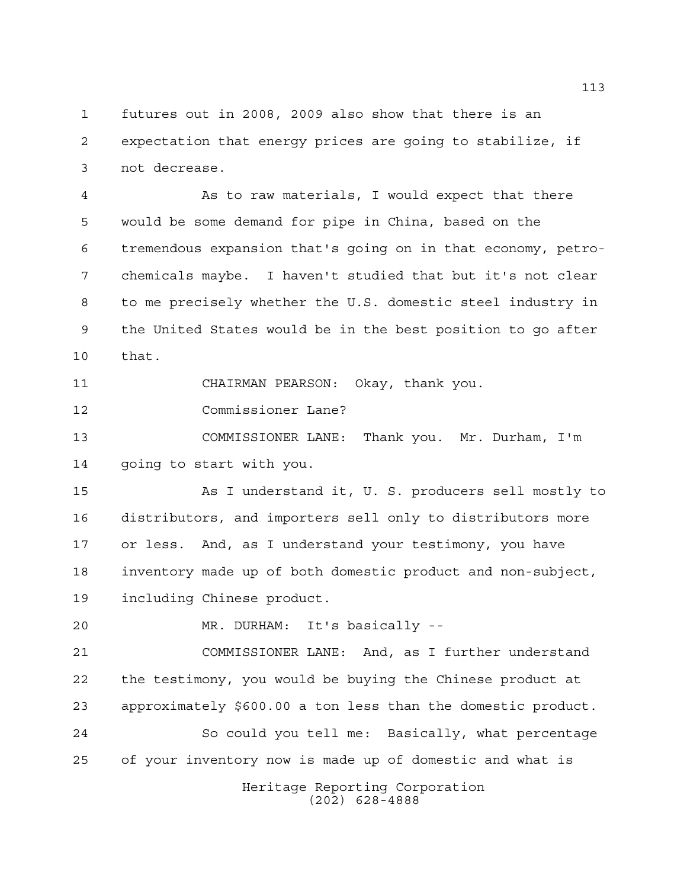futures out in 2008, 2009 also show that there is an expectation that energy prices are going to stabilize, if not decrease.

 As to raw materials, I would expect that there would be some demand for pipe in China, based on the tremendous expansion that's going on in that economy, petro- chemicals maybe. I haven't studied that but it's not clear to me precisely whether the U.S. domestic steel industry in the United States would be in the best position to go after that.

CHAIRMAN PEARSON: Okay, thank you.

Commissioner Lane?

 COMMISSIONER LANE: Thank you. Mr. Durham, I'm going to start with you.

 As I understand it, U. S. producers sell mostly to distributors, and importers sell only to distributors more or less. And, as I understand your testimony, you have inventory made up of both domestic product and non-subject, including Chinese product.

MR. DURHAM: It's basically --

 COMMISSIONER LANE: And, as I further understand the testimony, you would be buying the Chinese product at approximately \$600.00 a ton less than the domestic product.

 So could you tell me: Basically, what percentage of your inventory now is made up of domestic and what is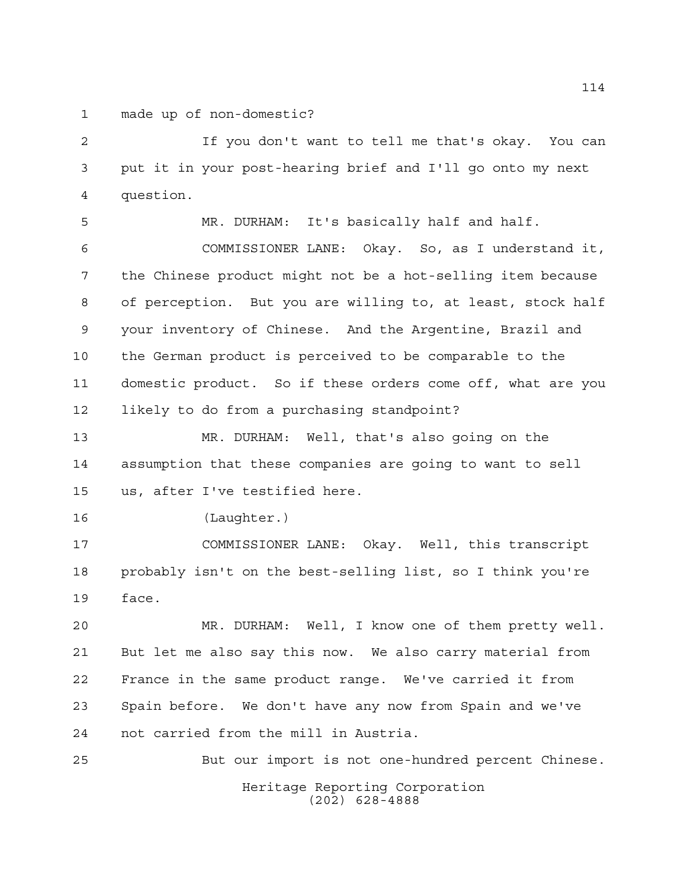made up of non-domestic?

 If you don't want to tell me that's okay. You can put it in your post-hearing brief and I'll go onto my next question.

 MR. DURHAM: It's basically half and half. COMMISSIONER LANE: Okay. So, as I understand it, the Chinese product might not be a hot-selling item because of perception. But you are willing to, at least, stock half your inventory of Chinese. And the Argentine, Brazil and the German product is perceived to be comparable to the domestic product. So if these orders come off, what are you likely to do from a purchasing standpoint?

 MR. DURHAM: Well, that's also going on the assumption that these companies are going to want to sell us, after I've testified here.

(Laughter.)

 COMMISSIONER LANE: Okay. Well, this transcript probably isn't on the best-selling list, so I think you're face.

 MR. DURHAM: Well, I know one of them pretty well. But let me also say this now. We also carry material from France in the same product range. We've carried it from Spain before. We don't have any now from Spain and we've not carried from the mill in Austria.

Heritage Reporting Corporation (202) 628-4888 But our import is not one-hundred percent Chinese.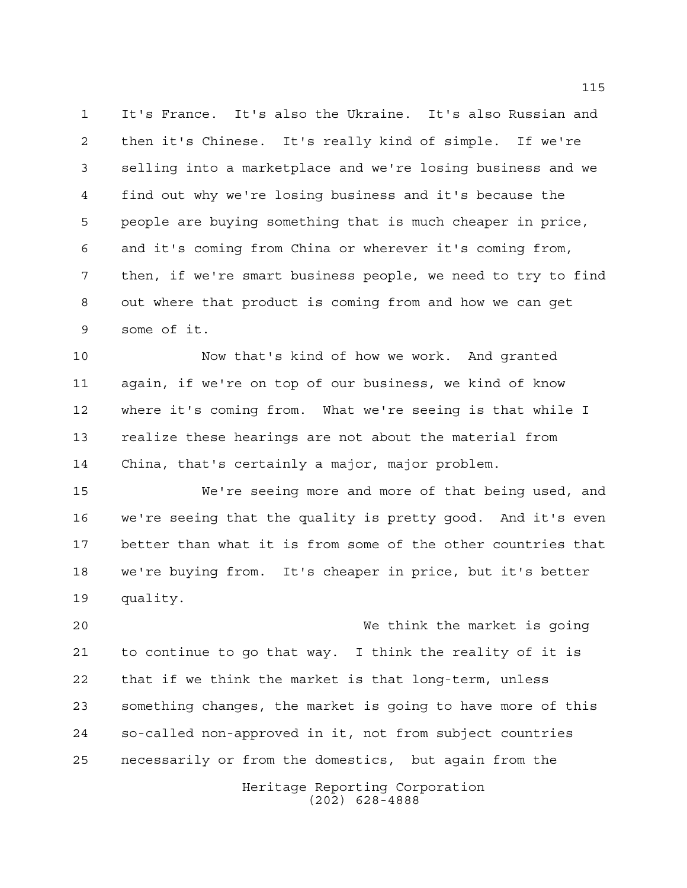It's France. It's also the Ukraine. It's also Russian and then it's Chinese. It's really kind of simple. If we're selling into a marketplace and we're losing business and we find out why we're losing business and it's because the people are buying something that is much cheaper in price, and it's coming from China or wherever it's coming from, then, if we're smart business people, we need to try to find out where that product is coming from and how we can get some of it.

 Now that's kind of how we work. And granted again, if we're on top of our business, we kind of know where it's coming from. What we're seeing is that while I realize these hearings are not about the material from China, that's certainly a major, major problem.

 We're seeing more and more of that being used, and we're seeing that the quality is pretty good. And it's even better than what it is from some of the other countries that we're buying from. It's cheaper in price, but it's better quality.

 We think the market is going to continue to go that way. I think the reality of it is that if we think the market is that long-term, unless something changes, the market is going to have more of this so-called non-approved in it, not from subject countries necessarily or from the domestics, but again from the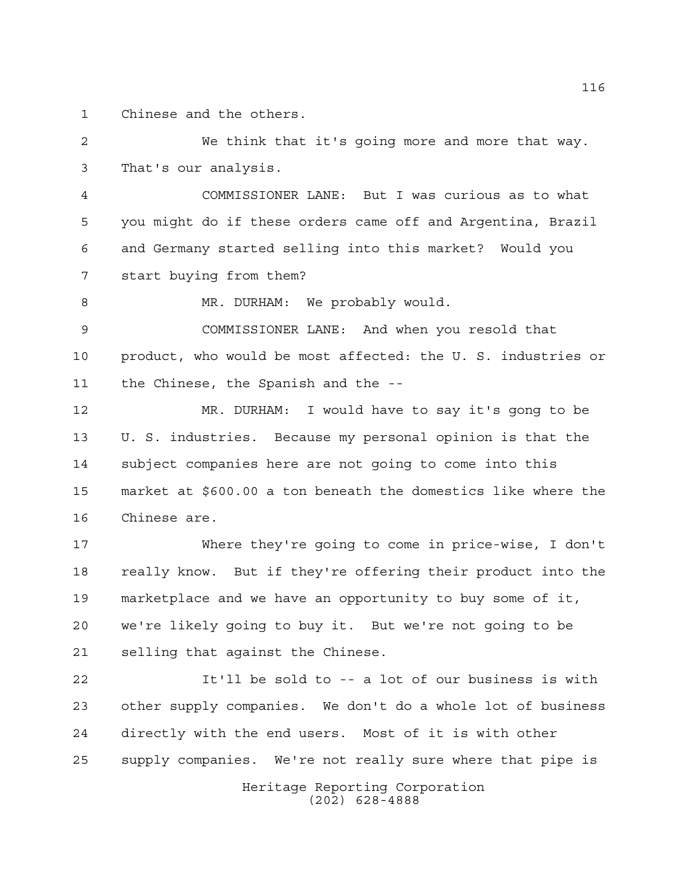Chinese and the others.

 We think that it's going more and more that way. That's our analysis.

 COMMISSIONER LANE: But I was curious as to what you might do if these orders came off and Argentina, Brazil and Germany started selling into this market? Would you start buying from them?

8 MR. DURHAM: We probably would.

 COMMISSIONER LANE: And when you resold that product, who would be most affected: the U. S. industries or the Chinese, the Spanish and the --

 MR. DURHAM: I would have to say it's gong to be U. S. industries. Because my personal opinion is that the subject companies here are not going to come into this market at \$600.00 a ton beneath the domestics like where the Chinese are.

 Where they're going to come in price-wise, I don't really know. But if they're offering their product into the marketplace and we have an opportunity to buy some of it, we're likely going to buy it. But we're not going to be selling that against the Chinese.

 It'll be sold to -- a lot of our business is with other supply companies. We don't do a whole lot of business directly with the end users. Most of it is with other supply companies. We're not really sure where that pipe is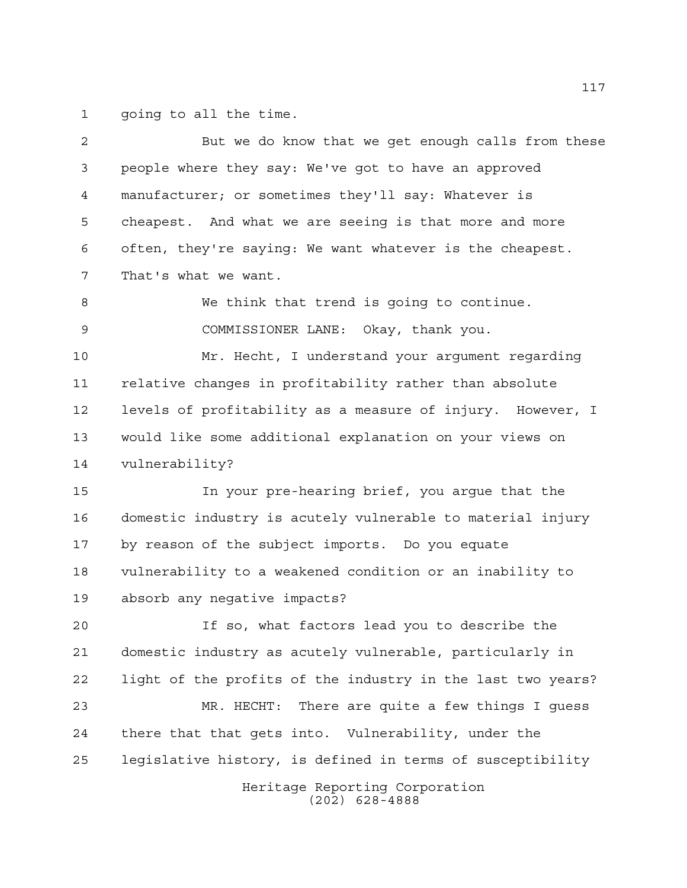going to all the time.

| 2  | But we do know that we get enough calls from these          |
|----|-------------------------------------------------------------|
| 3  | people where they say: We've got to have an approved        |
| 4  | manufacturer; or sometimes they'll say: Whatever is         |
| 5  | cheapest. And what we are seeing is that more and more      |
| 6  | often, they're saying: We want whatever is the cheapest.    |
| 7  | That's what we want.                                        |
| 8  | We think that trend is going to continue.                   |
| 9  | COMMISSIONER LANE: Okay, thank you.                         |
| 10 | Mr. Hecht, I understand your argument regarding             |
| 11 | relative changes in profitability rather than absolute      |
| 12 | levels of profitability as a measure of injury. However, I  |
| 13 | would like some additional explanation on your views on     |
| 14 | vulnerability?                                              |
| 15 | In your pre-hearing brief, you argue that the               |
| 16 | domestic industry is acutely vulnerable to material injury  |
| 17 | by reason of the subject imports. Do you equate             |
| 18 | vulnerability to a weakened condition or an inability to    |
| 19 | absorb any negative impacts?                                |
| 20 | If so, what factors lead you to describe the                |
| 21 | domestic industry as acutely vulnerable, particularly in    |
| 22 | light of the profits of the industry in the last two years? |
| 23 | MR. HECHT: There are quite a few things I guess             |
| 24 | there that that gets into. Vulnerability, under the         |
| 25 | legislative history, is defined in terms of susceptibility  |
|    | Heritage Reporting Corporation<br>$(202)$ 628-4888          |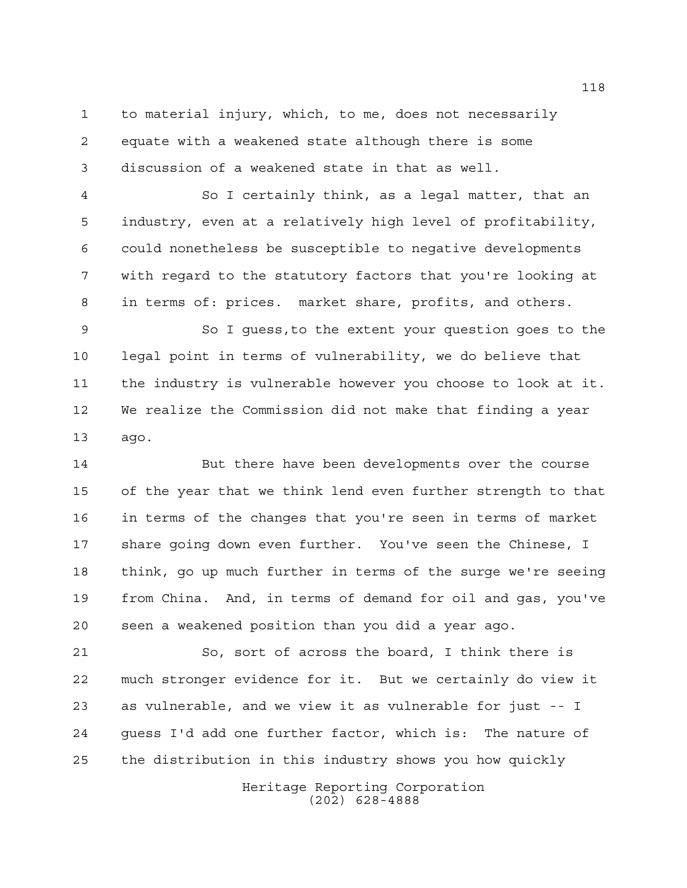to material injury, which, to me, does not necessarily equate with a weakened state although there is some discussion of a weakened state in that as well.

 So I certainly think, as a legal matter, that an industry, even at a relatively high level of profitability, could nonetheless be susceptible to negative developments with regard to the statutory factors that you're looking at in terms of: prices. market share, profits, and others.

 So I guess,to the extent your question goes to the legal point in terms of vulnerability, we do believe that the industry is vulnerable however you choose to look at it. We realize the Commission did not make that finding a year ago.

 But there have been developments over the course of the year that we think lend even further strength to that in terms of the changes that you're seen in terms of market share going down even further. You've seen the Chinese, I think, go up much further in terms of the surge we're seeing from China. And, in terms of demand for oil and gas, you've seen a weakened position than you did a year ago.

 So, sort of across the board, I think there is much stronger evidence for it. But we certainly do view it as vulnerable, and we view it as vulnerable for just -- I guess I'd add one further factor, which is: The nature of the distribution in this industry shows you how quickly

> Heritage Reporting Corporation (202) 628-4888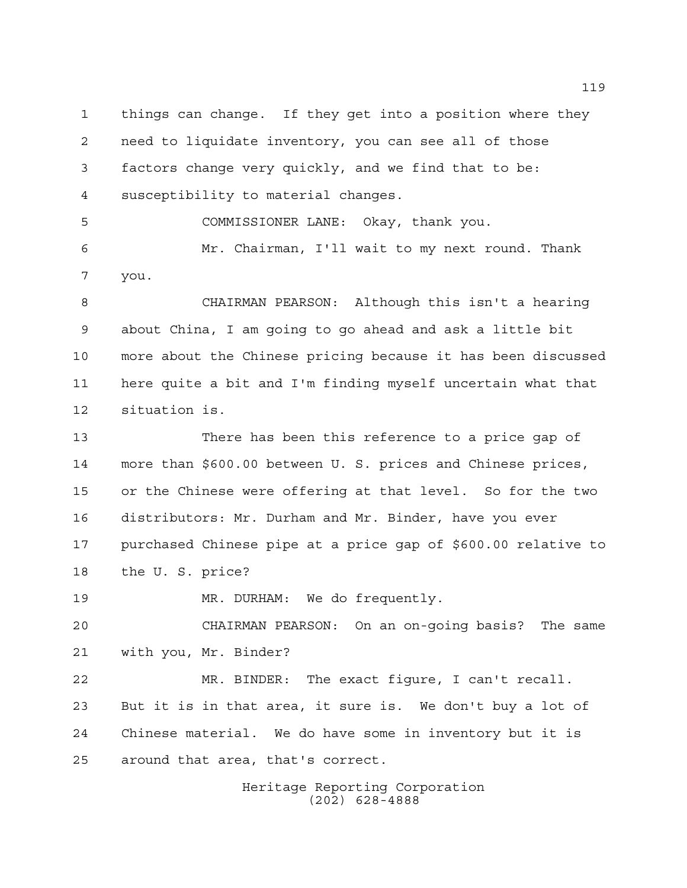things can change. If they get into a position where they need to liquidate inventory, you can see all of those factors change very quickly, and we find that to be: susceptibility to material changes. COMMISSIONER LANE: Okay, thank you. Mr. Chairman, I'll wait to my next round. Thank you. CHAIRMAN PEARSON: Although this isn't a hearing about China, I am going to go ahead and ask a little bit more about the Chinese pricing because it has been discussed here quite a bit and I'm finding myself uncertain what that situation is. There has been this reference to a price gap of more than \$600.00 between U. S. prices and Chinese prices, or the Chinese were offering at that level. So for the two distributors: Mr. Durham and Mr. Binder, have you ever purchased Chinese pipe at a price gap of \$600.00 relative to the U. S. price? MR. DURHAM: We do frequently. CHAIRMAN PEARSON: On an on-going basis? The same with you, Mr. Binder? MR. BINDER: The exact figure, I can't recall.

 But it is in that area, it sure is. We don't buy a lot of Chinese material. We do have some in inventory but it is around that area, that's correct.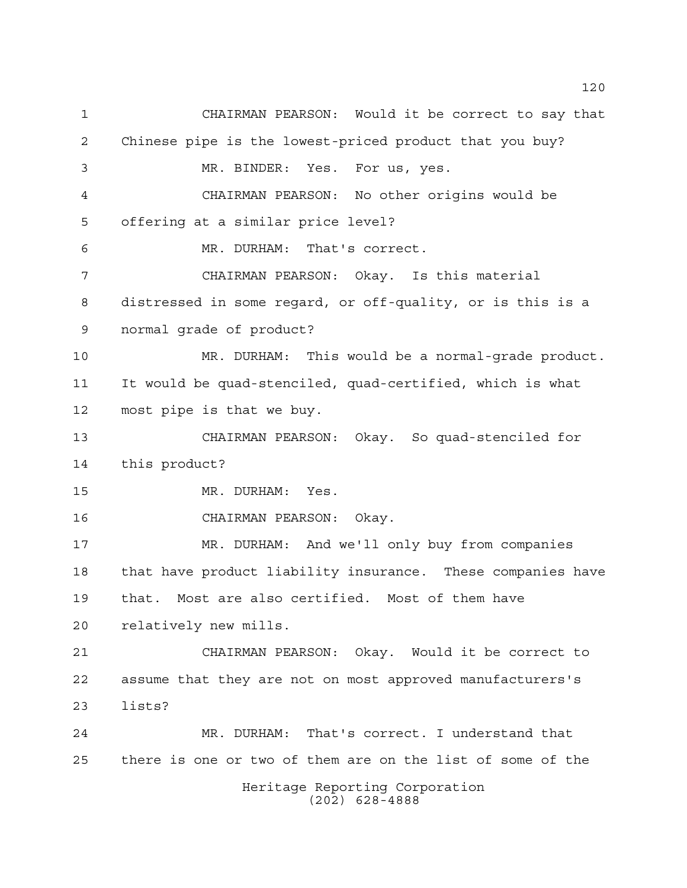Heritage Reporting Corporation (202) 628-4888 CHAIRMAN PEARSON: Would it be correct to say that Chinese pipe is the lowest-priced product that you buy? MR. BINDER: Yes. For us, yes. CHAIRMAN PEARSON: No other origins would be offering at a similar price level? MR. DURHAM: That's correct. CHAIRMAN PEARSON: Okay. Is this material distressed in some regard, or off-quality, or is this is a normal grade of product? MR. DURHAM: This would be a normal-grade product. It would be quad-stenciled, quad-certified, which is what most pipe is that we buy. CHAIRMAN PEARSON: Okay. So quad-stenciled for this product? MR. DURHAM: Yes. CHAIRMAN PEARSON: Okay. MR. DURHAM: And we'll only buy from companies that have product liability insurance. These companies have that. Most are also certified. Most of them have relatively new mills. CHAIRMAN PEARSON: Okay. Would it be correct to assume that they are not on most approved manufacturers's lists? MR. DURHAM: That's correct. I understand that there is one or two of them are on the list of some of the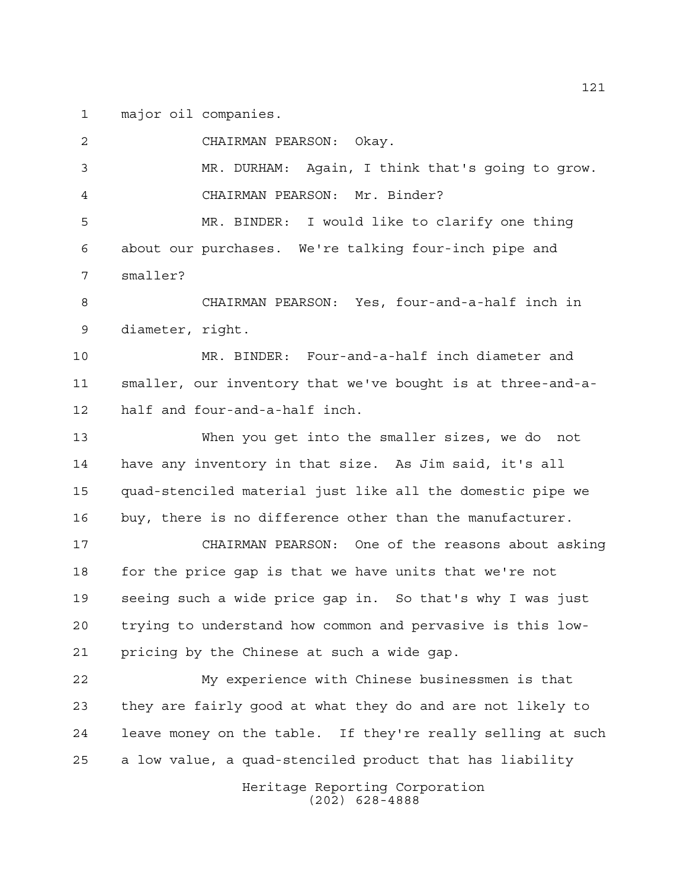major oil companies.

 CHAIRMAN PEARSON: Okay. MR. DURHAM: Again, I think that's going to grow. CHAIRMAN PEARSON: Mr. Binder? MR. BINDER: I would like to clarify one thing about our purchases. We're talking four-inch pipe and smaller? CHAIRMAN PEARSON: Yes, four-and-a-half inch in diameter, right. MR. BINDER: Four-and-a-half inch diameter and

 smaller, our inventory that we've bought is at three-and-a-half and four-and-a-half inch.

 When you get into the smaller sizes, we do not have any inventory in that size. As Jim said, it's all quad-stenciled material just like all the domestic pipe we buy, there is no difference other than the manufacturer.

 CHAIRMAN PEARSON: One of the reasons about asking for the price gap is that we have units that we're not seeing such a wide price gap in. So that's why I was just trying to understand how common and pervasive is this low-pricing by the Chinese at such a wide gap.

 My experience with Chinese businessmen is that they are fairly good at what they do and are not likely to leave money on the table. If they're really selling at such a low value, a quad-stenciled product that has liability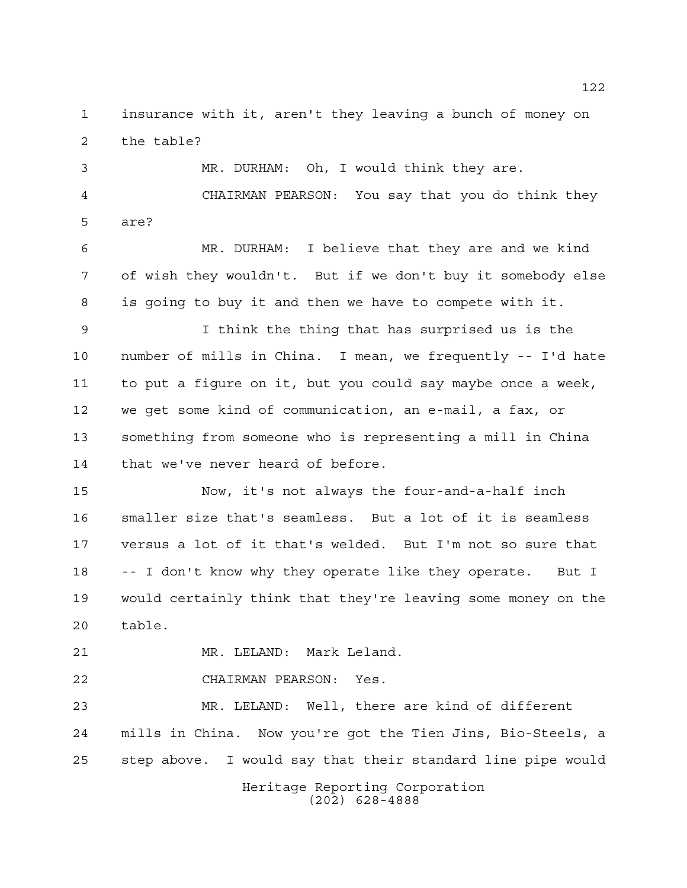insurance with it, aren't they leaving a bunch of money on the table?

 MR. DURHAM: Oh, I would think they are. CHAIRMAN PEARSON: You say that you do think they are?

 MR. DURHAM: I believe that they are and we kind of wish they wouldn't. But if we don't buy it somebody else is going to buy it and then we have to compete with it.

 I think the thing that has surprised us is the number of mills in China. I mean, we frequently -- I'd hate to put a figure on it, but you could say maybe once a week, we get some kind of communication, an e-mail, a fax, or something from someone who is representing a mill in China that we've never heard of before.

 Now, it's not always the four-and-a-half inch smaller size that's seamless. But a lot of it is seamless versus a lot of it that's welded. But I'm not so sure that -- I don't know why they operate like they operate. But I would certainly think that they're leaving some money on the table.

MR. LELAND: Mark Leland.

CHAIRMAN PEARSON: Yes.

 MR. LELAND: Well, there are kind of different mills in China. Now you're got the Tien Jins, Bio-Steels, a step above. I would say that their standard line pipe would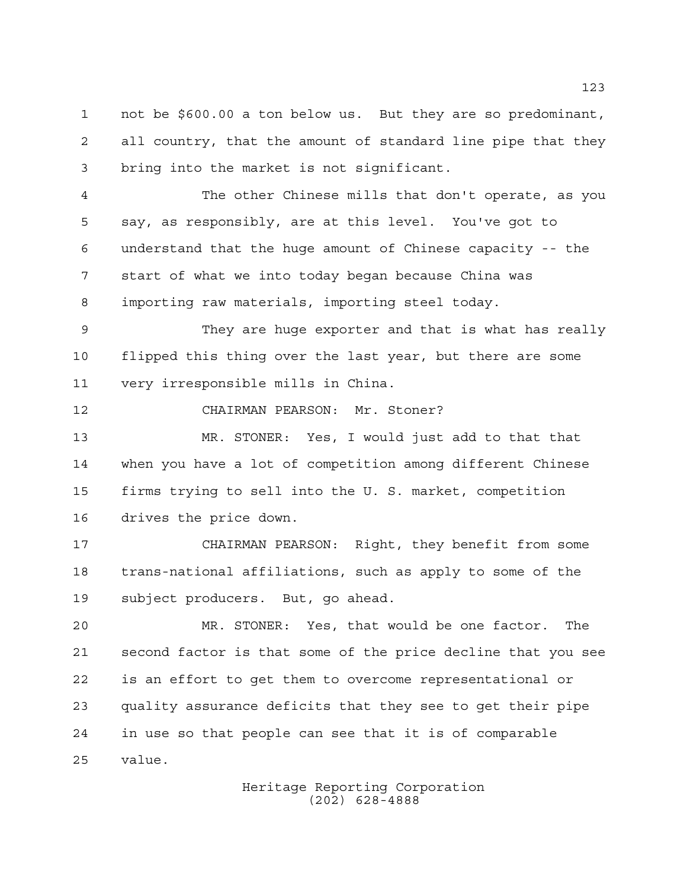not be \$600.00 a ton below us. But they are so predominant, all country, that the amount of standard line pipe that they bring into the market is not significant.

 The other Chinese mills that don't operate, as you say, as responsibly, are at this level. You've got to understand that the huge amount of Chinese capacity -- the start of what we into today began because China was importing raw materials, importing steel today.

 They are huge exporter and that is what has really flipped this thing over the last year, but there are some very irresponsible mills in China.

CHAIRMAN PEARSON: Mr. Stoner?

 MR. STONER: Yes, I would just add to that that when you have a lot of competition among different Chinese firms trying to sell into the U. S. market, competition drives the price down.

 CHAIRMAN PEARSON: Right, they benefit from some trans-national affiliations, such as apply to some of the subject producers. But, go ahead.

 MR. STONER: Yes, that would be one factor. The second factor is that some of the price decline that you see is an effort to get them to overcome representational or quality assurance deficits that they see to get their pipe in use so that people can see that it is of comparable value.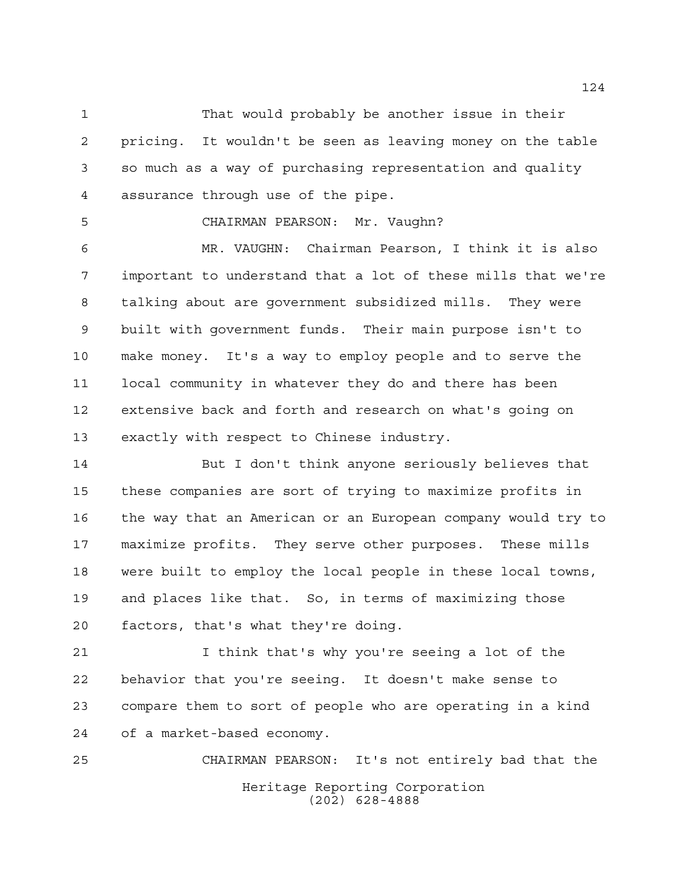That would probably be another issue in their pricing. It wouldn't be seen as leaving money on the table so much as a way of purchasing representation and quality assurance through use of the pipe.

CHAIRMAN PEARSON: Mr. Vaughn?

 MR. VAUGHN: Chairman Pearson, I think it is also important to understand that a lot of these mills that we're talking about are government subsidized mills. They were built with government funds. Their main purpose isn't to make money. It's a way to employ people and to serve the local community in whatever they do and there has been extensive back and forth and research on what's going on exactly with respect to Chinese industry.

 But I don't think anyone seriously believes that these companies are sort of trying to maximize profits in the way that an American or an European company would try to maximize profits. They serve other purposes. These mills were built to employ the local people in these local towns, and places like that. So, in terms of maximizing those factors, that's what they're doing.

 I think that's why you're seeing a lot of the behavior that you're seeing. It doesn't make sense to compare them to sort of people who are operating in a kind of a market-based economy.

Heritage Reporting Corporation (202) 628-4888 CHAIRMAN PEARSON: It's not entirely bad that the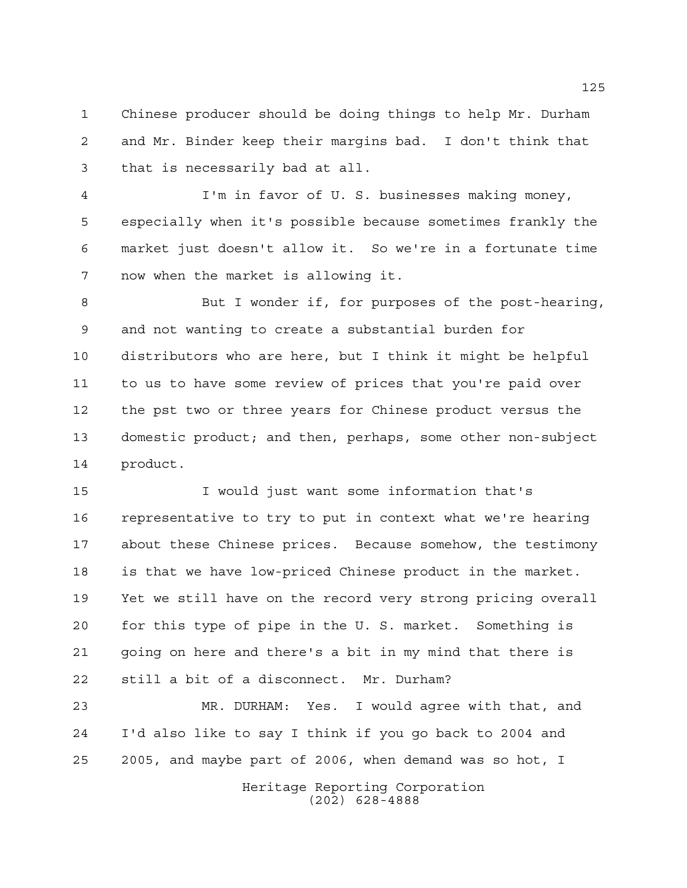Chinese producer should be doing things to help Mr. Durham and Mr. Binder keep their margins bad. I don't think that that is necessarily bad at all.

 I'm in favor of U. S. businesses making money, especially when it's possible because sometimes frankly the market just doesn't allow it. So we're in a fortunate time now when the market is allowing it.

 But I wonder if, for purposes of the post-hearing, and not wanting to create a substantial burden for distributors who are here, but I think it might be helpful to us to have some review of prices that you're paid over the pst two or three years for Chinese product versus the domestic product; and then, perhaps, some other non-subject product.

 I would just want some information that's representative to try to put in context what we're hearing about these Chinese prices. Because somehow, the testimony is that we have low-priced Chinese product in the market. Yet we still have on the record very strong pricing overall for this type of pipe in the U. S. market. Something is going on here and there's a bit in my mind that there is still a bit of a disconnect. Mr. Durham?

 MR. DURHAM: Yes. I would agree with that, and I'd also like to say I think if you go back to 2004 and 2005, and maybe part of 2006, when demand was so hot, I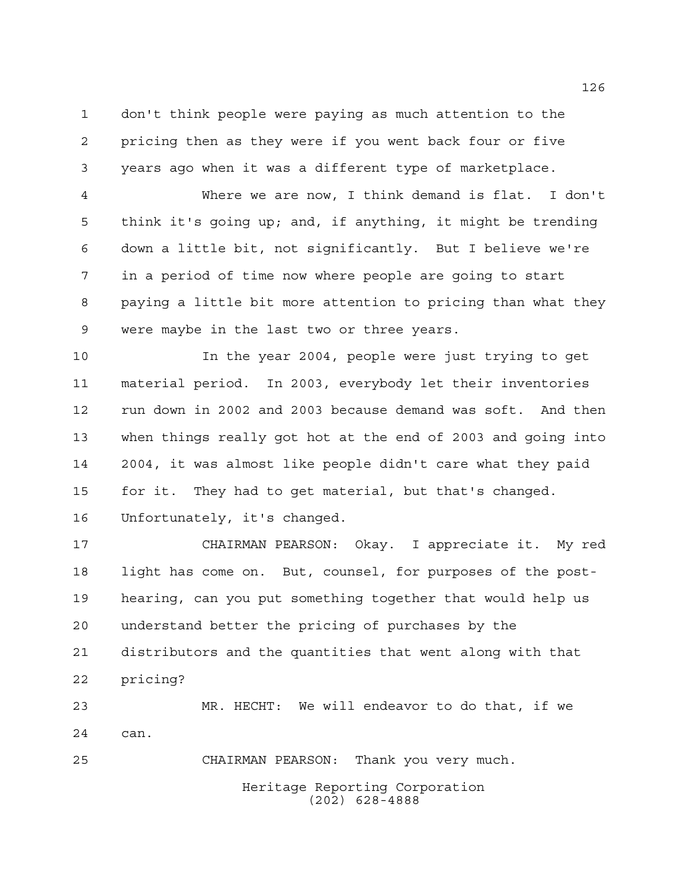don't think people were paying as much attention to the pricing then as they were if you went back four or five years ago when it was a different type of marketplace.

 Where we are now, I think demand is flat. I don't think it's going up; and, if anything, it might be trending down a little bit, not significantly. But I believe we're in a period of time now where people are going to start paying a little bit more attention to pricing than what they were maybe in the last two or three years.

 In the year 2004, people were just trying to get material period. In 2003, everybody let their inventories run down in 2002 and 2003 because demand was soft. And then when things really got hot at the end of 2003 and going into 2004, it was almost like people didn't care what they paid for it. They had to get material, but that's changed. Unfortunately, it's changed.

 CHAIRMAN PEARSON: Okay. I appreciate it. My red light has come on. But, counsel, for purposes of the post- hearing, can you put something together that would help us understand better the pricing of purchases by the distributors and the quantities that went along with that pricing?

 MR. HECHT: We will endeavor to do that, if we can.

CHAIRMAN PEARSON: Thank you very much.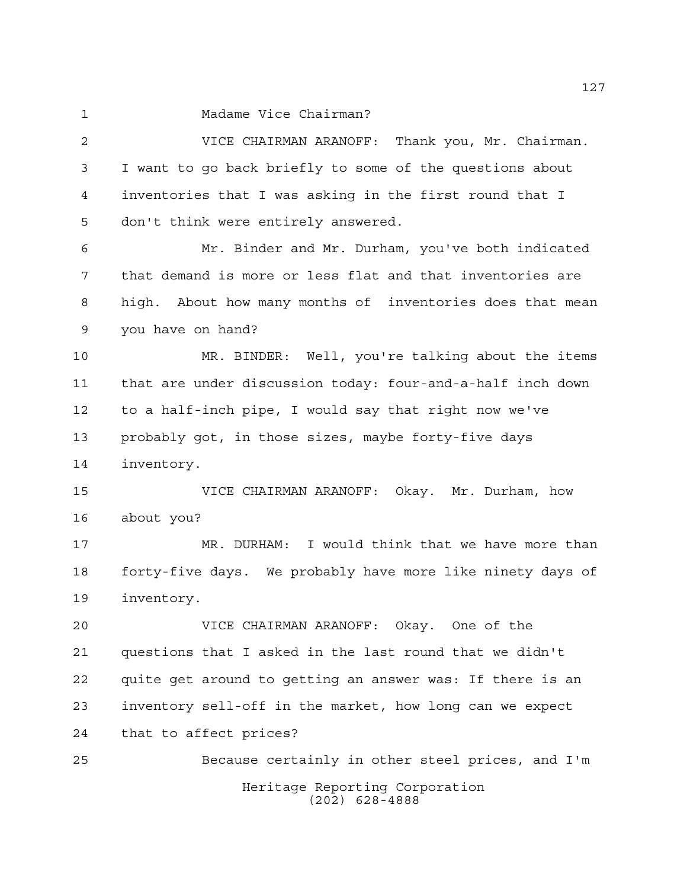Madame Vice Chairman?

Heritage Reporting Corporation (202) 628-4888 VICE CHAIRMAN ARANOFF: Thank you, Mr. Chairman. I want to go back briefly to some of the questions about inventories that I was asking in the first round that I don't think were entirely answered. Mr. Binder and Mr. Durham, you've both indicated that demand is more or less flat and that inventories are high. About how many months of inventories does that mean you have on hand? MR. BINDER: Well, you're talking about the items that are under discussion today: four-and-a-half inch down to a half-inch pipe, I would say that right now we've probably got, in those sizes, maybe forty-five days inventory. VICE CHAIRMAN ARANOFF: Okay. Mr. Durham, how about you? MR. DURHAM: I would think that we have more than forty-five days. We probably have more like ninety days of inventory. VICE CHAIRMAN ARANOFF: Okay. One of the questions that I asked in the last round that we didn't quite get around to getting an answer was: If there is an inventory sell-off in the market, how long can we expect that to affect prices? Because certainly in other steel prices, and I'm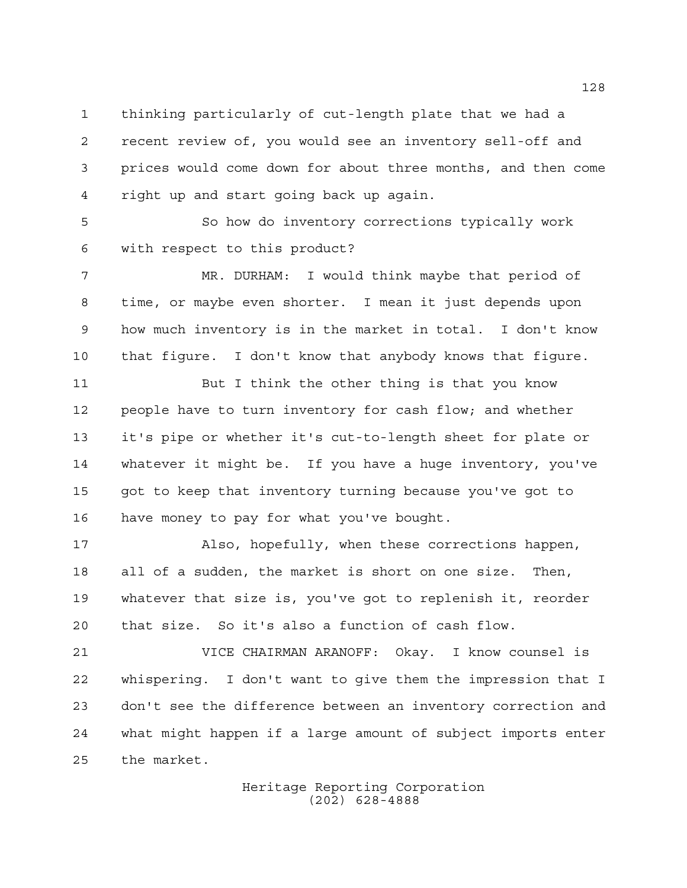thinking particularly of cut-length plate that we had a recent review of, you would see an inventory sell-off and prices would come down for about three months, and then come right up and start going back up again.

 So how do inventory corrections typically work with respect to this product?

 MR. DURHAM: I would think maybe that period of time, or maybe even shorter. I mean it just depends upon how much inventory is in the market in total. I don't know that figure. I don't know that anybody knows that figure.

 But I think the other thing is that you know people have to turn inventory for cash flow; and whether it's pipe or whether it's cut-to-length sheet for plate or whatever it might be. If you have a huge inventory, you've got to keep that inventory turning because you've got to have money to pay for what you've bought.

 Also, hopefully, when these corrections happen, all of a sudden, the market is short on one size. Then, whatever that size is, you've got to replenish it, reorder that size. So it's also a function of cash flow.

 VICE CHAIRMAN ARANOFF: Okay. I know counsel is whispering. I don't want to give them the impression that I don't see the difference between an inventory correction and what might happen if a large amount of subject imports enter the market.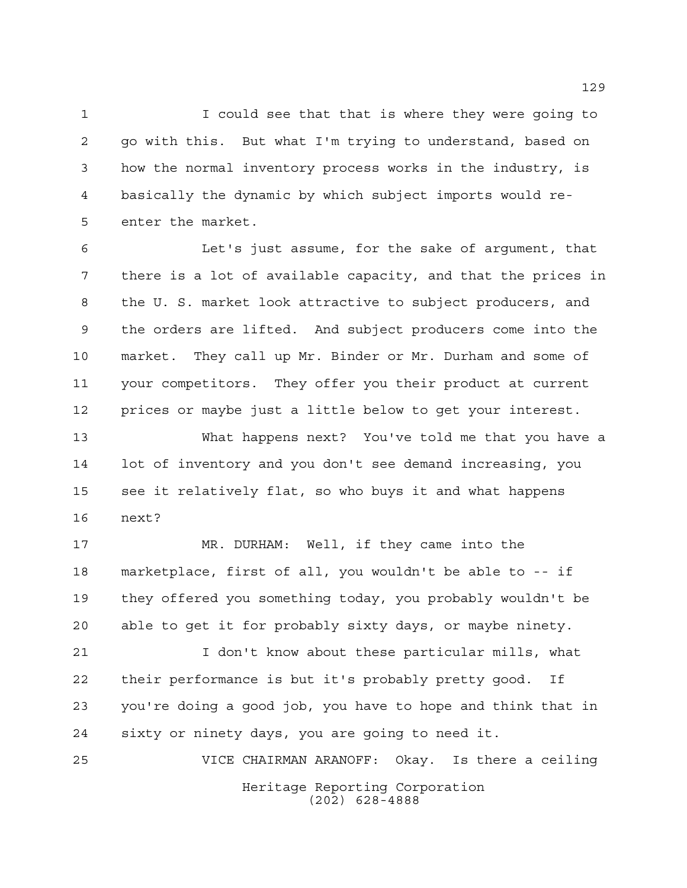I could see that that is where they were going to go with this. But what I'm trying to understand, based on how the normal inventory process works in the industry, is basically the dynamic by which subject imports would re-enter the market.

 Let's just assume, for the sake of argument, that there is a lot of available capacity, and that the prices in the U. S. market look attractive to subject producers, and the orders are lifted. And subject producers come into the market. They call up Mr. Binder or Mr. Durham and some of your competitors. They offer you their product at current prices or maybe just a little below to get your interest.

 What happens next? You've told me that you have a lot of inventory and you don't see demand increasing, you see it relatively flat, so who buys it and what happens next?

 MR. DURHAM: Well, if they came into the marketplace, first of all, you wouldn't be able to -- if they offered you something today, you probably wouldn't be able to get it for probably sixty days, or maybe ninety.

 I don't know about these particular mills, what their performance is but it's probably pretty good. If you're doing a good job, you have to hope and think that in sixty or ninety days, you are going to need it.

Heritage Reporting Corporation (202) 628-4888 VICE CHAIRMAN ARANOFF: Okay. Is there a ceiling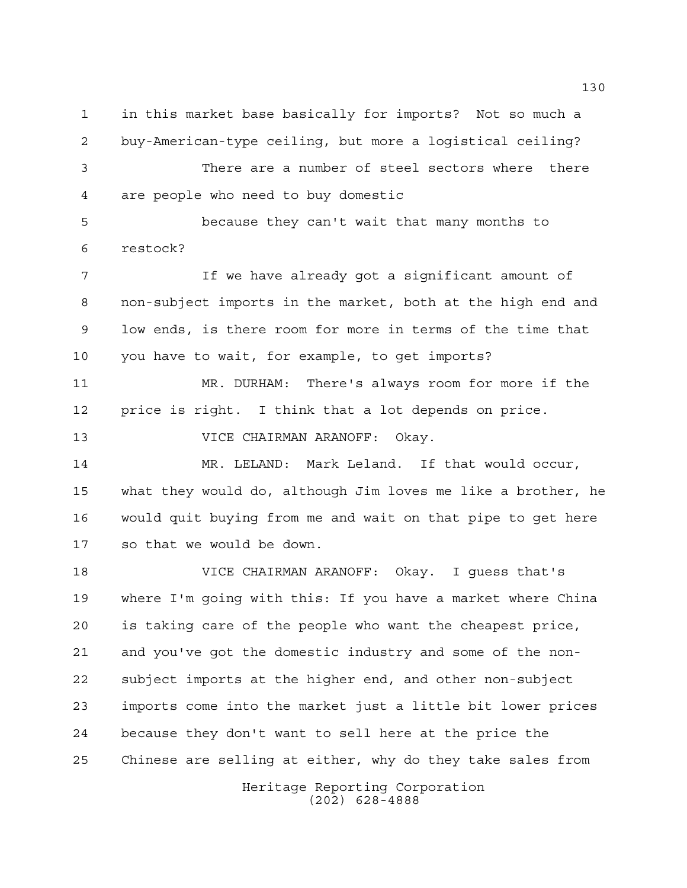in this market base basically for imports? Not so much a buy-American-type ceiling, but more a logistical ceiling?

 There are a number of steel sectors where there are people who need to buy domestic

 because they can't wait that many months to restock?

 If we have already got a significant amount of non-subject imports in the market, both at the high end and low ends, is there room for more in terms of the time that you have to wait, for example, to get imports?

 MR. DURHAM: There's always room for more if the price is right. I think that a lot depends on price.

VICE CHAIRMAN ARANOFF: Okay.

 MR. LELAND: Mark Leland. If that would occur, what they would do, although Jim loves me like a brother, he would quit buying from me and wait on that pipe to get here so that we would be down.

 VICE CHAIRMAN ARANOFF: Okay. I guess that's where I'm going with this: If you have a market where China is taking care of the people who want the cheapest price, and you've got the domestic industry and some of the non- subject imports at the higher end, and other non-subject imports come into the market just a little bit lower prices because they don't want to sell here at the price the Chinese are selling at either, why do they take sales from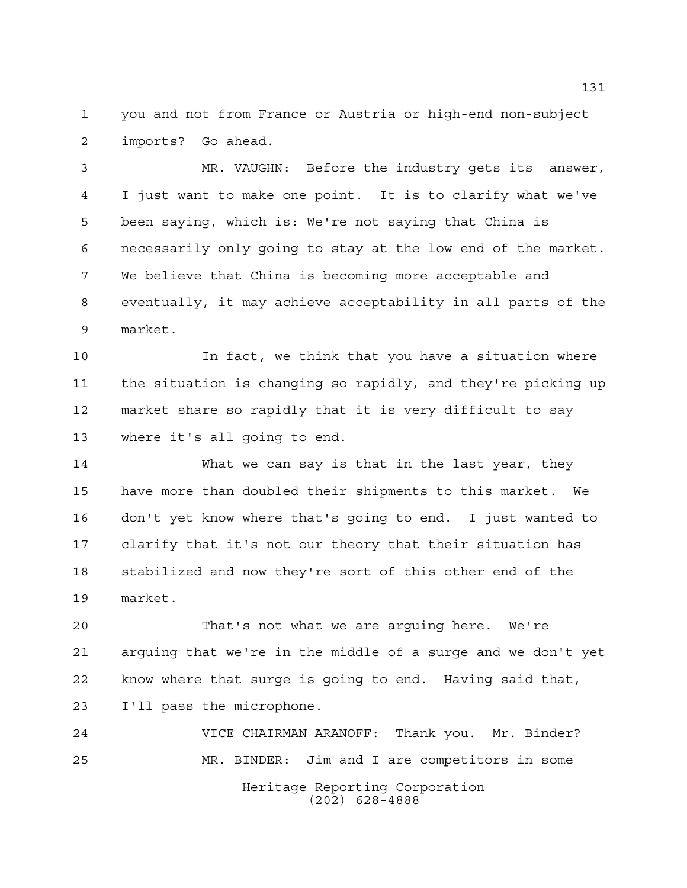you and not from France or Austria or high-end non-subject imports? Go ahead.

 MR. VAUGHN: Before the industry gets its answer, I just want to make one point. It is to clarify what we've been saying, which is: We're not saying that China is necessarily only going to stay at the low end of the market. We believe that China is becoming more acceptable and eventually, it may achieve acceptability in all parts of the market.

 In fact, we think that you have a situation where the situation is changing so rapidly, and they're picking up market share so rapidly that it is very difficult to say where it's all going to end.

 What we can say is that in the last year, they have more than doubled their shipments to this market. We don't yet know where that's going to end. I just wanted to clarify that it's not our theory that their situation has stabilized and now they're sort of this other end of the market.

 That's not what we are arguing here. We're arguing that we're in the middle of a surge and we don't yet know where that surge is going to end. Having said that, I'll pass the microphone.

Heritage Reporting Corporation (202) 628-4888 VICE CHAIRMAN ARANOFF: Thank you. Mr. Binder? MR. BINDER: Jim and I are competitors in some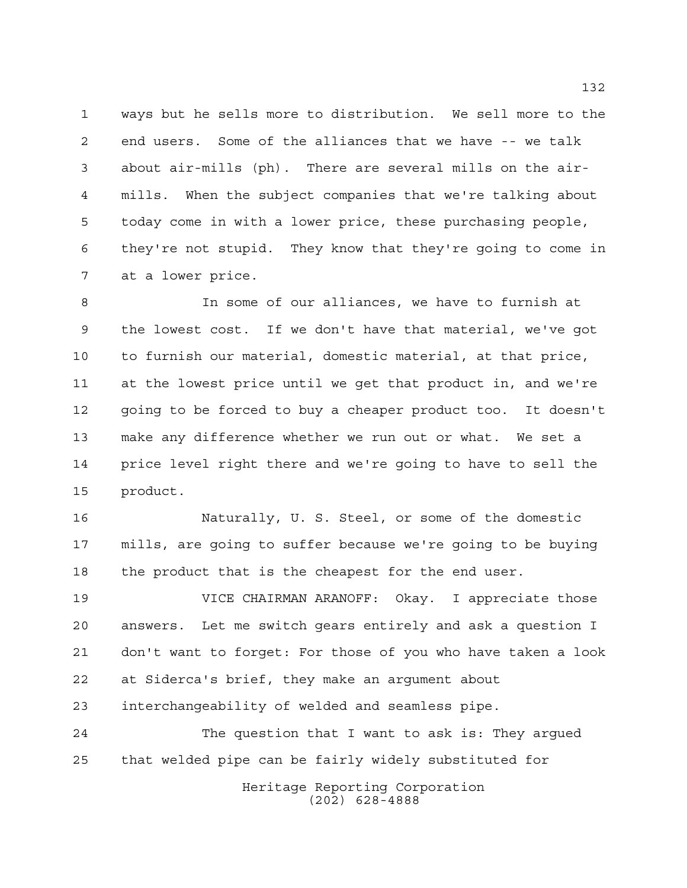ways but he sells more to distribution. We sell more to the end users. Some of the alliances that we have -- we talk about air-mills (ph). There are several mills on the air- mills. When the subject companies that we're talking about today come in with a lower price, these purchasing people, they're not stupid. They know that they're going to come in at a lower price.

 In some of our alliances, we have to furnish at the lowest cost. If we don't have that material, we've got to furnish our material, domestic material, at that price, at the lowest price until we get that product in, and we're going to be forced to buy a cheaper product too. It doesn't make any difference whether we run out or what. We set a price level right there and we're going to have to sell the product.

 Naturally, U. S. Steel, or some of the domestic mills, are going to suffer because we're going to be buying the product that is the cheapest for the end user.

 VICE CHAIRMAN ARANOFF: Okay. I appreciate those answers. Let me switch gears entirely and ask a question I don't want to forget: For those of you who have taken a look at Siderca's brief, they make an argument about interchangeability of welded and seamless pipe.

 The question that I want to ask is: They argued that welded pipe can be fairly widely substituted for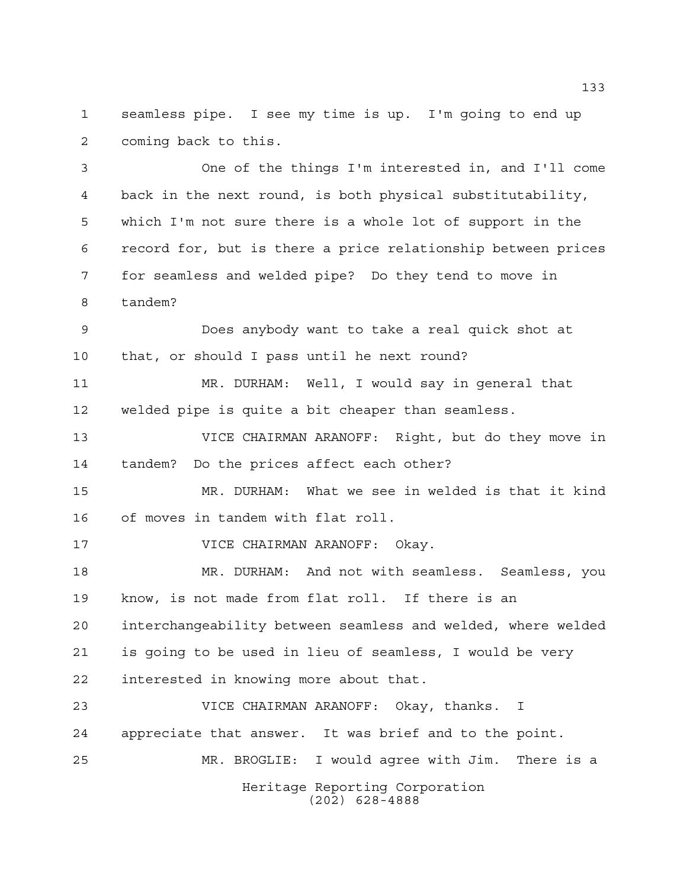seamless pipe. I see my time is up. I'm going to end up coming back to this.

 One of the things I'm interested in, and I'll come back in the next round, is both physical substitutability, which I'm not sure there is a whole lot of support in the record for, but is there a price relationship between prices for seamless and welded pipe? Do they tend to move in tandem?

 Does anybody want to take a real quick shot at that, or should I pass until he next round?

 MR. DURHAM: Well, I would say in general that welded pipe is quite a bit cheaper than seamless.

 VICE CHAIRMAN ARANOFF: Right, but do they move in tandem? Do the prices affect each other?

 MR. DURHAM: What we see in welded is that it kind of moves in tandem with flat roll.

VICE CHAIRMAN ARANOFF: Okay.

 MR. DURHAM: And not with seamless. Seamless, you know, is not made from flat roll. If there is an interchangeability between seamless and welded, where welded is going to be used in lieu of seamless, I would be very

interested in knowing more about that.

Heritage Reporting Corporation (202) 628-4888 VICE CHAIRMAN ARANOFF: Okay, thanks. I appreciate that answer. It was brief and to the point. MR. BROGLIE: I would agree with Jim. There is a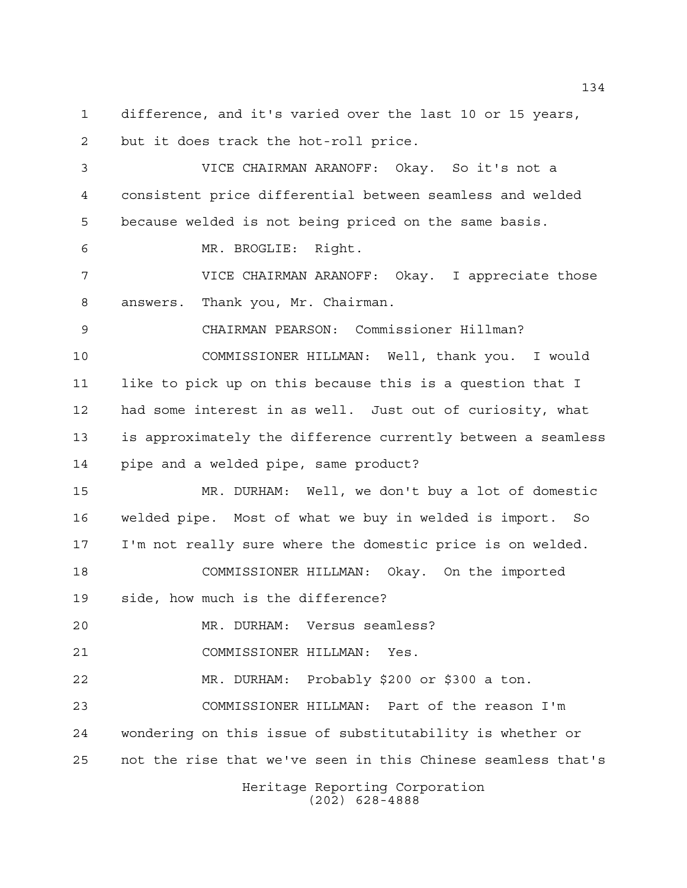difference, and it's varied over the last 10 or 15 years, but it does track the hot-roll price.

 VICE CHAIRMAN ARANOFF: Okay. So it's not a consistent price differential between seamless and welded because welded is not being priced on the same basis.

MR. BROGLIE: Right.

 VICE CHAIRMAN ARANOFF: Okay. I appreciate those answers. Thank you, Mr. Chairman.

 CHAIRMAN PEARSON: Commissioner Hillman? COMMISSIONER HILLMAN: Well, thank you. I would like to pick up on this because this is a question that I had some interest in as well. Just out of curiosity, what is approximately the difference currently between a seamless pipe and a welded pipe, same product?

 MR. DURHAM: Well, we don't buy a lot of domestic welded pipe. Most of what we buy in welded is import. So I'm not really sure where the domestic price is on welded. COMMISSIONER HILLMAN: Okay. On the imported

side, how much is the difference?

MR. DURHAM: Versus seamless?

COMMISSIONER HILLMAN: Yes.

MR. DURHAM: Probably \$200 or \$300 a ton.

 COMMISSIONER HILLMAN: Part of the reason I'm wondering on this issue of substitutability is whether or not the rise that we've seen in this Chinese seamless that's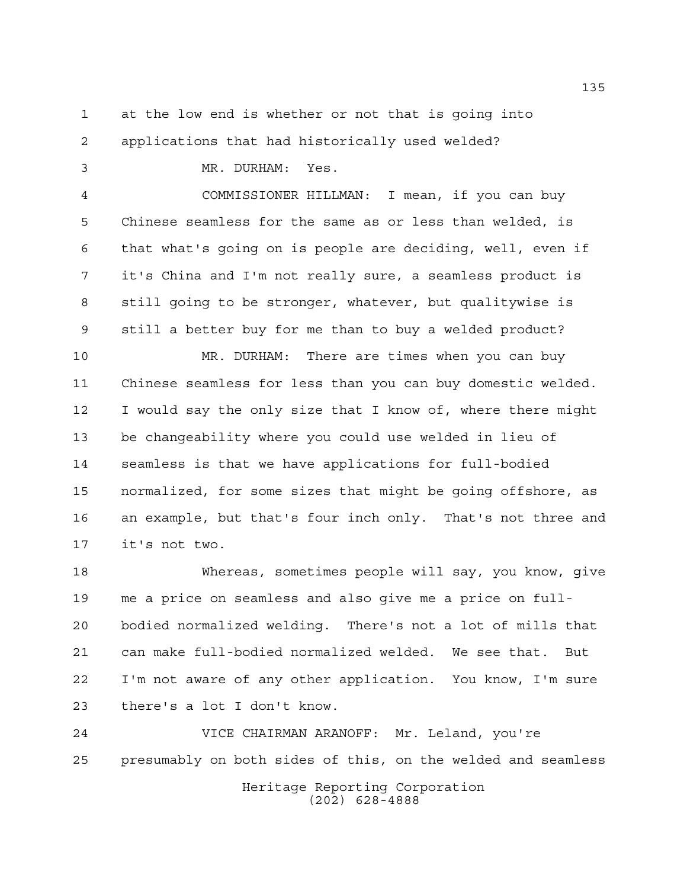at the low end is whether or not that is going into

applications that had historically used welded?

 MR. DURHAM: Yes. COMMISSIONER HILLMAN: I mean, if you can buy Chinese seamless for the same as or less than welded, is that what's going on is people are deciding, well, even if it's China and I'm not really sure, a seamless product is still going to be stronger, whatever, but qualitywise is still a better buy for me than to buy a welded product? MR. DURHAM: There are times when you can buy Chinese seamless for less than you can buy domestic welded. I would say the only size that I know of, where there might be changeability where you could use welded in lieu of seamless is that we have applications for full-bodied normalized, for some sizes that might be going offshore, as an example, but that's four inch only. That's not three and it's not two.

 Whereas, sometimes people will say, you know, give me a price on seamless and also give me a price on full- bodied normalized welding. There's not a lot of mills that can make full-bodied normalized welded. We see that. But I'm not aware of any other application. You know, I'm sure there's a lot I don't know.

Heritage Reporting Corporation (202) 628-4888 VICE CHAIRMAN ARANOFF: Mr. Leland, you're presumably on both sides of this, on the welded and seamless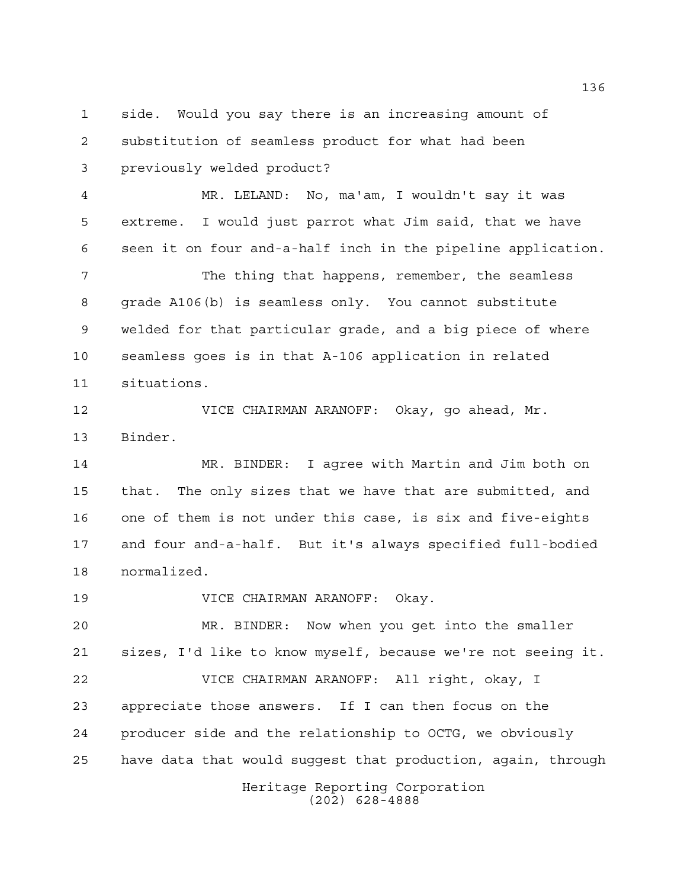side. Would you say there is an increasing amount of substitution of seamless product for what had been previously welded product?

 MR. LELAND: No, ma'am, I wouldn't say it was extreme. I would just parrot what Jim said, that we have seen it on four and-a-half inch in the pipeline application.

 The thing that happens, remember, the seamless grade A106(b) is seamless only. You cannot substitute welded for that particular grade, and a big piece of where seamless goes is in that A-106 application in related situations.

 VICE CHAIRMAN ARANOFF: Okay, go ahead, Mr. Binder.

 MR. BINDER: I agree with Martin and Jim both on that. The only sizes that we have that are submitted, and one of them is not under this case, is six and five-eights and four and-a-half. But it's always specified full-bodied normalized.

VICE CHAIRMAN ARANOFF: Okay.

 MR. BINDER: Now when you get into the smaller sizes, I'd like to know myself, because we're not seeing it. VICE CHAIRMAN ARANOFF: All right, okay, I appreciate those answers. If I can then focus on the producer side and the relationship to OCTG, we obviously have data that would suggest that production, again, through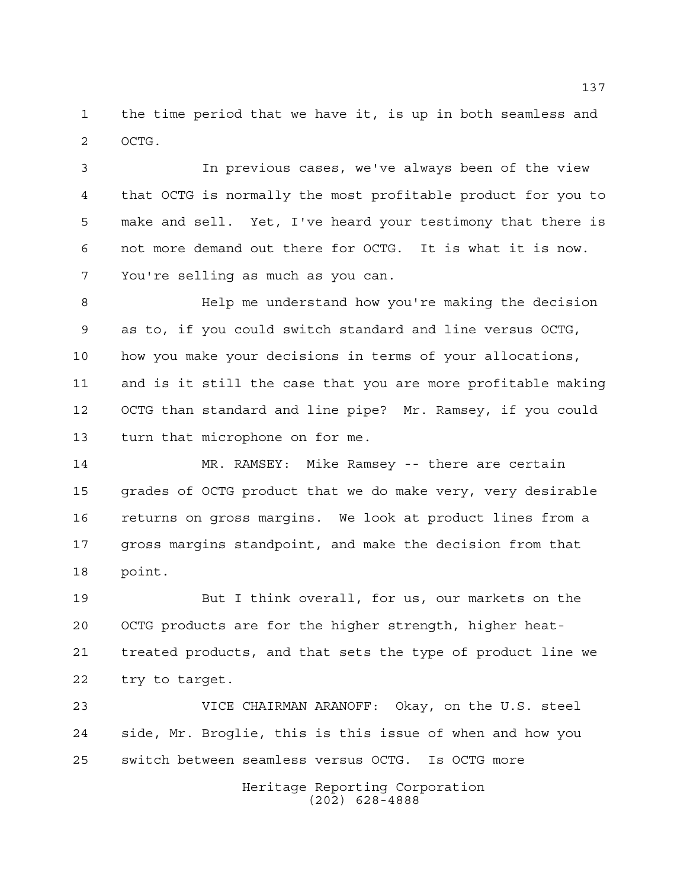the time period that we have it, is up in both seamless and OCTG.

 In previous cases, we've always been of the view that OCTG is normally the most profitable product for you to make and sell. Yet, I've heard your testimony that there is not more demand out there for OCTG. It is what it is now. You're selling as much as you can.

 Help me understand how you're making the decision as to, if you could switch standard and line versus OCTG, how you make your decisions in terms of your allocations, and is it still the case that you are more profitable making OCTG than standard and line pipe? Mr. Ramsey, if you could turn that microphone on for me.

 MR. RAMSEY: Mike Ramsey -- there are certain grades of OCTG product that we do make very, very desirable returns on gross margins. We look at product lines from a gross margins standpoint, and make the decision from that point.

 But I think overall, for us, our markets on the OCTG products are for the higher strength, higher heat- treated products, and that sets the type of product line we try to target.

 VICE CHAIRMAN ARANOFF: Okay, on the U.S. steel side, Mr. Broglie, this is this issue of when and how you switch between seamless versus OCTG. Is OCTG more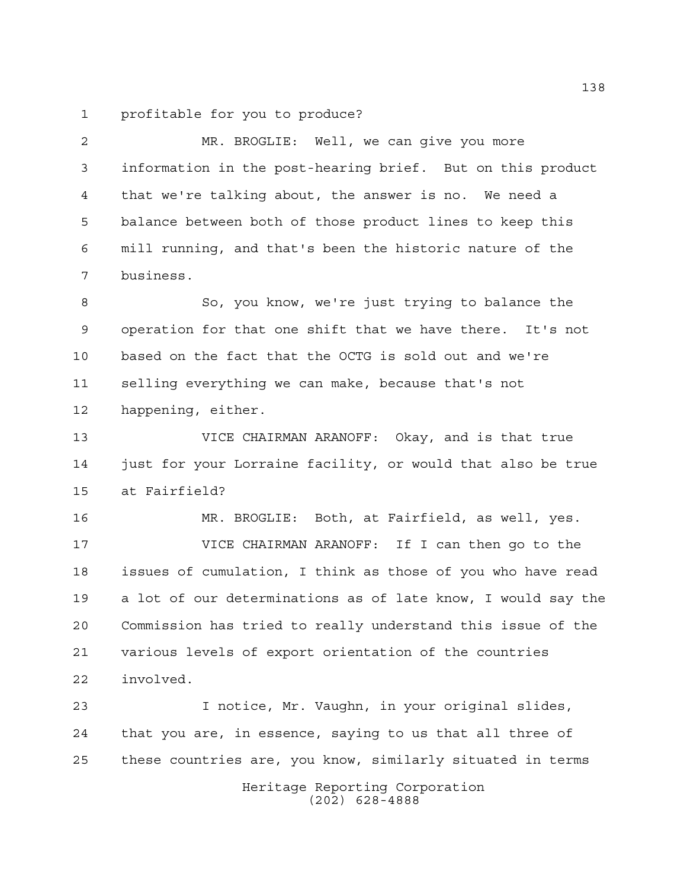profitable for you to produce?

 MR. BROGLIE: Well, we can give you more information in the post-hearing brief. But on this product that we're talking about, the answer is no. We need a balance between both of those product lines to keep this mill running, and that's been the historic nature of the business.

 So, you know, we're just trying to balance the operation for that one shift that we have there. It's not based on the fact that the OCTG is sold out and we're selling everything we can make, because that's not happening, either.

 VICE CHAIRMAN ARANOFF: Okay, and is that true just for your Lorraine facility, or would that also be true at Fairfield?

 MR. BROGLIE: Both, at Fairfield, as well, yes. VICE CHAIRMAN ARANOFF: If I can then go to the issues of cumulation, I think as those of you who have read a lot of our determinations as of late know, I would say the Commission has tried to really understand this issue of the various levels of export orientation of the countries involved.

Heritage Reporting Corporation I notice, Mr. Vaughn, in your original slides, that you are, in essence, saying to us that all three of these countries are, you know, similarly situated in terms

(202) 628-4888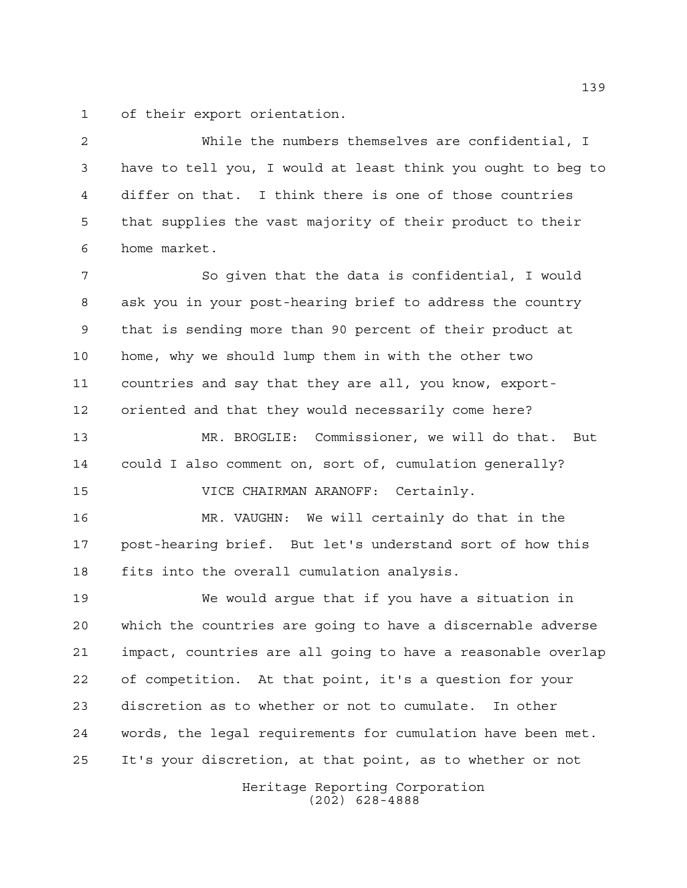of their export orientation.

 While the numbers themselves are confidential, I have to tell you, I would at least think you ought to beg to differ on that. I think there is one of those countries that supplies the vast majority of their product to their home market.

 So given that the data is confidential, I would ask you in your post-hearing brief to address the country that is sending more than 90 percent of their product at home, why we should lump them in with the other two countries and say that they are all, you know, export-oriented and that they would necessarily come here?

 MR. BROGLIE: Commissioner, we will do that. But could I also comment on, sort of, cumulation generally? VICE CHAIRMAN ARANOFF: Certainly.

 MR. VAUGHN: We will certainly do that in the post-hearing brief. But let's understand sort of how this fits into the overall cumulation analysis.

 We would argue that if you have a situation in which the countries are going to have a discernable adverse impact, countries are all going to have a reasonable overlap of competition. At that point, it's a question for your discretion as to whether or not to cumulate. In other words, the legal requirements for cumulation have been met. It's your discretion, at that point, as to whether or not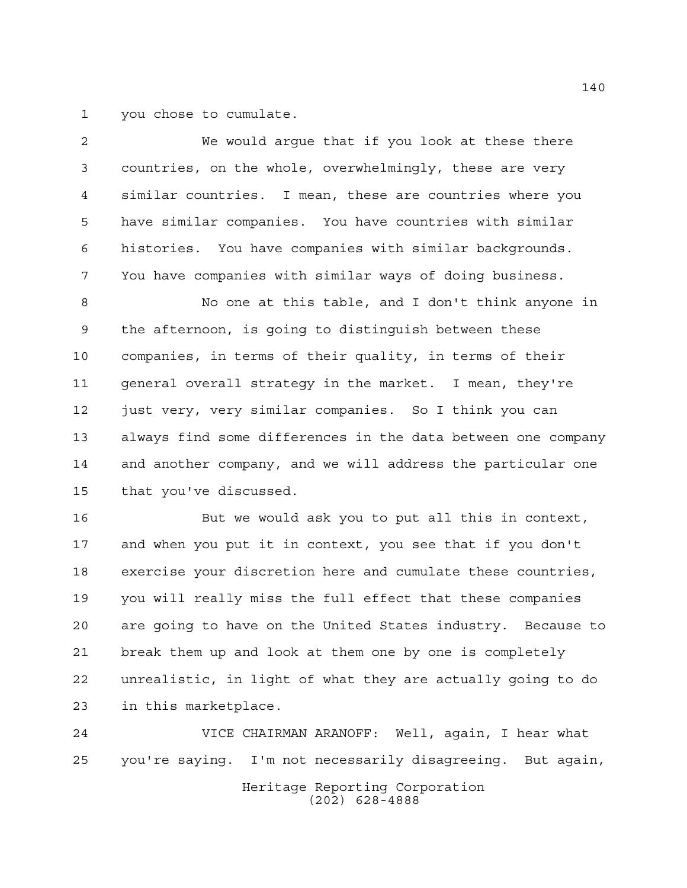you chose to cumulate.

 We would argue that if you look at these there countries, on the whole, overwhelmingly, these are very similar countries. I mean, these are countries where you have similar companies. You have countries with similar histories. You have companies with similar backgrounds. You have companies with similar ways of doing business. No one at this table, and I don't think anyone in the afternoon, is going to distinguish between these companies, in terms of their quality, in terms of their general overall strategy in the market. I mean, they're just very, very similar companies. So I think you can always find some differences in the data between one company and another company, and we will address the particular one

that you've discussed.

 But we would ask you to put all this in context, and when you put it in context, you see that if you don't exercise your discretion here and cumulate these countries, you will really miss the full effect that these companies are going to have on the United States industry. Because to break them up and look at them one by one is completely unrealistic, in light of what they are actually going to do in this marketplace.

Heritage Reporting Corporation (202) 628-4888 VICE CHAIRMAN ARANOFF: Well, again, I hear what you're saying. I'm not necessarily disagreeing. But again,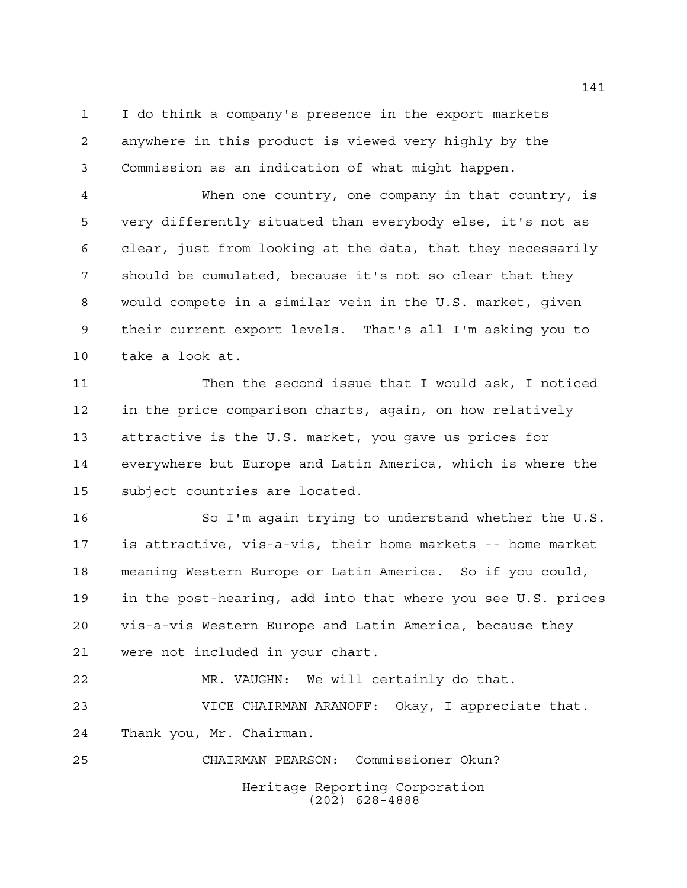I do think a company's presence in the export markets anywhere in this product is viewed very highly by the Commission as an indication of what might happen.

 When one country, one company in that country, is very differently situated than everybody else, it's not as clear, just from looking at the data, that they necessarily should be cumulated, because it's not so clear that they would compete in a similar vein in the U.S. market, given their current export levels. That's all I'm asking you to take a look at.

 Then the second issue that I would ask, I noticed in the price comparison charts, again, on how relatively attractive is the U.S. market, you gave us prices for everywhere but Europe and Latin America, which is where the subject countries are located.

 So I'm again trying to understand whether the U.S. is attractive, vis-a-vis, their home markets -- home market meaning Western Europe or Latin America. So if you could, in the post-hearing, add into that where you see U.S. prices vis-a-vis Western Europe and Latin America, because they were not included in your chart.

 MR. VAUGHN: We will certainly do that. VICE CHAIRMAN ARANOFF: Okay, I appreciate that. Thank you, Mr. Chairman.

Heritage Reporting Corporation (202) 628-4888 CHAIRMAN PEARSON: Commissioner Okun?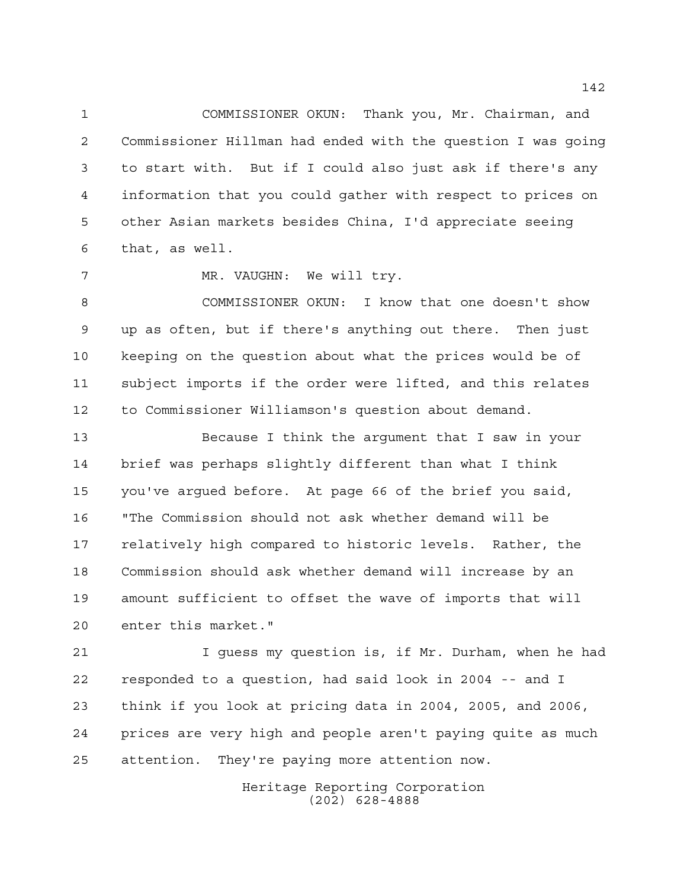COMMISSIONER OKUN: Thank you, Mr. Chairman, and Commissioner Hillman had ended with the question I was going to start with. But if I could also just ask if there's any information that you could gather with respect to prices on other Asian markets besides China, I'd appreciate seeing that, as well.

7 MR. VAUGHN: We will try.

 COMMISSIONER OKUN: I know that one doesn't show up as often, but if there's anything out there. Then just keeping on the question about what the prices would be of subject imports if the order were lifted, and this relates to Commissioner Williamson's question about demand.

 Because I think the argument that I saw in your brief was perhaps slightly different than what I think you've argued before. At page 66 of the brief you said, "The Commission should not ask whether demand will be relatively high compared to historic levels. Rather, the Commission should ask whether demand will increase by an amount sufficient to offset the wave of imports that will enter this market."

 I guess my question is, if Mr. Durham, when he had responded to a question, had said look in 2004 -- and I think if you look at pricing data in 2004, 2005, and 2006, prices are very high and people aren't paying quite as much attention. They're paying more attention now.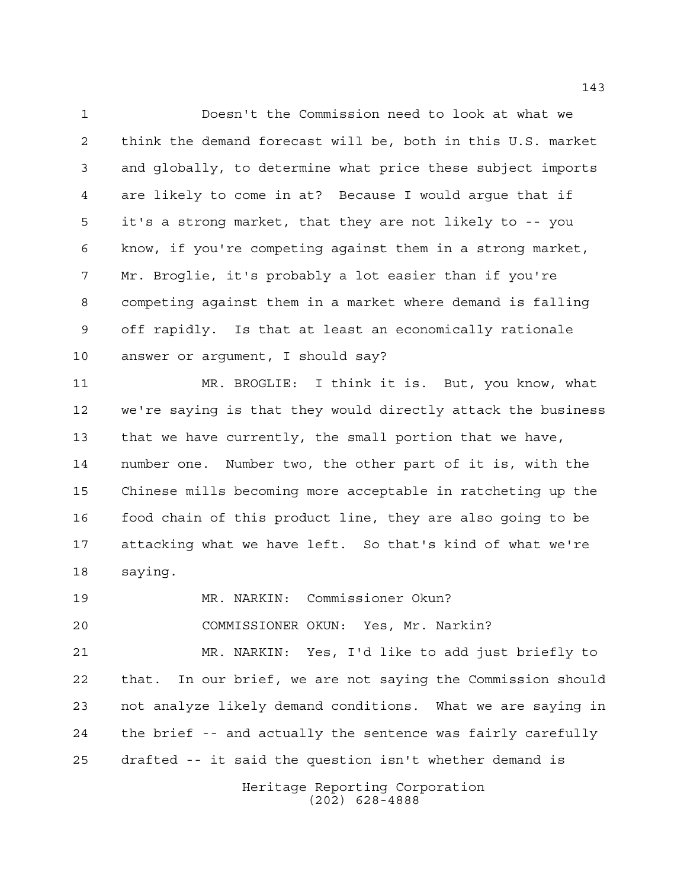Doesn't the Commission need to look at what we think the demand forecast will be, both in this U.S. market and globally, to determine what price these subject imports are likely to come in at? Because I would argue that if it's a strong market, that they are not likely to -- you know, if you're competing against them in a strong market, Mr. Broglie, it's probably a lot easier than if you're competing against them in a market where demand is falling off rapidly. Is that at least an economically rationale answer or argument, I should say?

 MR. BROGLIE: I think it is. But, you know, what we're saying is that they would directly attack the business that we have currently, the small portion that we have, number one. Number two, the other part of it is, with the Chinese mills becoming more acceptable in ratcheting up the food chain of this product line, they are also going to be attacking what we have left. So that's kind of what we're saying.

MR. NARKIN: Commissioner Okun?

COMMISSIONER OKUN: Yes, Mr. Narkin?

 MR. NARKIN: Yes, I'd like to add just briefly to that. In our brief, we are not saying the Commission should not analyze likely demand conditions. What we are saying in the brief -- and actually the sentence was fairly carefully drafted -- it said the question isn't whether demand is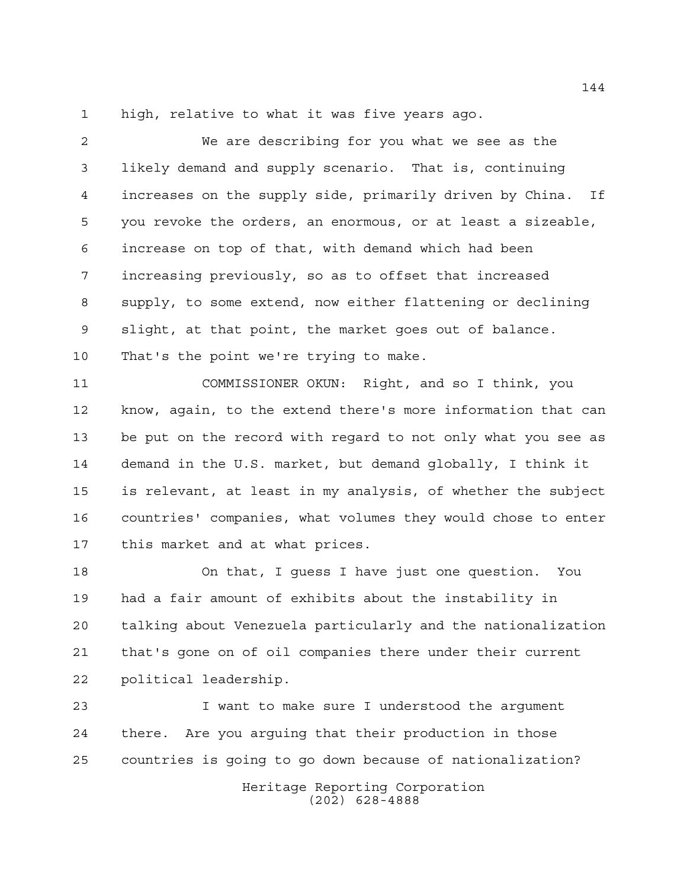high, relative to what it was five years ago.

 We are describing for you what we see as the likely demand and supply scenario. That is, continuing increases on the supply side, primarily driven by China. If you revoke the orders, an enormous, or at least a sizeable, increase on top of that, with demand which had been increasing previously, so as to offset that increased supply, to some extend, now either flattening or declining slight, at that point, the market goes out of balance. That's the point we're trying to make.

 COMMISSIONER OKUN: Right, and so I think, you know, again, to the extend there's more information that can be put on the record with regard to not only what you see as demand in the U.S. market, but demand globally, I think it is relevant, at least in my analysis, of whether the subject countries' companies, what volumes they would chose to enter this market and at what prices.

 On that, I guess I have just one question. You had a fair amount of exhibits about the instability in talking about Venezuela particularly and the nationalization that's gone on of oil companies there under their current political leadership.

 I want to make sure I understood the argument there. Are you arguing that their production in those countries is going to go down because of nationalization?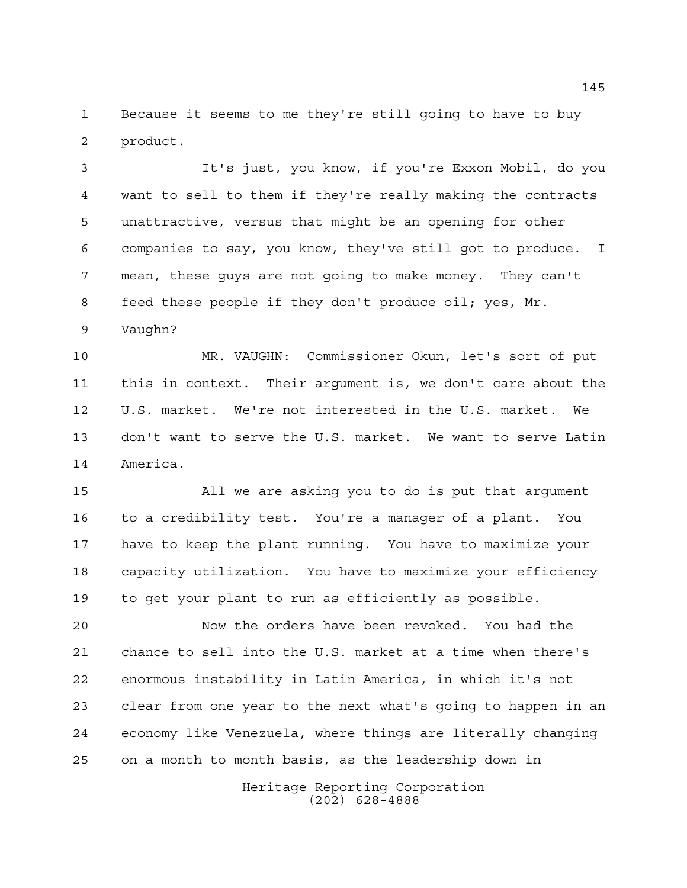Because it seems to me they're still going to have to buy product.

 It's just, you know, if you're Exxon Mobil, do you want to sell to them if they're really making the contracts unattractive, versus that might be an opening for other companies to say, you know, they've still got to produce. I mean, these guys are not going to make money. They can't feed these people if they don't produce oil; yes, Mr.

Vaughn?

 MR. VAUGHN: Commissioner Okun, let's sort of put this in context. Their argument is, we don't care about the U.S. market. We're not interested in the U.S. market. We don't want to serve the U.S. market. We want to serve Latin America.

 All we are asking you to do is put that argument to a credibility test. You're a manager of a plant. You have to keep the plant running. You have to maximize your capacity utilization. You have to maximize your efficiency to get your plant to run as efficiently as possible.

 Now the orders have been revoked. You had the chance to sell into the U.S. market at a time when there's enormous instability in Latin America, in which it's not clear from one year to the next what's going to happen in an economy like Venezuela, where things are literally changing on a month to month basis, as the leadership down in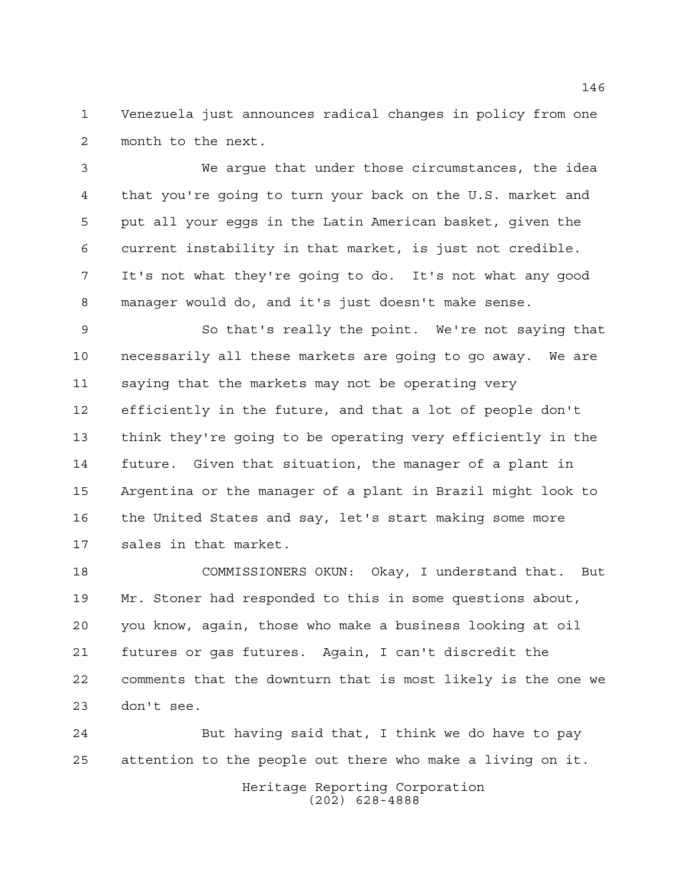Venezuela just announces radical changes in policy from one month to the next.

 We argue that under those circumstances, the idea that you're going to turn your back on the U.S. market and put all your eggs in the Latin American basket, given the current instability in that market, is just not credible. It's not what they're going to do. It's not what any good manager would do, and it's just doesn't make sense.

 So that's really the point. We're not saying that necessarily all these markets are going to go away. We are saying that the markets may not be operating very efficiently in the future, and that a lot of people don't think they're going to be operating very efficiently in the future. Given that situation, the manager of a plant in Argentina or the manager of a plant in Brazil might look to the United States and say, let's start making some more sales in that market.

 COMMISSIONERS OKUN: Okay, I understand that. But Mr. Stoner had responded to this in some questions about, you know, again, those who make a business looking at oil futures or gas futures. Again, I can't discredit the comments that the downturn that is most likely is the one we don't see.

Heritage Reporting Corporation (202) 628-4888 But having said that, I think we do have to pay attention to the people out there who make a living on it.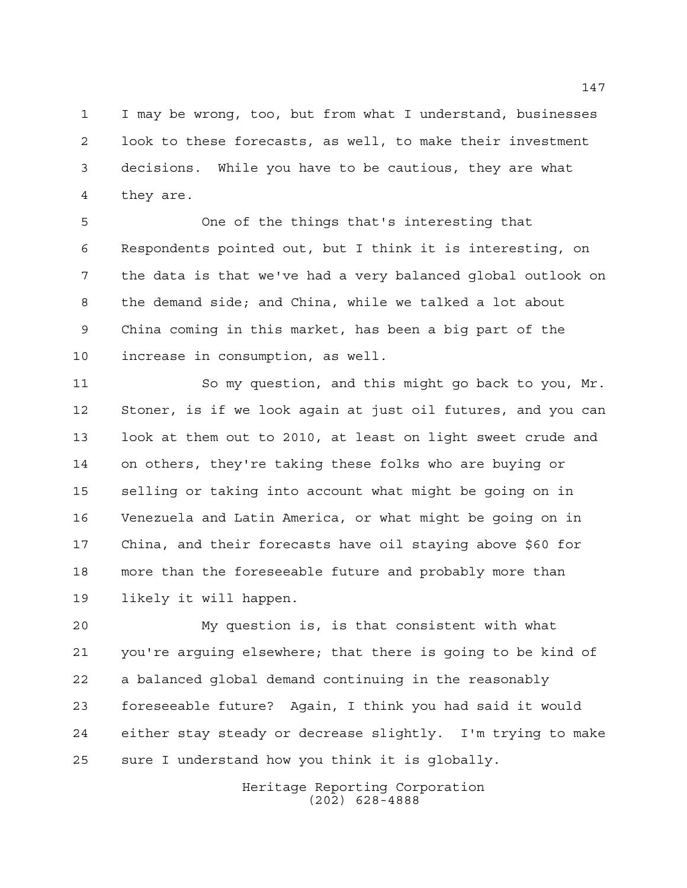I may be wrong, too, but from what I understand, businesses look to these forecasts, as well, to make their investment decisions. While you have to be cautious, they are what they are.

 One of the things that's interesting that Respondents pointed out, but I think it is interesting, on the data is that we've had a very balanced global outlook on the demand side; and China, while we talked a lot about China coming in this market, has been a big part of the increase in consumption, as well.

 So my question, and this might go back to you, Mr. Stoner, is if we look again at just oil futures, and you can look at them out to 2010, at least on light sweet crude and on others, they're taking these folks who are buying or selling or taking into account what might be going on in Venezuela and Latin America, or what might be going on in China, and their forecasts have oil staying above \$60 for more than the foreseeable future and probably more than likely it will happen.

 My question is, is that consistent with what you're arguing elsewhere; that there is going to be kind of a balanced global demand continuing in the reasonably foreseeable future? Again, I think you had said it would either stay steady or decrease slightly. I'm trying to make sure I understand how you think it is globally.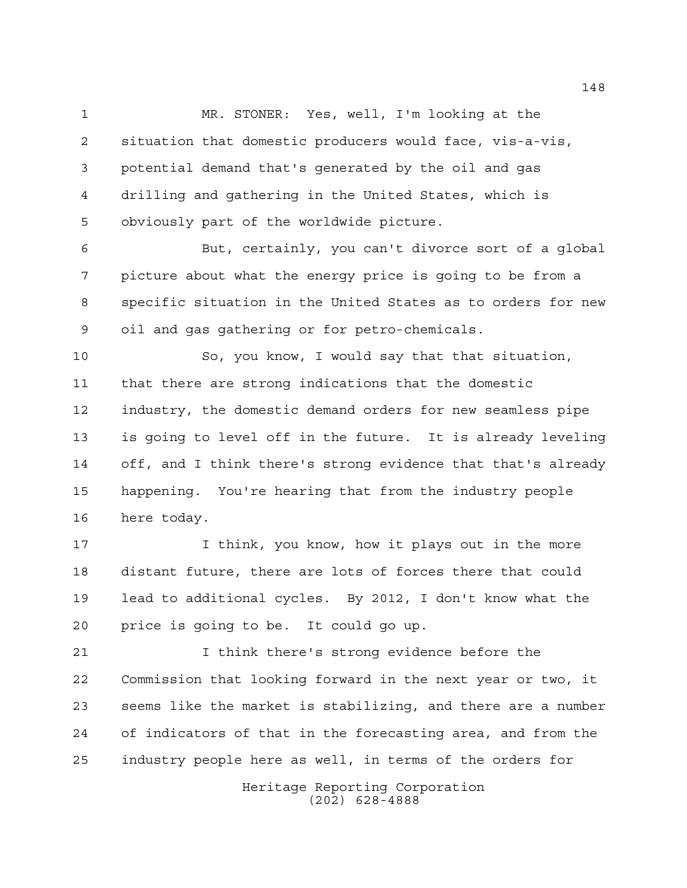MR. STONER: Yes, well, I'm looking at the situation that domestic producers would face, vis-a-vis, potential demand that's generated by the oil and gas drilling and gathering in the United States, which is obviously part of the worldwide picture.

 But, certainly, you can't divorce sort of a global picture about what the energy price is going to be from a specific situation in the United States as to orders for new oil and gas gathering or for petro-chemicals.

 So, you know, I would say that that situation, that there are strong indications that the domestic industry, the domestic demand orders for new seamless pipe is going to level off in the future. It is already leveling off, and I think there's strong evidence that that's already happening. You're hearing that from the industry people here today.

 I think, you know, how it plays out in the more distant future, there are lots of forces there that could lead to additional cycles. By 2012, I don't know what the price is going to be. It could go up.

 I think there's strong evidence before the Commission that looking forward in the next year or two, it seems like the market is stabilizing, and there are a number of indicators of that in the forecasting area, and from the industry people here as well, in terms of the orders for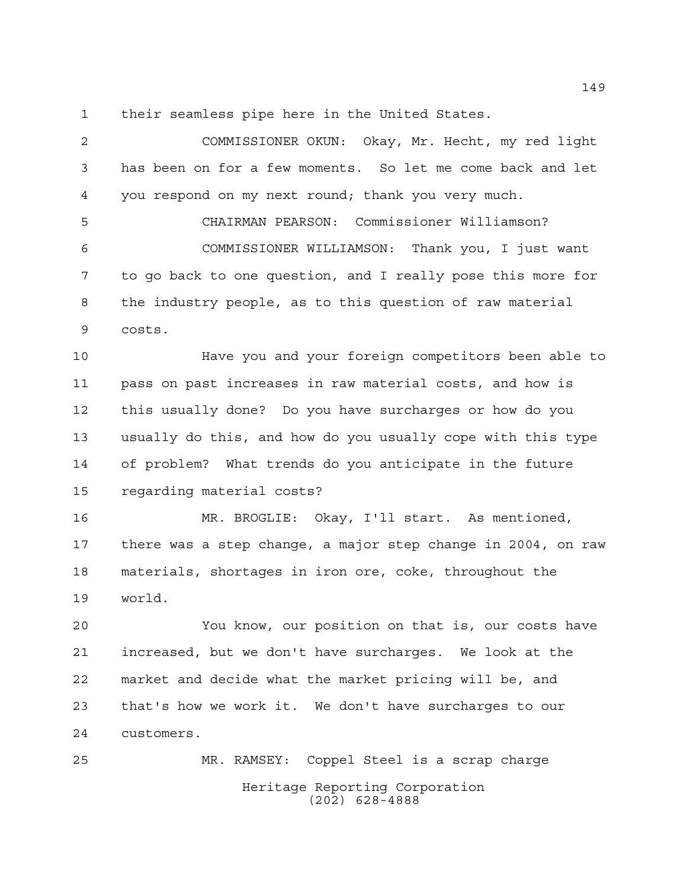their seamless pipe here in the United States.

 COMMISSIONER OKUN: Okay, Mr. Hecht, my red light has been on for a few moments. So let me come back and let you respond on my next round; thank you very much.

 CHAIRMAN PEARSON: Commissioner Williamson? COMMISSIONER WILLIAMSON: Thank you, I just want to go back to one question, and I really pose this more for the industry people, as to this question of raw material costs.

 Have you and your foreign competitors been able to pass on past increases in raw material costs, and how is this usually done? Do you have surcharges or how do you usually do this, and how do you usually cope with this type of problem? What trends do you anticipate in the future regarding material costs?

 MR. BROGLIE: Okay, I'll start. As mentioned, there was a step change, a major step change in 2004, on raw materials, shortages in iron ore, coke, throughout the world.

 You know, our position on that is, our costs have increased, but we don't have surcharges. We look at the market and decide what the market pricing will be, and that's how we work it. We don't have surcharges to our customers.

Heritage Reporting Corporation (202) 628-4888 MR. RAMSEY: Coppel Steel is a scrap charge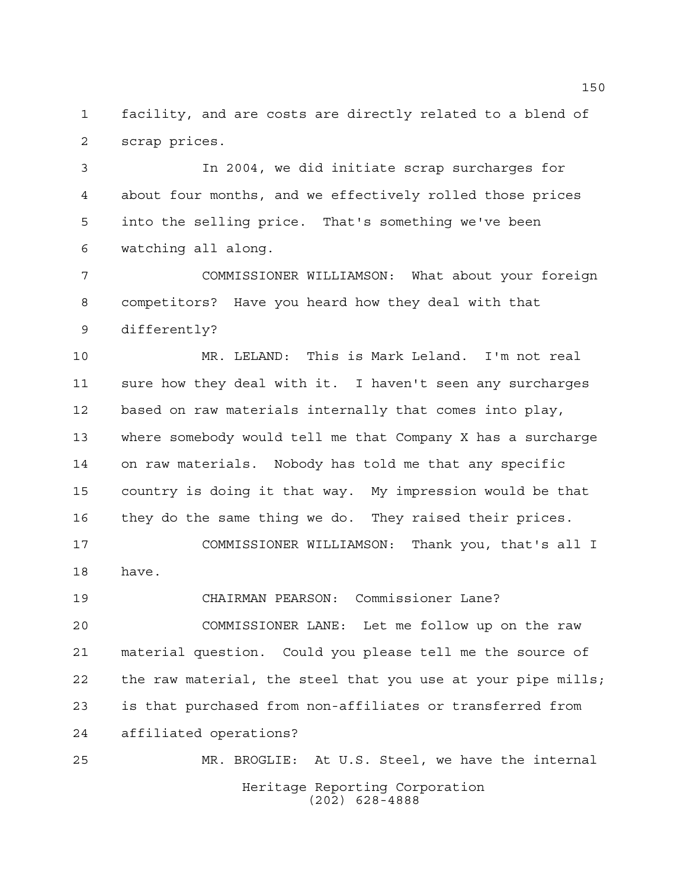facility, and are costs are directly related to a blend of scrap prices.

 In 2004, we did initiate scrap surcharges for about four months, and we effectively rolled those prices into the selling price. That's something we've been watching all along.

 COMMISSIONER WILLIAMSON: What about your foreign competitors? Have you heard how they deal with that differently?

 MR. LELAND: This is Mark Leland. I'm not real sure how they deal with it. I haven't seen any surcharges based on raw materials internally that comes into play, where somebody would tell me that Company X has a surcharge on raw materials. Nobody has told me that any specific country is doing it that way. My impression would be that they do the same thing we do. They raised their prices. COMMISSIONER WILLIAMSON: Thank you, that's all I have.

CHAIRMAN PEARSON: Commissioner Lane?

 COMMISSIONER LANE: Let me follow up on the raw material question. Could you please tell me the source of the raw material, the steel that you use at your pipe mills; is that purchased from non-affiliates or transferred from affiliated operations?

Heritage Reporting Corporation (202) 628-4888 MR. BROGLIE: At U.S. Steel, we have the internal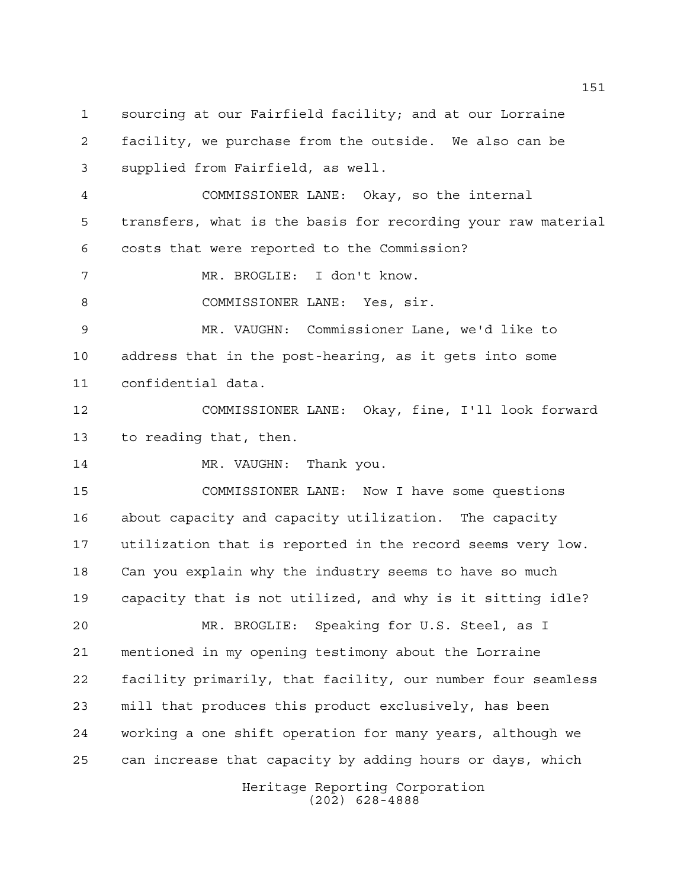sourcing at our Fairfield facility; and at our Lorraine

 facility, we purchase from the outside. We also can be supplied from Fairfield, as well.

 COMMISSIONER LANE: Okay, so the internal transfers, what is the basis for recording your raw material costs that were reported to the Commission?

MR. BROGLIE: I don't know.

8 COMMISSIONER LANE: Yes, sir.

 MR. VAUGHN: Commissioner Lane, we'd like to address that in the post-hearing, as it gets into some confidential data.

 COMMISSIONER LANE: Okay, fine, I'll look forward to reading that, then.

14 MR. VAUGHN: Thank you.

 COMMISSIONER LANE: Now I have some questions about capacity and capacity utilization. The capacity utilization that is reported in the record seems very low. Can you explain why the industry seems to have so much capacity that is not utilized, and why is it sitting idle?

 MR. BROGLIE: Speaking for U.S. Steel, as I mentioned in my opening testimony about the Lorraine facility primarily, that facility, our number four seamless mill that produces this product exclusively, has been working a one shift operation for many years, although we can increase that capacity by adding hours or days, which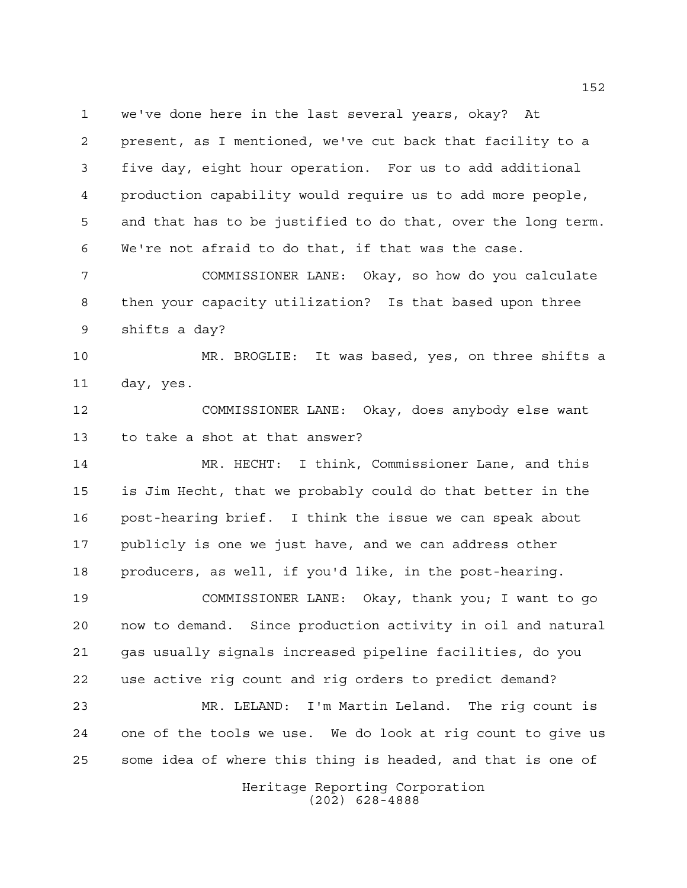we've done here in the last several years, okay? At present, as I mentioned, we've cut back that facility to a five day, eight hour operation. For us to add additional production capability would require us to add more people, and that has to be justified to do that, over the long term. We're not afraid to do that, if that was the case.

 COMMISSIONER LANE: Okay, so how do you calculate then your capacity utilization? Is that based upon three shifts a day?

 MR. BROGLIE: It was based, yes, on three shifts a day, yes.

 COMMISSIONER LANE: Okay, does anybody else want to take a shot at that answer?

 MR. HECHT: I think, Commissioner Lane, and this is Jim Hecht, that we probably could do that better in the post-hearing brief. I think the issue we can speak about publicly is one we just have, and we can address other producers, as well, if you'd like, in the post-hearing.

 COMMISSIONER LANE: Okay, thank you; I want to go now to demand. Since production activity in oil and natural gas usually signals increased pipeline facilities, do you use active rig count and rig orders to predict demand?

 MR. LELAND: I'm Martin Leland. The rig count is one of the tools we use. We do look at rig count to give us some idea of where this thing is headed, and that is one of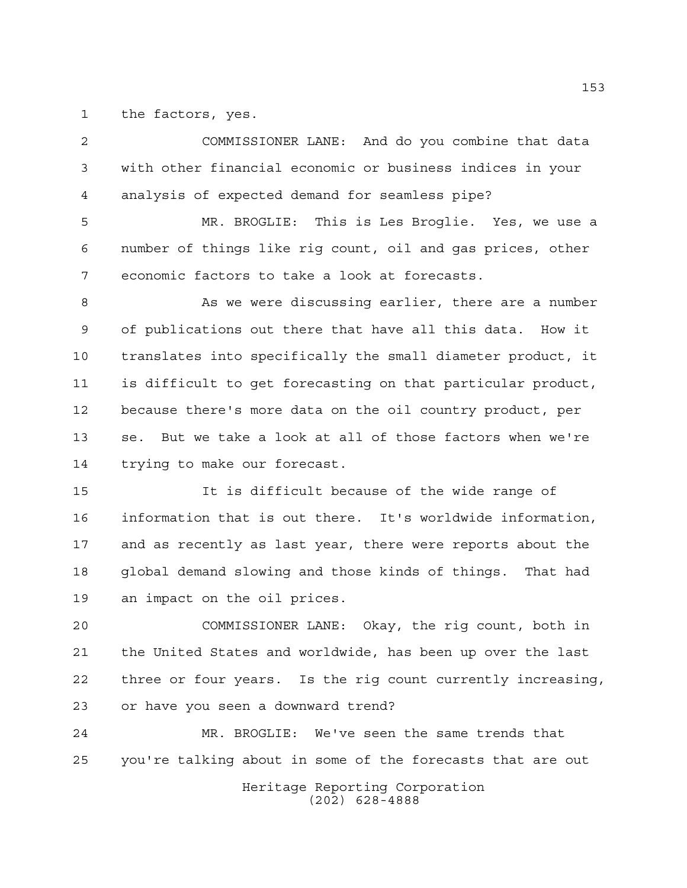the factors, yes.

 COMMISSIONER LANE: And do you combine that data with other financial economic or business indices in your analysis of expected demand for seamless pipe?

 MR. BROGLIE: This is Les Broglie. Yes, we use a number of things like rig count, oil and gas prices, other economic factors to take a look at forecasts.

8 As we were discussing earlier, there are a number of publications out there that have all this data. How it translates into specifically the small diameter product, it is difficult to get forecasting on that particular product, because there's more data on the oil country product, per se. But we take a look at all of those factors when we're trying to make our forecast.

 It is difficult because of the wide range of information that is out there. It's worldwide information, and as recently as last year, there were reports about the global demand slowing and those kinds of things. That had an impact on the oil prices.

 COMMISSIONER LANE: Okay, the rig count, both in the United States and worldwide, has been up over the last three or four years. Is the rig count currently increasing, or have you seen a downward trend?

 MR. BROGLIE: We've seen the same trends that you're talking about in some of the forecasts that are out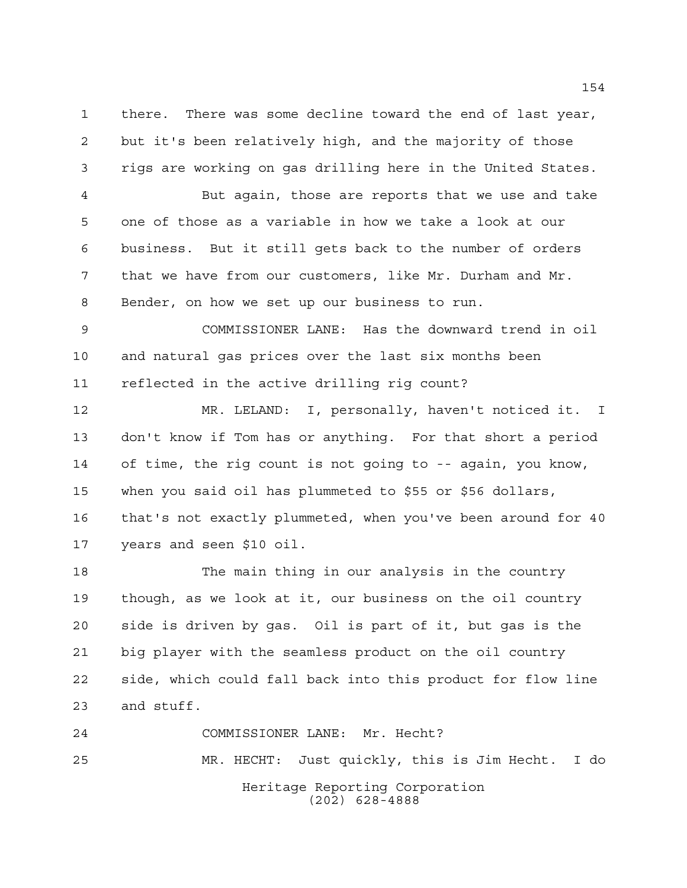there. There was some decline toward the end of last year, but it's been relatively high, and the majority of those rigs are working on gas drilling here in the United States.

 But again, those are reports that we use and take one of those as a variable in how we take a look at our business. But it still gets back to the number of orders that we have from our customers, like Mr. Durham and Mr. Bender, on how we set up our business to run.

 COMMISSIONER LANE: Has the downward trend in oil and natural gas prices over the last six months been reflected in the active drilling rig count?

 MR. LELAND: I, personally, haven't noticed it. I don't know if Tom has or anything. For that short a period of time, the rig count is not going to -- again, you know, when you said oil has plummeted to \$55 or \$56 dollars, that's not exactly plummeted, when you've been around for 40 years and seen \$10 oil.

 The main thing in our analysis in the country though, as we look at it, our business on the oil country side is driven by gas. Oil is part of it, but gas is the big player with the seamless product on the oil country side, which could fall back into this product for flow line and stuff.

Heritage Reporting Corporation (202) 628-4888 COMMISSIONER LANE: Mr. Hecht? MR. HECHT: Just quickly, this is Jim Hecht. I do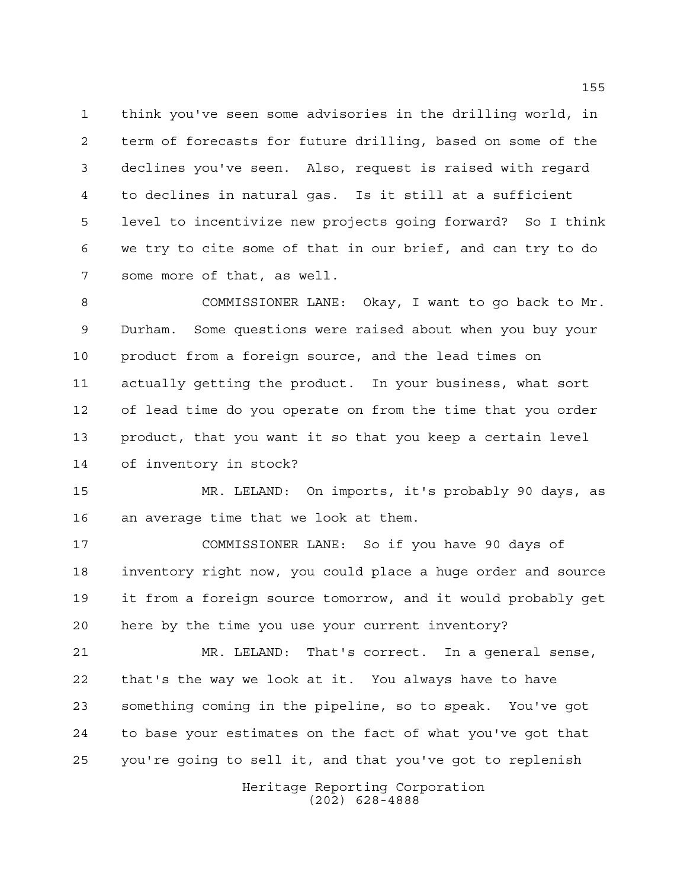think you've seen some advisories in the drilling world, in term of forecasts for future drilling, based on some of the declines you've seen. Also, request is raised with regard to declines in natural gas. Is it still at a sufficient level to incentivize new projects going forward? So I think we try to cite some of that in our brief, and can try to do some more of that, as well.

 COMMISSIONER LANE: Okay, I want to go back to Mr. Durham. Some questions were raised about when you buy your product from a foreign source, and the lead times on actually getting the product. In your business, what sort of lead time do you operate on from the time that you order product, that you want it so that you keep a certain level of inventory in stock?

 MR. LELAND: On imports, it's probably 90 days, as an average time that we look at them.

 COMMISSIONER LANE: So if you have 90 days of inventory right now, you could place a huge order and source it from a foreign source tomorrow, and it would probably get here by the time you use your current inventory?

 MR. LELAND: That's correct. In a general sense, that's the way we look at it. You always have to have something coming in the pipeline, so to speak. You've got to base your estimates on the fact of what you've got that you're going to sell it, and that you've got to replenish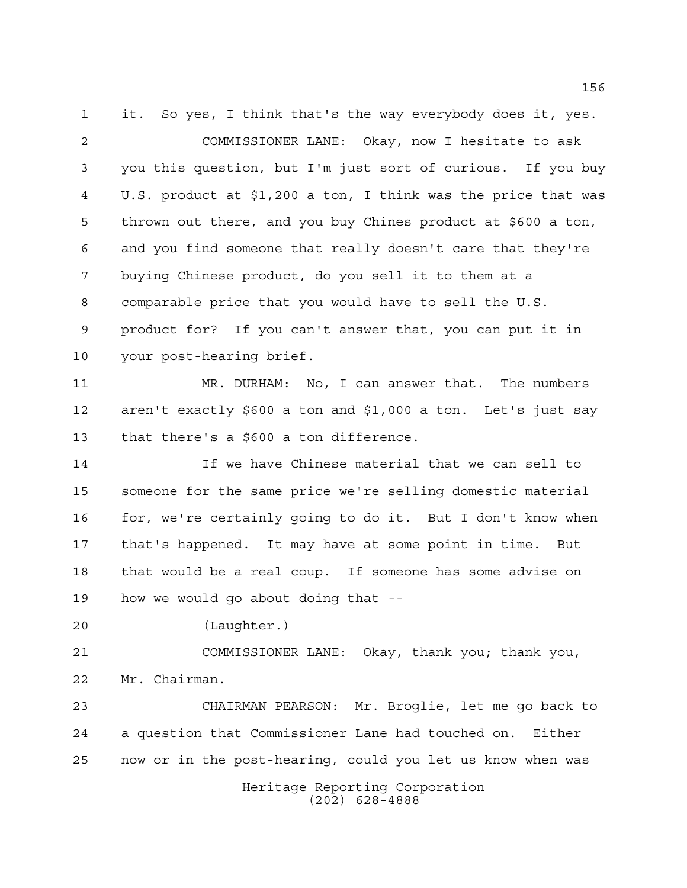it. So yes, I think that's the way everybody does it, yes. COMMISSIONER LANE: Okay, now I hesitate to ask you this question, but I'm just sort of curious. If you buy U.S. product at \$1,200 a ton, I think was the price that was thrown out there, and you buy Chines product at \$600 a ton, and you find someone that really doesn't care that they're buying Chinese product, do you sell it to them at a comparable price that you would have to sell the U.S. product for? If you can't answer that, you can put it in your post-hearing brief. MR. DURHAM: No, I can answer that. The numbers aren't exactly \$600 a ton and \$1,000 a ton. Let's just say that there's a \$600 a ton difference. If we have Chinese material that we can sell to someone for the same price we're selling domestic material for, we're certainly going to do it. But I don't know when that's happened. It may have at some point in time. But that would be a real coup. If someone has some advise on how we would go about doing that -- (Laughter.)

 COMMISSIONER LANE: Okay, thank you; thank you, Mr. Chairman.

 CHAIRMAN PEARSON: Mr. Broglie, let me go back to a question that Commissioner Lane had touched on. Either now or in the post-hearing, could you let us know when was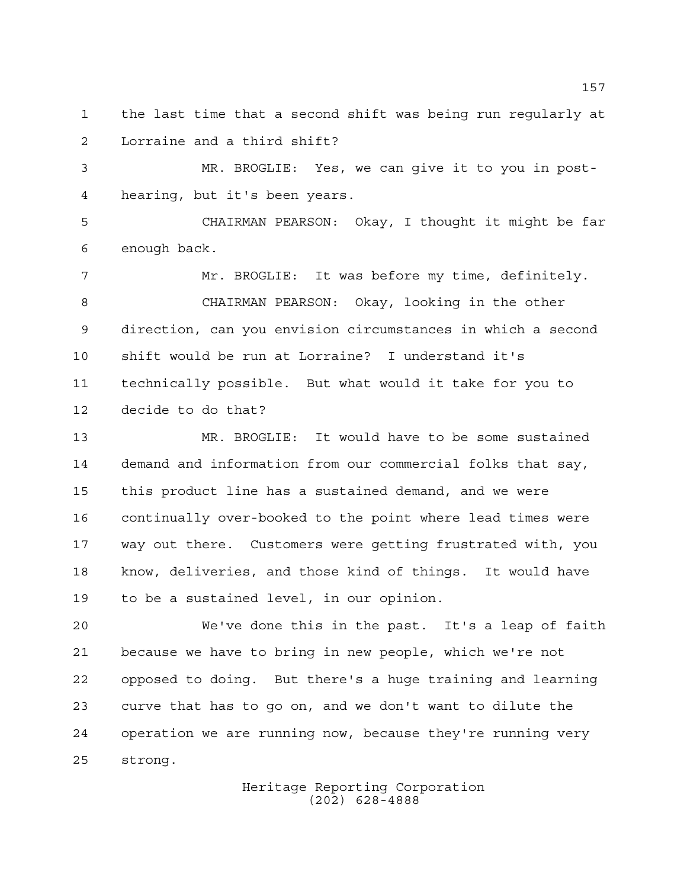the last time that a second shift was being run regularly at Lorraine and a third shift?

 MR. BROGLIE: Yes, we can give it to you in post-hearing, but it's been years.

 CHAIRMAN PEARSON: Okay, I thought it might be far enough back.

 Mr. BROGLIE: It was before my time, definitely. CHAIRMAN PEARSON: Okay, looking in the other direction, can you envision circumstances in which a second shift would be run at Lorraine? I understand it's technically possible. But what would it take for you to decide to do that?

 MR. BROGLIE: It would have to be some sustained demand and information from our commercial folks that say, this product line has a sustained demand, and we were continually over-booked to the point where lead times were way out there. Customers were getting frustrated with, you know, deliveries, and those kind of things. It would have to be a sustained level, in our opinion.

 We've done this in the past. It's a leap of faith because we have to bring in new people, which we're not opposed to doing. But there's a huge training and learning curve that has to go on, and we don't want to dilute the operation we are running now, because they're running very strong.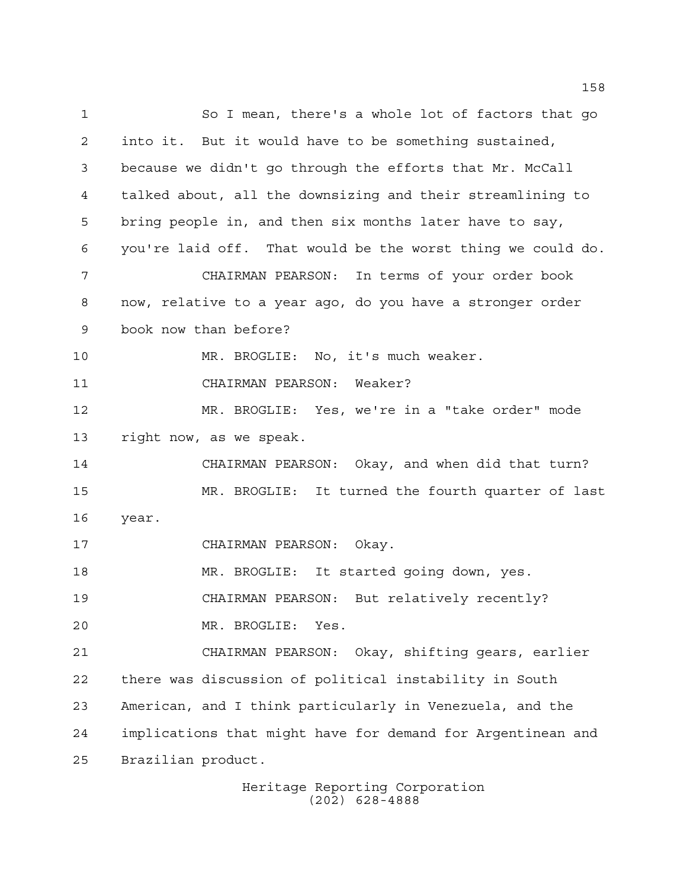So I mean, there's a whole lot of factors that go into it. But it would have to be something sustained, because we didn't go through the efforts that Mr. McCall talked about, all the downsizing and their streamlining to bring people in, and then six months later have to say, you're laid off. That would be the worst thing we could do. CHAIRMAN PEARSON: In terms of your order book now, relative to a year ago, do you have a stronger order book now than before? 10 MR. BROGLIE: No, it's much weaker. CHAIRMAN PEARSON: Weaker? MR. BROGLIE: Yes, we're in a "take order" mode right now, as we speak. CHAIRMAN PEARSON: Okay, and when did that turn? MR. BROGLIE: It turned the fourth quarter of last year. CHAIRMAN PEARSON: Okay. MR. BROGLIE: It started going down, yes. CHAIRMAN PEARSON: But relatively recently? MR. BROGLIE: Yes. CHAIRMAN PEARSON: Okay, shifting gears, earlier there was discussion of political instability in South American, and I think particularly in Venezuela, and the implications that might have for demand for Argentinean and Brazilian product.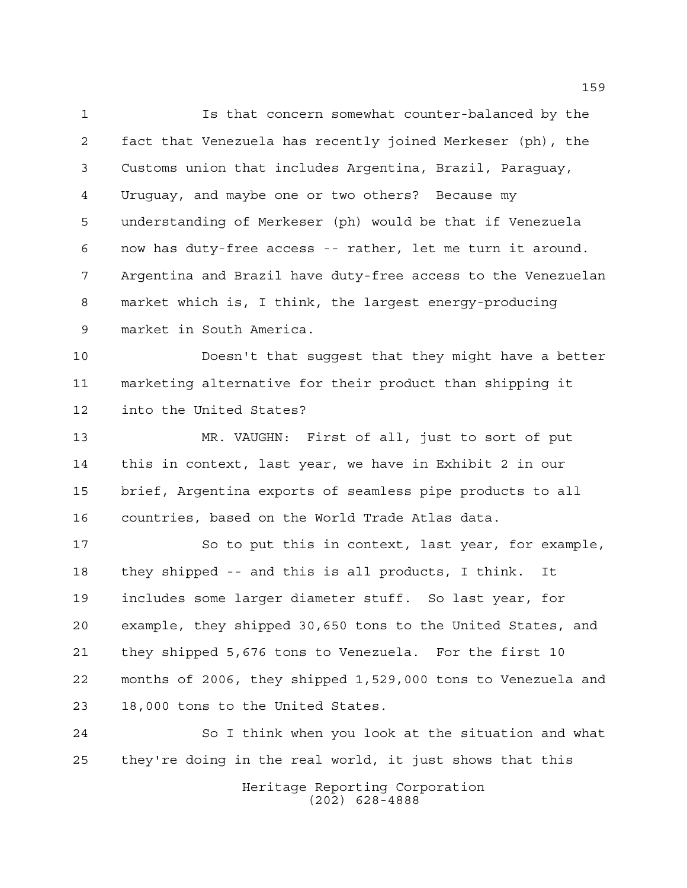Is that concern somewhat counter-balanced by the fact that Venezuela has recently joined Merkeser (ph), the Customs union that includes Argentina, Brazil, Paraguay, Uruguay, and maybe one or two others? Because my understanding of Merkeser (ph) would be that if Venezuela now has duty-free access -- rather, let me turn it around. Argentina and Brazil have duty-free access to the Venezuelan market which is, I think, the largest energy-producing market in South America.

 Doesn't that suggest that they might have a better marketing alternative for their product than shipping it into the United States?

 MR. VAUGHN: First of all, just to sort of put this in context, last year, we have in Exhibit 2 in our brief, Argentina exports of seamless pipe products to all countries, based on the World Trade Atlas data.

 So to put this in context, last year, for example, they shipped -- and this is all products, I think. It includes some larger diameter stuff. So last year, for example, they shipped 30,650 tons to the United States, and they shipped 5,676 tons to Venezuela. For the first 10 months of 2006, they shipped 1,529,000 tons to Venezuela and 18,000 tons to the United States.

 So I think when you look at the situation and what they're doing in the real world, it just shows that this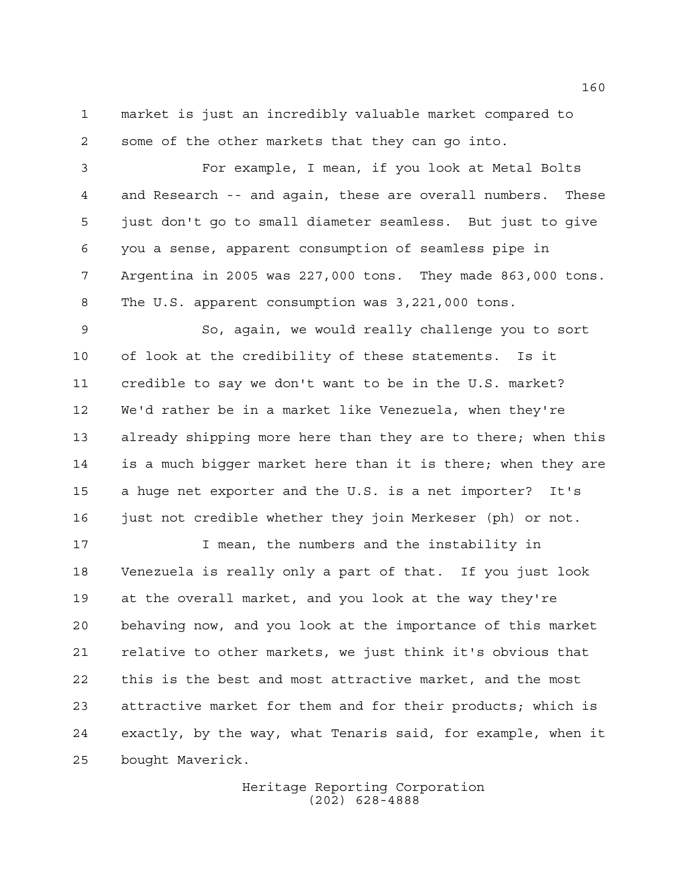market is just an incredibly valuable market compared to some of the other markets that they can go into.

 For example, I mean, if you look at Metal Bolts and Research -- and again, these are overall numbers. These just don't go to small diameter seamless. But just to give you a sense, apparent consumption of seamless pipe in Argentina in 2005 was 227,000 tons. They made 863,000 tons. The U.S. apparent consumption was 3,221,000 tons.

 So, again, we would really challenge you to sort of look at the credibility of these statements. Is it credible to say we don't want to be in the U.S. market? We'd rather be in a market like Venezuela, when they're already shipping more here than they are to there; when this is a much bigger market here than it is there; when they are a huge net exporter and the U.S. is a net importer? It's 16 just not credible whether they join Merkeser (ph) or not.

 I mean, the numbers and the instability in Venezuela is really only a part of that. If you just look at the overall market, and you look at the way they're behaving now, and you look at the importance of this market relative to other markets, we just think it's obvious that this is the best and most attractive market, and the most attractive market for them and for their products; which is exactly, by the way, what Tenaris said, for example, when it bought Maverick.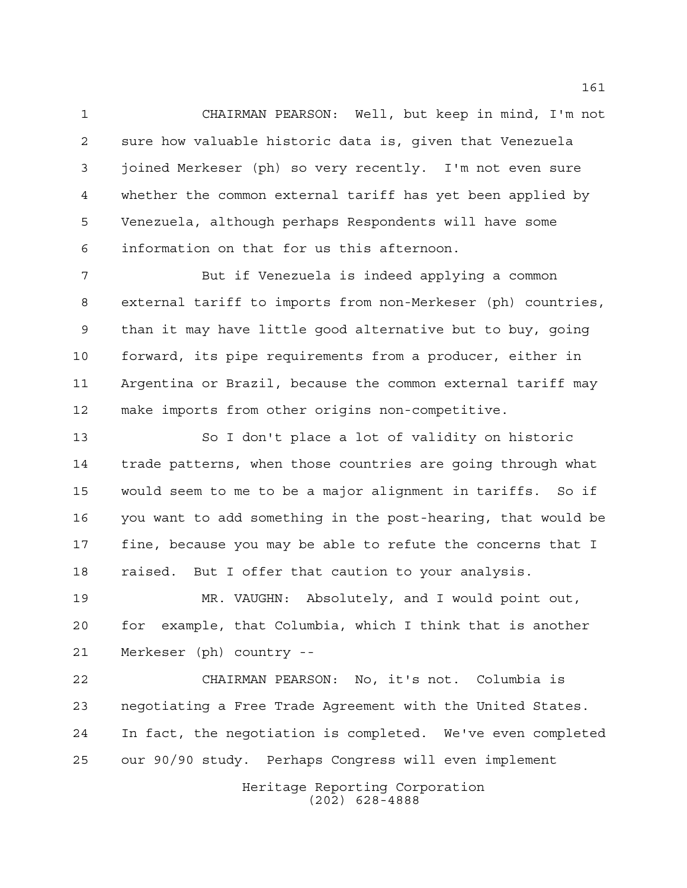CHAIRMAN PEARSON: Well, but keep in mind, I'm not sure how valuable historic data is, given that Venezuela joined Merkeser (ph) so very recently. I'm not even sure whether the common external tariff has yet been applied by Venezuela, although perhaps Respondents will have some information on that for us this afternoon.

 But if Venezuela is indeed applying a common external tariff to imports from non-Merkeser (ph) countries, than it may have little good alternative but to buy, going forward, its pipe requirements from a producer, either in Argentina or Brazil, because the common external tariff may make imports from other origins non-competitive.

 So I don't place a lot of validity on historic trade patterns, when those countries are going through what would seem to me to be a major alignment in tariffs. So if you want to add something in the post-hearing, that would be fine, because you may be able to refute the concerns that I raised. But I offer that caution to your analysis.

 MR. VAUGHN: Absolutely, and I would point out, for example, that Columbia, which I think that is another Merkeser (ph) country --

 CHAIRMAN PEARSON: No, it's not. Columbia is negotiating a Free Trade Agreement with the United States. In fact, the negotiation is completed. We've even completed our 90/90 study. Perhaps Congress will even implement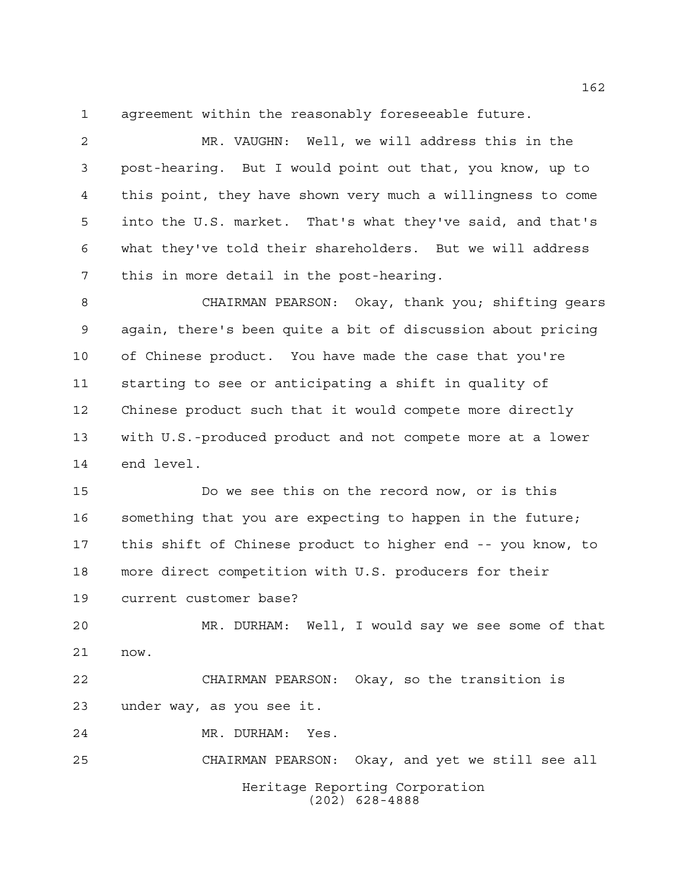agreement within the reasonably foreseeable future.

 MR. VAUGHN: Well, we will address this in the post-hearing. But I would point out that, you know, up to this point, they have shown very much a willingness to come into the U.S. market. That's what they've said, and that's what they've told their shareholders. But we will address this in more detail in the post-hearing.

 CHAIRMAN PEARSON: Okay, thank you; shifting gears again, there's been quite a bit of discussion about pricing of Chinese product. You have made the case that you're starting to see or anticipating a shift in quality of Chinese product such that it would compete more directly with U.S.-produced product and not compete more at a lower end level.

 Do we see this on the record now, or is this something that you are expecting to happen in the future; this shift of Chinese product to higher end -- you know, to more direct competition with U.S. producers for their current customer base?

 MR. DURHAM: Well, I would say we see some of that now.

 CHAIRMAN PEARSON: Okay, so the transition is under way, as you see it.

MR. DURHAM: Yes.

Heritage Reporting Corporation (202) 628-4888 CHAIRMAN PEARSON: Okay, and yet we still see all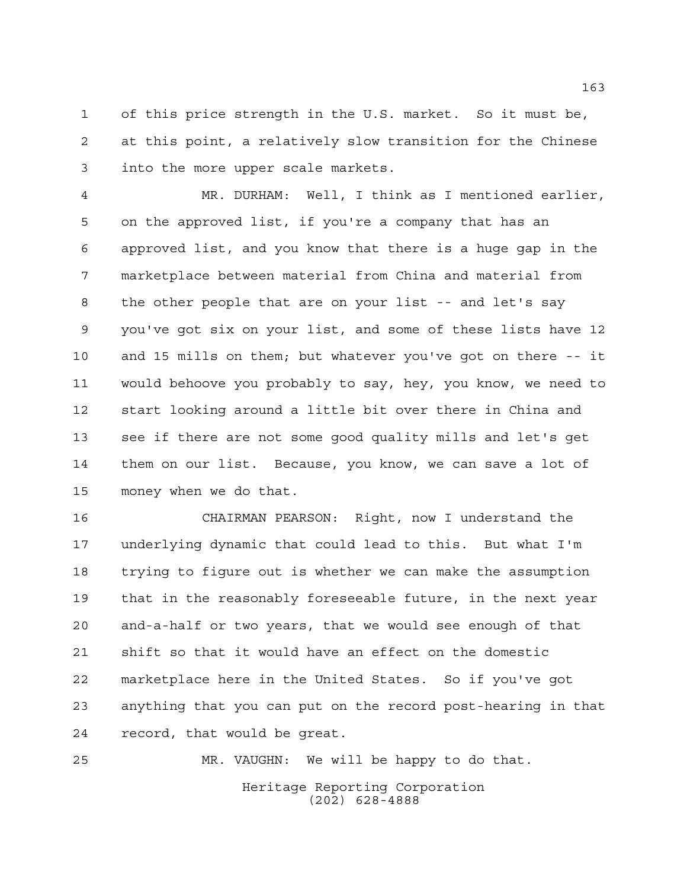of this price strength in the U.S. market. So it must be, at this point, a relatively slow transition for the Chinese into the more upper scale markets.

 MR. DURHAM: Well, I think as I mentioned earlier, on the approved list, if you're a company that has an approved list, and you know that there is a huge gap in the marketplace between material from China and material from the other people that are on your list -- and let's say you've got six on your list, and some of these lists have 12 and 15 mills on them; but whatever you've got on there -- it would behoove you probably to say, hey, you know, we need to start looking around a little bit over there in China and see if there are not some good quality mills and let's get them on our list. Because, you know, we can save a lot of money when we do that.

 CHAIRMAN PEARSON: Right, now I understand the underlying dynamic that could lead to this. But what I'm trying to figure out is whether we can make the assumption that in the reasonably foreseeable future, in the next year and-a-half or two years, that we would see enough of that shift so that it would have an effect on the domestic marketplace here in the United States. So if you've got anything that you can put on the record post-hearing in that record, that would be great.

MR. VAUGHN: We will be happy to do that.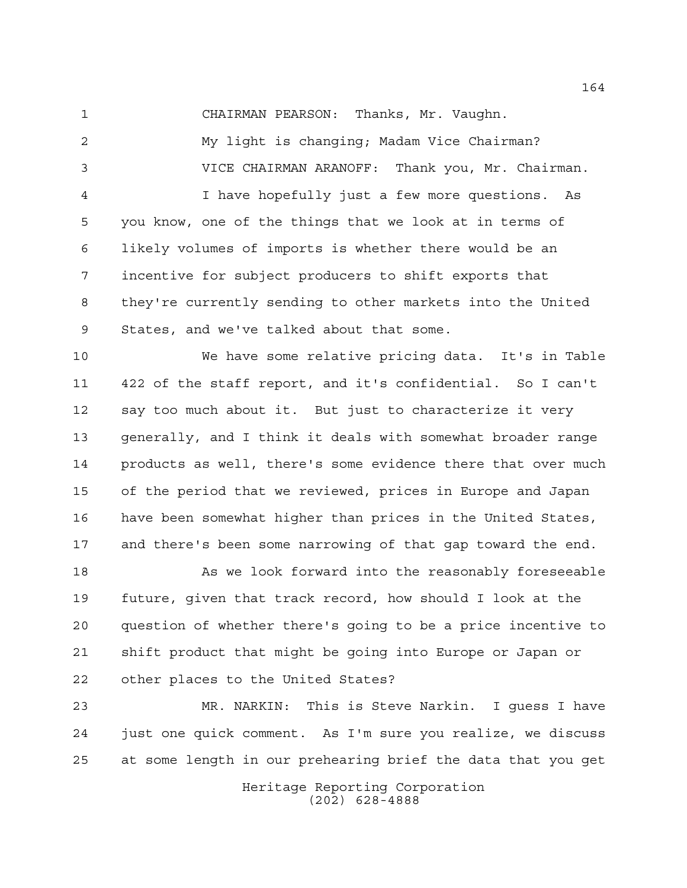CHAIRMAN PEARSON: Thanks, Mr. Vaughn.

 My light is changing; Madam Vice Chairman? VICE CHAIRMAN ARANOFF: Thank you, Mr. Chairman. I have hopefully just a few more questions. As you know, one of the things that we look at in terms of likely volumes of imports is whether there would be an incentive for subject producers to shift exports that they're currently sending to other markets into the United States, and we've talked about that some.

 We have some relative pricing data. It's in Table 422 of the staff report, and it's confidential. So I can't say too much about it. But just to characterize it very generally, and I think it deals with somewhat broader range products as well, there's some evidence there that over much of the period that we reviewed, prices in Europe and Japan have been somewhat higher than prices in the United States, and there's been some narrowing of that gap toward the end.

 As we look forward into the reasonably foreseeable future, given that track record, how should I look at the question of whether there's going to be a price incentive to shift product that might be going into Europe or Japan or other places to the United States?

 MR. NARKIN: This is Steve Narkin. I guess I have just one quick comment. As I'm sure you realize, we discuss at some length in our prehearing brief the data that you get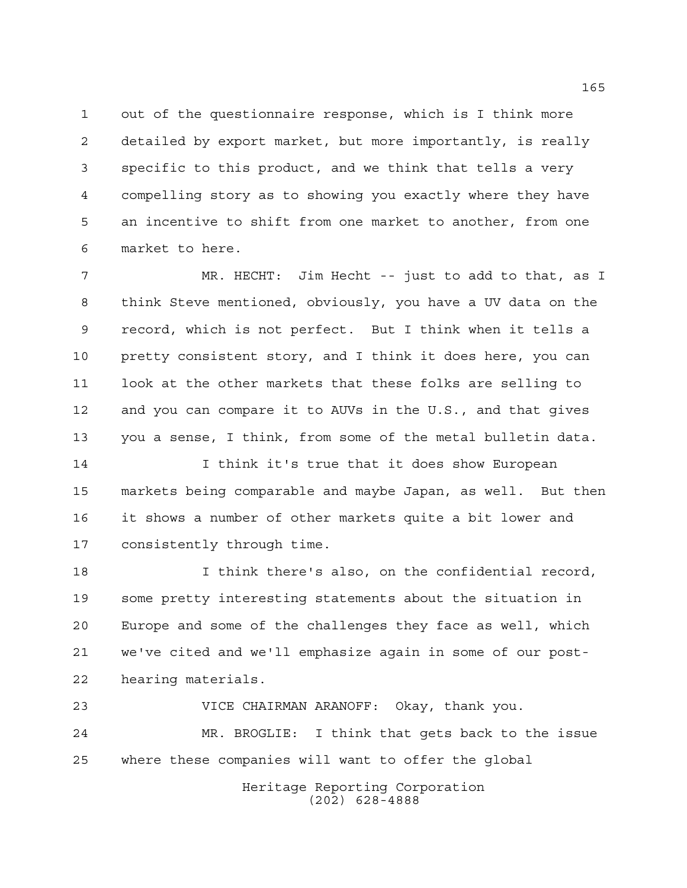out of the questionnaire response, which is I think more detailed by export market, but more importantly, is really specific to this product, and we think that tells a very compelling story as to showing you exactly where they have an incentive to shift from one market to another, from one market to here.

 MR. HECHT: Jim Hecht -- just to add to that, as I think Steve mentioned, obviously, you have a UV data on the record, which is not perfect. But I think when it tells a pretty consistent story, and I think it does here, you can look at the other markets that these folks are selling to and you can compare it to AUVs in the U.S., and that gives you a sense, I think, from some of the metal bulletin data.

 I think it's true that it does show European markets being comparable and maybe Japan, as well. But then it shows a number of other markets quite a bit lower and consistently through time.

 I think there's also, on the confidential record, some pretty interesting statements about the situation in Europe and some of the challenges they face as well, which we've cited and we'll emphasize again in some of our post-hearing materials.

 VICE CHAIRMAN ARANOFF: Okay, thank you. MR. BROGLIE: I think that gets back to the issue where these companies will want to offer the global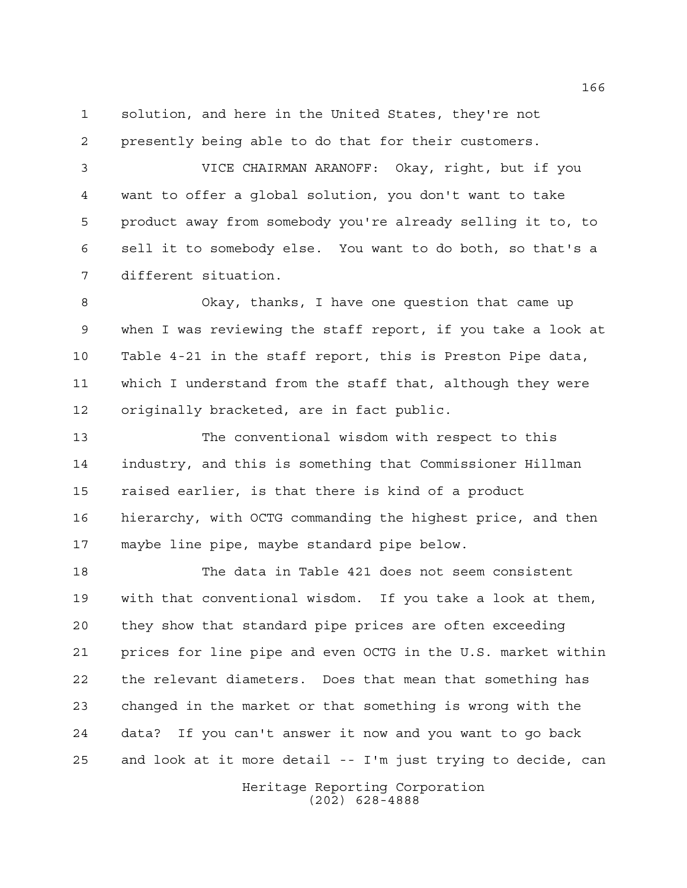solution, and here in the United States, they're not presently being able to do that for their customers.

 VICE CHAIRMAN ARANOFF: Okay, right, but if you want to offer a global solution, you don't want to take product away from somebody you're already selling it to, to sell it to somebody else. You want to do both, so that's a different situation.

 Okay, thanks, I have one question that came up when I was reviewing the staff report, if you take a look at Table 4-21 in the staff report, this is Preston Pipe data, which I understand from the staff that, although they were originally bracketed, are in fact public.

 The conventional wisdom with respect to this industry, and this is something that Commissioner Hillman raised earlier, is that there is kind of a product hierarchy, with OCTG commanding the highest price, and then maybe line pipe, maybe standard pipe below.

 The data in Table 421 does not seem consistent with that conventional wisdom. If you take a look at them, they show that standard pipe prices are often exceeding prices for line pipe and even OCTG in the U.S. market within the relevant diameters. Does that mean that something has changed in the market or that something is wrong with the data? If you can't answer it now and you want to go back and look at it more detail -- I'm just trying to decide, can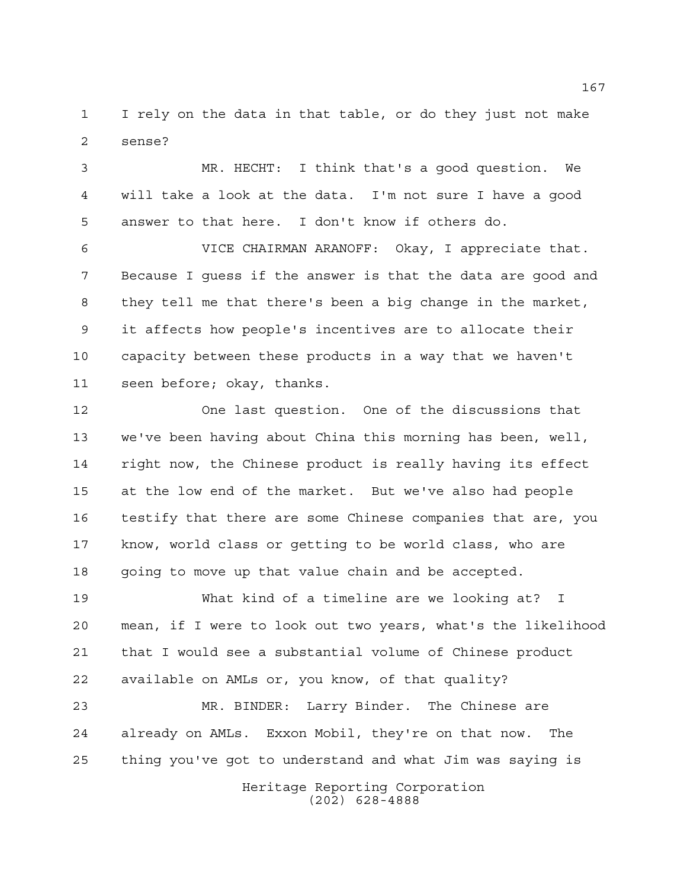I rely on the data in that table, or do they just not make sense?

 MR. HECHT: I think that's a good question. We will take a look at the data. I'm not sure I have a good answer to that here. I don't know if others do.

 VICE CHAIRMAN ARANOFF: Okay, I appreciate that. Because I guess if the answer is that the data are good and they tell me that there's been a big change in the market, it affects how people's incentives are to allocate their capacity between these products in a way that we haven't seen before; okay, thanks.

 One last question. One of the discussions that we've been having about China this morning has been, well, right now, the Chinese product is really having its effect at the low end of the market. But we've also had people testify that there are some Chinese companies that are, you know, world class or getting to be world class, who are going to move up that value chain and be accepted.

 What kind of a timeline are we looking at? I mean, if I were to look out two years, what's the likelihood that I would see a substantial volume of Chinese product available on AMLs or, you know, of that quality?

 MR. BINDER: Larry Binder. The Chinese are already on AMLs. Exxon Mobil, they're on that now. The thing you've got to understand and what Jim was saying is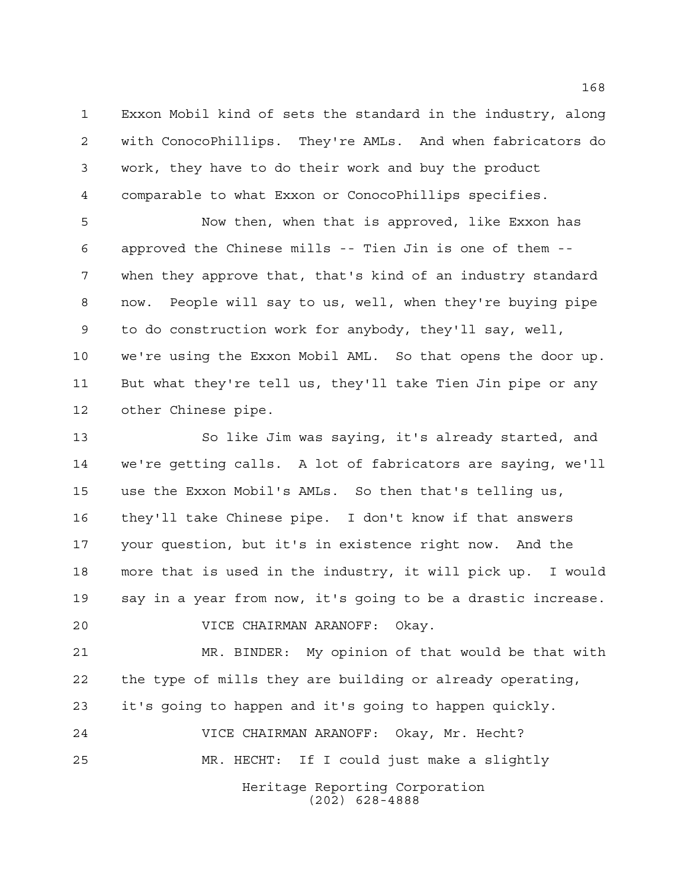Exxon Mobil kind of sets the standard in the industry, along with ConocoPhillips. They're AMLs. And when fabricators do work, they have to do their work and buy the product comparable to what Exxon or ConocoPhillips specifies.

 Now then, when that is approved, like Exxon has approved the Chinese mills -- Tien Jin is one of them -- when they approve that, that's kind of an industry standard now. People will say to us, well, when they're buying pipe to do construction work for anybody, they'll say, well, we're using the Exxon Mobil AML. So that opens the door up. But what they're tell us, they'll take Tien Jin pipe or any other Chinese pipe.

 So like Jim was saying, it's already started, and we're getting calls. A lot of fabricators are saying, we'll use the Exxon Mobil's AMLs. So then that's telling us, they'll take Chinese pipe. I don't know if that answers your question, but it's in existence right now. And the more that is used in the industry, it will pick up. I would say in a year from now, it's going to be a drastic increase.

VICE CHAIRMAN ARANOFF: Okay.

 MR. BINDER: My opinion of that would be that with the type of mills they are building or already operating, it's going to happen and it's going to happen quickly.

Heritage Reporting Corporation (202) 628-4888 VICE CHAIRMAN ARANOFF: Okay, Mr. Hecht? MR. HECHT: If I could just make a slightly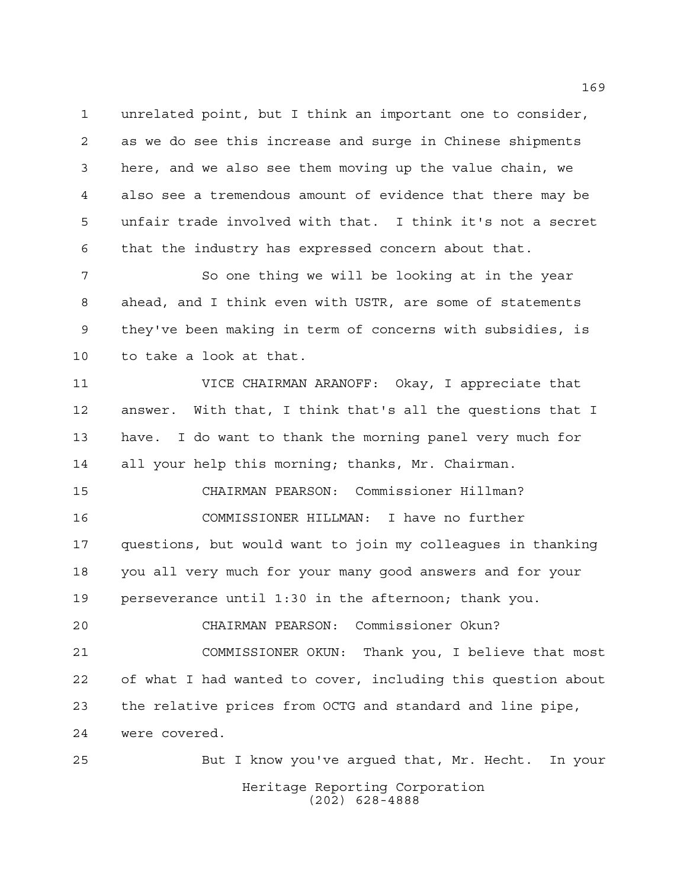unrelated point, but I think an important one to consider, as we do see this increase and surge in Chinese shipments here, and we also see them moving up the value chain, we also see a tremendous amount of evidence that there may be unfair trade involved with that. I think it's not a secret that the industry has expressed concern about that.

7 So one thing we will be looking at in the year ahead, and I think even with USTR, are some of statements they've been making in term of concerns with subsidies, is to take a look at that.

 VICE CHAIRMAN ARANOFF: Okay, I appreciate that answer. With that, I think that's all the questions that I have. I do want to thank the morning panel very much for all your help this morning; thanks, Mr. Chairman.

 CHAIRMAN PEARSON: Commissioner Hillman? COMMISSIONER HILLMAN: I have no further questions, but would want to join my colleagues in thanking you all very much for your many good answers and for your perseverance until 1:30 in the afternoon; thank you.

 CHAIRMAN PEARSON: Commissioner Okun? COMMISSIONER OKUN: Thank you, I believe that most of what I had wanted to cover, including this question about the relative prices from OCTG and standard and line pipe, were covered.

Heritage Reporting Corporation (202) 628-4888 But I know you've argued that, Mr. Hecht. In your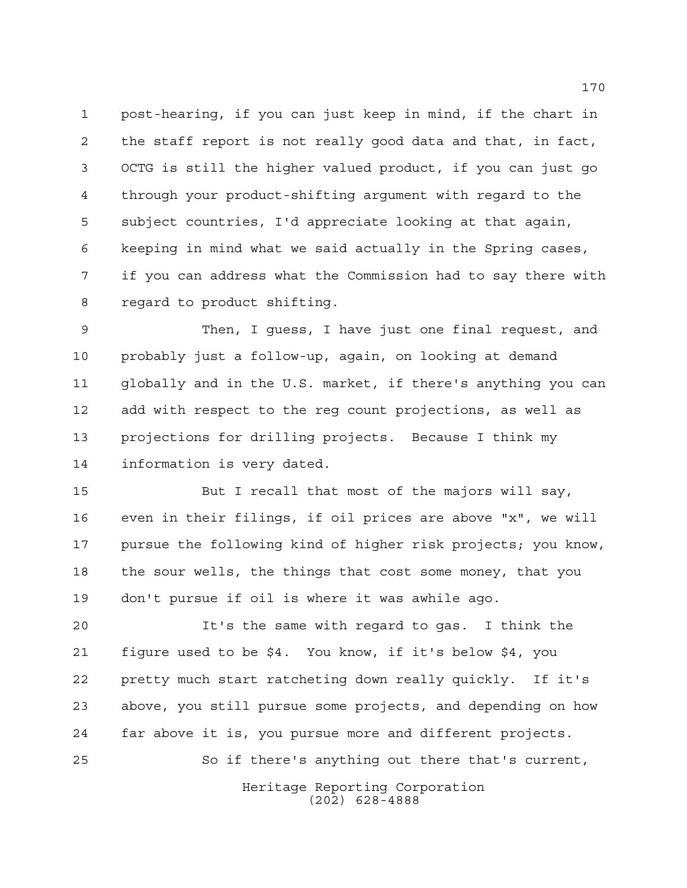post-hearing, if you can just keep in mind, if the chart in the staff report is not really good data and that, in fact, OCTG is still the higher valued product, if you can just go through your product-shifting argument with regard to the subject countries, I'd appreciate looking at that again, keeping in mind what we said actually in the Spring cases, if you can address what the Commission had to say there with regard to product shifting.

 Then, I guess, I have just one final request, and probably just a follow-up, again, on looking at demand globally and in the U.S. market, if there's anything you can add with respect to the reg count projections, as well as projections for drilling projects. Because I think my information is very dated.

 But I recall that most of the majors will say, even in their filings, if oil prices are above "x", we will pursue the following kind of higher risk projects; you know, the sour wells, the things that cost some money, that you don't pursue if oil is where it was awhile ago.

 It's the same with regard to gas. I think the figure used to be \$4. You know, if it's below \$4, you pretty much start ratcheting down really quickly. If it's above, you still pursue some projects, and depending on how far above it is, you pursue more and different projects. So if there's anything out there that's current,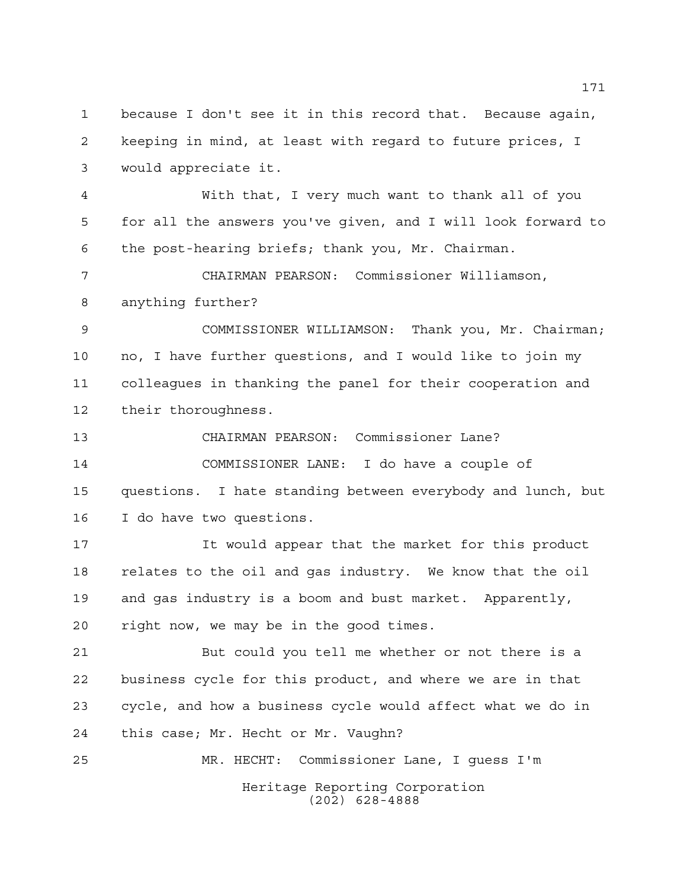because I don't see it in this record that. Because again, keeping in mind, at least with regard to future prices, I would appreciate it.

 With that, I very much want to thank all of you for all the answers you've given, and I will look forward to the post-hearing briefs; thank you, Mr. Chairman.

 CHAIRMAN PEARSON: Commissioner Williamson, anything further?

 COMMISSIONER WILLIAMSON: Thank you, Mr. Chairman; no, I have further questions, and I would like to join my colleagues in thanking the panel for their cooperation and their thoroughness.

 CHAIRMAN PEARSON: Commissioner Lane? COMMISSIONER LANE: I do have a couple of questions. I hate standing between everybody and lunch, but I do have two questions.

 It would appear that the market for this product relates to the oil and gas industry. We know that the oil and gas industry is a boom and bust market. Apparently, right now, we may be in the good times.

 But could you tell me whether or not there is a business cycle for this product, and where we are in that cycle, and how a business cycle would affect what we do in this case; Mr. Hecht or Mr. Vaughn?

Heritage Reporting Corporation (202) 628-4888 MR. HECHT: Commissioner Lane, I guess I'm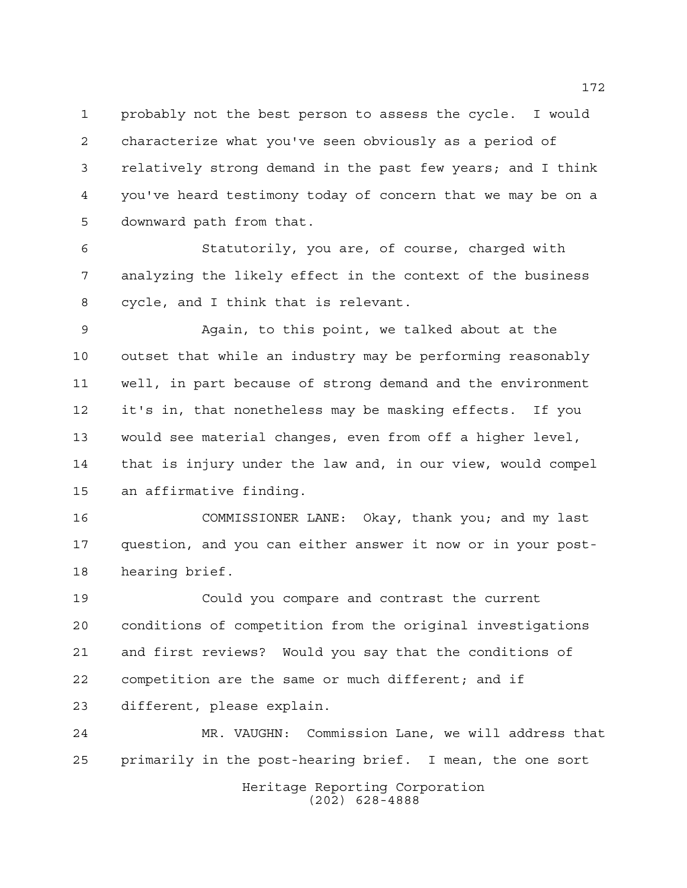probably not the best person to assess the cycle. I would characterize what you've seen obviously as a period of relatively strong demand in the past few years; and I think you've heard testimony today of concern that we may be on a downward path from that.

 Statutorily, you are, of course, charged with analyzing the likely effect in the context of the business cycle, and I think that is relevant.

 Again, to this point, we talked about at the outset that while an industry may be performing reasonably well, in part because of strong demand and the environment it's in, that nonetheless may be masking effects. If you would see material changes, even from off a higher level, that is injury under the law and, in our view, would compel an affirmative finding.

 COMMISSIONER LANE: Okay, thank you; and my last question, and you can either answer it now or in your post-hearing brief.

 Could you compare and contrast the current conditions of competition from the original investigations and first reviews? Would you say that the conditions of competition are the same or much different; and if different, please explain.

Heritage Reporting Corporation (202) 628-4888 MR. VAUGHN: Commission Lane, we will address that primarily in the post-hearing brief. I mean, the one sort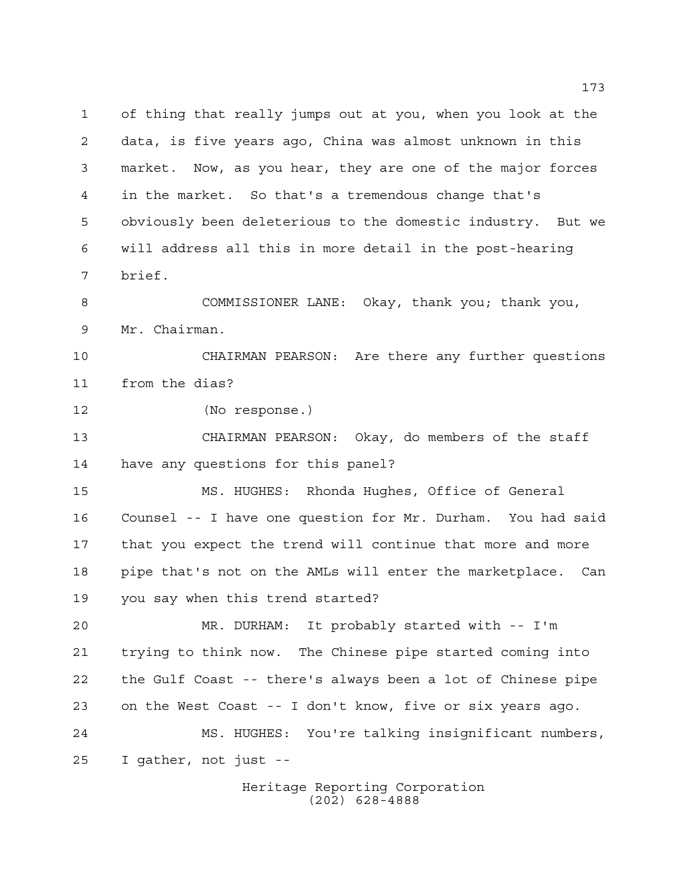of thing that really jumps out at you, when you look at the data, is five years ago, China was almost unknown in this market. Now, as you hear, they are one of the major forces in the market. So that's a tremendous change that's obviously been deleterious to the domestic industry. But we will address all this in more detail in the post-hearing brief. COMMISSIONER LANE: Okay, thank you; thank you, Mr. Chairman. CHAIRMAN PEARSON: Are there any further questions from the dias? (No response.) CHAIRMAN PEARSON: Okay, do members of the staff have any questions for this panel? MS. HUGHES: Rhonda Hughes, Office of General Counsel -- I have one question for Mr. Durham. You had said that you expect the trend will continue that more and more pipe that's not on the AMLs will enter the marketplace. Can you say when this trend started? MR. DURHAM: It probably started with -- I'm trying to think now. The Chinese pipe started coming into the Gulf Coast -- there's always been a lot of Chinese pipe on the West Coast -- I don't know, five or six years ago. MS. HUGHES: You're talking insignificant numbers, I gather, not just --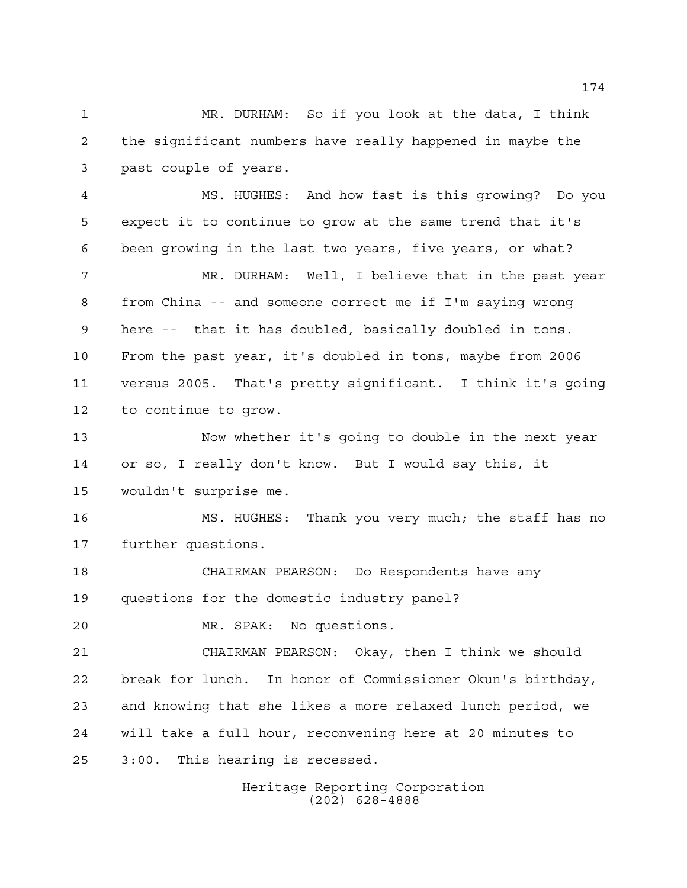MR. DURHAM: So if you look at the data, I think the significant numbers have really happened in maybe the past couple of years.

 MS. HUGHES: And how fast is this growing? Do you expect it to continue to grow at the same trend that it's been growing in the last two years, five years, or what?

 MR. DURHAM: Well, I believe that in the past year from China -- and someone correct me if I'm saying wrong here -- that it has doubled, basically doubled in tons. From the past year, it's doubled in tons, maybe from 2006 versus 2005. That's pretty significant. I think it's going to continue to grow.

 Now whether it's going to double in the next year or so, I really don't know. But I would say this, it wouldn't surprise me.

 MS. HUGHES: Thank you very much; the staff has no further questions.

 CHAIRMAN PEARSON: Do Respondents have any questions for the domestic industry panel?

MR. SPAK: No questions.

 CHAIRMAN PEARSON: Okay, then I think we should break for lunch. In honor of Commissioner Okun's birthday, and knowing that she likes a more relaxed lunch period, we will take a full hour, reconvening here at 20 minutes to 3:00. This hearing is recessed.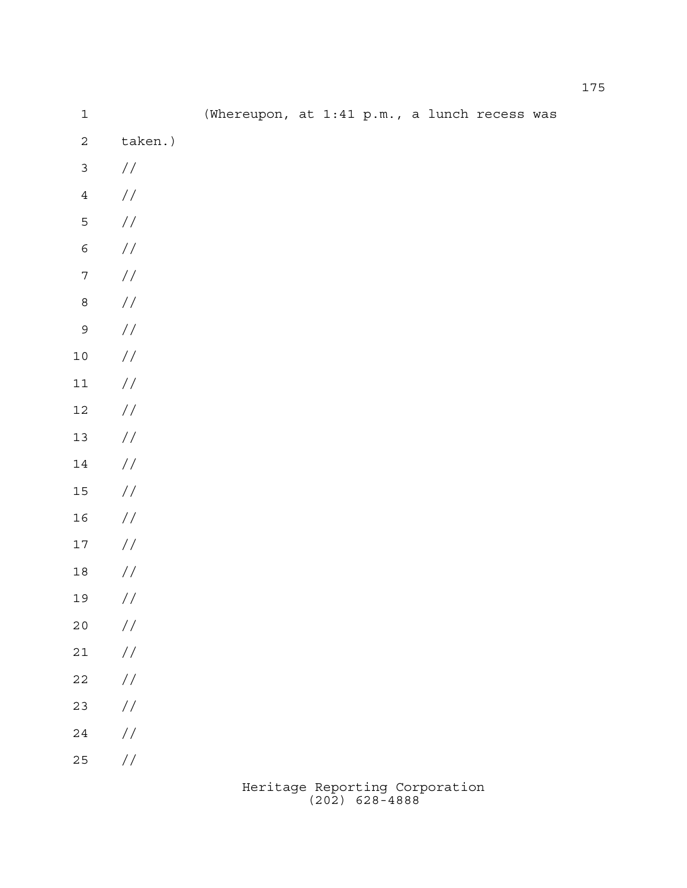| $\mathbf 1$      |               | (Whereupon, at 1:41 p.m., a lunch recess was |  |  |  |  |
|------------------|---------------|----------------------------------------------|--|--|--|--|
| $\mathbf 2$      | taken.)       |                                              |  |  |  |  |
| $\mathsf{3}$     | $\frac{1}{2}$ |                                              |  |  |  |  |
| $\bf 4$          | $\!/\!$       |                                              |  |  |  |  |
| 5                | $\!/\!$       |                                              |  |  |  |  |
| $\epsilon$       | $\!/\!$       |                                              |  |  |  |  |
| $\boldsymbol{7}$ | $\!/\!$       |                                              |  |  |  |  |
| $\mathsf g$      | $\!/\!$       |                                              |  |  |  |  |
| $\overline{9}$   | $\!/\!$       |                                              |  |  |  |  |
| $1\,0$           | $\!/\!$       |                                              |  |  |  |  |
| $11\,$           | $\!/\!$       |                                              |  |  |  |  |
| $12\,$           | $\!/\!$       |                                              |  |  |  |  |
| $13\,$           | $\!/\!$       |                                              |  |  |  |  |
| 14               | $\!/\!$       |                                              |  |  |  |  |
| $15\,$           | $\!/\!$       |                                              |  |  |  |  |
| $16$             | $\!/\!$       |                                              |  |  |  |  |
| $17\,$           | $\!/\!$       |                                              |  |  |  |  |
| $18\,$           | $\frac{1}{2}$ |                                              |  |  |  |  |
| 19               | $\!/\!$       |                                              |  |  |  |  |
| $2\,0$           | $\frac{1}{2}$ |                                              |  |  |  |  |
| $2\sqrt{1}$      | $\frac{1}{2}$ |                                              |  |  |  |  |
| $2\sqrt{2}$      | $\!/\!$       |                                              |  |  |  |  |
| $23$             | $\!/\!$       |                                              |  |  |  |  |
| $2\sqrt{4}$      | $\sqrt{}$     |                                              |  |  |  |  |
| $25\,$           | $\!/\!$       |                                              |  |  |  |  |
|                  |               |                                              |  |  |  |  |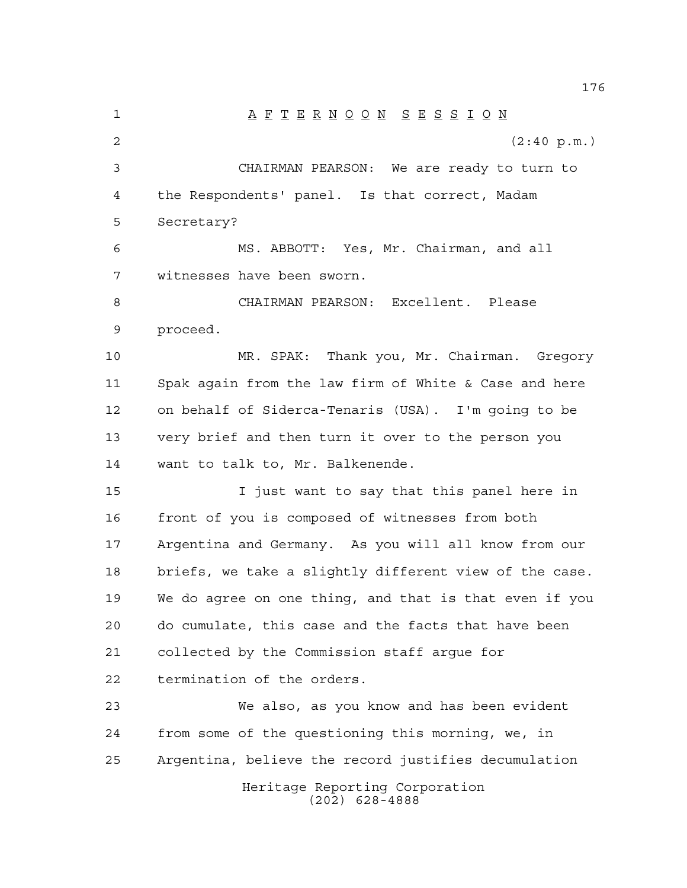Heritage Reporting Corporation (202) 628-4888 A F T E R N O O N S E S S I O N  $(2:40 \text{ p.m.})$  CHAIRMAN PEARSON: We are ready to turn to the Respondents' panel. Is that correct, Madam Secretary? MS. ABBOTT: Yes, Mr. Chairman, and all witnesses have been sworn. CHAIRMAN PEARSON: Excellent. Please proceed. MR. SPAK: Thank you, Mr. Chairman. Gregory Spak again from the law firm of White & Case and here on behalf of Siderca-Tenaris (USA). I'm going to be very brief and then turn it over to the person you want to talk to, Mr. Balkenende. I just want to say that this panel here in front of you is composed of witnesses from both Argentina and Germany. As you will all know from our briefs, we take a slightly different view of the case. We do agree on one thing, and that is that even if you do cumulate, this case and the facts that have been collected by the Commission staff argue for termination of the orders. We also, as you know and has been evident from some of the questioning this morning, we, in Argentina, believe the record justifies decumulation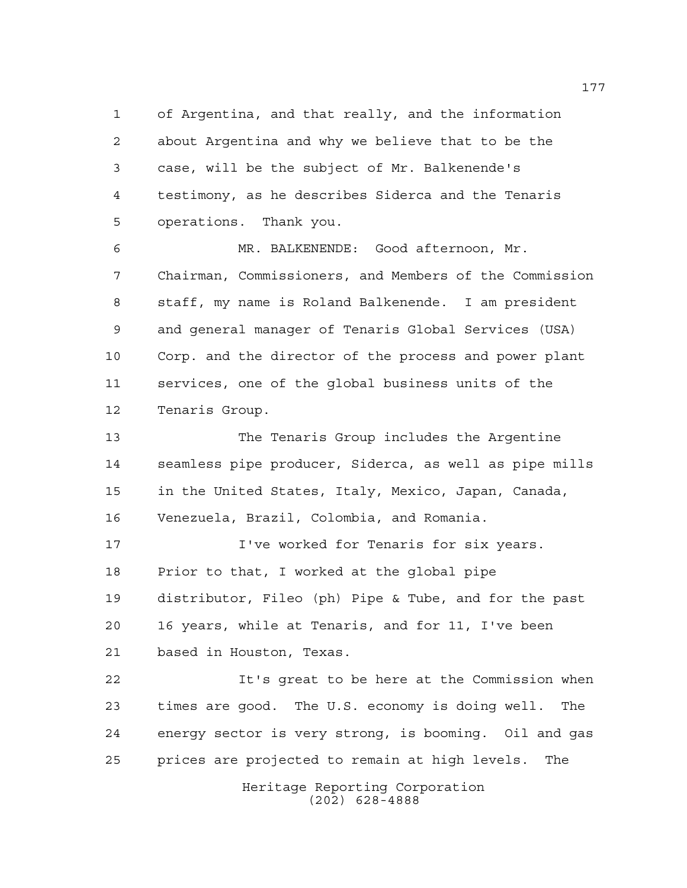of Argentina, and that really, and the information about Argentina and why we believe that to be the case, will be the subject of Mr. Balkenende's testimony, as he describes Siderca and the Tenaris operations. Thank you.

 MR. BALKENENDE: Good afternoon, Mr. Chairman, Commissioners, and Members of the Commission staff, my name is Roland Balkenende. I am president and general manager of Tenaris Global Services (USA) Corp. and the director of the process and power plant services, one of the global business units of the Tenaris Group.

 The Tenaris Group includes the Argentine seamless pipe producer, Siderca, as well as pipe mills in the United States, Italy, Mexico, Japan, Canada, Venezuela, Brazil, Colombia, and Romania.

**I've worked for Tenaris for six years.**  Prior to that, I worked at the global pipe distributor, Fileo (ph) Pipe & Tube, and for the past 16 years, while at Tenaris, and for 11, I've been based in Houston, Texas.

 It's great to be here at the Commission when times are good. The U.S. economy is doing well. The energy sector is very strong, is booming. Oil and gas prices are projected to remain at high levels. The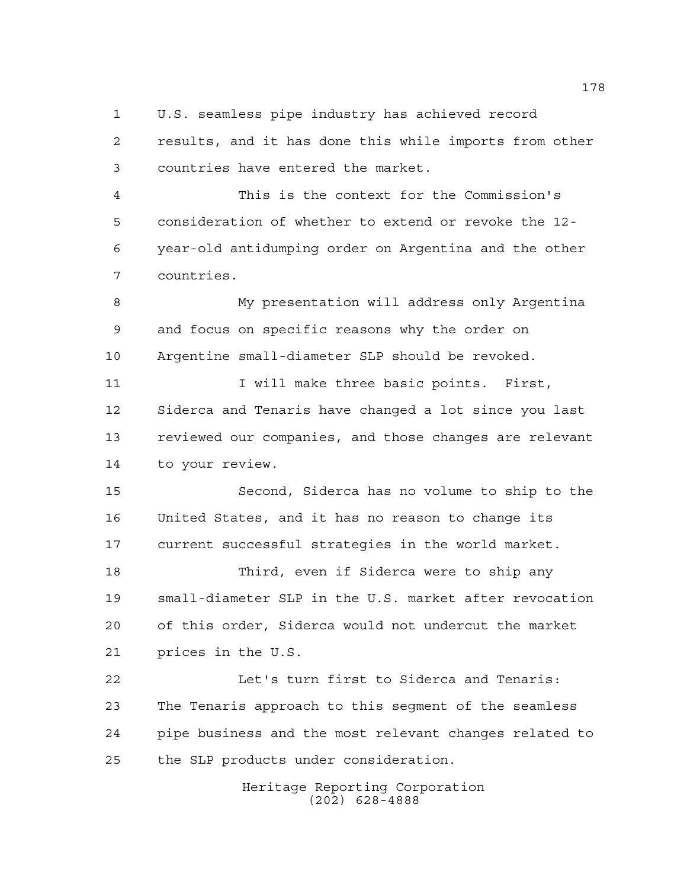U.S. seamless pipe industry has achieved record

 results, and it has done this while imports from other countries have entered the market.

 This is the context for the Commission's consideration of whether to extend or revoke the 12- year-old antidumping order on Argentina and the other countries.

 My presentation will address only Argentina and focus on specific reasons why the order on Argentine small-diameter SLP should be revoked.

11 11 I will make three basic points. First, Siderca and Tenaris have changed a lot since you last reviewed our companies, and those changes are relevant to your review.

 Second, Siderca has no volume to ship to the United States, and it has no reason to change its current successful strategies in the world market.

 Third, even if Siderca were to ship any small-diameter SLP in the U.S. market after revocation of this order, Siderca would not undercut the market prices in the U.S.

 Let's turn first to Siderca and Tenaris: The Tenaris approach to this segment of the seamless pipe business and the most relevant changes related to the SLP products under consideration.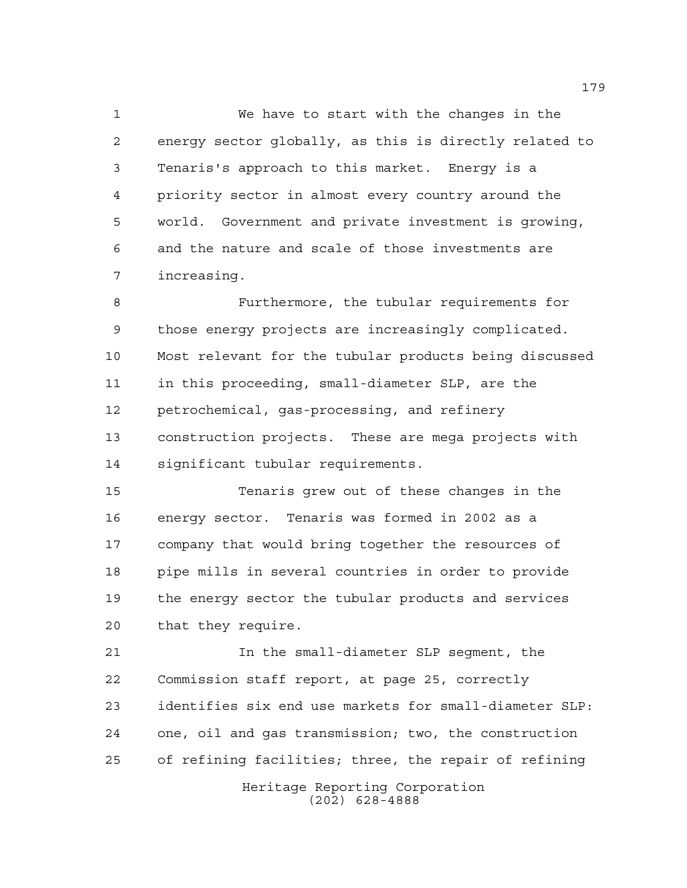We have to start with the changes in the energy sector globally, as this is directly related to Tenaris's approach to this market. Energy is a priority sector in almost every country around the world. Government and private investment is growing, and the nature and scale of those investments are increasing.

 Furthermore, the tubular requirements for those energy projects are increasingly complicated. Most relevant for the tubular products being discussed in this proceeding, small-diameter SLP, are the petrochemical, gas-processing, and refinery construction projects. These are mega projects with significant tubular requirements.

 Tenaris grew out of these changes in the energy sector. Tenaris was formed in 2002 as a company that would bring together the resources of pipe mills in several countries in order to provide the energy sector the tubular products and services that they require.

 In the small-diameter SLP segment, the Commission staff report, at page 25, correctly identifies six end use markets for small-diameter SLP: one, oil and gas transmission; two, the construction of refining facilities; three, the repair of refining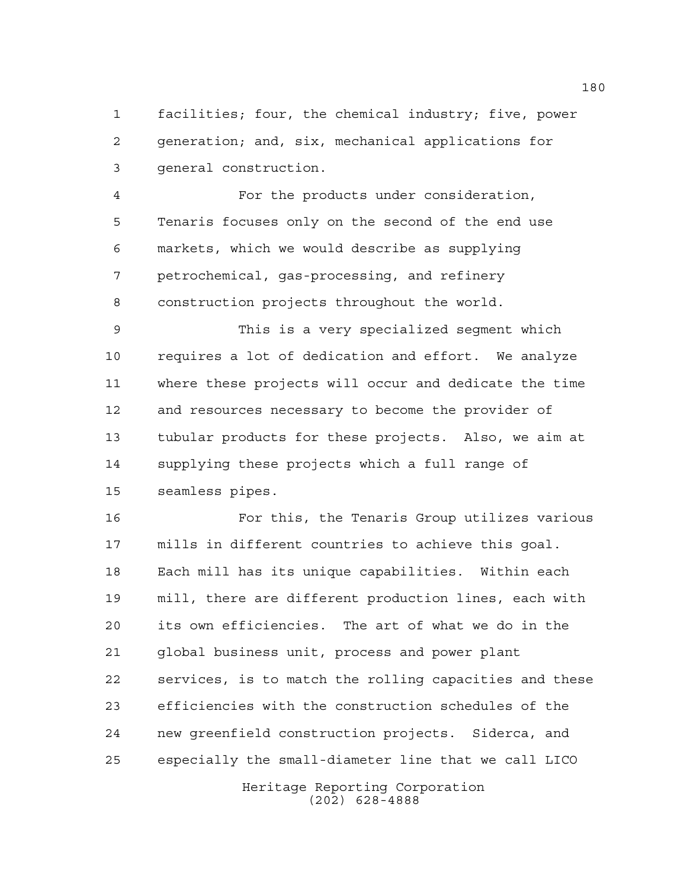facilities; four, the chemical industry; five, power generation; and, six, mechanical applications for general construction.

 For the products under consideration, Tenaris focuses only on the second of the end use markets, which we would describe as supplying petrochemical, gas-processing, and refinery construction projects throughout the world.

 This is a very specialized segment which requires a lot of dedication and effort. We analyze where these projects will occur and dedicate the time and resources necessary to become the provider of tubular products for these projects. Also, we aim at supplying these projects which a full range of seamless pipes.

 For this, the Tenaris Group utilizes various mills in different countries to achieve this goal. Each mill has its unique capabilities. Within each mill, there are different production lines, each with its own efficiencies. The art of what we do in the global business unit, process and power plant services, is to match the rolling capacities and these efficiencies with the construction schedules of the new greenfield construction projects. Siderca, and especially the small-diameter line that we call LICO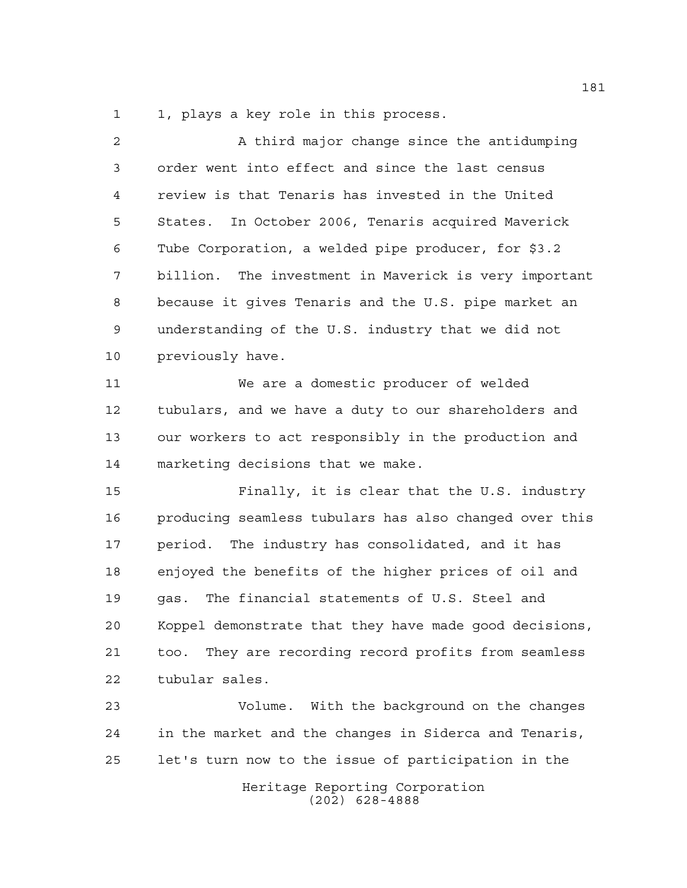1, plays a key role in this process.

| 2  | A third major change since the antidumping              |
|----|---------------------------------------------------------|
| 3  | order went into effect and since the last census        |
| 4  | review is that Tenaris has invested in the United       |
| 5  | States. In October 2006, Tenaris acquired Maverick      |
| 6  | Tube Corporation, a welded pipe producer, for \$3.2     |
| 7  | billion. The investment in Maverick is very important   |
| 8  | because it gives Tenaris and the U.S. pipe market an    |
| 9  | understanding of the U.S. industry that we did not      |
| 10 | previously have.                                        |
| 11 | We are a domestic producer of welded                    |
| 12 | tubulars, and we have a duty to our shareholders and    |
| 13 | our workers to act responsibly in the production and    |
| 14 | marketing decisions that we make.                       |
| 15 | Finally, it is clear that the U.S. industry             |
| 16 | producing seamless tubulars has also changed over this  |
| 17 | period. The industry has consolidated, and it has       |
| 18 | enjoyed the benefits of the higher prices of oil and    |
| 19 | The financial statements of U.S. Steel and<br>qas.      |
| 20 | Koppel demonstrate that they have made good decisions,  |
| 21 | They are recording record profits from seamless<br>too. |
| 22 | tubular sales.                                          |
| 23 | Volume. With the background on the changes              |
| 24 | in the market and the changes in Siderca and Tenaris,   |
| 25 | let's turn now to the issue of participation in the     |
|    | Heritage Reporting Corporation<br>$(202)$ 628-4888      |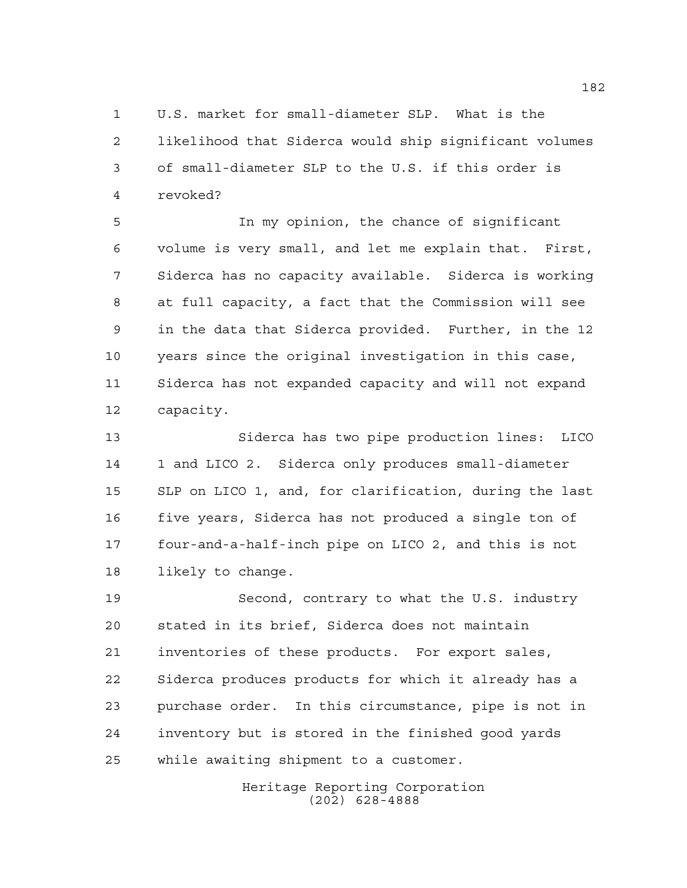U.S. market for small-diameter SLP. What is the likelihood that Siderca would ship significant volumes of small-diameter SLP to the U.S. if this order is revoked?

 In my opinion, the chance of significant volume is very small, and let me explain that. First, Siderca has no capacity available. Siderca is working at full capacity, a fact that the Commission will see in the data that Siderca provided. Further, in the 12 years since the original investigation in this case, Siderca has not expanded capacity and will not expand capacity.

 Siderca has two pipe production lines: LICO 1 and LICO 2. Siderca only produces small-diameter SLP on LICO 1, and, for clarification, during the last five years, Siderca has not produced a single ton of four-and-a-half-inch pipe on LICO 2, and this is not likely to change.

 Second, contrary to what the U.S. industry stated in its brief, Siderca does not maintain inventories of these products. For export sales, Siderca produces products for which it already has a purchase order. In this circumstance, pipe is not in inventory but is stored in the finished good yards while awaiting shipment to a customer.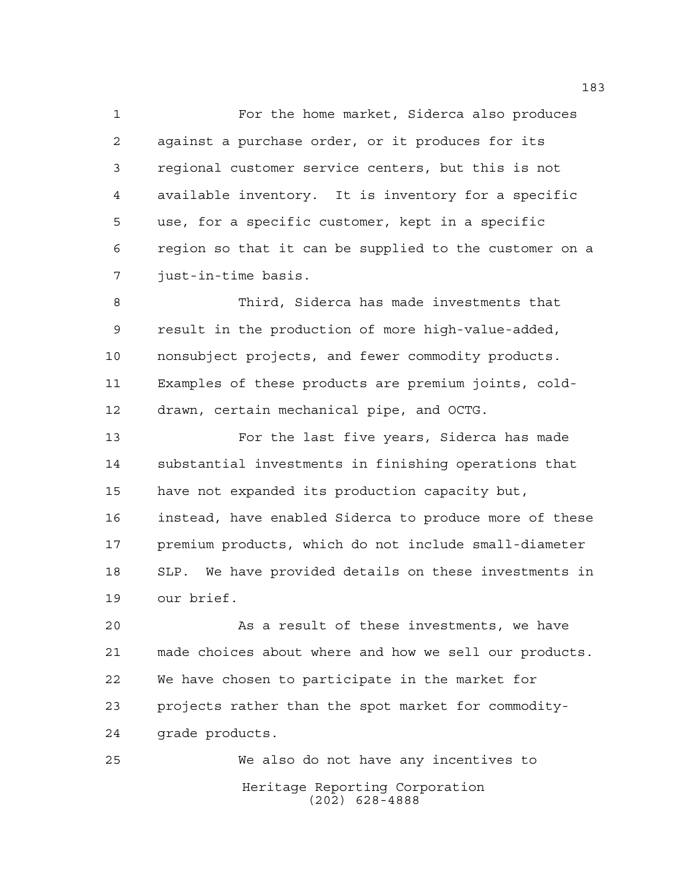For the home market, Siderca also produces against a purchase order, or it produces for its regional customer service centers, but this is not available inventory. It is inventory for a specific use, for a specific customer, kept in a specific region so that it can be supplied to the customer on a just-in-time basis.

 Third, Siderca has made investments that result in the production of more high-value-added, nonsubject projects, and fewer commodity products. Examples of these products are premium joints, cold-drawn, certain mechanical pipe, and OCTG.

 For the last five years, Siderca has made substantial investments in finishing operations that have not expanded its production capacity but, instead, have enabled Siderca to produce more of these premium products, which do not include small-diameter SLP. We have provided details on these investments in our brief.

 As a result of these investments, we have made choices about where and how we sell our products. We have chosen to participate in the market for projects rather than the spot market for commodity-grade products.

Heritage Reporting Corporation (202) 628-4888 We also do not have any incentives to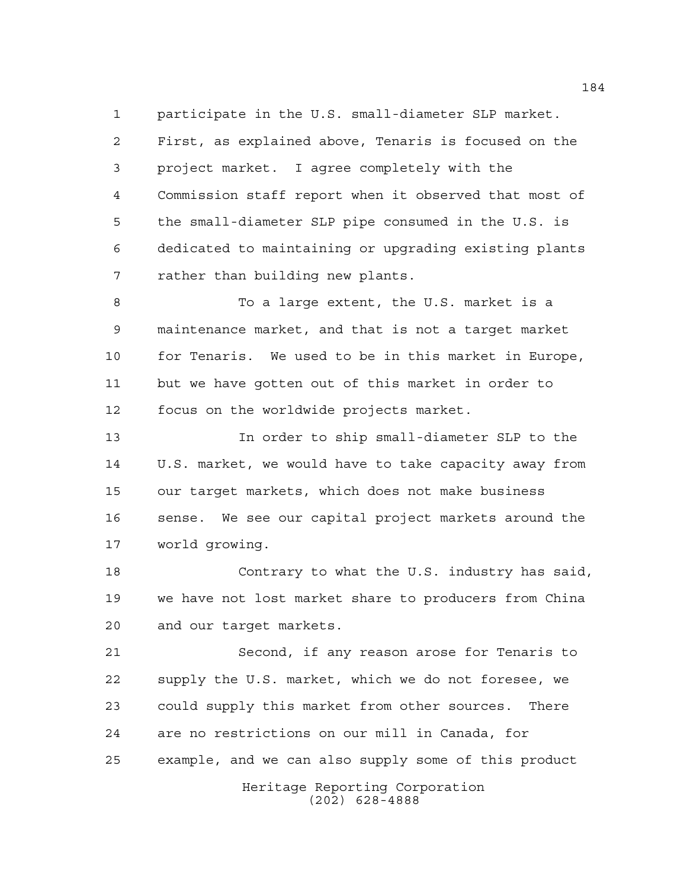participate in the U.S. small-diameter SLP market. First, as explained above, Tenaris is focused on the project market. I agree completely with the Commission staff report when it observed that most of the small-diameter SLP pipe consumed in the U.S. is dedicated to maintaining or upgrading existing plants rather than building new plants.

 To a large extent, the U.S. market is a maintenance market, and that is not a target market for Tenaris. We used to be in this market in Europe, but we have gotten out of this market in order to focus on the worldwide projects market.

 In order to ship small-diameter SLP to the U.S. market, we would have to take capacity away from our target markets, which does not make business sense. We see our capital project markets around the world growing.

 Contrary to what the U.S. industry has said, we have not lost market share to producers from China and our target markets.

 Second, if any reason arose for Tenaris to supply the U.S. market, which we do not foresee, we could supply this market from other sources. There are no restrictions on our mill in Canada, for example, and we can also supply some of this product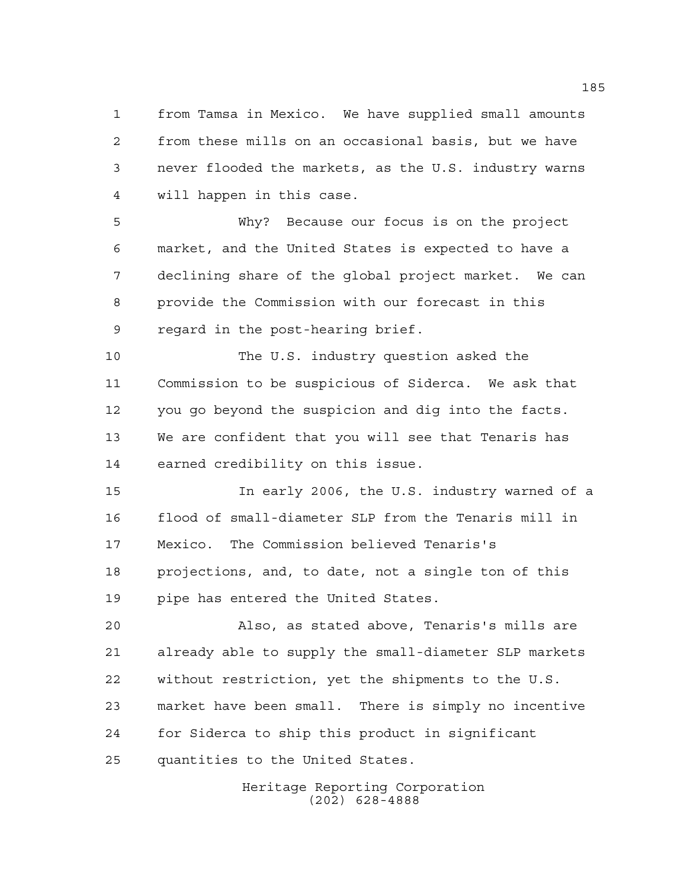from Tamsa in Mexico. We have supplied small amounts from these mills on an occasional basis, but we have never flooded the markets, as the U.S. industry warns will happen in this case.

 Why? Because our focus is on the project market, and the United States is expected to have a declining share of the global project market. We can provide the Commission with our forecast in this regard in the post-hearing brief.

 The U.S. industry question asked the Commission to be suspicious of Siderca. We ask that you go beyond the suspicion and dig into the facts. We are confident that you will see that Tenaris has earned credibility on this issue.

 In early 2006, the U.S. industry warned of a flood of small-diameter SLP from the Tenaris mill in Mexico. The Commission believed Tenaris's projections, and, to date, not a single ton of this pipe has entered the United States.

 Also, as stated above, Tenaris's mills are already able to supply the small-diameter SLP markets without restriction, yet the shipments to the U.S. market have been small. There is simply no incentive for Siderca to ship this product in significant quantities to the United States.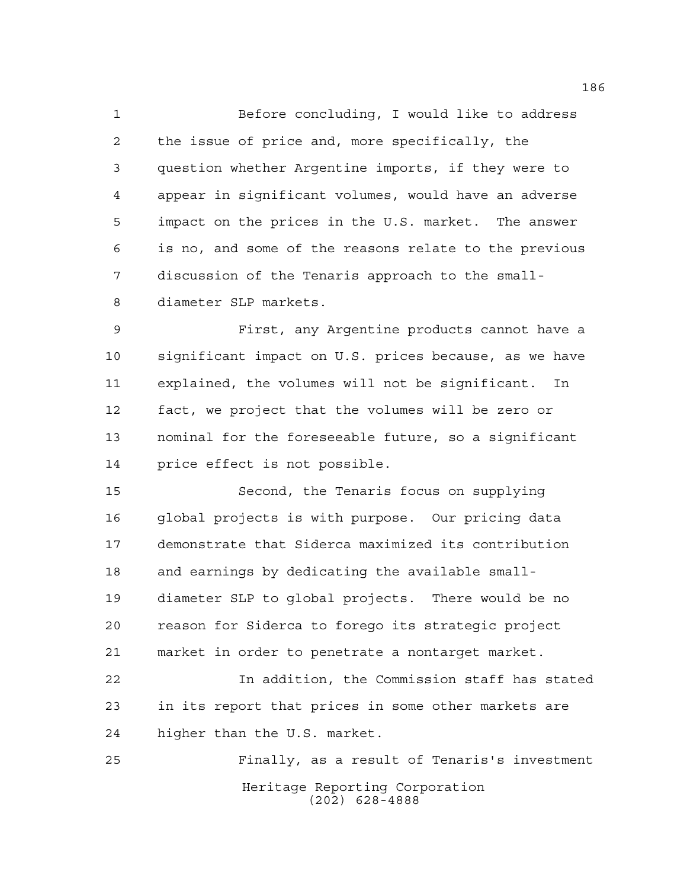Before concluding, I would like to address the issue of price and, more specifically, the question whether Argentine imports, if they were to appear in significant volumes, would have an adverse impact on the prices in the U.S. market. The answer is no, and some of the reasons relate to the previous discussion of the Tenaris approach to the small-diameter SLP markets.

 First, any Argentine products cannot have a significant impact on U.S. prices because, as we have explained, the volumes will not be significant. In fact, we project that the volumes will be zero or nominal for the foreseeable future, so a significant price effect is not possible.

 Second, the Tenaris focus on supplying global projects is with purpose. Our pricing data demonstrate that Siderca maximized its contribution and earnings by dedicating the available small- diameter SLP to global projects. There would be no reason for Siderca to forego its strategic project market in order to penetrate a nontarget market.

 In addition, the Commission staff has stated in its report that prices in some other markets are higher than the U.S. market.

Heritage Reporting Corporation (202) 628-4888 Finally, as a result of Tenaris's investment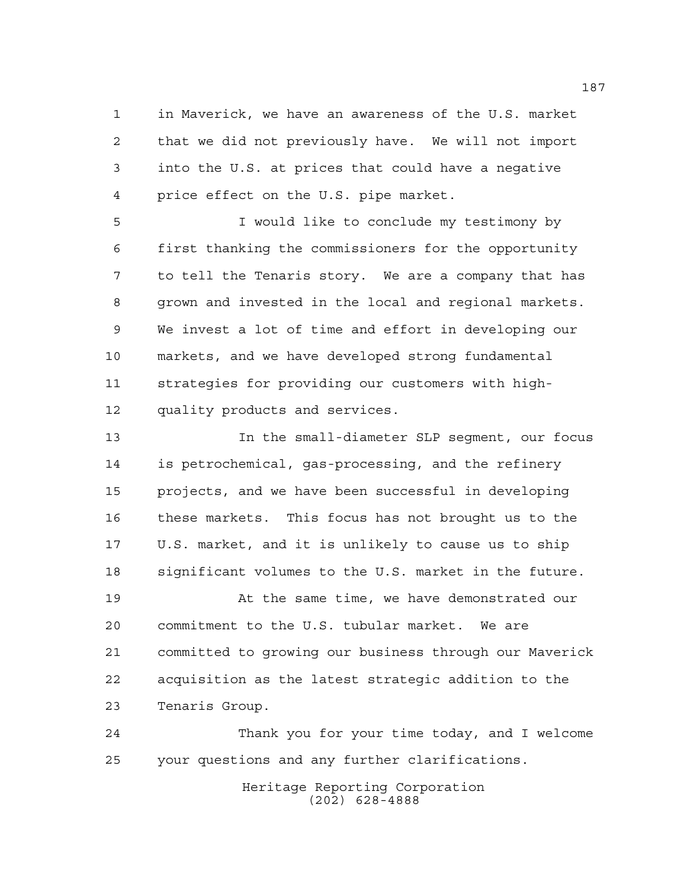in Maverick, we have an awareness of the U.S. market that we did not previously have. We will not import into the U.S. at prices that could have a negative price effect on the U.S. pipe market.

 I would like to conclude my testimony by first thanking the commissioners for the opportunity to tell the Tenaris story. We are a company that has grown and invested in the local and regional markets. We invest a lot of time and effort in developing our markets, and we have developed strong fundamental strategies for providing our customers with high-quality products and services.

 In the small-diameter SLP segment, our focus is petrochemical, gas-processing, and the refinery projects, and we have been successful in developing these markets. This focus has not brought us to the U.S. market, and it is unlikely to cause us to ship significant volumes to the U.S. market in the future.

 At the same time, we have demonstrated our commitment to the U.S. tubular market. We are committed to growing our business through our Maverick acquisition as the latest strategic addition to the Tenaris Group.

 Thank you for your time today, and I welcome your questions and any further clarifications.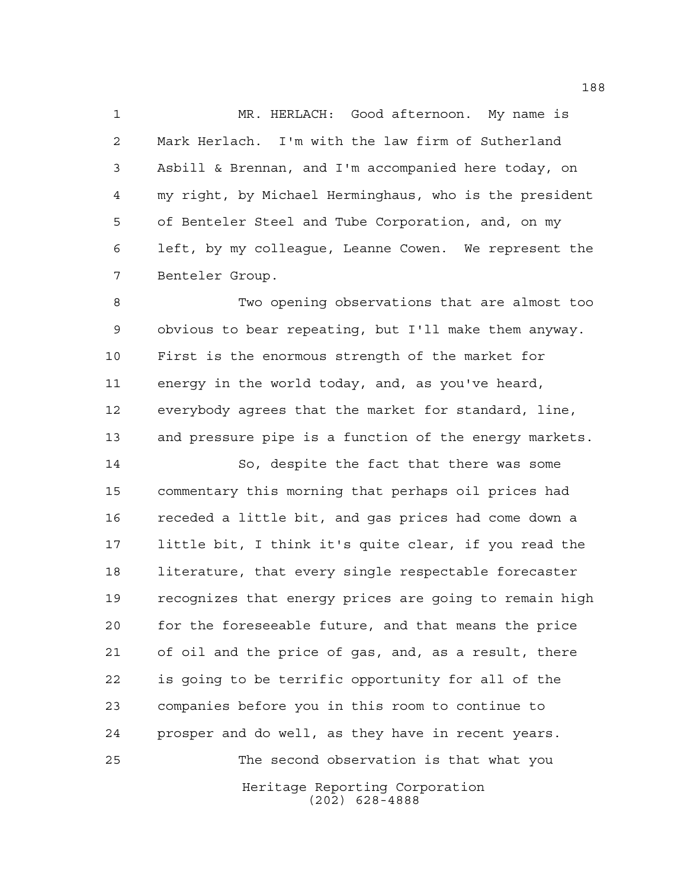MR. HERLACH: Good afternoon. My name is Mark Herlach. I'm with the law firm of Sutherland Asbill & Brennan, and I'm accompanied here today, on my right, by Michael Herminghaus, who is the president of Benteler Steel and Tube Corporation, and, on my left, by my colleague, Leanne Cowen. We represent the Benteler Group.

 Two opening observations that are almost too obvious to bear repeating, but I'll make them anyway. First is the enormous strength of the market for energy in the world today, and, as you've heard, everybody agrees that the market for standard, line, and pressure pipe is a function of the energy markets.

Heritage Reporting Corporation (202) 628-4888 So, despite the fact that there was some commentary this morning that perhaps oil prices had receded a little bit, and gas prices had come down a little bit, I think it's quite clear, if you read the literature, that every single respectable forecaster recognizes that energy prices are going to remain high for the foreseeable future, and that means the price of oil and the price of gas, and, as a result, there is going to be terrific opportunity for all of the companies before you in this room to continue to prosper and do well, as they have in recent years. The second observation is that what you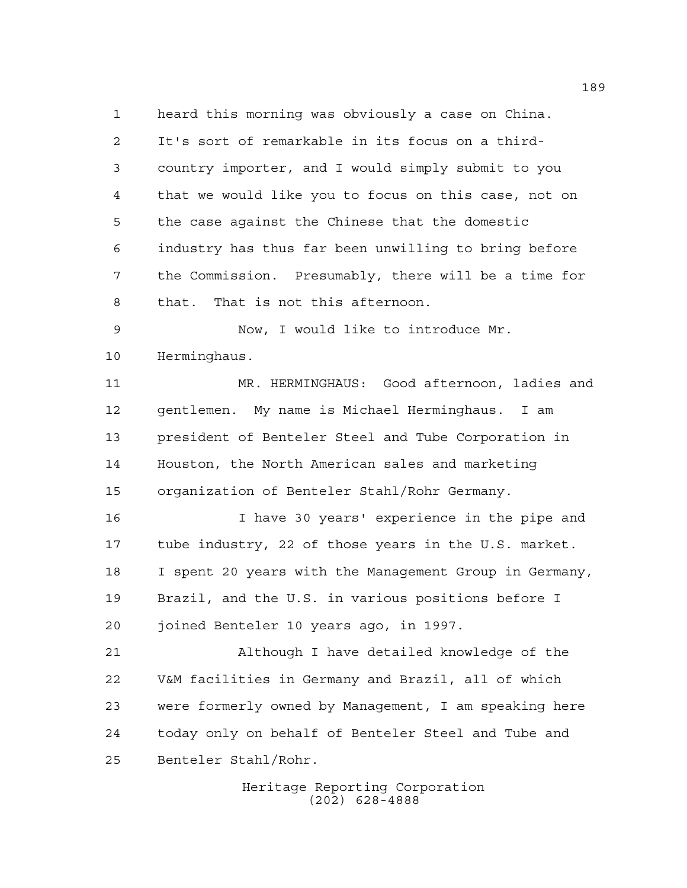heard this morning was obviously a case on China. It's sort of remarkable in its focus on a third- country importer, and I would simply submit to you that we would like you to focus on this case, not on the case against the Chinese that the domestic industry has thus far been unwilling to bring before the Commission. Presumably, there will be a time for that. That is not this afternoon.

 Now, I would like to introduce Mr. Herminghaus.

 MR. HERMINGHAUS: Good afternoon, ladies and gentlemen. My name is Michael Herminghaus. I am president of Benteler Steel and Tube Corporation in Houston, the North American sales and marketing organization of Benteler Stahl/Rohr Germany.

 I have 30 years' experience in the pipe and tube industry, 22 of those years in the U.S. market. I spent 20 years with the Management Group in Germany, Brazil, and the U.S. in various positions before I joined Benteler 10 years ago, in 1997.

 Although I have detailed knowledge of the V&M facilities in Germany and Brazil, all of which were formerly owned by Management, I am speaking here today only on behalf of Benteler Steel and Tube and Benteler Stahl/Rohr.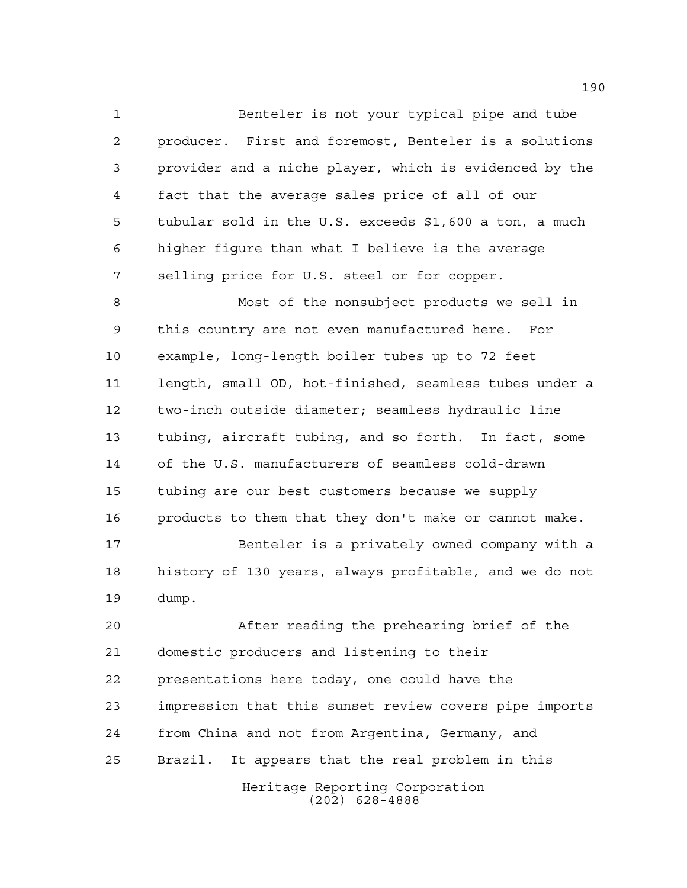Benteler is not your typical pipe and tube producer. First and foremost, Benteler is a solutions provider and a niche player, which is evidenced by the fact that the average sales price of all of our tubular sold in the U.S. exceeds \$1,600 a ton, a much higher figure than what I believe is the average selling price for U.S. steel or for copper.

 Most of the nonsubject products we sell in this country are not even manufactured here. For example, long-length boiler tubes up to 72 feet length, small OD, hot-finished, seamless tubes under a two-inch outside diameter; seamless hydraulic line tubing, aircraft tubing, and so forth. In fact, some of the U.S. manufacturers of seamless cold-drawn tubing are our best customers because we supply products to them that they don't make or cannot make.

 Benteler is a privately owned company with a history of 130 years, always profitable, and we do not dump.

 After reading the prehearing brief of the domestic producers and listening to their presentations here today, one could have the impression that this sunset review covers pipe imports from China and not from Argentina, Germany, and Brazil. It appears that the real problem in this

> Heritage Reporting Corporation (202) 628-4888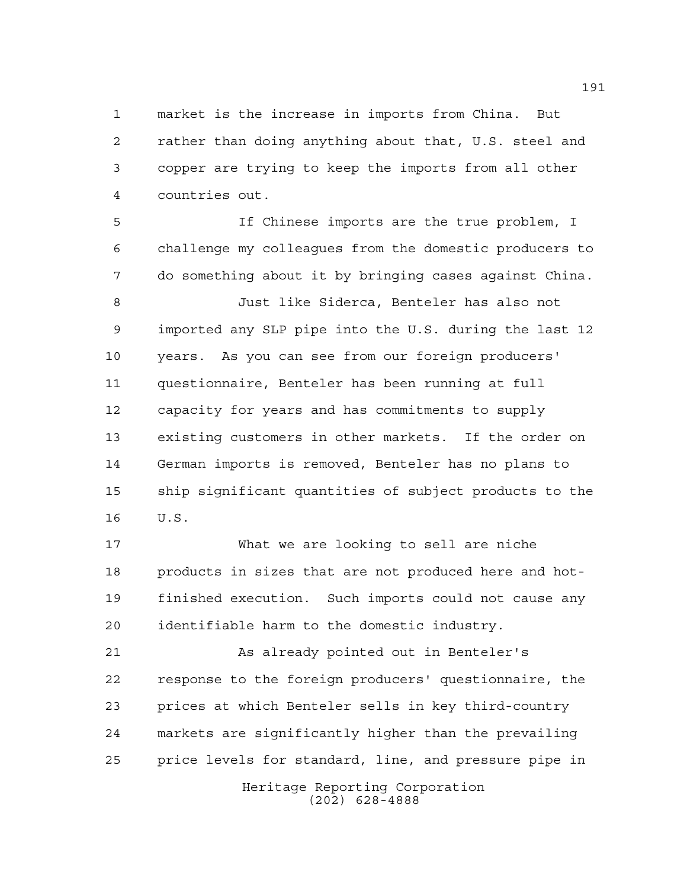market is the increase in imports from China. But rather than doing anything about that, U.S. steel and copper are trying to keep the imports from all other countries out.

 If Chinese imports are the true problem, I challenge my colleagues from the domestic producers to do something about it by bringing cases against China.

 Just like Siderca, Benteler has also not imported any SLP pipe into the U.S. during the last 12 years. As you can see from our foreign producers' questionnaire, Benteler has been running at full capacity for years and has commitments to supply existing customers in other markets. If the order on German imports is removed, Benteler has no plans to ship significant quantities of subject products to the U.S.

 What we are looking to sell are niche products in sizes that are not produced here and hot- finished execution. Such imports could not cause any identifiable harm to the domestic industry.

 As already pointed out in Benteler's response to the foreign producers' questionnaire, the prices at which Benteler sells in key third-country markets are significantly higher than the prevailing price levels for standard, line, and pressure pipe in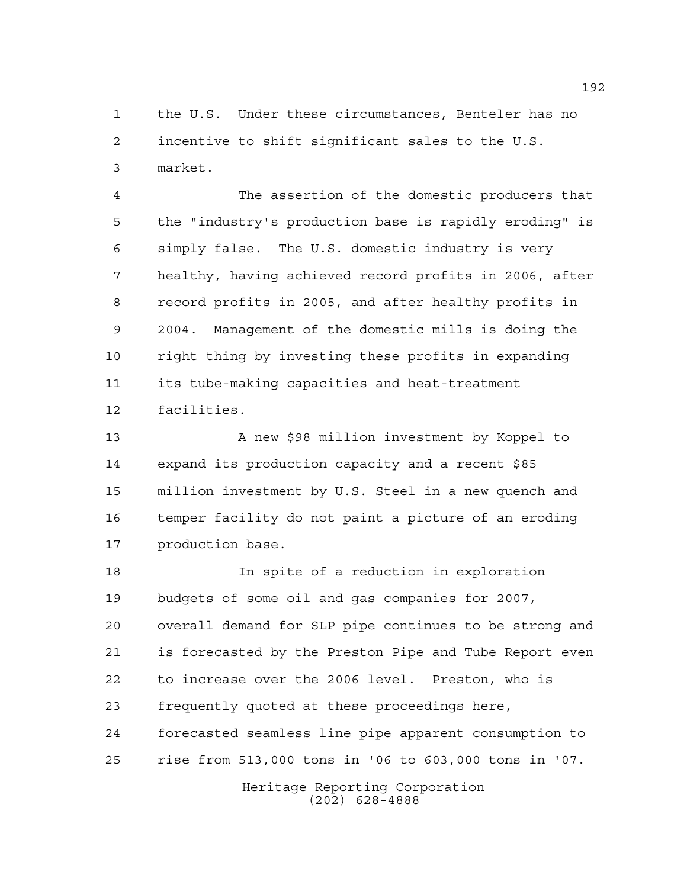the U.S. Under these circumstances, Benteler has no incentive to shift significant sales to the U.S. market.

 The assertion of the domestic producers that the "industry's production base is rapidly eroding" is simply false. The U.S. domestic industry is very healthy, having achieved record profits in 2006, after record profits in 2005, and after healthy profits in 2004. Management of the domestic mills is doing the right thing by investing these profits in expanding its tube-making capacities and heat-treatment facilities.

13 A new \$98 million investment by Koppel to expand its production capacity and a recent \$85 million investment by U.S. Steel in a new quench and temper facility do not paint a picture of an eroding production base.

 In spite of a reduction in exploration budgets of some oil and gas companies for 2007, overall demand for SLP pipe continues to be strong and 21 is forecasted by the **Preston Pipe and Tube Report** even to increase over the 2006 level. Preston, who is frequently quoted at these proceedings here, forecasted seamless line pipe apparent consumption to rise from 513,000 tons in '06 to 603,000 tons in '07.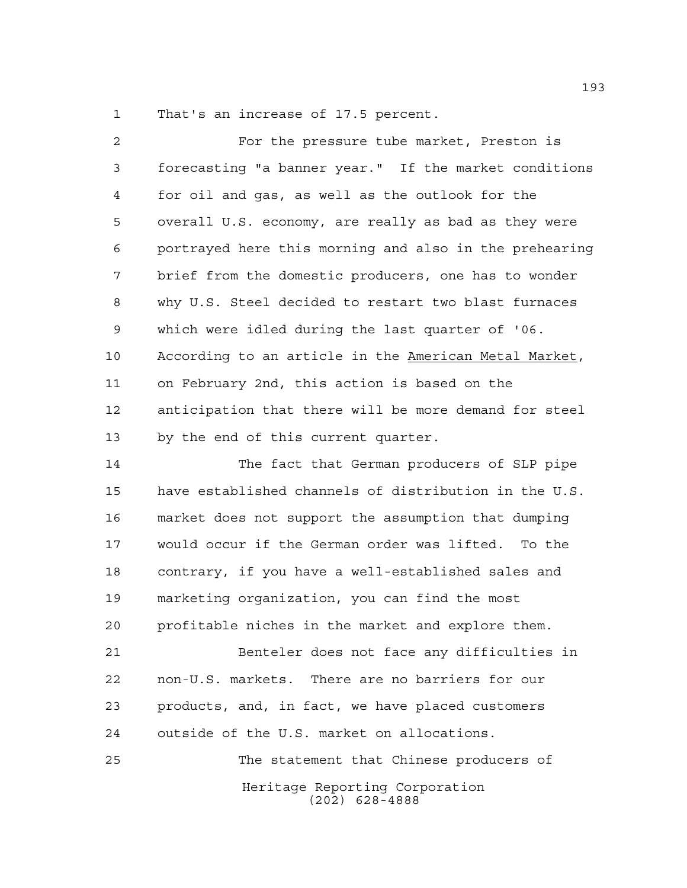That's an increase of 17.5 percent.

| $\overline{a}$ | For the pressure tube market, Preston is               |
|----------------|--------------------------------------------------------|
| 3              | forecasting "a banner year." If the market conditions  |
| 4              | for oil and gas, as well as the outlook for the        |
| 5              | overall U.S. economy, are really as bad as they were   |
| 6              | portrayed here this morning and also in the prehearing |
| 7              | brief from the domestic producers, one has to wonder   |
| 8              | why U.S. Steel decided to restart two blast furnaces   |
| 9              | which were idled during the last quarter of '06.       |
| 10             | According to an article in the American Metal Market,  |
| 11             | on February 2nd, this action is based on the           |
| 12             | anticipation that there will be more demand for steel  |
| 13             | by the end of this current quarter.                    |
| 14             | The fact that German producers of SLP pipe             |
| 15             | have established channels of distribution in the U.S.  |
| 16             | market does not support the assumption that dumping    |
| 17             | would occur if the German order was lifted. To the     |
| 18             | contrary, if you have a well-established sales and     |
| 19             | marketing organization, you can find the most          |
| 20             | profitable niches in the market and explore them.      |
| 21             | Benteler does not face any difficulties in             |
| 22             | non-U.S. markets. There are no barriers for our        |
| 23             | products, and, in fact, we have placed customers       |
| 24             | outside of the U.S. market on allocations.             |
| 25             | The statement that Chinese producers of                |
|                | Heritage Reporting Corporation<br>$(202)$ 628-4888     |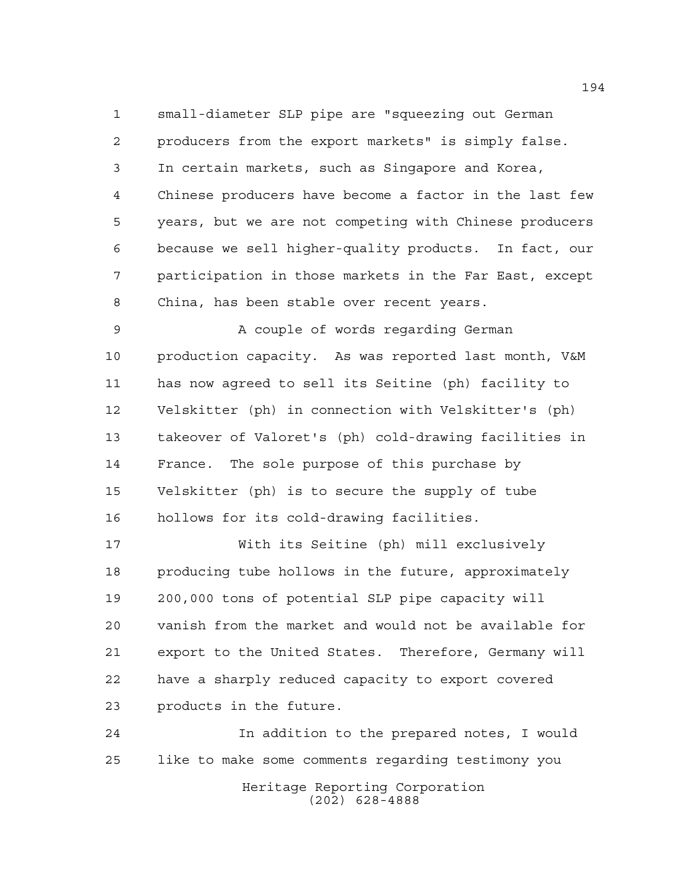small-diameter SLP pipe are "squeezing out German producers from the export markets" is simply false. In certain markets, such as Singapore and Korea, Chinese producers have become a factor in the last few years, but we are not competing with Chinese producers because we sell higher-quality products. In fact, our participation in those markets in the Far East, except China, has been stable over recent years.

9 A couple of words regarding German production capacity. As was reported last month, V&M has now agreed to sell its Seitine (ph) facility to Velskitter (ph) in connection with Velskitter's (ph) takeover of Valoret's (ph) cold-drawing facilities in France. The sole purpose of this purchase by Velskitter (ph) is to secure the supply of tube hollows for its cold-drawing facilities.

 With its Seitine (ph) mill exclusively producing tube hollows in the future, approximately 200,000 tons of potential SLP pipe capacity will vanish from the market and would not be available for export to the United States. Therefore, Germany will have a sharply reduced capacity to export covered products in the future.

Heritage Reporting Corporation (202) 628-4888 In addition to the prepared notes, I would like to make some comments regarding testimony you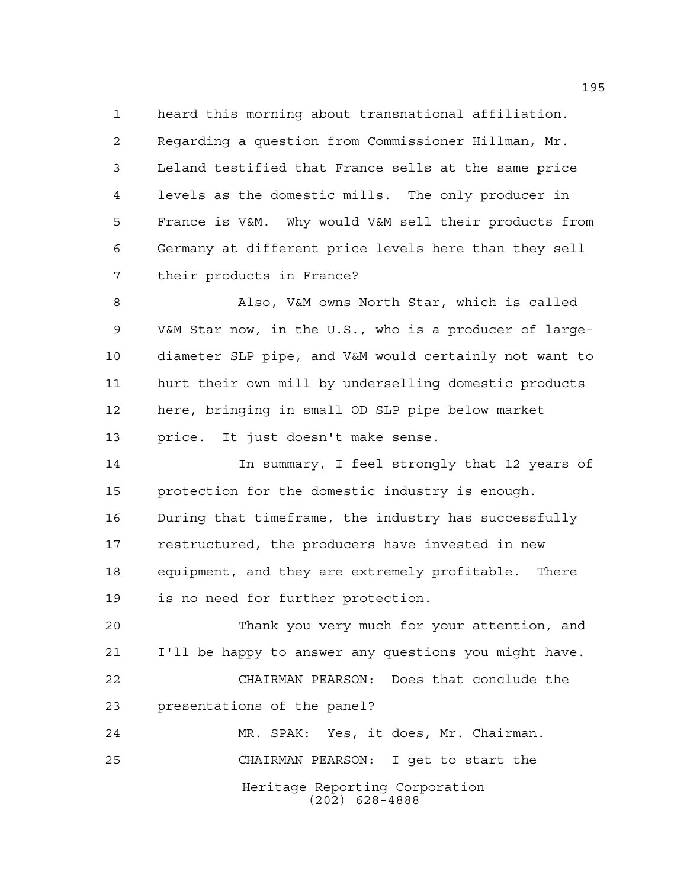heard this morning about transnational affiliation. Regarding a question from Commissioner Hillman, Mr. Leland testified that France sells at the same price levels as the domestic mills. The only producer in France is V&M. Why would V&M sell their products from Germany at different price levels here than they sell their products in France?

 Also, V&M owns North Star, which is called V&M Star now, in the U.S., who is a producer of large- diameter SLP pipe, and V&M would certainly not want to hurt their own mill by underselling domestic products here, bringing in small OD SLP pipe below market price. It just doesn't make sense.

 In summary, I feel strongly that 12 years of protection for the domestic industry is enough. During that timeframe, the industry has successfully restructured, the producers have invested in new equipment, and they are extremely profitable. There is no need for further protection.

 Thank you very much for your attention, and I'll be happy to answer any questions you might have. CHAIRMAN PEARSON: Does that conclude the presentations of the panel?

Heritage Reporting Corporation (202) 628-4888 MR. SPAK: Yes, it does, Mr. Chairman. CHAIRMAN PEARSON: I get to start the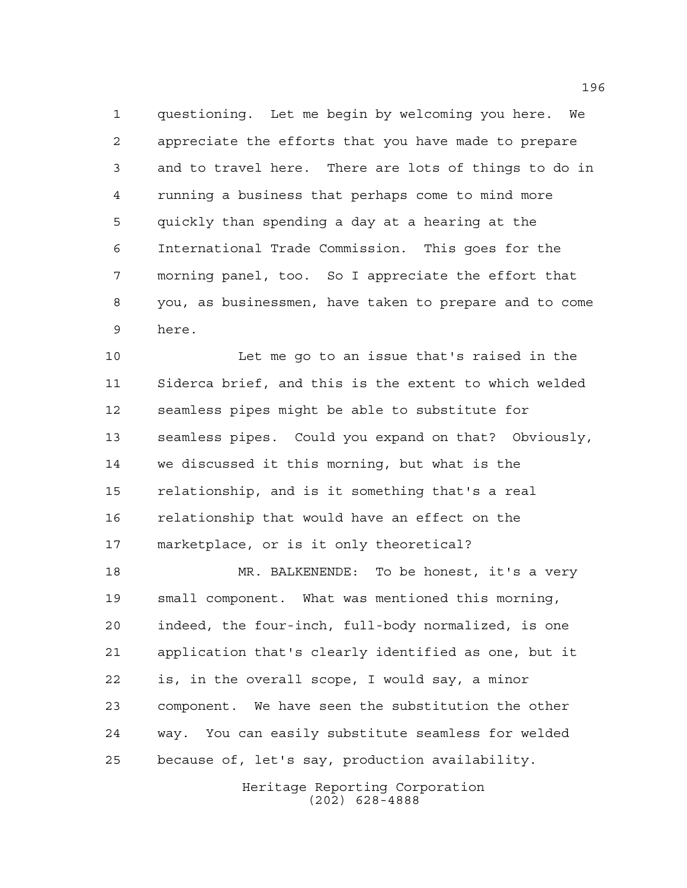questioning. Let me begin by welcoming you here. We appreciate the efforts that you have made to prepare and to travel here. There are lots of things to do in running a business that perhaps come to mind more quickly than spending a day at a hearing at the International Trade Commission. This goes for the morning panel, too. So I appreciate the effort that you, as businessmen, have taken to prepare and to come here.

 Let me go to an issue that's raised in the Siderca brief, and this is the extent to which welded seamless pipes might be able to substitute for seamless pipes. Could you expand on that? Obviously, we discussed it this morning, but what is the relationship, and is it something that's a real relationship that would have an effect on the marketplace, or is it only theoretical?

 MR. BALKENENDE: To be honest, it's a very small component. What was mentioned this morning, indeed, the four-inch, full-body normalized, is one application that's clearly identified as one, but it is, in the overall scope, I would say, a minor component. We have seen the substitution the other way. You can easily substitute seamless for welded because of, let's say, production availability.

> Heritage Reporting Corporation (202) 628-4888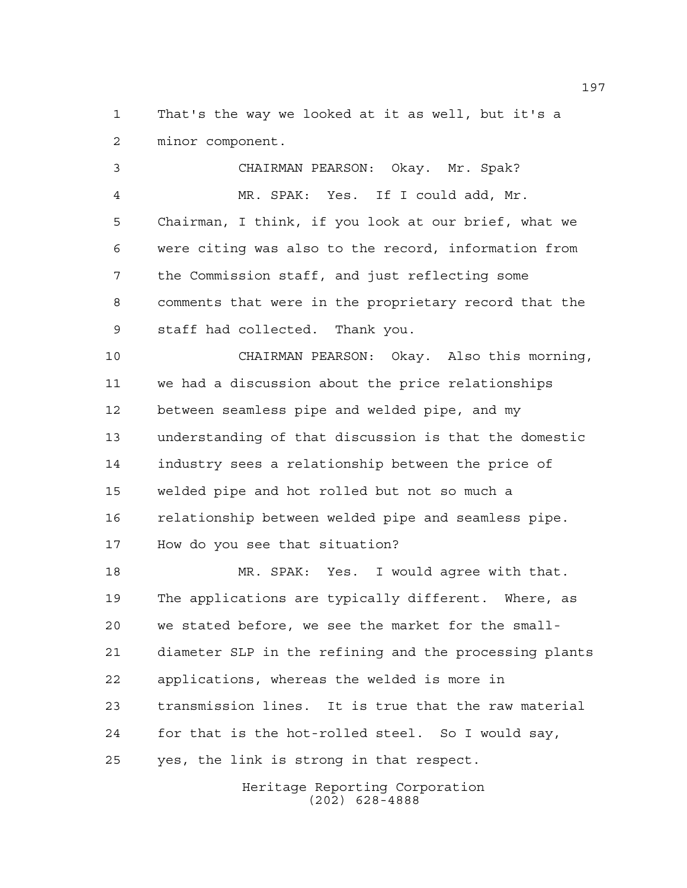That's the way we looked at it as well, but it's a minor component.

 CHAIRMAN PEARSON: Okay. Mr. Spak? MR. SPAK: Yes. If I could add, Mr. Chairman, I think, if you look at our brief, what we were citing was also to the record, information from the Commission staff, and just reflecting some comments that were in the proprietary record that the staff had collected. Thank you.

 CHAIRMAN PEARSON: Okay. Also this morning, we had a discussion about the price relationships between seamless pipe and welded pipe, and my understanding of that discussion is that the domestic industry sees a relationship between the price of welded pipe and hot rolled but not so much a relationship between welded pipe and seamless pipe. How do you see that situation?

 MR. SPAK: Yes. I would agree with that. The applications are typically different. Where, as we stated before, we see the market for the small- diameter SLP in the refining and the processing plants applications, whereas the welded is more in transmission lines. It is true that the raw material for that is the hot-rolled steel. So I would say, yes, the link is strong in that respect.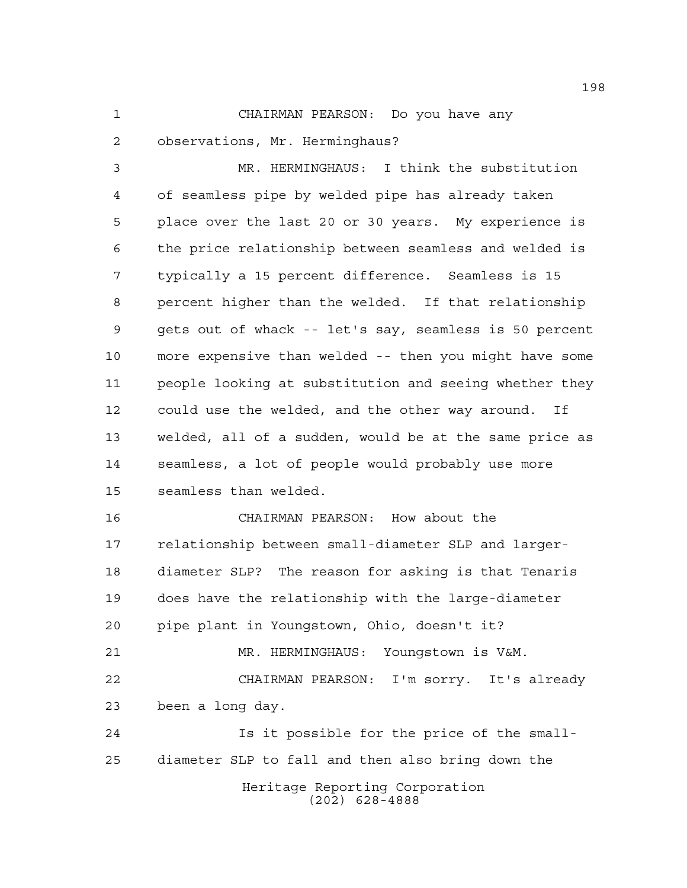CHAIRMAN PEARSON: Do you have any observations, Mr. Herminghaus?

 MR. HERMINGHAUS: I think the substitution of seamless pipe by welded pipe has already taken place over the last 20 or 30 years. My experience is the price relationship between seamless and welded is typically a 15 percent difference. Seamless is 15 percent higher than the welded. If that relationship gets out of whack -- let's say, seamless is 50 percent more expensive than welded -- then you might have some people looking at substitution and seeing whether they could use the welded, and the other way around. If welded, all of a sudden, would be at the same price as seamless, a lot of people would probably use more seamless than welded.

Heritage Reporting Corporation CHAIRMAN PEARSON: How about the relationship between small-diameter SLP and larger- diameter SLP? The reason for asking is that Tenaris does have the relationship with the large-diameter pipe plant in Youngstown, Ohio, doesn't it? MR. HERMINGHAUS: Youngstown is V&M. CHAIRMAN PEARSON: I'm sorry. It's already been a long day. Is it possible for the price of the small-diameter SLP to fall and then also bring down the

(202) 628-4888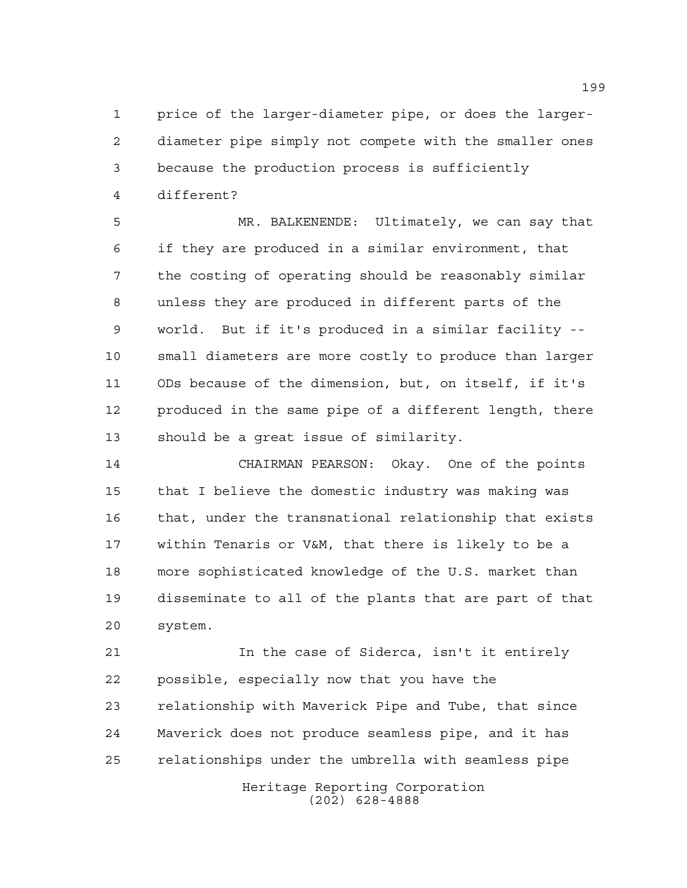price of the larger-diameter pipe, or does the larger- diameter pipe simply not compete with the smaller ones because the production process is sufficiently different?

 MR. BALKENENDE: Ultimately, we can say that if they are produced in a similar environment, that the costing of operating should be reasonably similar unless they are produced in different parts of the world. But if it's produced in a similar facility -- small diameters are more costly to produce than larger ODs because of the dimension, but, on itself, if it's produced in the same pipe of a different length, there should be a great issue of similarity.

 CHAIRMAN PEARSON: Okay. One of the points that I believe the domestic industry was making was that, under the transnational relationship that exists within Tenaris or V&M, that there is likely to be a more sophisticated knowledge of the U.S. market than disseminate to all of the plants that are part of that system.

 In the case of Siderca, isn't it entirely possible, especially now that you have the relationship with Maverick Pipe and Tube, that since Maverick does not produce seamless pipe, and it has relationships under the umbrella with seamless pipe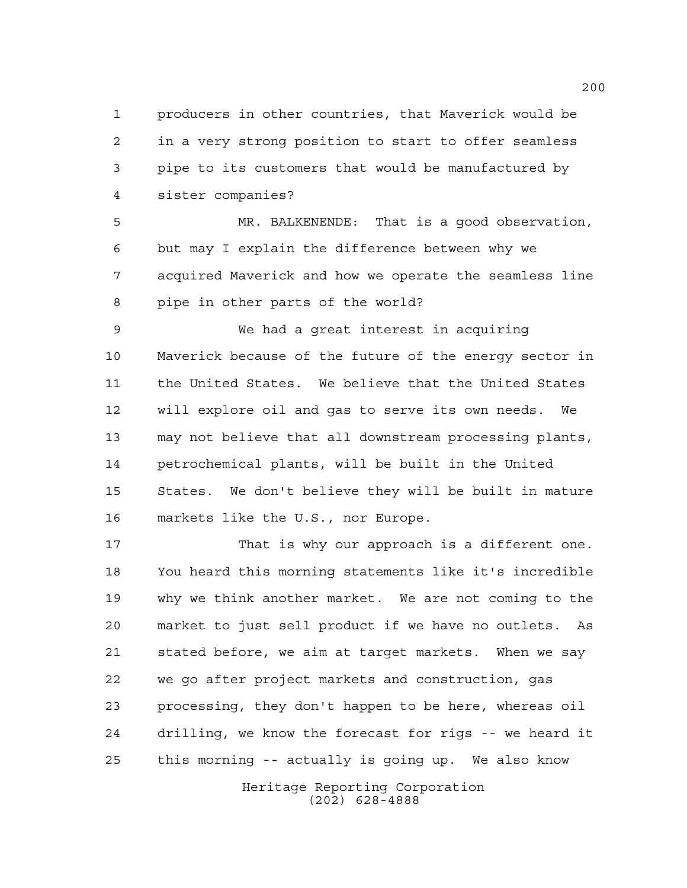producers in other countries, that Maverick would be in a very strong position to start to offer seamless pipe to its customers that would be manufactured by sister companies?

 MR. BALKENENDE: That is a good observation, but may I explain the difference between why we acquired Maverick and how we operate the seamless line pipe in other parts of the world?

 We had a great interest in acquiring Maverick because of the future of the energy sector in the United States. We believe that the United States will explore oil and gas to serve its own needs. We may not believe that all downstream processing plants, petrochemical plants, will be built in the United States. We don't believe they will be built in mature markets like the U.S., nor Europe.

 That is why our approach is a different one. You heard this morning statements like it's incredible why we think another market. We are not coming to the market to just sell product if we have no outlets. As stated before, we aim at target markets. When we say we go after project markets and construction, gas processing, they don't happen to be here, whereas oil drilling, we know the forecast for rigs -- we heard it this morning -- actually is going up. We also know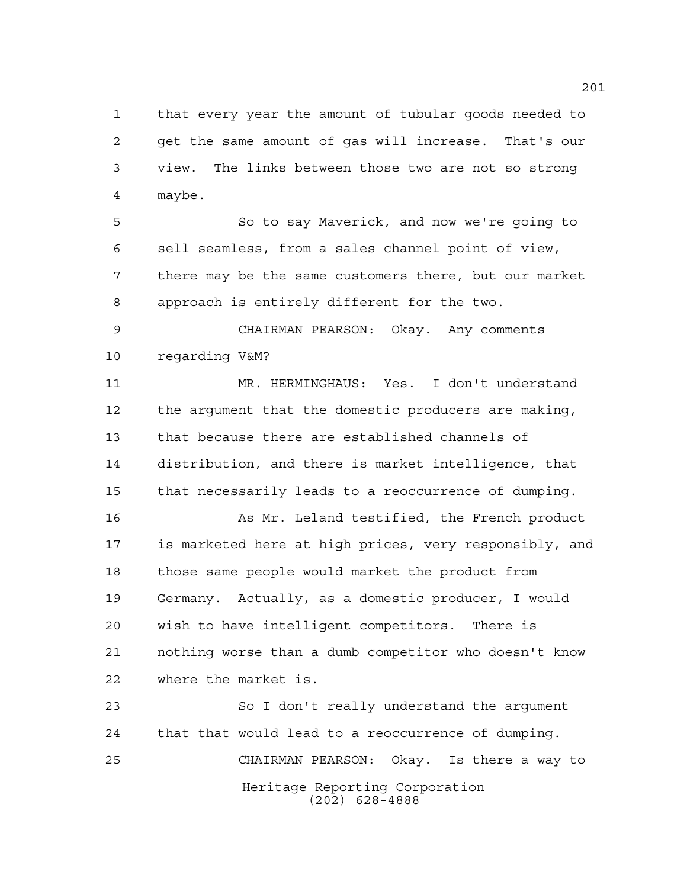that every year the amount of tubular goods needed to get the same amount of gas will increase. That's our view. The links between those two are not so strong maybe.

 So to say Maverick, and now we're going to sell seamless, from a sales channel point of view, there may be the same customers there, but our market approach is entirely different for the two.

 CHAIRMAN PEARSON: Okay. Any comments regarding V&M?

 MR. HERMINGHAUS: Yes. I don't understand the argument that the domestic producers are making, that because there are established channels of distribution, and there is market intelligence, that that necessarily leads to a reoccurrence of dumping.

16 As Mr. Leland testified, the French product is marketed here at high prices, very responsibly, and those same people would market the product from Germany. Actually, as a domestic producer, I would wish to have intelligent competitors. There is nothing worse than a dumb competitor who doesn't know where the market is.

Heritage Reporting Corporation (202) 628-4888 So I don't really understand the argument that that would lead to a reoccurrence of dumping. CHAIRMAN PEARSON: Okay. Is there a way to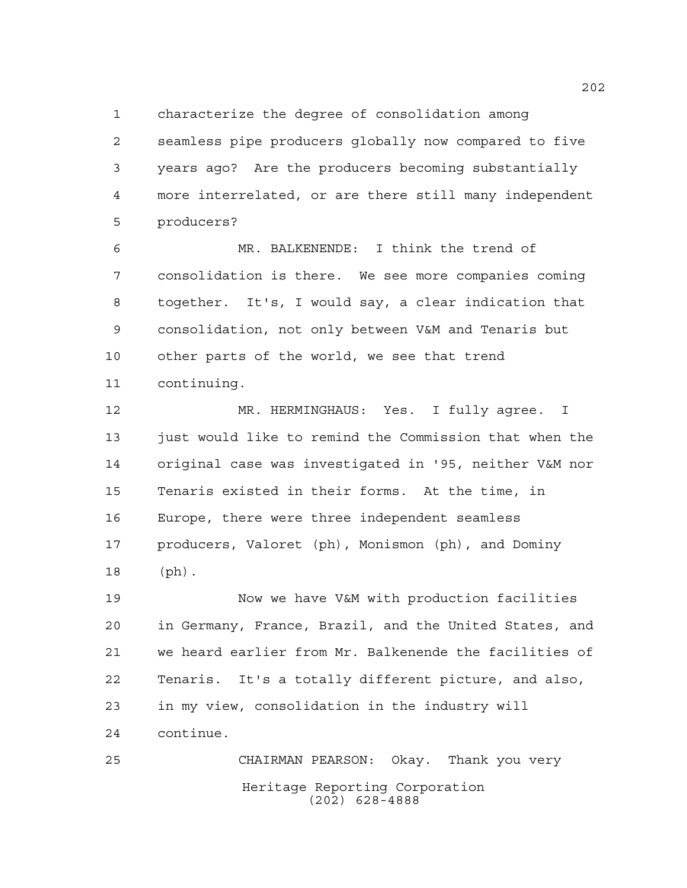characterize the degree of consolidation among

 seamless pipe producers globally now compared to five years ago? Are the producers becoming substantially more interrelated, or are there still many independent producers?

 MR. BALKENENDE: I think the trend of consolidation is there. We see more companies coming together. It's, I would say, a clear indication that consolidation, not only between V&M and Tenaris but other parts of the world, we see that trend continuing.

 MR. HERMINGHAUS: Yes. I fully agree. I just would like to remind the Commission that when the original case was investigated in '95, neither V&M nor Tenaris existed in their forms. At the time, in Europe, there were three independent seamless producers, Valoret (ph), Monismon (ph), and Dominy (ph).

 Now we have V&M with production facilities in Germany, France, Brazil, and the United States, and we heard earlier from Mr. Balkenende the facilities of Tenaris. It's a totally different picture, and also, in my view, consolidation in the industry will continue.

Heritage Reporting Corporation (202) 628-4888 CHAIRMAN PEARSON: Okay. Thank you very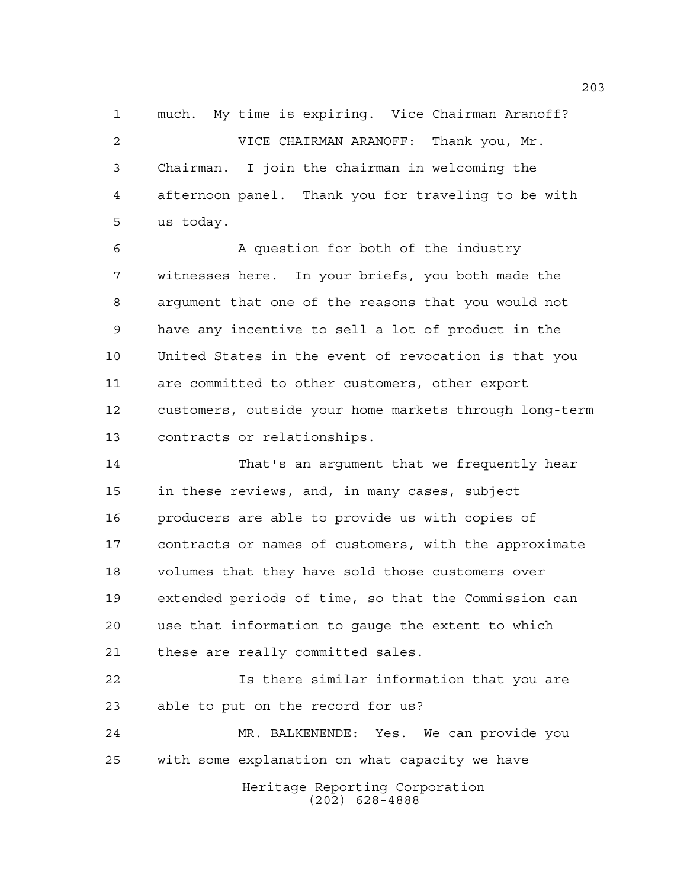much. My time is expiring. Vice Chairman Aranoff? VICE CHAIRMAN ARANOFF: Thank you, Mr. Chairman. I join the chairman in welcoming the afternoon panel. Thank you for traveling to be with us today.

 A question for both of the industry witnesses here. In your briefs, you both made the argument that one of the reasons that you would not have any incentive to sell a lot of product in the United States in the event of revocation is that you are committed to other customers, other export customers, outside your home markets through long-term contracts or relationships.

 That's an argument that we frequently hear in these reviews, and, in many cases, subject producers are able to provide us with copies of contracts or names of customers, with the approximate volumes that they have sold those customers over extended periods of time, so that the Commission can use that information to gauge the extent to which these are really committed sales.

 Is there similar information that you are able to put on the record for us?

Heritage Reporting Corporation MR. BALKENENDE: Yes. We can provide you with some explanation on what capacity we have

(202) 628-4888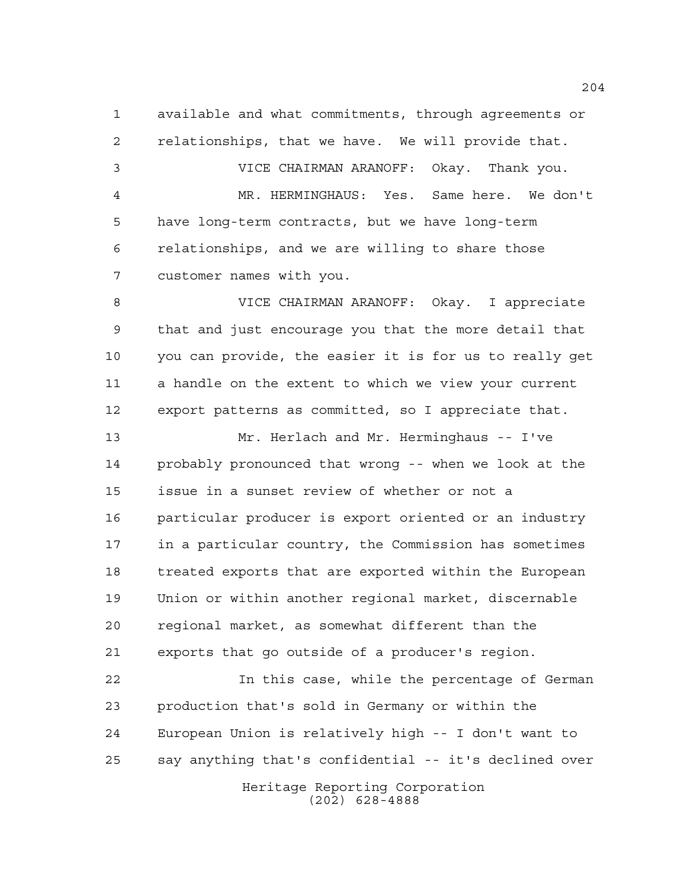available and what commitments, through agreements or relationships, that we have. We will provide that.

 VICE CHAIRMAN ARANOFF: Okay. Thank you. MR. HERMINGHAUS: Yes. Same here. We don't have long-term contracts, but we have long-term relationships, and we are willing to share those customer names with you.

 VICE CHAIRMAN ARANOFF: Okay. I appreciate that and just encourage you that the more detail that you can provide, the easier it is for us to really get a handle on the extent to which we view your current export patterns as committed, so I appreciate that.

 Mr. Herlach and Mr. Herminghaus -- I've probably pronounced that wrong -- when we look at the issue in a sunset review of whether or not a particular producer is export oriented or an industry in a particular country, the Commission has sometimes treated exports that are exported within the European Union or within another regional market, discernable regional market, as somewhat different than the exports that go outside of a producer's region.

Heritage Reporting Corporation (202) 628-4888 In this case, while the percentage of German production that's sold in Germany or within the European Union is relatively high -- I don't want to say anything that's confidential -- it's declined over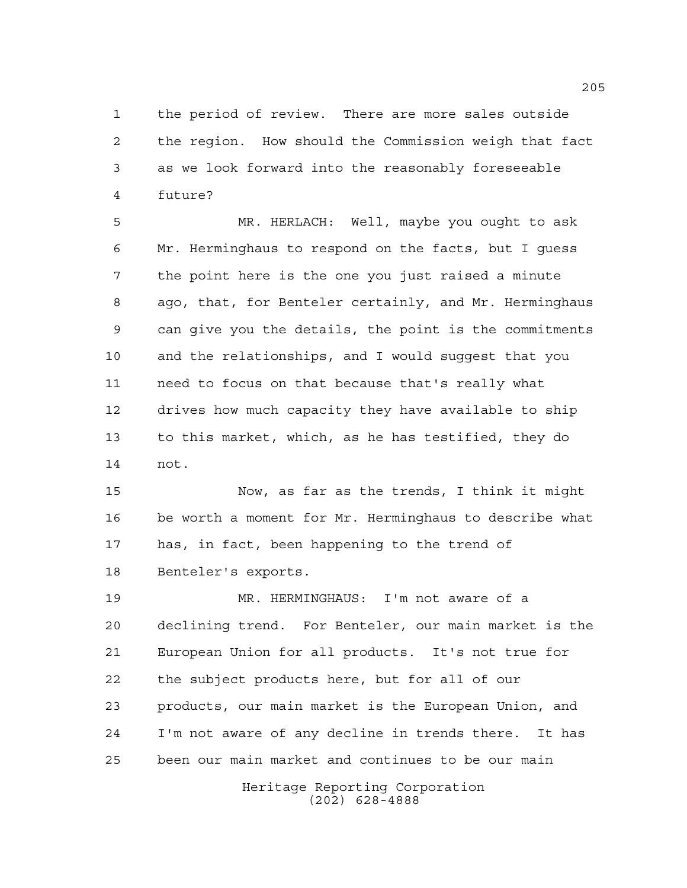the period of review. There are more sales outside the region. How should the Commission weigh that fact as we look forward into the reasonably foreseeable future?

 MR. HERLACH: Well, maybe you ought to ask Mr. Herminghaus to respond on the facts, but I guess the point here is the one you just raised a minute ago, that, for Benteler certainly, and Mr. Herminghaus can give you the details, the point is the commitments and the relationships, and I would suggest that you need to focus on that because that's really what drives how much capacity they have available to ship to this market, which, as he has testified, they do not.

 Now, as far as the trends, I think it might be worth a moment for Mr. Herminghaus to describe what has, in fact, been happening to the trend of Benteler's exports.

 MR. HERMINGHAUS: I'm not aware of a declining trend. For Benteler, our main market is the European Union for all products. It's not true for the subject products here, but for all of our products, our main market is the European Union, and I'm not aware of any decline in trends there. It has been our main market and continues to be our main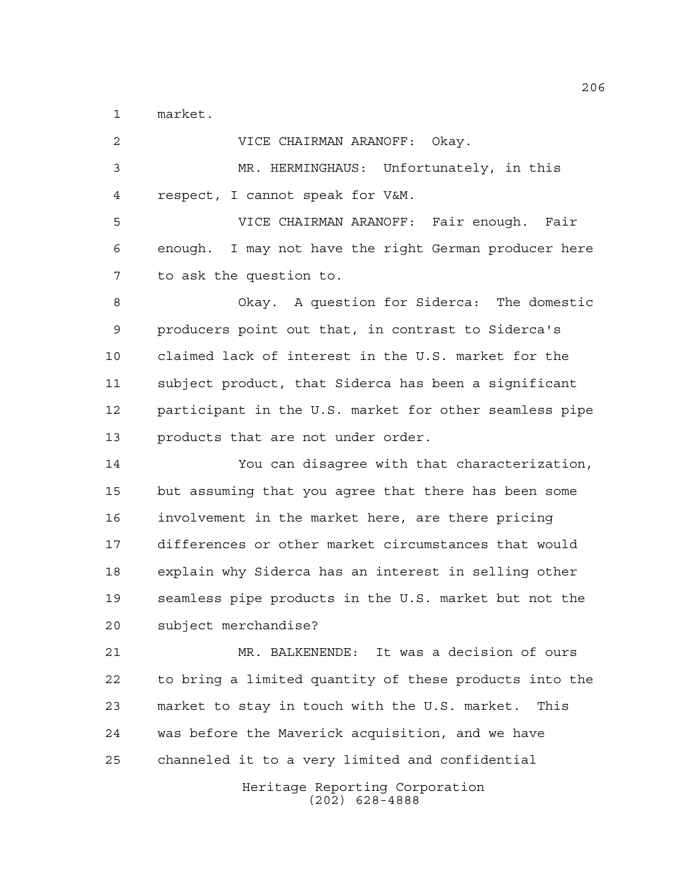market.

| 2  | VICE CHAIRMAN ARANOFF: Okay.                           |
|----|--------------------------------------------------------|
| 3  | MR. HERMINGHAUS: Unfortunately, in this                |
| 4  | respect, I cannot speak for V&M.                       |
| 5  | VICE CHAIRMAN ARANOFF: Fair enough. Fair               |
| 6  | enough. I may not have the right German producer here  |
| 7  | to ask the question to.                                |
| 8  | Okay. A question for Siderca: The domestic             |
| 9  | producers point out that, in contrast to Siderca's     |
| 10 | claimed lack of interest in the U.S. market for the    |
| 11 | subject product, that Siderca has been a significant   |
| 12 | participant in the U.S. market for other seamless pipe |
| 13 | products that are not under order.                     |
| 14 | You can disagree with that characterization,           |
| 15 | but assuming that you agree that there has been some   |
| 16 | involvement in the market here, are there pricing      |
| 17 | differences or other market circumstances that would   |
| 18 | explain why Siderca has an interest in selling other   |
| 19 | seamless pipe products in the U.S. market but not the  |
| 20 | subject merchandise?                                   |
| 21 | MR. BALKENENDE: It was a decision of ours              |
| 22 | to bring a limited quantity of these products into the |
| 23 | market to stay in touch with the U.S. market. This     |
| 24 | was before the Maverick acquisition, and we have       |
| 25 | channeled it to a very limited and confidential        |
|    | Heritage Reporting Corporation<br>$(202)$ 628-4888     |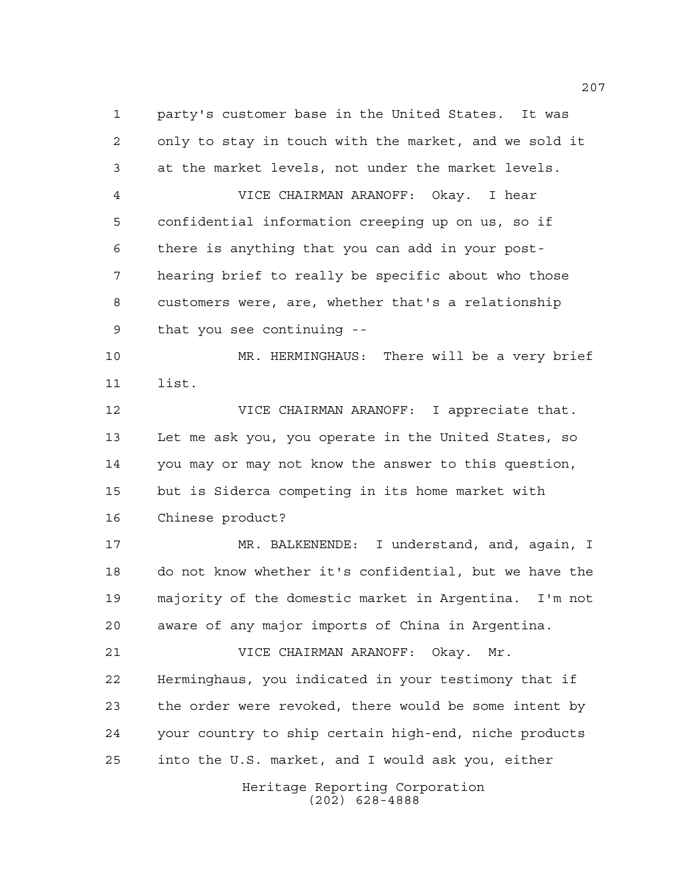party's customer base in the United States. It was only to stay in touch with the market, and we sold it at the market levels, not under the market levels. VICE CHAIRMAN ARANOFF: Okay. I hear confidential information creeping up on us, so if there is anything that you can add in your post- hearing brief to really be specific about who those customers were, are, whether that's a relationship that you see continuing -- MR. HERMINGHAUS: There will be a very brief list. VICE CHAIRMAN ARANOFF: I appreciate that. Let me ask you, you operate in the United States, so you may or may not know the answer to this question, but is Siderca competing in its home market with Chinese product? MR. BALKENENDE: I understand, and, again, I do not know whether it's confidential, but we have the majority of the domestic market in Argentina. I'm not aware of any major imports of China in Argentina. VICE CHAIRMAN ARANOFF: Okay. Mr. Herminghaus, you indicated in your testimony that if the order were revoked, there would be some intent by your country to ship certain high-end, niche products into the U.S. market, and I would ask you, either

Heritage Reporting Corporation (202) 628-4888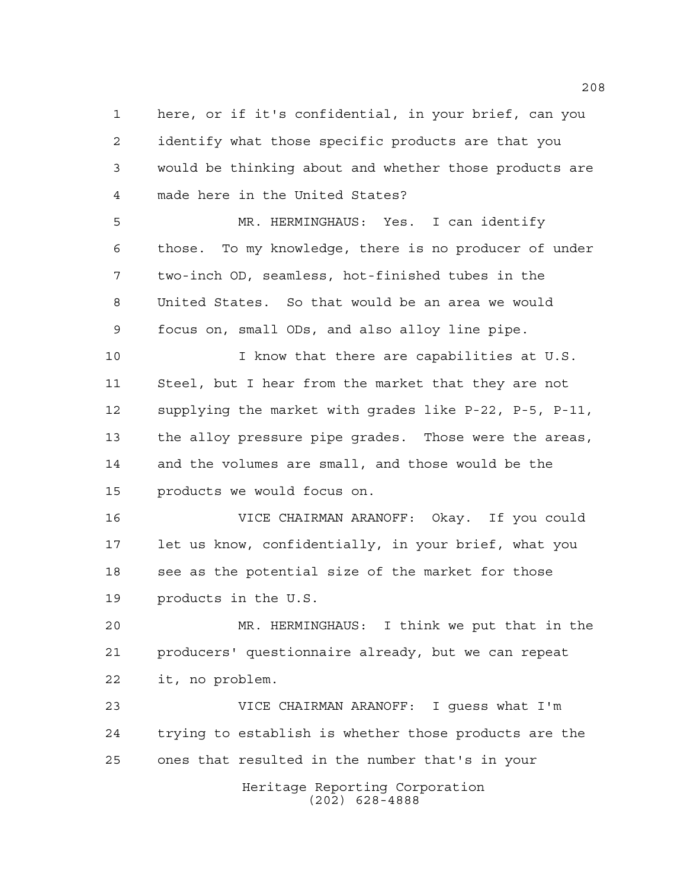here, or if it's confidential, in your brief, can you identify what those specific products are that you would be thinking about and whether those products are made here in the United States?

 MR. HERMINGHAUS: Yes. I can identify those. To my knowledge, there is no producer of under two-inch OD, seamless, hot-finished tubes in the United States. So that would be an area we would focus on, small ODs, and also alloy line pipe.

 I know that there are capabilities at U.S. Steel, but I hear from the market that they are not supplying the market with grades like P-22, P-5, P-11, the alloy pressure pipe grades. Those were the areas, and the volumes are small, and those would be the products we would focus on.

 VICE CHAIRMAN ARANOFF: Okay. If you could let us know, confidentially, in your brief, what you 18 see as the potential size of the market for those products in the U.S.

 MR. HERMINGHAUS: I think we put that in the producers' questionnaire already, but we can repeat it, no problem.

 VICE CHAIRMAN ARANOFF: I guess what I'm trying to establish is whether those products are the ones that resulted in the number that's in your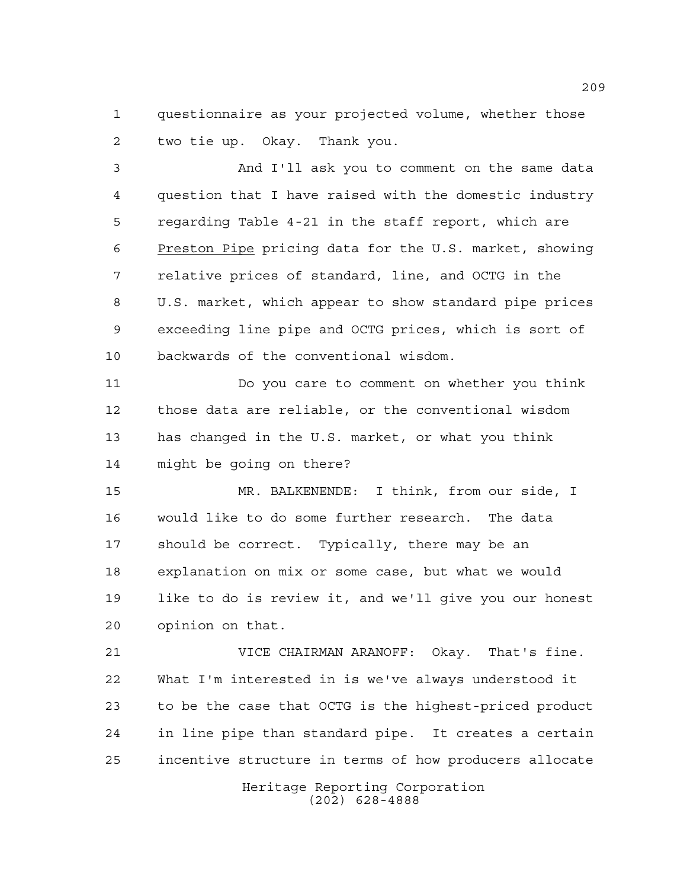questionnaire as your projected volume, whether those two tie up. Okay. Thank you.

 And I'll ask you to comment on the same data question that I have raised with the domestic industry regarding Table 4-21 in the staff report, which are Preston Pipe pricing data for the U.S. market, showing relative prices of standard, line, and OCTG in the U.S. market, which appear to show standard pipe prices exceeding line pipe and OCTG prices, which is sort of backwards of the conventional wisdom.

 Do you care to comment on whether you think those data are reliable, or the conventional wisdom has changed in the U.S. market, or what you think might be going on there?

 MR. BALKENENDE: I think, from our side, I would like to do some further research. The data should be correct. Typically, there may be an explanation on mix or some case, but what we would like to do is review it, and we'll give you our honest opinion on that.

 VICE CHAIRMAN ARANOFF: Okay. That's fine. What I'm interested in is we've always understood it to be the case that OCTG is the highest-priced product in line pipe than standard pipe. It creates a certain incentive structure in terms of how producers allocate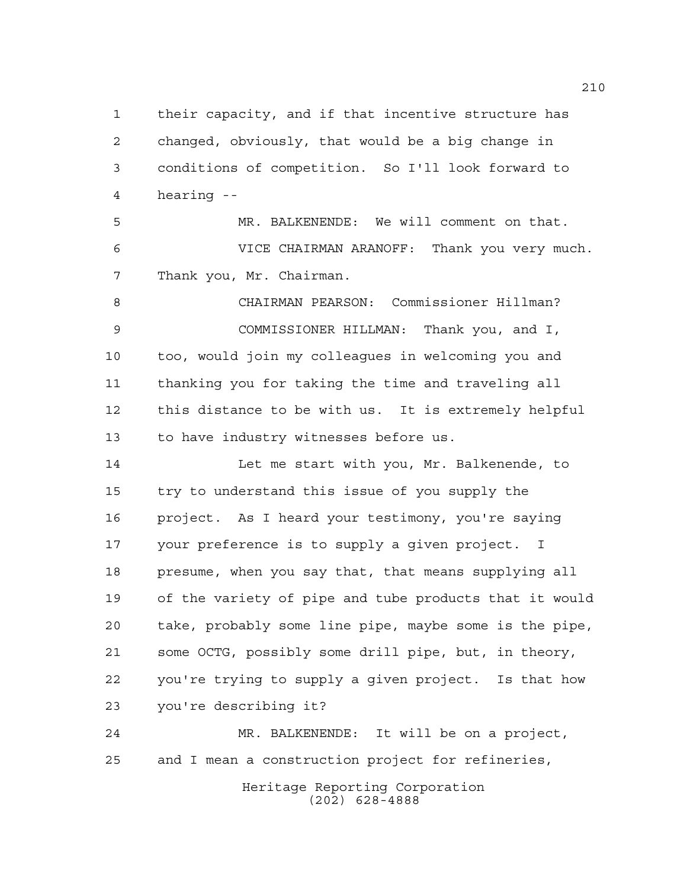their capacity, and if that incentive structure has changed, obviously, that would be a big change in conditions of competition. So I'll look forward to hearing --

 MR. BALKENENDE: We will comment on that. VICE CHAIRMAN ARANOFF: Thank you very much. Thank you, Mr. Chairman.

 CHAIRMAN PEARSON: Commissioner Hillman? COMMISSIONER HILLMAN: Thank you, and I, too, would join my colleagues in welcoming you and thanking you for taking the time and traveling all this distance to be with us. It is extremely helpful to have industry witnesses before us.

 Let me start with you, Mr. Balkenende, to try to understand this issue of you supply the project. As I heard your testimony, you're saying your preference is to supply a given project. I presume, when you say that, that means supplying all of the variety of pipe and tube products that it would take, probably some line pipe, maybe some is the pipe, some OCTG, possibly some drill pipe, but, in theory, you're trying to supply a given project. Is that how you're describing it?

 MR. BALKENENDE: It will be on a project, and I mean a construction project for refineries,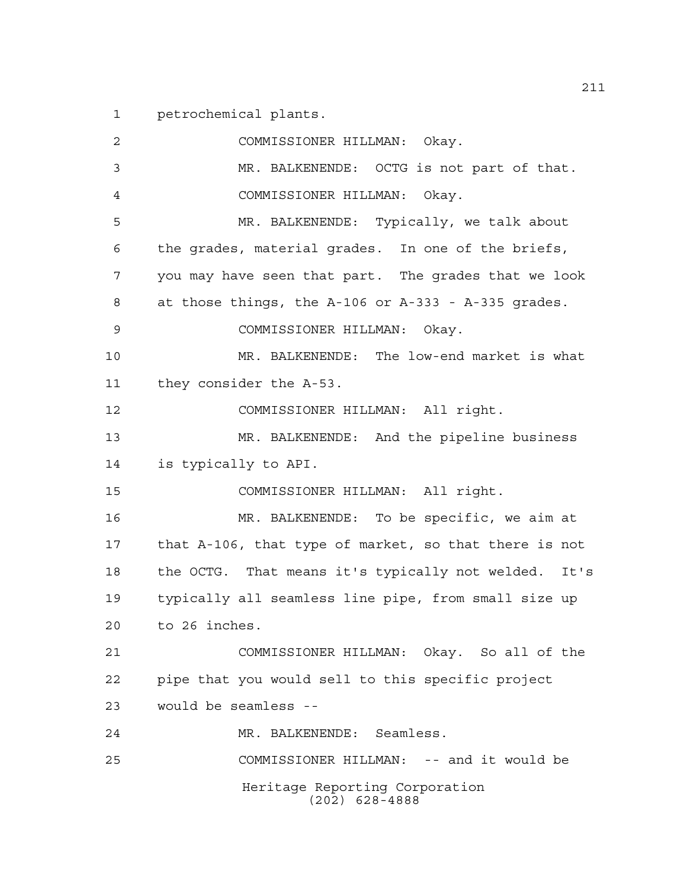petrochemical plants.

Heritage Reporting Corporation (202) 628-4888 COMMISSIONER HILLMAN: Okay. MR. BALKENENDE: OCTG is not part of that. COMMISSIONER HILLMAN: Okay. MR. BALKENENDE: Typically, we talk about the grades, material grades. In one of the briefs, you may have seen that part. The grades that we look at those things, the A-106 or A-333 - A-335 grades. COMMISSIONER HILLMAN: Okay. MR. BALKENENDE: The low-end market is what they consider the A-53. COMMISSIONER HILLMAN: All right. MR. BALKENENDE: And the pipeline business is typically to API. COMMISSIONER HILLMAN: All right. MR. BALKENENDE: To be specific, we aim at that A-106, that type of market, so that there is not the OCTG. That means it's typically not welded. It's typically all seamless line pipe, from small size up to 26 inches. COMMISSIONER HILLMAN: Okay. So all of the pipe that you would sell to this specific project would be seamless -- MR. BALKENENDE: Seamless. COMMISSIONER HILLMAN: -- and it would be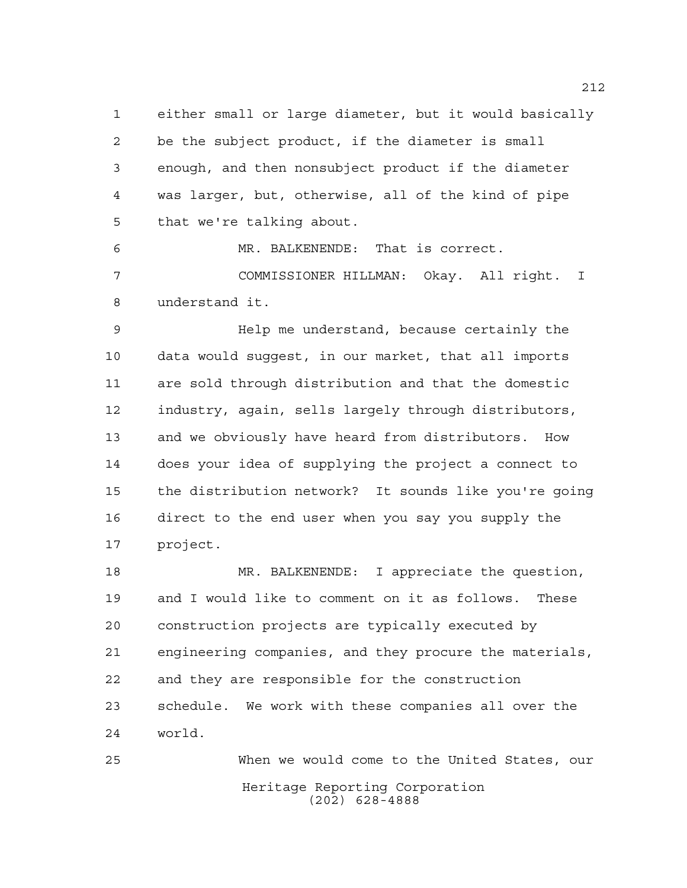either small or large diameter, but it would basically be the subject product, if the diameter is small enough, and then nonsubject product if the diameter was larger, but, otherwise, all of the kind of pipe that we're talking about.

 MR. BALKENENDE: That is correct. COMMISSIONER HILLMAN: Okay. All right. I understand it.

 Help me understand, because certainly the data would suggest, in our market, that all imports are sold through distribution and that the domestic industry, again, sells largely through distributors, and we obviously have heard from distributors. How does your idea of supplying the project a connect to the distribution network? It sounds like you're going direct to the end user when you say you supply the project.

 MR. BALKENENDE: I appreciate the question, and I would like to comment on it as follows. These construction projects are typically executed by engineering companies, and they procure the materials, and they are responsible for the construction schedule. We work with these companies all over the world.

Heritage Reporting Corporation (202) 628-4888 When we would come to the United States, our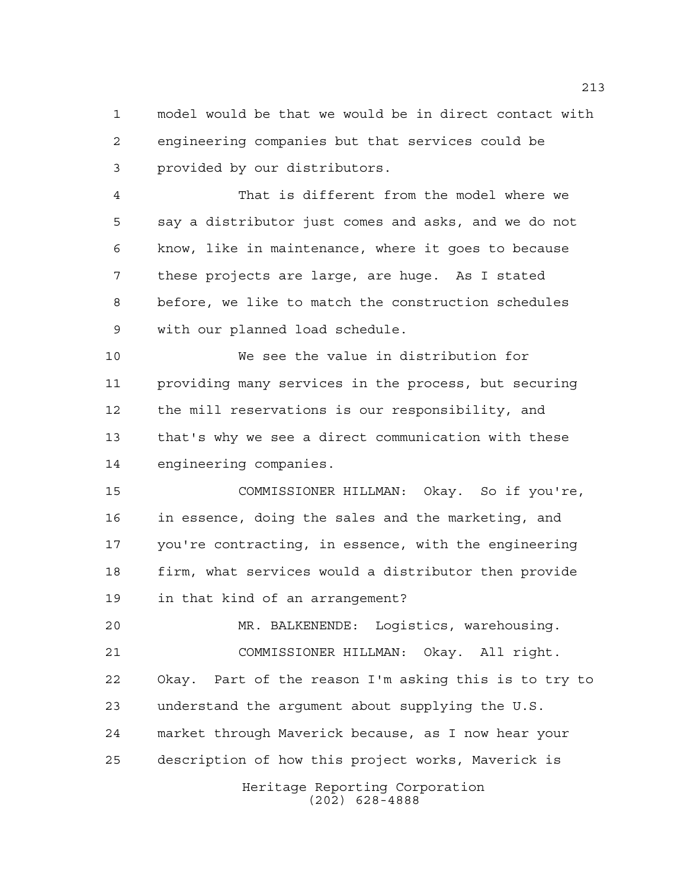model would be that we would be in direct contact with engineering companies but that services could be provided by our distributors.

 That is different from the model where we say a distributor just comes and asks, and we do not know, like in maintenance, where it goes to because these projects are large, are huge. As I stated before, we like to match the construction schedules with our planned load schedule.

 We see the value in distribution for providing many services in the process, but securing the mill reservations is our responsibility, and that's why we see a direct communication with these engineering companies.

 COMMISSIONER HILLMAN: Okay. So if you're, in essence, doing the sales and the marketing, and you're contracting, in essence, with the engineering firm, what services would a distributor then provide in that kind of an arrangement?

 MR. BALKENENDE: Logistics, warehousing. COMMISSIONER HILLMAN: Okay. All right. Okay. Part of the reason I'm asking this is to try to understand the argument about supplying the U.S. market through Maverick because, as I now hear your description of how this project works, Maverick is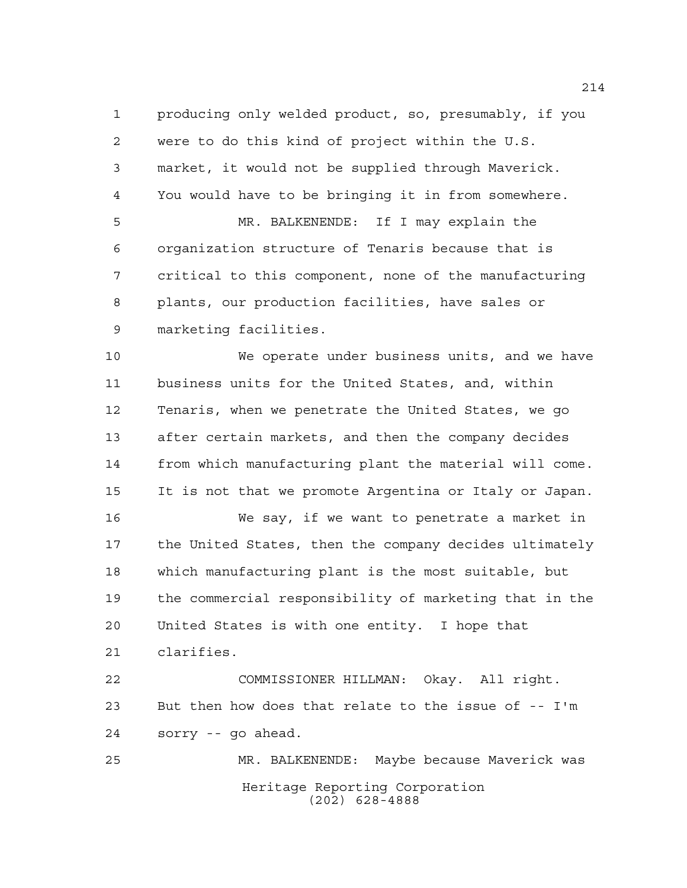producing only welded product, so, presumably, if you were to do this kind of project within the U.S. market, it would not be supplied through Maverick. You would have to be bringing it in from somewhere. MR. BALKENENDE: If I may explain the organization structure of Tenaris because that is critical to this component, none of the manufacturing plants, our production facilities, have sales or marketing facilities.

 We operate under business units, and we have business units for the United States, and, within Tenaris, when we penetrate the United States, we go after certain markets, and then the company decides from which manufacturing plant the material will come. It is not that we promote Argentina or Italy or Japan.

 We say, if we want to penetrate a market in the United States, then the company decides ultimately which manufacturing plant is the most suitable, but the commercial responsibility of marketing that in the United States is with one entity. I hope that clarifies.

 COMMISSIONER HILLMAN: Okay. All right. But then how does that relate to the issue of -- I'm sorry -- go ahead.

Heritage Reporting Corporation (202) 628-4888 MR. BALKENENDE: Maybe because Maverick was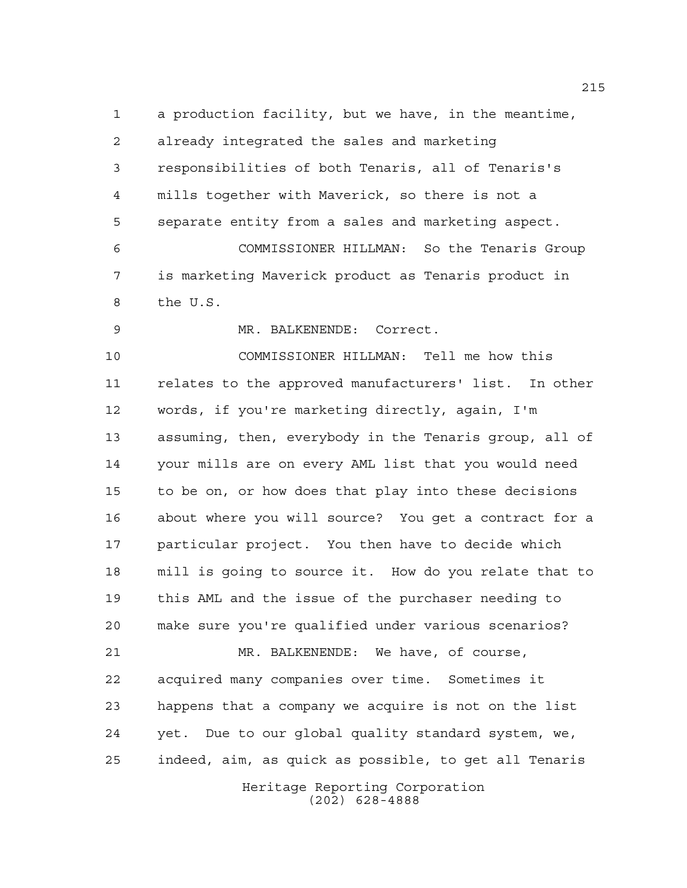a production facility, but we have, in the meantime, already integrated the sales and marketing responsibilities of both Tenaris, all of Tenaris's mills together with Maverick, so there is not a separate entity from a sales and marketing aspect. COMMISSIONER HILLMAN: So the Tenaris Group is marketing Maverick product as Tenaris product in the U.S.

MR. BALKENENDE: Correct.

 COMMISSIONER HILLMAN: Tell me how this relates to the approved manufacturers' list. In other words, if you're marketing directly, again, I'm assuming, then, everybody in the Tenaris group, all of your mills are on every AML list that you would need to be on, or how does that play into these decisions about where you will source? You get a contract for a particular project. You then have to decide which mill is going to source it. How do you relate that to this AML and the issue of the purchaser needing to make sure you're qualified under various scenarios? MR. BALKENENDE: We have, of course, acquired many companies over time. Sometimes it happens that a company we acquire is not on the list

Heritage Reporting Corporation yet. Due to our global quality standard system, we, indeed, aim, as quick as possible, to get all Tenaris

(202) 628-4888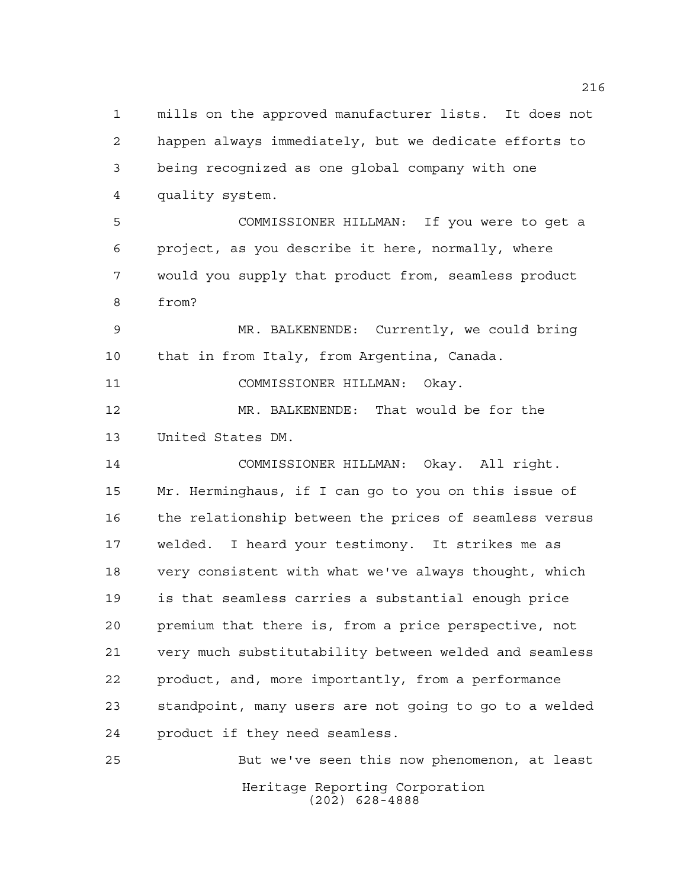mills on the approved manufacturer lists. It does not happen always immediately, but we dedicate efforts to being recognized as one global company with one quality system. COMMISSIONER HILLMAN: If you were to get a project, as you describe it here, normally, where would you supply that product from, seamless product from? MR. BALKENENDE: Currently, we could bring that in from Italy, from Argentina, Canada. COMMISSIONER HILLMAN: Okay. MR. BALKENENDE: That would be for the United States DM. COMMISSIONER HILLMAN: Okay. All right. Mr. Herminghaus, if I can go to you on this issue of the relationship between the prices of seamless versus welded. I heard your testimony. It strikes me as very consistent with what we've always thought, which is that seamless carries a substantial enough price premium that there is, from a price perspective, not very much substitutability between welded and seamless product, and, more importantly, from a performance standpoint, many users are not going to go to a welded product if they need seamless. But we've seen this now phenomenon, at least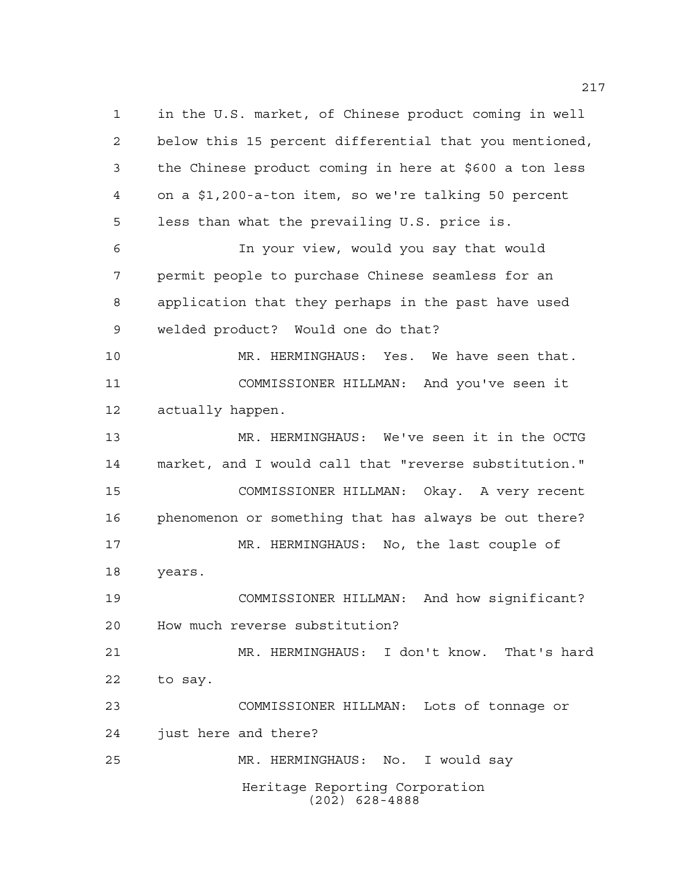Heritage Reporting Corporation (202) 628-4888 in the U.S. market, of Chinese product coming in well below this 15 percent differential that you mentioned, the Chinese product coming in here at \$600 a ton less on a \$1,200-a-ton item, so we're talking 50 percent less than what the prevailing U.S. price is. In your view, would you say that would permit people to purchase Chinese seamless for an application that they perhaps in the past have used welded product? Would one do that? MR. HERMINGHAUS: Yes. We have seen that. COMMISSIONER HILLMAN: And you've seen it actually happen. MR. HERMINGHAUS: We've seen it in the OCTG market, and I would call that "reverse substitution." COMMISSIONER HILLMAN: Okay. A very recent phenomenon or something that has always be out there? MR. HERMINGHAUS: No, the last couple of years. COMMISSIONER HILLMAN: And how significant? How much reverse substitution? MR. HERMINGHAUS: I don't know. That's hard to say. COMMISSIONER HILLMAN: Lots of tonnage or just here and there? MR. HERMINGHAUS: No. I would say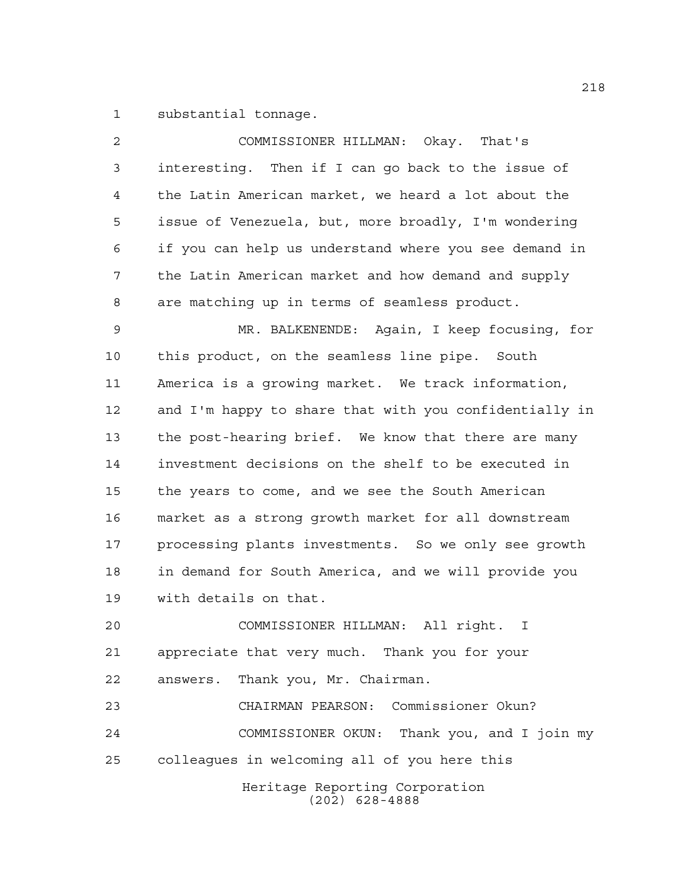substantial tonnage.

| 2  | COMMISSIONER HILLMAN: Okay. That's                     |
|----|--------------------------------------------------------|
| 3  | interesting. Then if I can go back to the issue of     |
| 4  | the Latin American market, we heard a lot about the    |
| 5  | issue of Venezuela, but, more broadly, I'm wondering   |
| 6  | if you can help us understand where you see demand in  |
| 7  | the Latin American market and how demand and supply    |
| 8  | are matching up in terms of seamless product.          |
| 9  | MR. BALKENENDE: Again, I keep focusing, for            |
| 10 | this product, on the seamless line pipe. South         |
| 11 | America is a growing market. We track information,     |
| 12 | and I'm happy to share that with you confidentially in |
| 13 | the post-hearing brief. We know that there are many    |
| 14 | investment decisions on the shelf to be executed in    |
| 15 | the years to come, and we see the South American       |
| 16 | market as a strong growth market for all downstream    |
| 17 | processing plants investments. So we only see growth   |
| 18 | in demand for South America, and we will provide you   |
| 19 | with details on that.                                  |
| 20 | COMMISSIONER HILLMAN: All right.<br>I                  |
| 21 | appreciate that very much. Thank you for your          |
| 22 | answers. Thank you, Mr. Chairman.                      |
| 23 | CHAIRMAN PEARSON: Commissioner Okun?                   |
| 24 | COMMISSIONER OKUN: Thank you, and I join my            |
| 25 | colleagues in welcoming all of you here this           |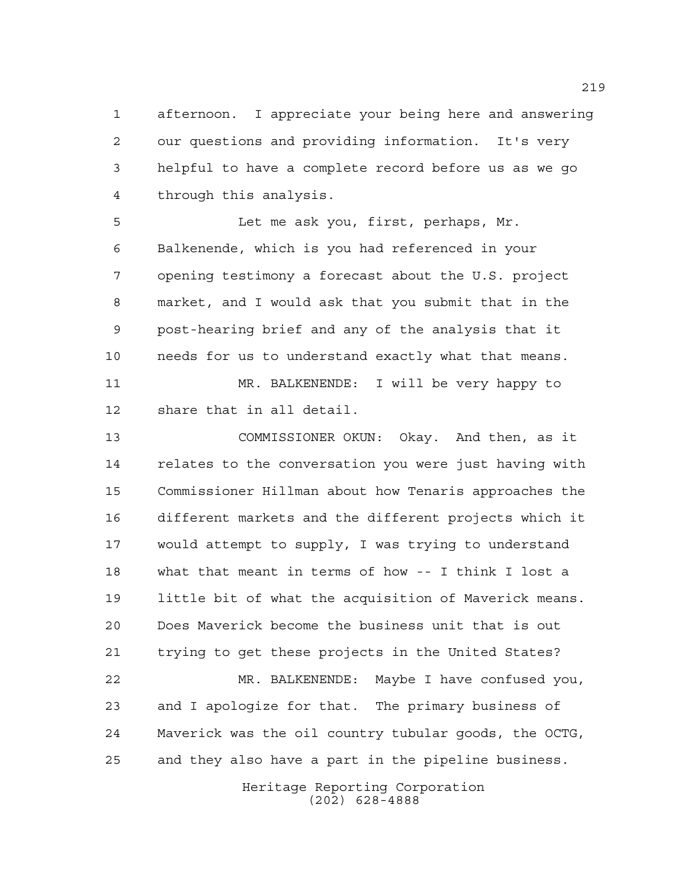afternoon. I appreciate your being here and answering our questions and providing information. It's very helpful to have a complete record before us as we go through this analysis.

 Let me ask you, first, perhaps, Mr. Balkenende, which is you had referenced in your opening testimony a forecast about the U.S. project market, and I would ask that you submit that in the post-hearing brief and any of the analysis that it needs for us to understand exactly what that means. MR. BALKENENDE: I will be very happy to

share that in all detail.

 COMMISSIONER OKUN: Okay. And then, as it relates to the conversation you were just having with Commissioner Hillman about how Tenaris approaches the different markets and the different projects which it would attempt to supply, I was trying to understand what that meant in terms of how -- I think I lost a little bit of what the acquisition of Maverick means. Does Maverick become the business unit that is out trying to get these projects in the United States? MR. BALKENENDE: Maybe I have confused you, and I apologize for that. The primary business of Maverick was the oil country tubular goods, the OCTG,

and they also have a part in the pipeline business.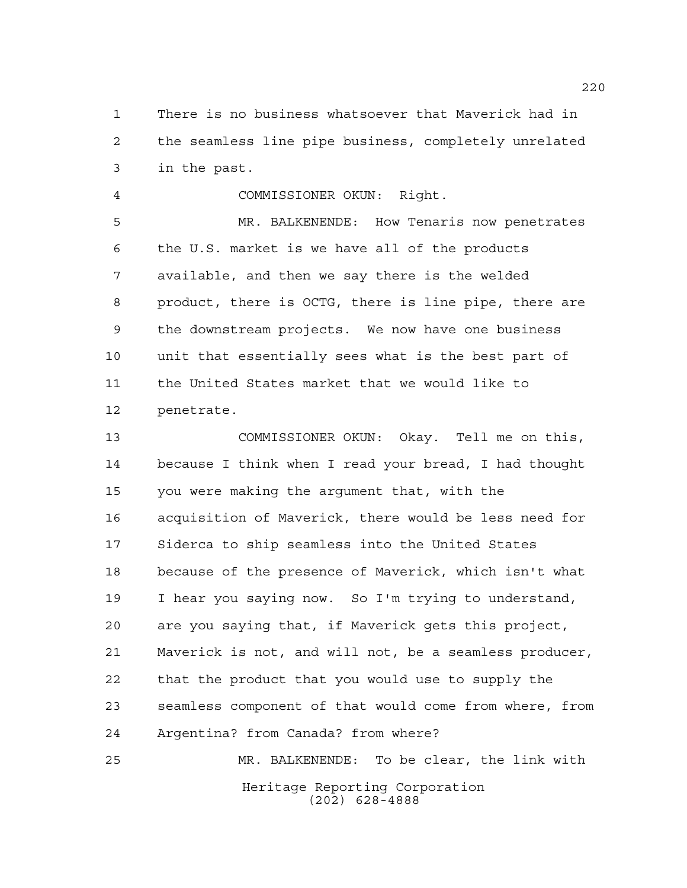There is no business whatsoever that Maverick had in the seamless line pipe business, completely unrelated in the past.

 COMMISSIONER OKUN: Right. MR. BALKENENDE: How Tenaris now penetrates the U.S. market is we have all of the products

 available, and then we say there is the welded product, there is OCTG, there is line pipe, there are the downstream projects. We now have one business unit that essentially sees what is the best part of the United States market that we would like to penetrate.

 COMMISSIONER OKUN: Okay. Tell me on this, because I think when I read your bread, I had thought you were making the argument that, with the acquisition of Maverick, there would be less need for Siderca to ship seamless into the United States because of the presence of Maverick, which isn't what I hear you saying now. So I'm trying to understand, are you saying that, if Maverick gets this project, Maverick is not, and will not, be a seamless producer, that the product that you would use to supply the seamless component of that would come from where, from Argentina? from Canada? from where?

Heritage Reporting Corporation (202) 628-4888 MR. BALKENENDE: To be clear, the link with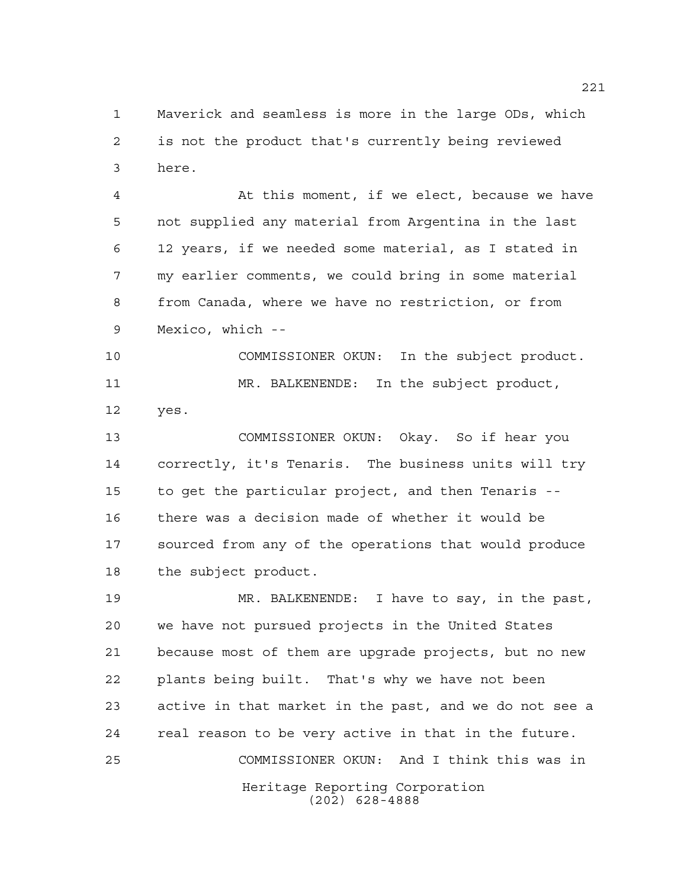Maverick and seamless is more in the large ODs, which is not the product that's currently being reviewed here.

 At this moment, if we elect, because we have not supplied any material from Argentina in the last 12 years, if we needed some material, as I stated in my earlier comments, we could bring in some material from Canada, where we have no restriction, or from Mexico, which --

 COMMISSIONER OKUN: In the subject product. MR. BALKENENDE: In the subject product, yes.

 COMMISSIONER OKUN: Okay. So if hear you correctly, it's Tenaris. The business units will try to get the particular project, and then Tenaris -- there was a decision made of whether it would be sourced from any of the operations that would produce the subject product.

Heritage Reporting Corporation (202) 628-4888 MR. BALKENENDE: I have to say, in the past, we have not pursued projects in the United States because most of them are upgrade projects, but no new plants being built. That's why we have not been active in that market in the past, and we do not see a real reason to be very active in that in the future. COMMISSIONER OKUN: And I think this was in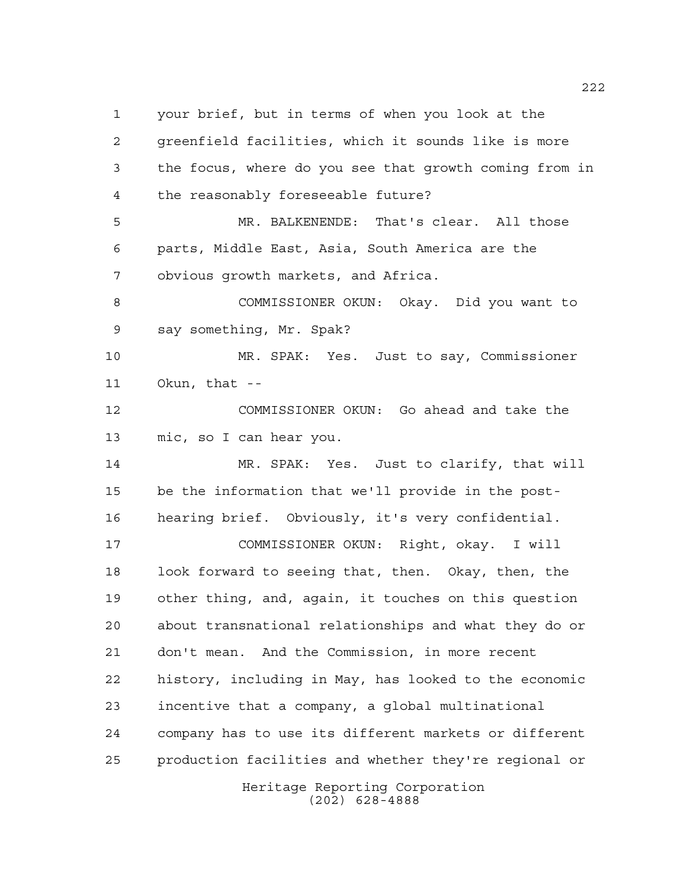your brief, but in terms of when you look at the greenfield facilities, which it sounds like is more the focus, where do you see that growth coming from in the reasonably foreseeable future? MR. BALKENENDE: That's clear. All those parts, Middle East, Asia, South America are the obvious growth markets, and Africa. COMMISSIONER OKUN: Okay. Did you want to say something, Mr. Spak? MR. SPAK: Yes. Just to say, Commissioner Okun, that -- COMMISSIONER OKUN: Go ahead and take the mic, so I can hear you. MR. SPAK: Yes. Just to clarify, that will be the information that we'll provide in the post- hearing brief. Obviously, it's very confidential. COMMISSIONER OKUN: Right, okay. I will look forward to seeing that, then. Okay, then, the other thing, and, again, it touches on this question about transnational relationships and what they do or don't mean. And the Commission, in more recent history, including in May, has looked to the economic incentive that a company, a global multinational company has to use its different markets or different production facilities and whether they're regional or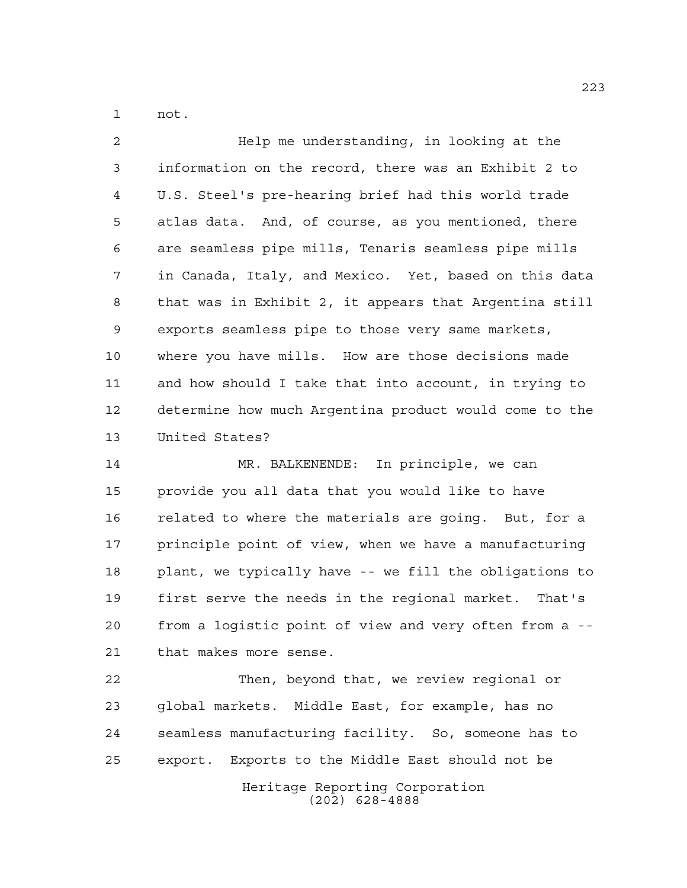not.

 Help me understanding, in looking at the information on the record, there was an Exhibit 2 to U.S. Steel's pre-hearing brief had this world trade atlas data. And, of course, as you mentioned, there are seamless pipe mills, Tenaris seamless pipe mills in Canada, Italy, and Mexico. Yet, based on this data that was in Exhibit 2, it appears that Argentina still exports seamless pipe to those very same markets, where you have mills. How are those decisions made and how should I take that into account, in trying to determine how much Argentina product would come to the United States?

 MR. BALKENENDE: In principle, we can provide you all data that you would like to have related to where the materials are going. But, for a principle point of view, when we have a manufacturing plant, we typically have -- we fill the obligations to first serve the needs in the regional market. That's from a logistic point of view and very often from a -- that makes more sense.

Heritage Reporting Corporation (202) 628-4888 Then, beyond that, we review regional or global markets. Middle East, for example, has no seamless manufacturing facility. So, someone has to export. Exports to the Middle East should not be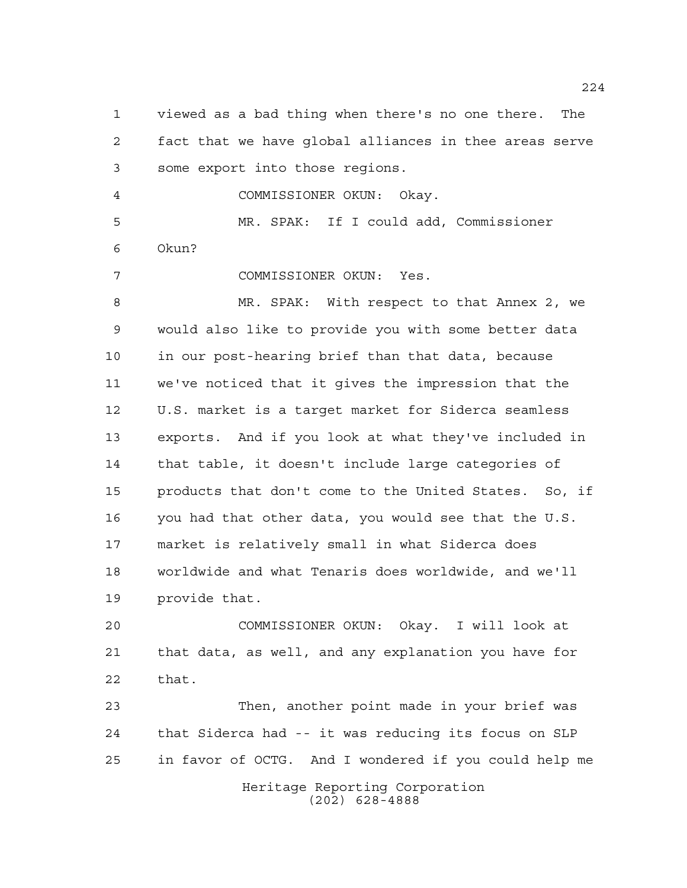viewed as a bad thing when there's no one there. The fact that we have global alliances in thee areas serve some export into those regions. COMMISSIONER OKUN: Okay. MR. SPAK: If I could add, Commissioner Okun? COMMISSIONER OKUN: Yes. MR. SPAK: With respect to that Annex 2, we would also like to provide you with some better data in our post-hearing brief than that data, because we've noticed that it gives the impression that the U.S. market is a target market for Siderca seamless exports. And if you look at what they've included in that table, it doesn't include large categories of products that don't come to the United States. So, if you had that other data, you would see that the U.S. market is relatively small in what Siderca does worldwide and what Tenaris does worldwide, and we'll provide that. COMMISSIONER OKUN: Okay. I will look at that data, as well, and any explanation you have for that. Then, another point made in your brief was

Heritage Reporting Corporation (202) 628-4888 that Siderca had -- it was reducing its focus on SLP in favor of OCTG. And I wondered if you could help me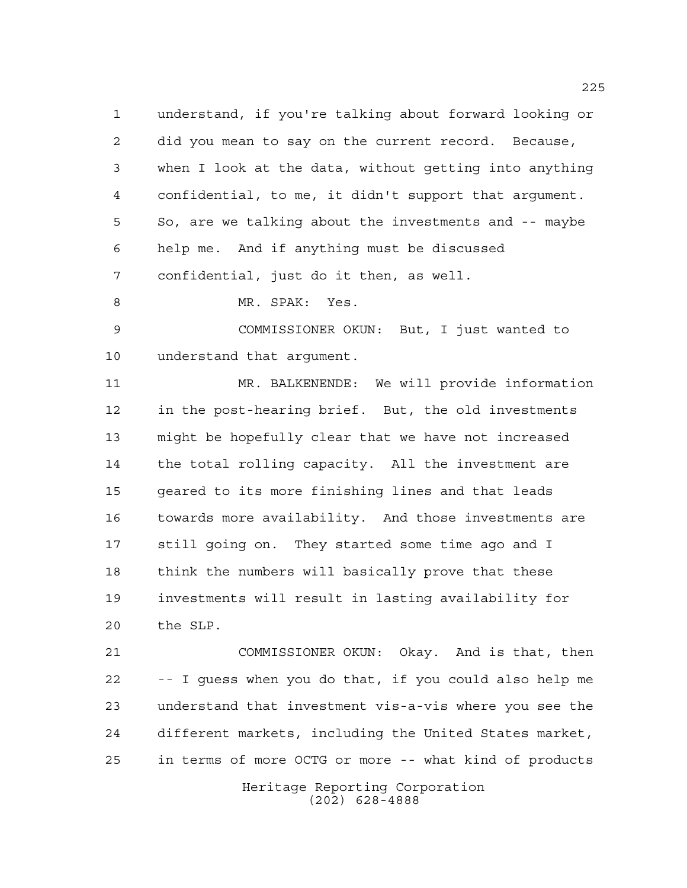understand, if you're talking about forward looking or did you mean to say on the current record. Because, when I look at the data, without getting into anything confidential, to me, it didn't support that argument. So, are we talking about the investments and -- maybe help me. And if anything must be discussed confidential, just do it then, as well.

MR. SPAK: Yes.

 COMMISSIONER OKUN: But, I just wanted to understand that argument.

 MR. BALKENENDE: We will provide information in the post-hearing brief. But, the old investments might be hopefully clear that we have not increased the total rolling capacity. All the investment are geared to its more finishing lines and that leads towards more availability. And those investments are still going on. They started some time ago and I think the numbers will basically prove that these investments will result in lasting availability for the SLP.

 COMMISSIONER OKUN: Okay. And is that, then -- I guess when you do that, if you could also help me understand that investment vis-a-vis where you see the different markets, including the United States market, in terms of more OCTG or more -- what kind of products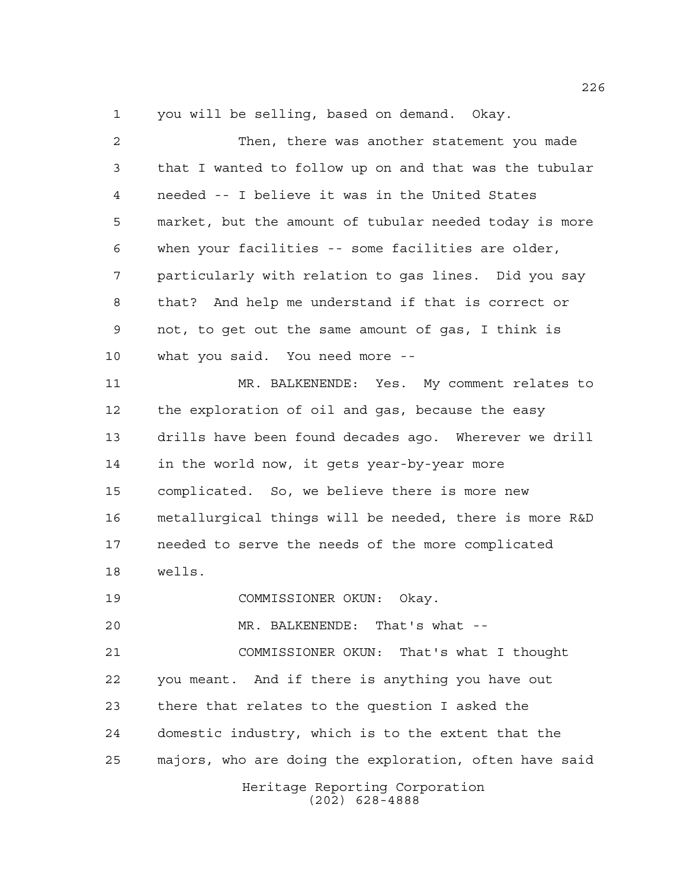you will be selling, based on demand. Okay.

| 2  | Then, there was another statement you made             |
|----|--------------------------------------------------------|
| 3  | that I wanted to follow up on and that was the tubular |
| 4  | needed -- I believe it was in the United States        |
| 5  | market, but the amount of tubular needed today is more |
| 6  | when your facilities -- some facilities are older,     |
| 7  | particularly with relation to gas lines. Did you say   |
| 8  | that? And help me understand if that is correct or     |
| 9  | not, to get out the same amount of gas, I think is     |
| 10 | what you said. You need more --                        |
| 11 | MR. BALKENENDE: Yes. My comment relates to             |
| 12 | the exploration of oil and gas, because the easy       |
| 13 | drills have been found decades ago. Wherever we drill  |
| 14 | in the world now, it gets year-by-year more            |
| 15 | complicated. So, we believe there is more new          |
| 16 | metallurgical things will be needed, there is more R&D |
| 17 | needed to serve the needs of the more complicated      |
| 18 | wells.                                                 |
| 19 | COMMISSIONER OKUN: Okay.                               |
| 20 | MR. BALKENENDE: That's what --                         |
| 21 | COMMISSIONER OKUN: That's what I thought               |
| 22 | you meant. And if there is anything you have out       |
| 23 | there that relates to the question I asked the         |
| 24 | domestic industry, which is to the extent that the     |
| 25 | majors, who are doing the exploration, often have said |
|    | Heritage Reporting Corporation<br>$(202)$ 628-4888     |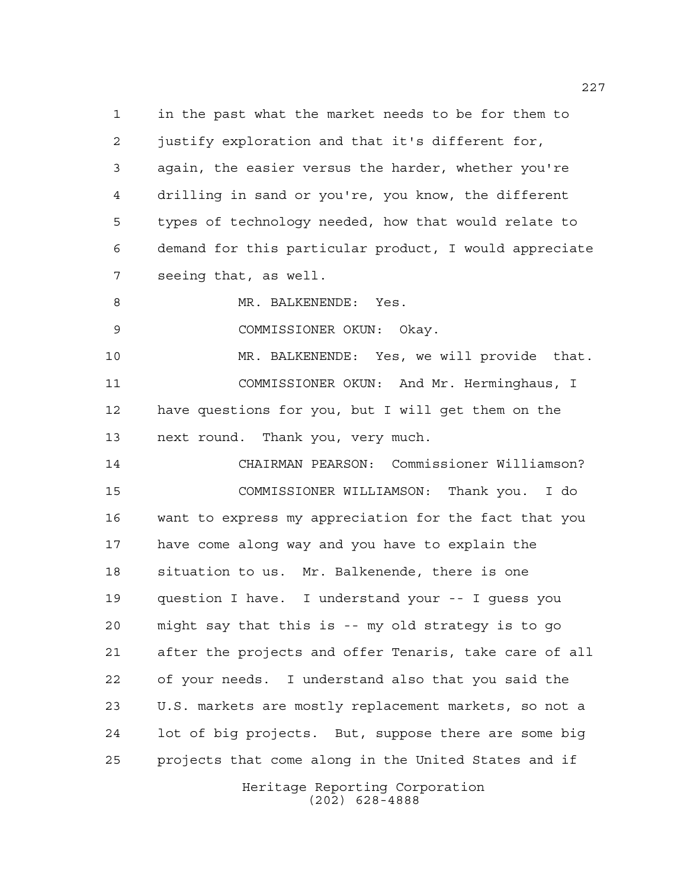in the past what the market needs to be for them to justify exploration and that it's different for, again, the easier versus the harder, whether you're drilling in sand or you're, you know, the different types of technology needed, how that would relate to demand for this particular product, I would appreciate seeing that, as well.

8 MR. BALKENENDE: Yes.

COMMISSIONER OKUN: Okay.

 MR. BALKENENDE: Yes, we will provide that. COMMISSIONER OKUN: And Mr. Herminghaus, I have questions for you, but I will get them on the next round. Thank you, very much.

 CHAIRMAN PEARSON: Commissioner Williamson? COMMISSIONER WILLIAMSON: Thank you. I do want to express my appreciation for the fact that you have come along way and you have to explain the situation to us. Mr. Balkenende, there is one question I have. I understand your -- I guess you might say that this is -- my old strategy is to go after the projects and offer Tenaris, take care of all of your needs. I understand also that you said the U.S. markets are mostly replacement markets, so not a lot of big projects. But, suppose there are some big projects that come along in the United States and if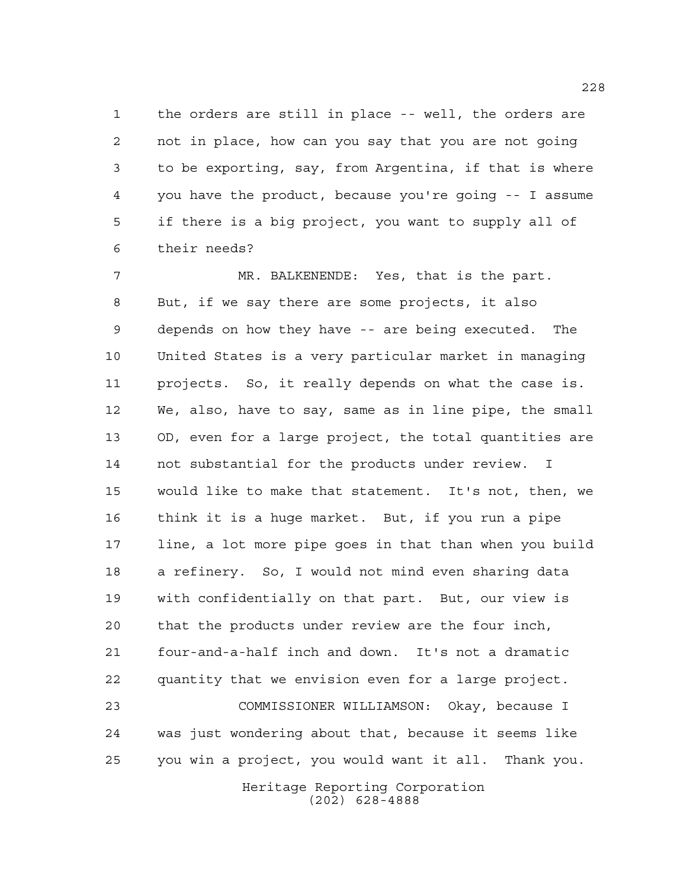the orders are still in place -- well, the orders are not in place, how can you say that you are not going to be exporting, say, from Argentina, if that is where you have the product, because you're going -- I assume if there is a big project, you want to supply all of their needs?

 MR. BALKENENDE: Yes, that is the part. But, if we say there are some projects, it also depends on how they have -- are being executed. The United States is a very particular market in managing projects. So, it really depends on what the case is. We, also, have to say, same as in line pipe, the small OD, even for a large project, the total quantities are not substantial for the products under review. I would like to make that statement. It's not, then, we think it is a huge market. But, if you run a pipe line, a lot more pipe goes in that than when you build a refinery. So, I would not mind even sharing data with confidentially on that part. But, our view is that the products under review are the four inch, four-and-a-half inch and down. It's not a dramatic quantity that we envision even for a large project. COMMISSIONER WILLIAMSON: Okay, because I was just wondering about that, because it seems like you win a project, you would want it all. Thank you.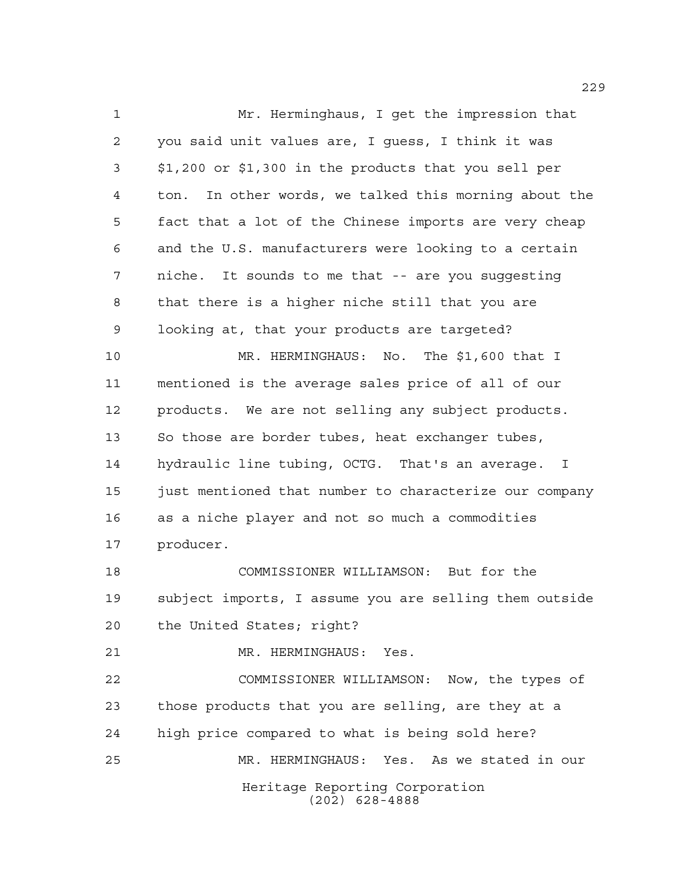Heritage Reporting Corporation Mr. Herminghaus, I get the impression that you said unit values are, I guess, I think it was \$1,200 or \$1,300 in the products that you sell per ton. In other words, we talked this morning about the fact that a lot of the Chinese imports are very cheap and the U.S. manufacturers were looking to a certain niche. It sounds to me that -- are you suggesting that there is a higher niche still that you are looking at, that your products are targeted? MR. HERMINGHAUS: No. The \$1,600 that I mentioned is the average sales price of all of our products. We are not selling any subject products. So those are border tubes, heat exchanger tubes, hydraulic line tubing, OCTG. That's an average. I 15 just mentioned that number to characterize our company as a niche player and not so much a commodities producer. COMMISSIONER WILLIAMSON: But for the subject imports, I assume you are selling them outside the United States; right? MR. HERMINGHAUS: Yes. COMMISSIONER WILLIAMSON: Now, the types of those products that you are selling, are they at a high price compared to what is being sold here? MR. HERMINGHAUS: Yes. As we stated in our

(202) 628-4888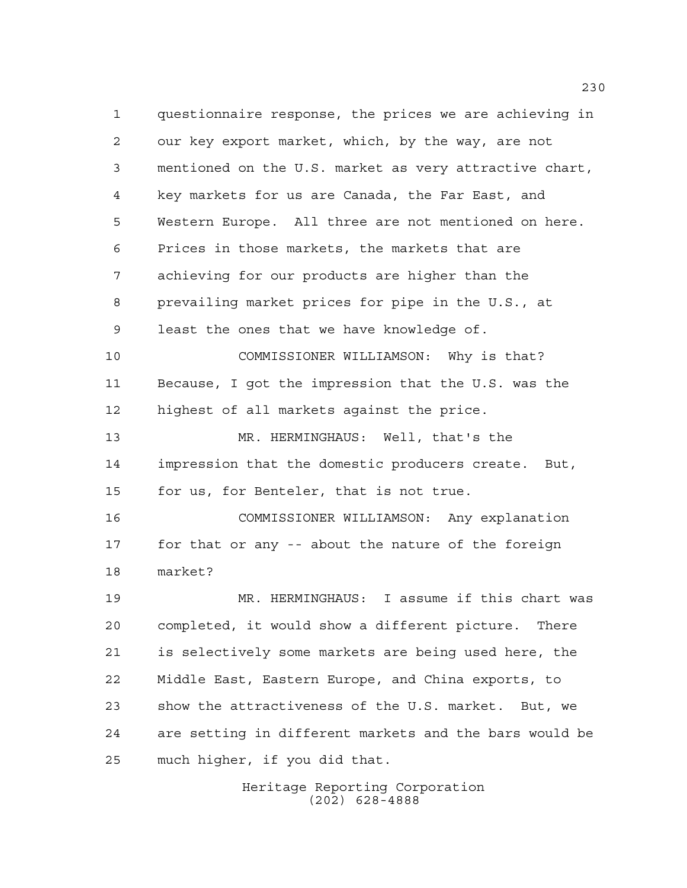questionnaire response, the prices we are achieving in our key export market, which, by the way, are not mentioned on the U.S. market as very attractive chart, key markets for us are Canada, the Far East, and Western Europe. All three are not mentioned on here. Prices in those markets, the markets that are achieving for our products are higher than the prevailing market prices for pipe in the U.S., at least the ones that we have knowledge of. COMMISSIONER WILLIAMSON: Why is that? Because, I got the impression that the U.S. was the highest of all markets against the price. MR. HERMINGHAUS: Well, that's the impression that the domestic producers create. But, for us, for Benteler, that is not true. COMMISSIONER WILLIAMSON: Any explanation for that or any -- about the nature of the foreign market? MR. HERMINGHAUS: I assume if this chart was completed, it would show a different picture. There is selectively some markets are being used here, the Middle East, Eastern Europe, and China exports, to show the attractiveness of the U.S. market. But, we are setting in different markets and the bars would be much higher, if you did that.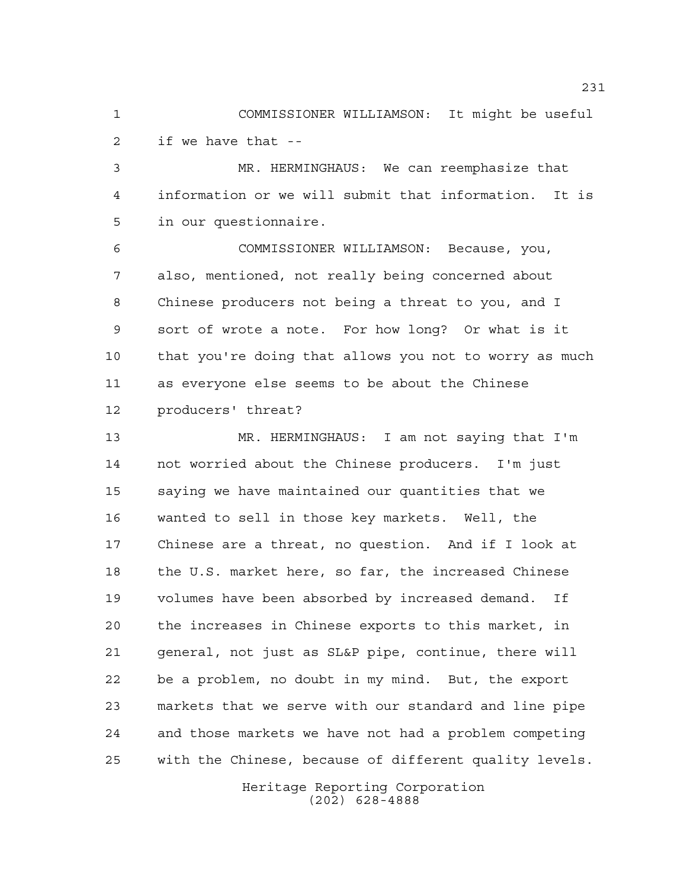COMMISSIONER WILLIAMSON: It might be useful if we have that --

 MR. HERMINGHAUS: We can reemphasize that information or we will submit that information. It is in our questionnaire.

 COMMISSIONER WILLIAMSON: Because, you, also, mentioned, not really being concerned about Chinese producers not being a threat to you, and I sort of wrote a note. For how long? Or what is it that you're doing that allows you not to worry as much as everyone else seems to be about the Chinese producers' threat?

 MR. HERMINGHAUS: I am not saying that I'm not worried about the Chinese producers. I'm just saying we have maintained our quantities that we wanted to sell in those key markets. Well, the Chinese are a threat, no question. And if I look at the U.S. market here, so far, the increased Chinese volumes have been absorbed by increased demand. If the increases in Chinese exports to this market, in general, not just as SL&P pipe, continue, there will be a problem, no doubt in my mind. But, the export markets that we serve with our standard and line pipe and those markets we have not had a problem competing with the Chinese, because of different quality levels.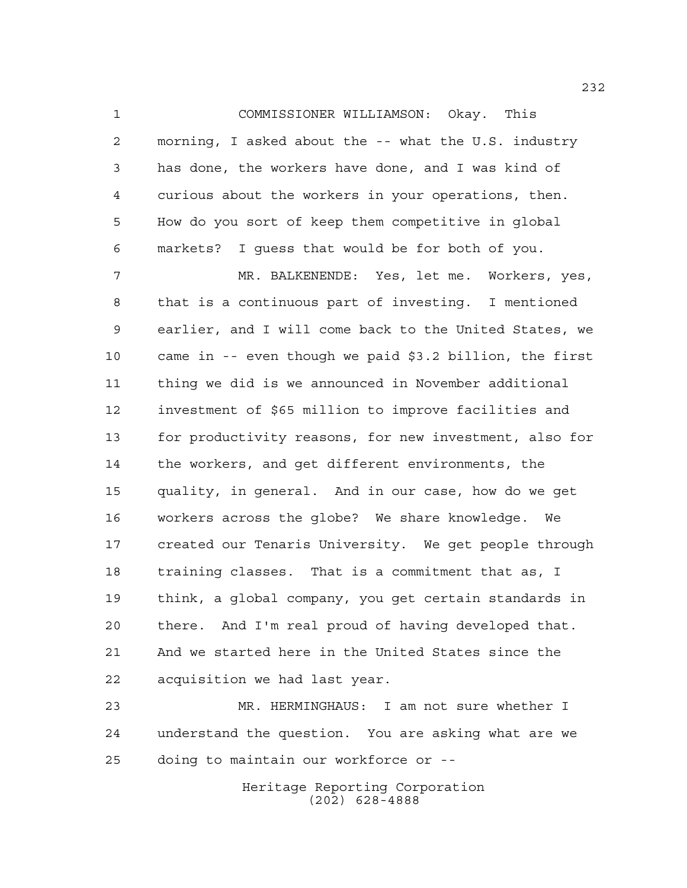COMMISSIONER WILLIAMSON: Okay. This morning, I asked about the -- what the U.S. industry has done, the workers have done, and I was kind of curious about the workers in your operations, then. How do you sort of keep them competitive in global markets? I guess that would be for both of you.

 MR. BALKENENDE: Yes, let me. Workers, yes, that is a continuous part of investing. I mentioned earlier, and I will come back to the United States, we came in -- even though we paid \$3.2 billion, the first thing we did is we announced in November additional investment of \$65 million to improve facilities and for productivity reasons, for new investment, also for the workers, and get different environments, the quality, in general. And in our case, how do we get workers across the globe? We share knowledge. We created our Tenaris University. We get people through training classes. That is a commitment that as, I think, a global company, you get certain standards in there. And I'm real proud of having developed that. And we started here in the United States since the acquisition we had last year.

 MR. HERMINGHAUS: I am not sure whether I understand the question. You are asking what are we doing to maintain our workforce or --

> Heritage Reporting Corporation (202) 628-4888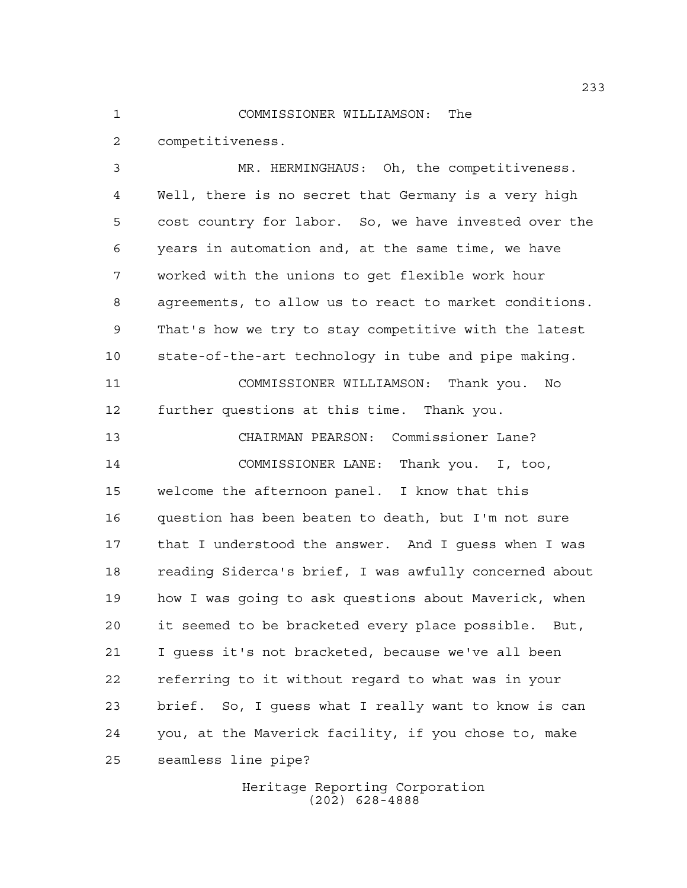## COMMISSIONER WILLIAMSON: The

competitiveness.

 MR. HERMINGHAUS: Oh, the competitiveness. Well, there is no secret that Germany is a very high cost country for labor. So, we have invested over the years in automation and, at the same time, we have worked with the unions to get flexible work hour agreements, to allow us to react to market conditions. That's how we try to stay competitive with the latest state-of-the-art technology in tube and pipe making. COMMISSIONER WILLIAMSON: Thank you. No further questions at this time. Thank you. CHAIRMAN PEARSON: Commissioner Lane? COMMISSIONER LANE: Thank you. I, too, welcome the afternoon panel. I know that this question has been beaten to death, but I'm not sure that I understood the answer. And I guess when I was reading Siderca's brief, I was awfully concerned about how I was going to ask questions about Maverick, when it seemed to be bracketed every place possible. But, I guess it's not bracketed, because we've all been referring to it without regard to what was in your brief. So, I guess what I really want to know is can you, at the Maverick facility, if you chose to, make seamless line pipe?

> Heritage Reporting Corporation (202) 628-4888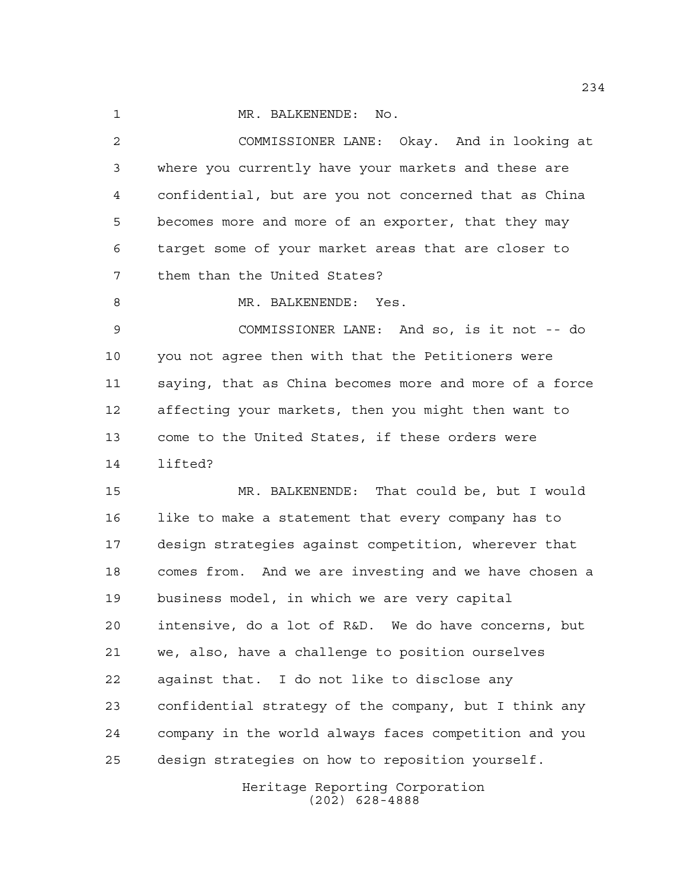1 MR. BALKENENDE: No.

 COMMISSIONER LANE: Okay. And in looking at where you currently have your markets and these are confidential, but are you not concerned that as China becomes more and more of an exporter, that they may target some of your market areas that are closer to them than the United States? MR. BALKENENDE: Yes. COMMISSIONER LANE: And so, is it not -- do you not agree then with that the Petitioners were saying, that as China becomes more and more of a force affecting your markets, then you might then want to come to the United States, if these orders were lifted? MR. BALKENENDE: That could be, but I would like to make a statement that every company has to design strategies against competition, wherever that comes from. And we are investing and we have chosen a business model, in which we are very capital intensive, do a lot of R&D. We do have concerns, but we, also, have a challenge to position ourselves against that. I do not like to disclose any confidential strategy of the company, but I think any company in the world always faces competition and you design strategies on how to reposition yourself.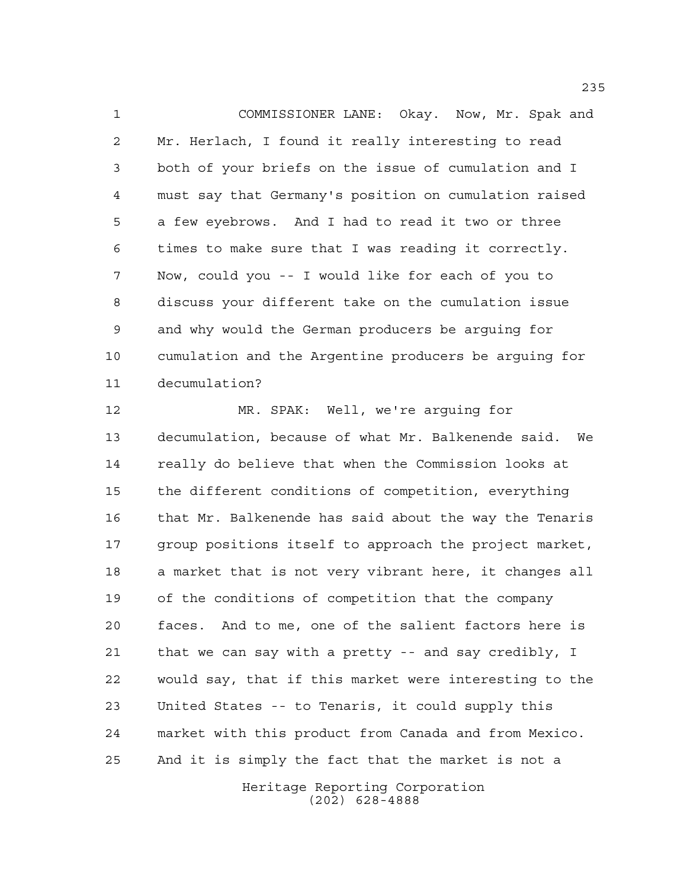COMMISSIONER LANE: Okay. Now, Mr. Spak and Mr. Herlach, I found it really interesting to read both of your briefs on the issue of cumulation and I must say that Germany's position on cumulation raised a few eyebrows. And I had to read it two or three times to make sure that I was reading it correctly. Now, could you -- I would like for each of you to discuss your different take on the cumulation issue and why would the German producers be arguing for cumulation and the Argentine producers be arguing for decumulation?

 MR. SPAK: Well, we're arguing for decumulation, because of what Mr. Balkenende said. We really do believe that when the Commission looks at the different conditions of competition, everything that Mr. Balkenende has said about the way the Tenaris group positions itself to approach the project market, a market that is not very vibrant here, it changes all of the conditions of competition that the company faces. And to me, one of the salient factors here is that we can say with a pretty -- and say credibly, I would say, that if this market were interesting to the United States -- to Tenaris, it could supply this market with this product from Canada and from Mexico. And it is simply the fact that the market is not a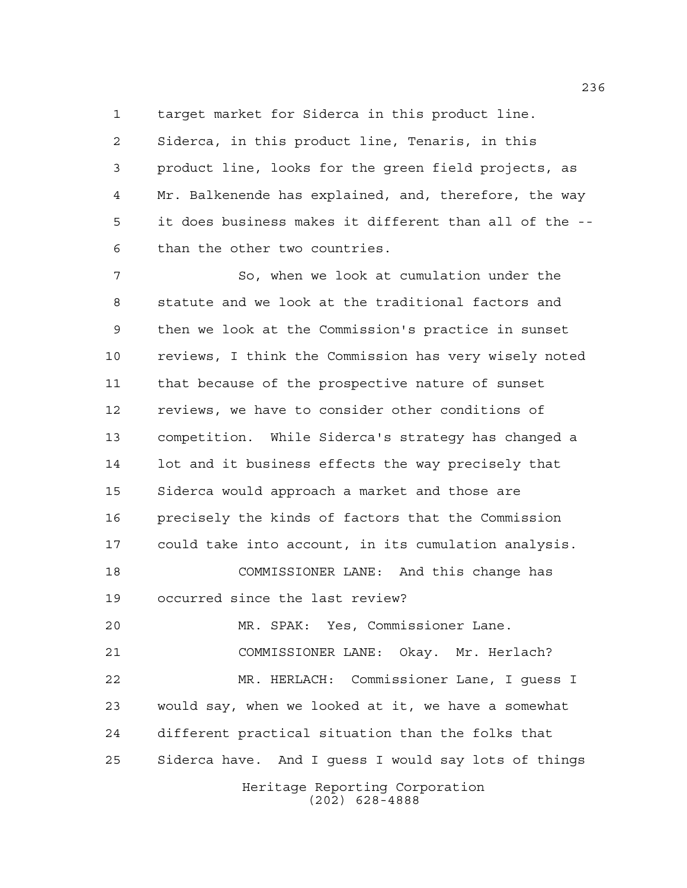target market for Siderca in this product line.

 Siderca, in this product line, Tenaris, in this product line, looks for the green field projects, as Mr. Balkenende has explained, and, therefore, the way it does business makes it different than all of the -- than the other two countries.

Heritage Reporting Corporation So, when we look at cumulation under the statute and we look at the traditional factors and then we look at the Commission's practice in sunset reviews, I think the Commission has very wisely noted that because of the prospective nature of sunset reviews, we have to consider other conditions of competition. While Siderca's strategy has changed a lot and it business effects the way precisely that Siderca would approach a market and those are precisely the kinds of factors that the Commission could take into account, in its cumulation analysis. COMMISSIONER LANE: And this change has occurred since the last review? MR. SPAK: Yes, Commissioner Lane. COMMISSIONER LANE: Okay. Mr. Herlach? MR. HERLACH: Commissioner Lane, I guess I would say, when we looked at it, we have a somewhat different practical situation than the folks that Siderca have. And I guess I would say lots of things

(202) 628-4888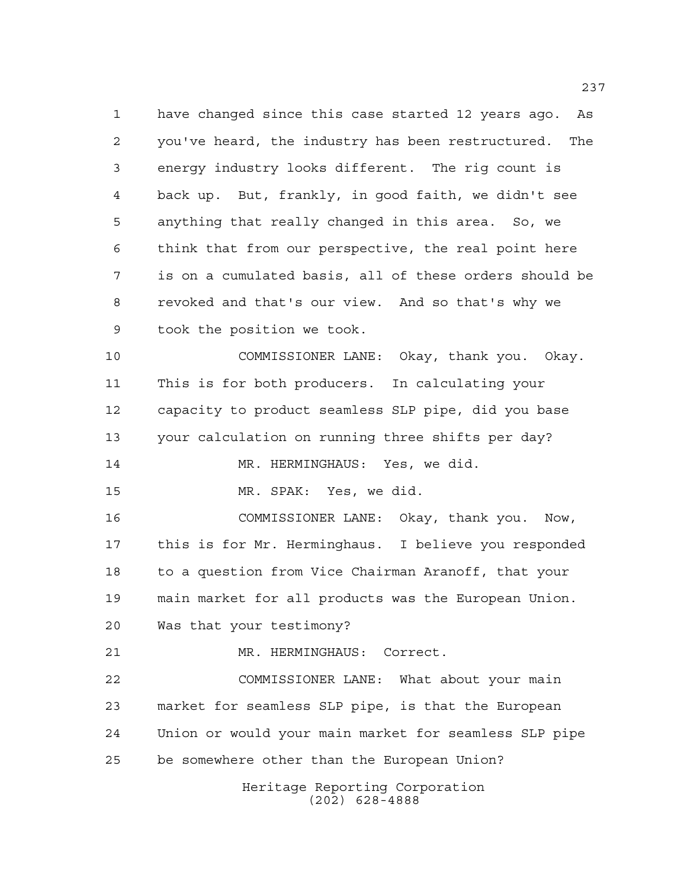have changed since this case started 12 years ago. As you've heard, the industry has been restructured. The energy industry looks different. The rig count is back up. But, frankly, in good faith, we didn't see anything that really changed in this area. So, we think that from our perspective, the real point here is on a cumulated basis, all of these orders should be revoked and that's our view. And so that's why we took the position we took.

 COMMISSIONER LANE: Okay, thank you. Okay. This is for both producers. In calculating your capacity to product seamless SLP pipe, did you base your calculation on running three shifts per day? MR. HERMINGHAUS: Yes, we did. MR. SPAK: Yes, we did.

 COMMISSIONER LANE: Okay, thank you. Now, this is for Mr. Herminghaus. I believe you responded to a question from Vice Chairman Aranoff, that your main market for all products was the European Union. Was that your testimony?

MR. HERMINGHAUS: Correct.

 COMMISSIONER LANE: What about your main market for seamless SLP pipe, is that the European Union or would your main market for seamless SLP pipe be somewhere other than the European Union?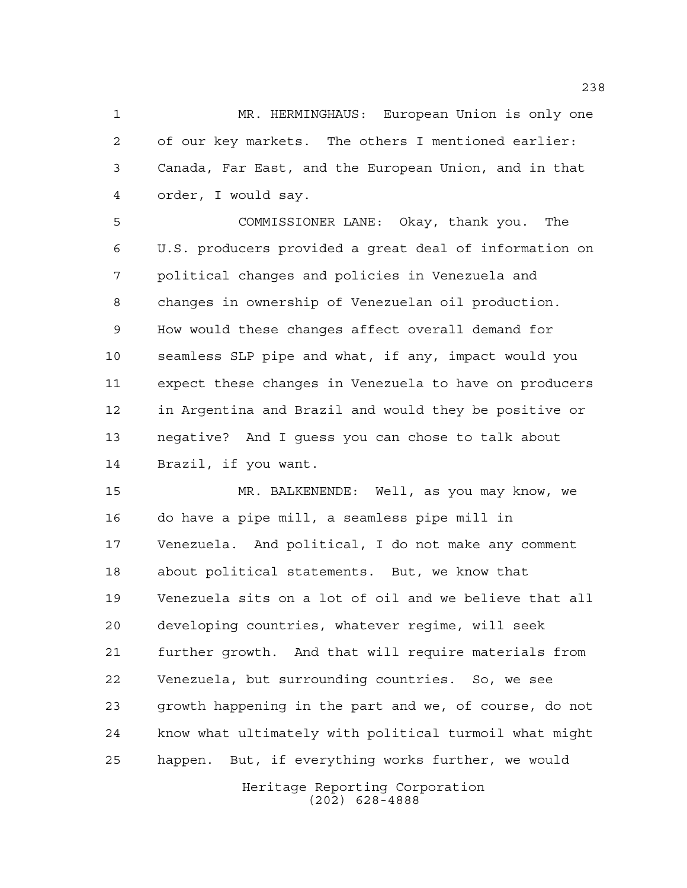MR. HERMINGHAUS: European Union is only one of our key markets. The others I mentioned earlier: Canada, Far East, and the European Union, and in that order, I would say.

 COMMISSIONER LANE: Okay, thank you. The U.S. producers provided a great deal of information on political changes and policies in Venezuela and changes in ownership of Venezuelan oil production. How would these changes affect overall demand for seamless SLP pipe and what, if any, impact would you expect these changes in Venezuela to have on producers in Argentina and Brazil and would they be positive or negative? And I guess you can chose to talk about Brazil, if you want.

 MR. BALKENENDE: Well, as you may know, we do have a pipe mill, a seamless pipe mill in Venezuela. And political, I do not make any comment about political statements. But, we know that Venezuela sits on a lot of oil and we believe that all developing countries, whatever regime, will seek further growth. And that will require materials from Venezuela, but surrounding countries. So, we see growth happening in the part and we, of course, do not know what ultimately with political turmoil what might happen. But, if everything works further, we would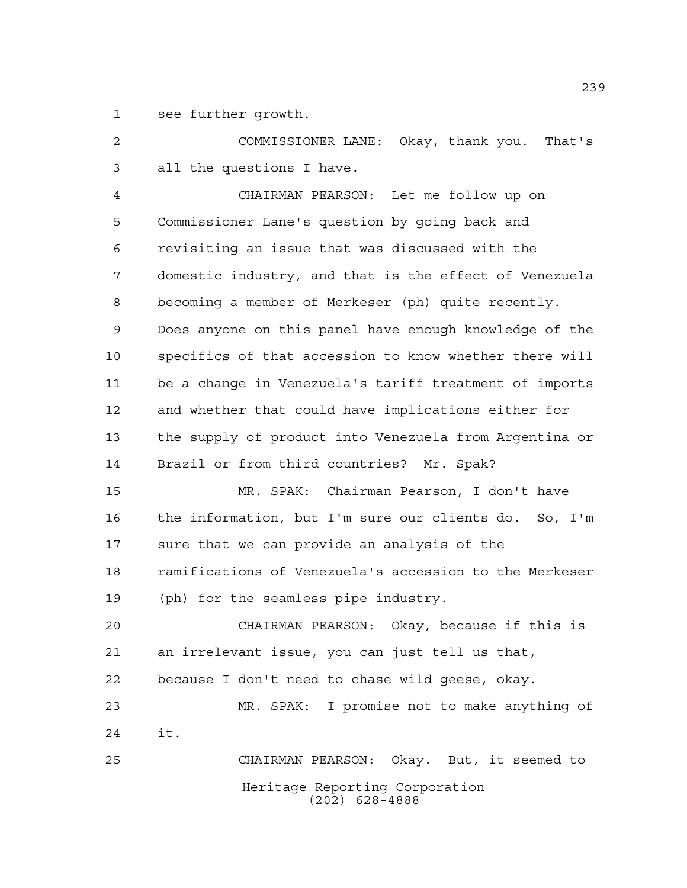see further growth.

 COMMISSIONER LANE: Okay, thank you. That's all the questions I have.

 CHAIRMAN PEARSON: Let me follow up on Commissioner Lane's question by going back and revisiting an issue that was discussed with the domestic industry, and that is the effect of Venezuela becoming a member of Merkeser (ph) quite recently. Does anyone on this panel have enough knowledge of the specifics of that accession to know whether there will be a change in Venezuela's tariff treatment of imports and whether that could have implications either for the supply of product into Venezuela from Argentina or Brazil or from third countries? Mr. Spak?

 MR. SPAK: Chairman Pearson, I don't have the information, but I'm sure our clients do. So, I'm sure that we can provide an analysis of the ramifications of Venezuela's accession to the Merkeser (ph) for the seamless pipe industry.

 CHAIRMAN PEARSON: Okay, because if this is an irrelevant issue, you can just tell us that, because I don't need to chase wild geese, okay. MR. SPAK: I promise not to make anything of it.

Heritage Reporting Corporation (202) 628-4888 CHAIRMAN PEARSON: Okay. But, it seemed to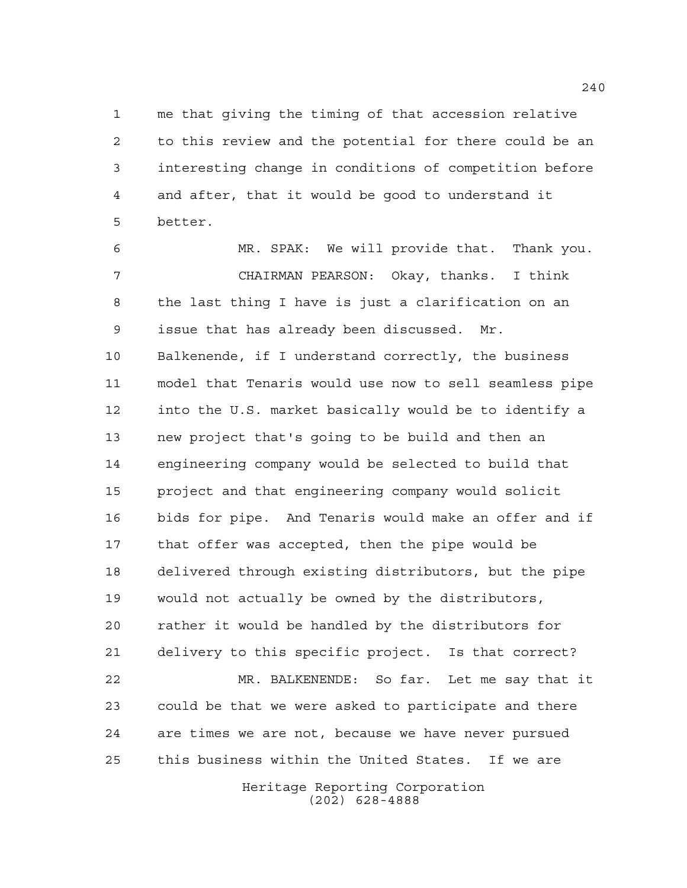me that giving the timing of that accession relative to this review and the potential for there could be an interesting change in conditions of competition before and after, that it would be good to understand it better.

 MR. SPAK: We will provide that. Thank you. CHAIRMAN PEARSON: Okay, thanks. I think the last thing I have is just a clarification on an issue that has already been discussed. Mr. Balkenende, if I understand correctly, the business model that Tenaris would use now to sell seamless pipe into the U.S. market basically would be to identify a new project that's going to be build and then an engineering company would be selected to build that project and that engineering company would solicit bids for pipe. And Tenaris would make an offer and if that offer was accepted, then the pipe would be delivered through existing distributors, but the pipe would not actually be owned by the distributors, rather it would be handled by the distributors for delivery to this specific project. Is that correct? MR. BALKENENDE: So far. Let me say that it could be that we were asked to participate and there are times we are not, because we have never pursued this business within the United States. If we are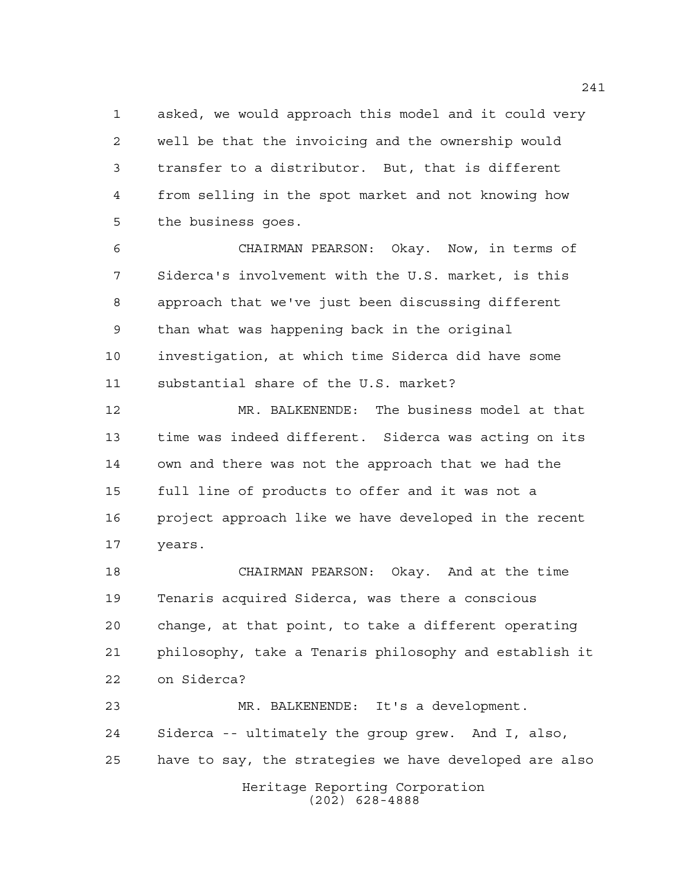asked, we would approach this model and it could very well be that the invoicing and the ownership would transfer to a distributor. But, that is different from selling in the spot market and not knowing how the business goes.

 CHAIRMAN PEARSON: Okay. Now, in terms of Siderca's involvement with the U.S. market, is this approach that we've just been discussing different than what was happening back in the original investigation, at which time Siderca did have some substantial share of the U.S. market?

 MR. BALKENENDE: The business model at that time was indeed different. Siderca was acting on its own and there was not the approach that we had the full line of products to offer and it was not a project approach like we have developed in the recent years.

 CHAIRMAN PEARSON: Okay. And at the time Tenaris acquired Siderca, was there a conscious change, at that point, to take a different operating philosophy, take a Tenaris philosophy and establish it on Siderca?

 MR. BALKENENDE: It's a development. Siderca -- ultimately the group grew. And I, also, have to say, the strategies we have developed are also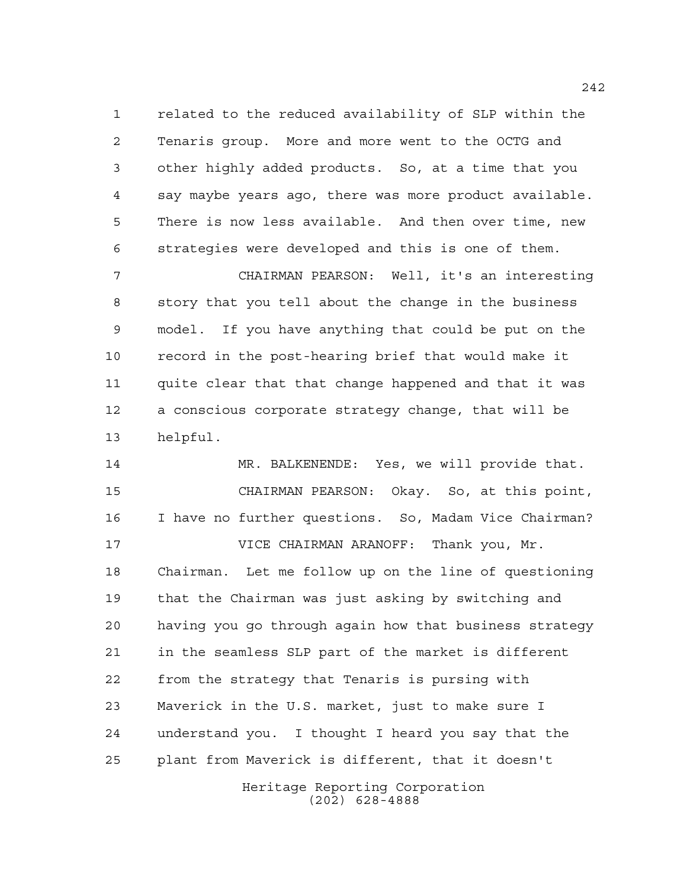related to the reduced availability of SLP within the Tenaris group. More and more went to the OCTG and other highly added products. So, at a time that you say maybe years ago, there was more product available. There is now less available. And then over time, new strategies were developed and this is one of them.

 CHAIRMAN PEARSON: Well, it's an interesting story that you tell about the change in the business model. If you have anything that could be put on the record in the post-hearing brief that would make it quite clear that that change happened and that it was a conscious corporate strategy change, that will be helpful.

 MR. BALKENENDE: Yes, we will provide that. CHAIRMAN PEARSON: Okay. So, at this point, I have no further questions. So, Madam Vice Chairman? VICE CHAIRMAN ARANOFF: Thank you, Mr. Chairman. Let me follow up on the line of questioning that the Chairman was just asking by switching and having you go through again how that business strategy in the seamless SLP part of the market is different from the strategy that Tenaris is pursing with Maverick in the U.S. market, just to make sure I understand you. I thought I heard you say that the plant from Maverick is different, that it doesn't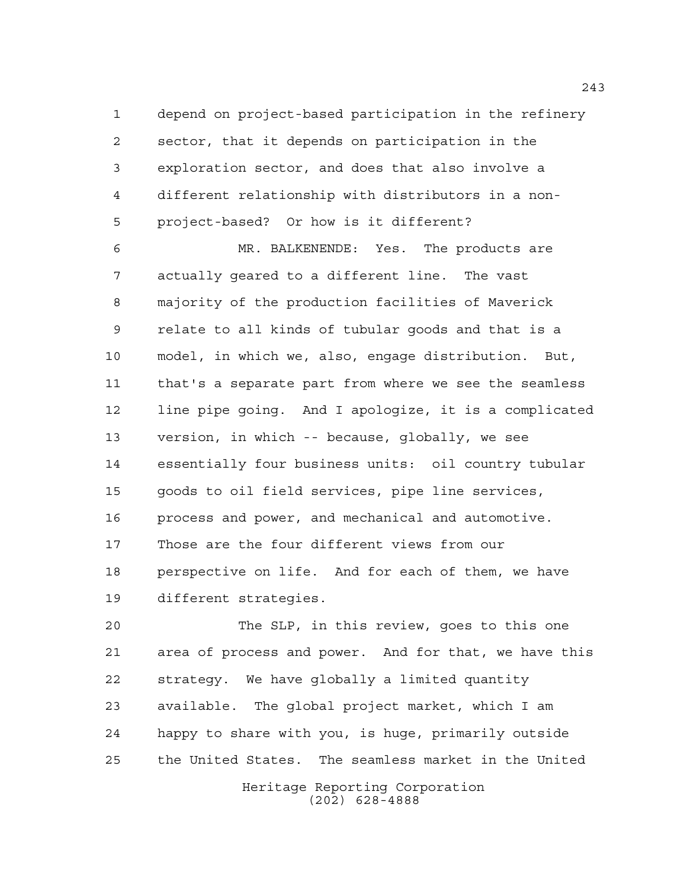depend on project-based participation in the refinery sector, that it depends on participation in the exploration sector, and does that also involve a different relationship with distributors in a non-project-based? Or how is it different?

 MR. BALKENENDE: Yes. The products are actually geared to a different line. The vast majority of the production facilities of Maverick relate to all kinds of tubular goods and that is a model, in which we, also, engage distribution. But, that's a separate part from where we see the seamless line pipe going. And I apologize, it is a complicated version, in which -- because, globally, we see essentially four business units: oil country tubular goods to oil field services, pipe line services, process and power, and mechanical and automotive. Those are the four different views from our perspective on life. And for each of them, we have different strategies.

Heritage Reporting Corporation The SLP, in this review, goes to this one area of process and power. And for that, we have this strategy. We have globally a limited quantity available. The global project market, which I am happy to share with you, is huge, primarily outside the United States. The seamless market in the United

(202) 628-4888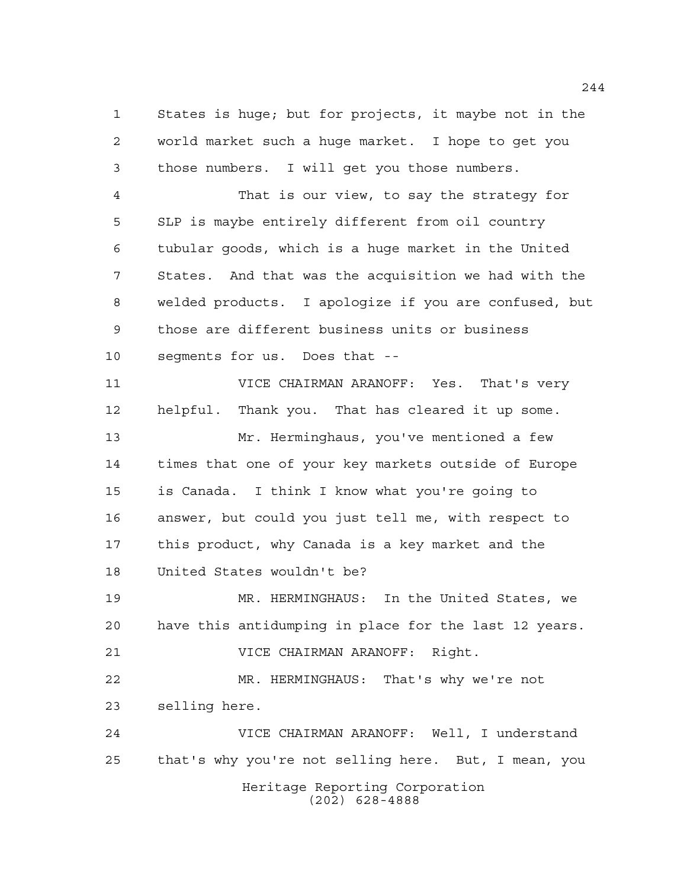States is huge; but for projects, it maybe not in the world market such a huge market. I hope to get you those numbers. I will get you those numbers. That is our view, to say the strategy for SLP is maybe entirely different from oil country tubular goods, which is a huge market in the United States. And that was the acquisition we had with the welded products. I apologize if you are confused, but those are different business units or business segments for us. Does that -- VICE CHAIRMAN ARANOFF: Yes. That's very helpful. Thank you. That has cleared it up some. Mr. Herminghaus, you've mentioned a few times that one of your key markets outside of Europe is Canada. I think I know what you're going to answer, but could you just tell me, with respect to

 this product, why Canada is a key market and the United States wouldn't be?

 MR. HERMINGHAUS: In the United States, we have this antidumping in place for the last 12 years. VICE CHAIRMAN ARANOFF: Right.

 MR. HERMINGHAUS: That's why we're not selling here.

Heritage Reporting Corporation (202) 628-4888 VICE CHAIRMAN ARANOFF: Well, I understand that's why you're not selling here. But, I mean, you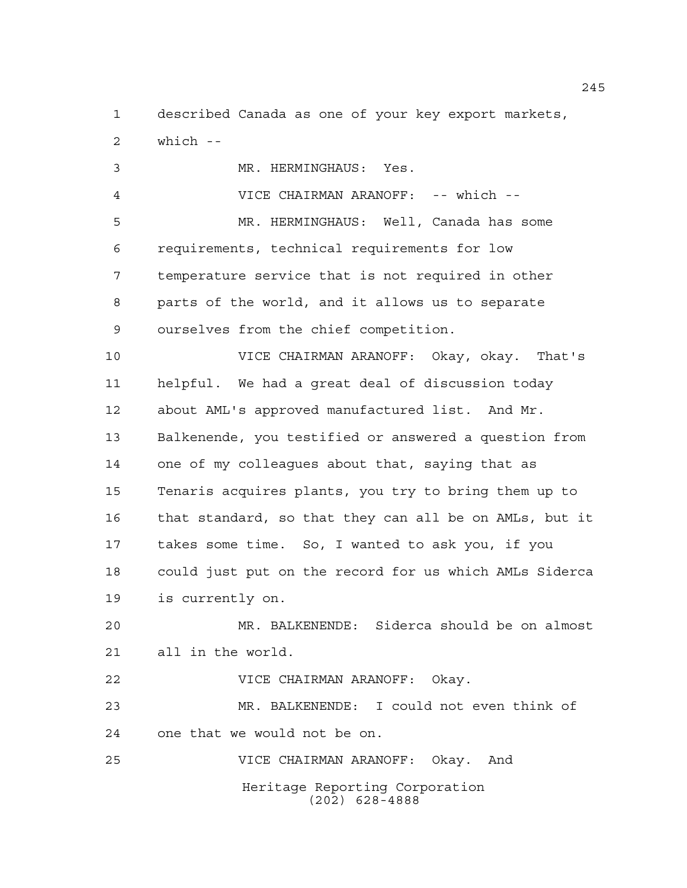described Canada as one of your key export markets, which --

 MR. HERMINGHAUS: Yes. VICE CHAIRMAN ARANOFF: -- which -- MR. HERMINGHAUS: Well, Canada has some requirements, technical requirements for low temperature service that is not required in other parts of the world, and it allows us to separate ourselves from the chief competition. VICE CHAIRMAN ARANOFF: Okay, okay. That's helpful. We had a great deal of discussion today about AML's approved manufactured list. And Mr. Balkenende, you testified or answered a question from one of my colleagues about that, saying that as Tenaris acquires plants, you try to bring them up to that standard, so that they can all be on AMLs, but it takes some time. So, I wanted to ask you, if you could just put on the record for us which AMLs Siderca is currently on.

 MR. BALKENENDE: Siderca should be on almost all in the world.

VICE CHAIRMAN ARANOFF: Okay.

 MR. BALKENENDE: I could not even think of one that we would not be on.

Heritage Reporting Corporation (202) 628-4888 VICE CHAIRMAN ARANOFF: Okay. And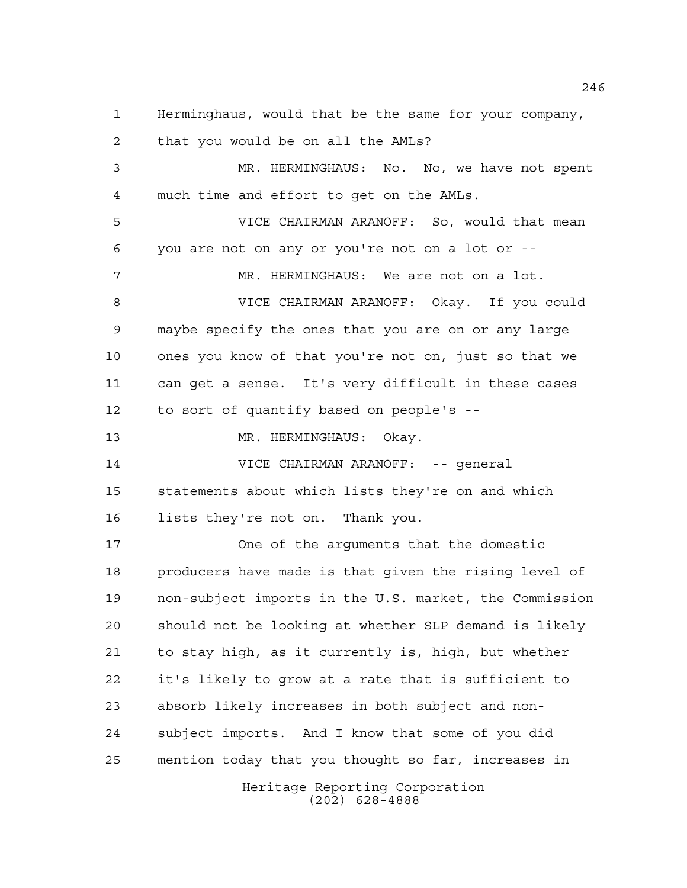Herminghaus, would that be the same for your company,

that you would be on all the AMLs?

 MR. HERMINGHAUS: No. No, we have not spent much time and effort to get on the AMLs.

 VICE CHAIRMAN ARANOFF: So, would that mean you are not on any or you're not on a lot or --

MR. HERMINGHAUS: We are not on a lot.

 VICE CHAIRMAN ARANOFF: Okay. If you could maybe specify the ones that you are on or any large ones you know of that you're not on, just so that we can get a sense. It's very difficult in these cases to sort of quantify based on people's --

13 MR. HERMINGHAUS: Okay.

 VICE CHAIRMAN ARANOFF: -- general statements about which lists they're on and which lists they're not on. Thank you.

 One of the arguments that the domestic producers have made is that given the rising level of non-subject imports in the U.S. market, the Commission should not be looking at whether SLP demand is likely to stay high, as it currently is, high, but whether it's likely to grow at a rate that is sufficient to absorb likely increases in both subject and non- subject imports. And I know that some of you did mention today that you thought so far, increases in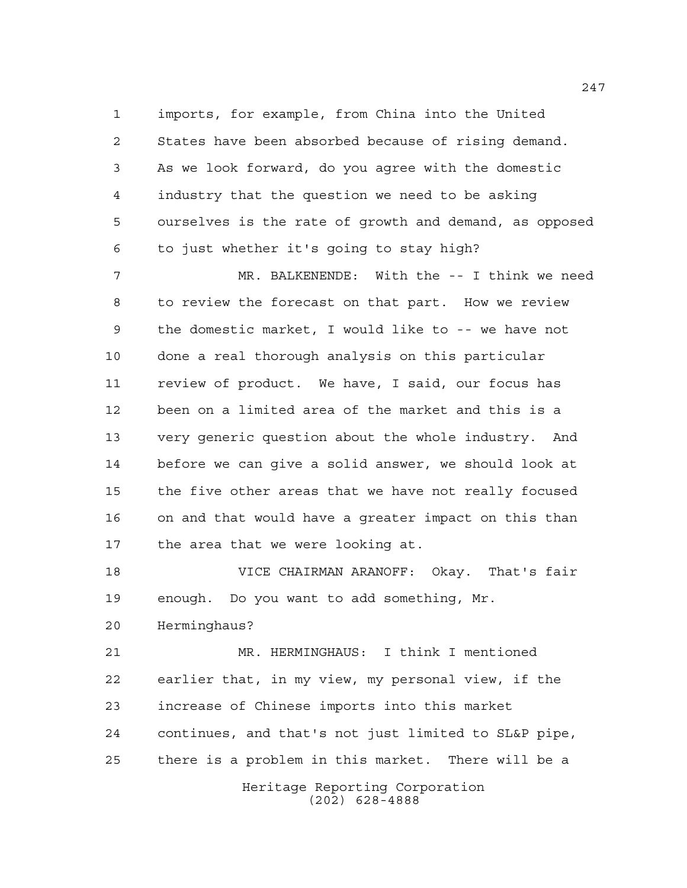imports, for example, from China into the United States have been absorbed because of rising demand. As we look forward, do you agree with the domestic industry that the question we need to be asking ourselves is the rate of growth and demand, as opposed to just whether it's going to stay high?

 MR. BALKENENDE: With the -- I think we need to review the forecast on that part. How we review the domestic market, I would like to -- we have not done a real thorough analysis on this particular review of product. We have, I said, our focus has been on a limited area of the market and this is a very generic question about the whole industry. And before we can give a solid answer, we should look at the five other areas that we have not really focused on and that would have a greater impact on this than the area that we were looking at.

 VICE CHAIRMAN ARANOFF: Okay. That's fair enough. Do you want to add something, Mr.

Herminghaus?

 MR. HERMINGHAUS: I think I mentioned earlier that, in my view, my personal view, if the increase of Chinese imports into this market continues, and that's not just limited to SL&P pipe, there is a problem in this market. There will be a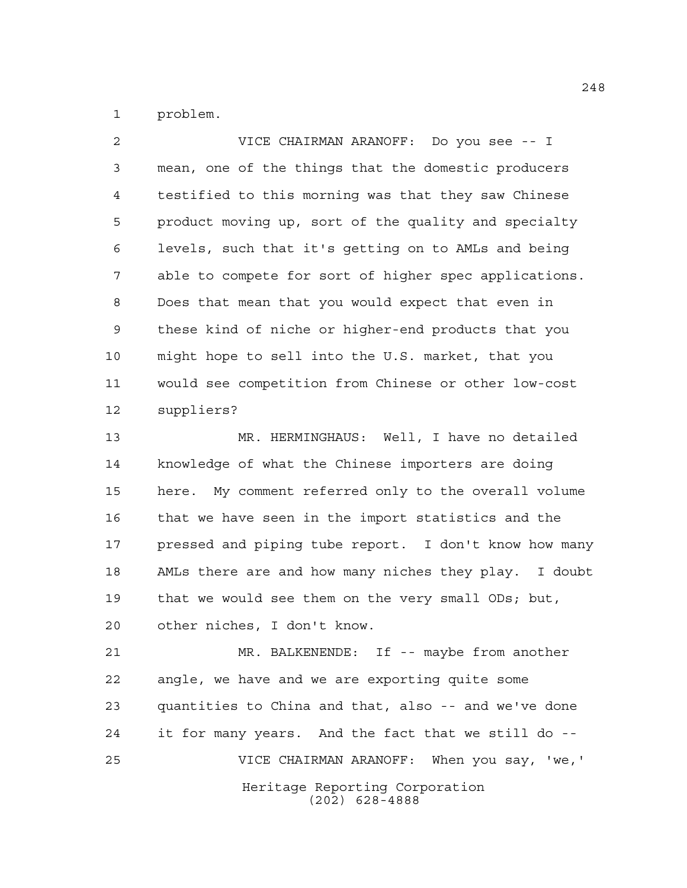problem.

 VICE CHAIRMAN ARANOFF: Do you see -- I mean, one of the things that the domestic producers testified to this morning was that they saw Chinese product moving up, sort of the quality and specialty levels, such that it's getting on to AMLs and being able to compete for sort of higher spec applications. Does that mean that you would expect that even in these kind of niche or higher-end products that you might hope to sell into the U.S. market, that you would see competition from Chinese or other low-cost suppliers? MR. HERMINGHAUS: Well, I have no detailed knowledge of what the Chinese importers are doing

 here. My comment referred only to the overall volume that we have seen in the import statistics and the 17 pressed and piping tube report. I don't know how many AMLs there are and how many niches they play. I doubt that we would see them on the very small ODs; but, other niches, I don't know.

Heritage Reporting Corporation (202) 628-4888 MR. BALKENENDE: If -- maybe from another angle, we have and we are exporting quite some quantities to China and that, also -- and we've done it for many years. And the fact that we still do -- VICE CHAIRMAN ARANOFF: When you say, 'we,'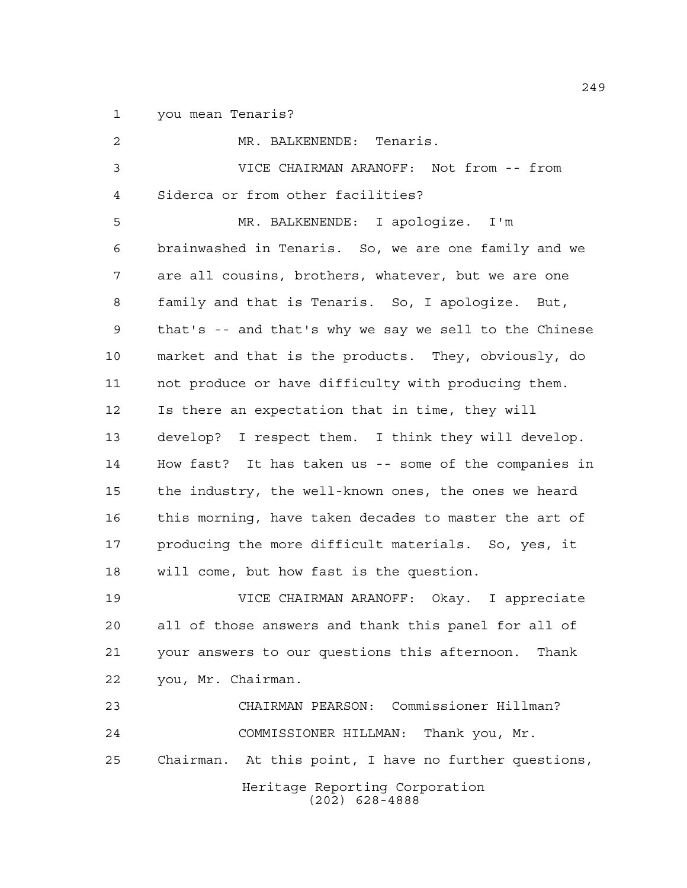you mean Tenaris?

Heritage Reporting Corporation (202) 628-4888 MR. BALKENENDE: Tenaris. VICE CHAIRMAN ARANOFF: Not from -- from Siderca or from other facilities? MR. BALKENENDE: I apologize. I'm brainwashed in Tenaris. So, we are one family and we are all cousins, brothers, whatever, but we are one family and that is Tenaris. So, I apologize. But, that's -- and that's why we say we sell to the Chinese market and that is the products. They, obviously, do not produce or have difficulty with producing them. Is there an expectation that in time, they will develop? I respect them. I think they will develop. How fast? It has taken us -- some of the companies in the industry, the well-known ones, the ones we heard this morning, have taken decades to master the art of producing the more difficult materials. So, yes, it will come, but how fast is the question. VICE CHAIRMAN ARANOFF: Okay. I appreciate all of those answers and thank this panel for all of your answers to our questions this afternoon. Thank you, Mr. Chairman. CHAIRMAN PEARSON: Commissioner Hillman? COMMISSIONER HILLMAN: Thank you, Mr. Chairman. At this point, I have no further questions,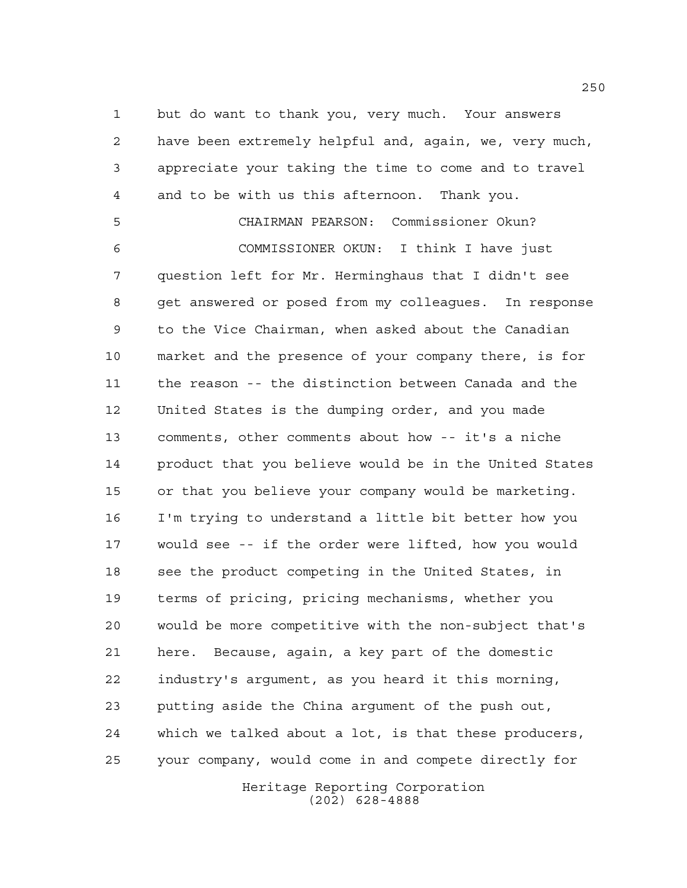but do want to thank you, very much. Your answers have been extremely helpful and, again, we, very much, appreciate your taking the time to come and to travel and to be with us this afternoon. Thank you.

Heritage Reporting Corporation CHAIRMAN PEARSON: Commissioner Okun? COMMISSIONER OKUN: I think I have just question left for Mr. Herminghaus that I didn't see get answered or posed from my colleagues. In response to the Vice Chairman, when asked about the Canadian market and the presence of your company there, is for the reason -- the distinction between Canada and the United States is the dumping order, and you made comments, other comments about how -- it's a niche product that you believe would be in the United States or that you believe your company would be marketing. I'm trying to understand a little bit better how you would see -- if the order were lifted, how you would 18 see the product competing in the United States, in terms of pricing, pricing mechanisms, whether you would be more competitive with the non-subject that's here. Because, again, a key part of the domestic industry's argument, as you heard it this morning, putting aside the China argument of the push out, which we talked about a lot, is that these producers, your company, would come in and compete directly for

(202) 628-4888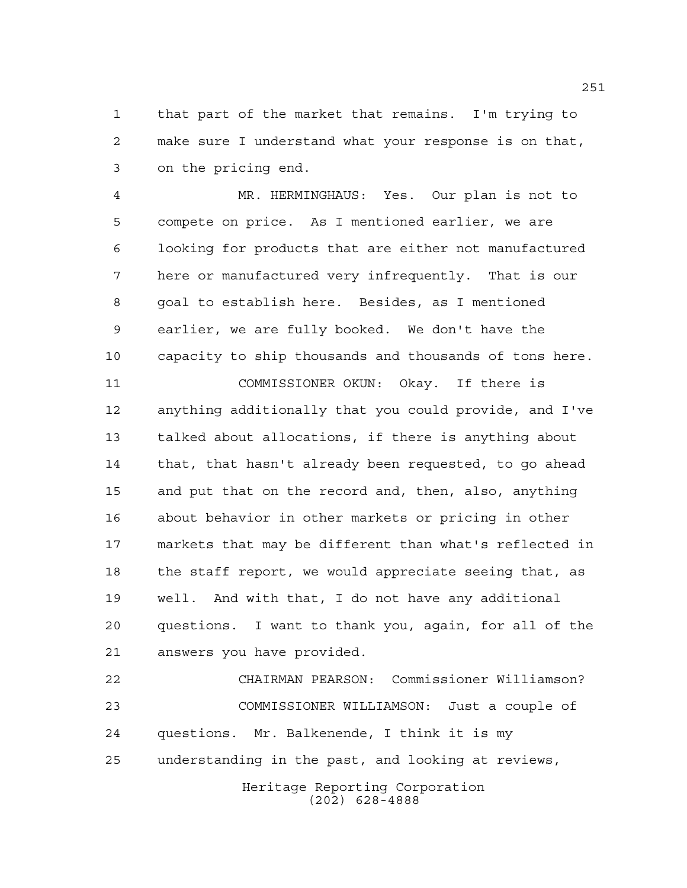that part of the market that remains. I'm trying to make sure I understand what your response is on that, on the pricing end.

 MR. HERMINGHAUS: Yes. Our plan is not to compete on price. As I mentioned earlier, we are looking for products that are either not manufactured here or manufactured very infrequently. That is our goal to establish here. Besides, as I mentioned earlier, we are fully booked. We don't have the capacity to ship thousands and thousands of tons here.

 COMMISSIONER OKUN: Okay. If there is anything additionally that you could provide, and I've talked about allocations, if there is anything about that, that hasn't already been requested, to go ahead and put that on the record and, then, also, anything about behavior in other markets or pricing in other markets that may be different than what's reflected in 18 the staff report, we would appreciate seeing that, as well. And with that, I do not have any additional questions. I want to thank you, again, for all of the answers you have provided.

 CHAIRMAN PEARSON: Commissioner Williamson? COMMISSIONER WILLIAMSON: Just a couple of questions. Mr. Balkenende, I think it is my understanding in the past, and looking at reviews,

Heritage Reporting Corporation (202) 628-4888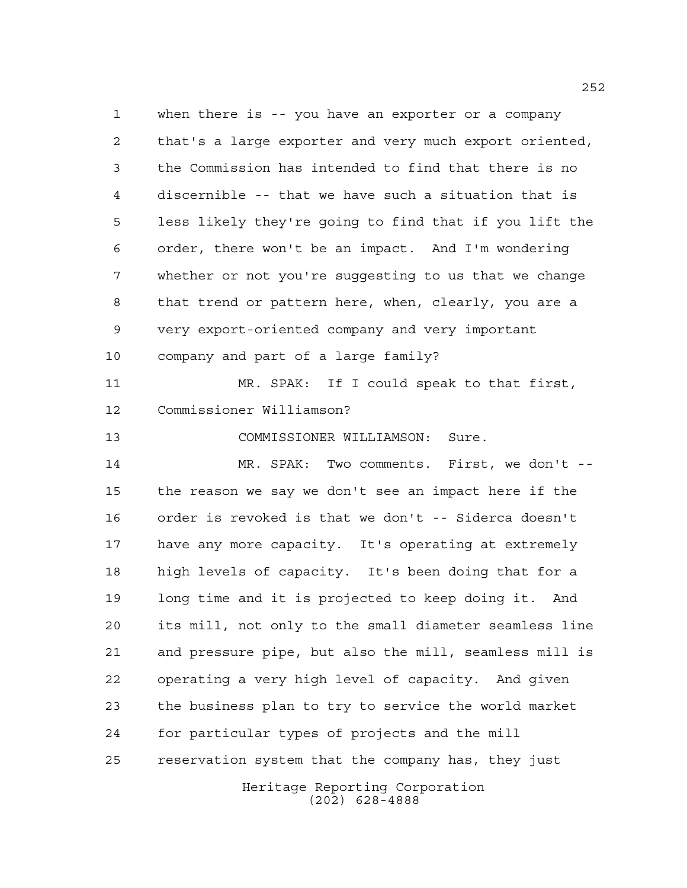Heritage Reporting Corporation when there is -- you have an exporter or a company that's a large exporter and very much export oriented, the Commission has intended to find that there is no discernible -- that we have such a situation that is less likely they're going to find that if you lift the order, there won't be an impact. And I'm wondering whether or not you're suggesting to us that we change that trend or pattern here, when, clearly, you are a very export-oriented company and very important company and part of a large family? MR. SPAK: If I could speak to that first, Commissioner Williamson? COMMISSIONER WILLIAMSON: Sure. MR. SPAK: Two comments. First, we don't -- the reason we say we don't see an impact here if the order is revoked is that we don't -- Siderca doesn't have any more capacity. It's operating at extremely high levels of capacity. It's been doing that for a long time and it is projected to keep doing it. And its mill, not only to the small diameter seamless line and pressure pipe, but also the mill, seamless mill is operating a very high level of capacity. And given the business plan to try to service the world market for particular types of projects and the mill reservation system that the company has, they just

(202) 628-4888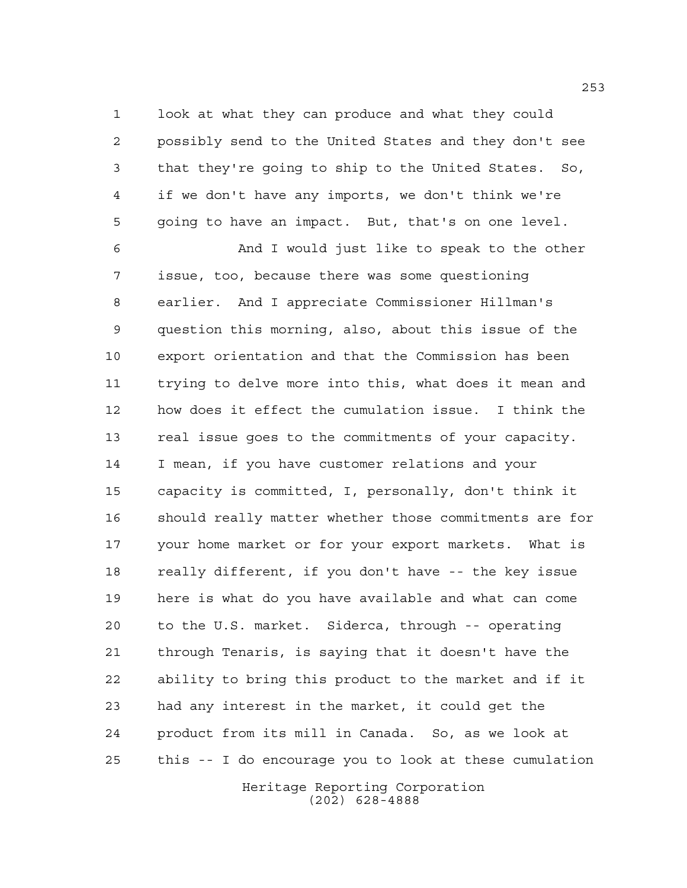look at what they can produce and what they could possibly send to the United States and they don't see that they're going to ship to the United States. So, if we don't have any imports, we don't think we're going to have an impact. But, that's on one level.

 And I would just like to speak to the other issue, too, because there was some questioning earlier. And I appreciate Commissioner Hillman's question this morning, also, about this issue of the export orientation and that the Commission has been trying to delve more into this, what does it mean and how does it effect the cumulation issue. I think the real issue goes to the commitments of your capacity. I mean, if you have customer relations and your capacity is committed, I, personally, don't think it should really matter whether those commitments are for your home market or for your export markets. What is really different, if you don't have -- the key issue here is what do you have available and what can come to the U.S. market. Siderca, through -- operating through Tenaris, is saying that it doesn't have the ability to bring this product to the market and if it had any interest in the market, it could get the product from its mill in Canada. So, as we look at this -- I do encourage you to look at these cumulation

Heritage Reporting Corporation (202) 628-4888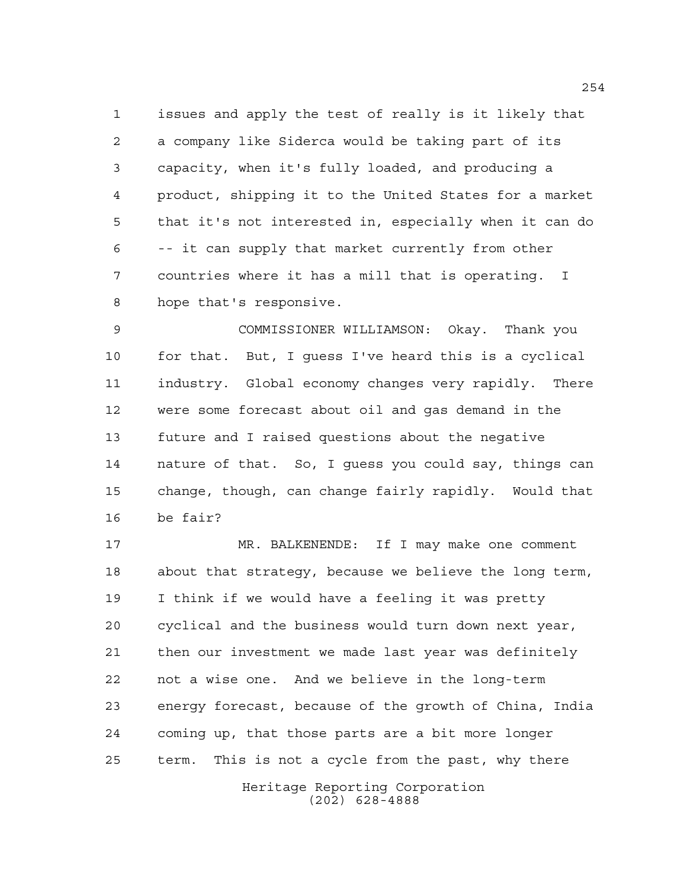issues and apply the test of really is it likely that a company like Siderca would be taking part of its capacity, when it's fully loaded, and producing a product, shipping it to the United States for a market that it's not interested in, especially when it can do -- it can supply that market currently from other countries where it has a mill that is operating. I hope that's responsive.

 COMMISSIONER WILLIAMSON: Okay. Thank you for that. But, I guess I've heard this is a cyclical industry. Global economy changes very rapidly. There were some forecast about oil and gas demand in the future and I raised questions about the negative nature of that. So, I guess you could say, things can change, though, can change fairly rapidly. Would that be fair?

 MR. BALKENENDE: If I may make one comment about that strategy, because we believe the long term, I think if we would have a feeling it was pretty cyclical and the business would turn down next year, then our investment we made last year was definitely not a wise one. And we believe in the long-term energy forecast, because of the growth of China, India coming up, that those parts are a bit more longer term. This is not a cycle from the past, why there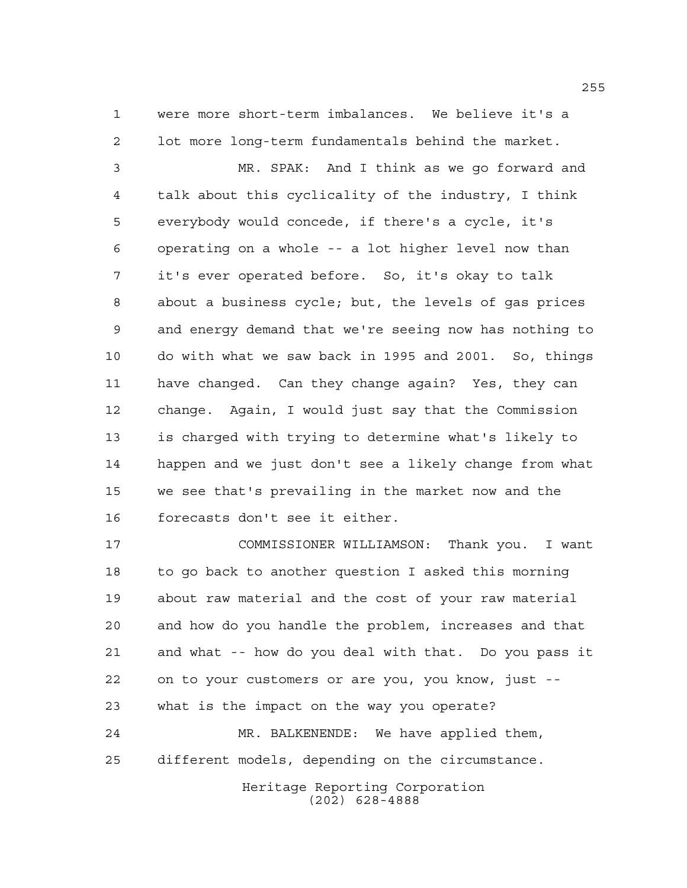were more short-term imbalances. We believe it's a lot more long-term fundamentals behind the market.

 MR. SPAK: And I think as we go forward and talk about this cyclicality of the industry, I think everybody would concede, if there's a cycle, it's operating on a whole -- a lot higher level now than it's ever operated before. So, it's okay to talk about a business cycle; but, the levels of gas prices and energy demand that we're seeing now has nothing to do with what we saw back in 1995 and 2001. So, things have changed. Can they change again? Yes, they can change. Again, I would just say that the Commission is charged with trying to determine what's likely to happen and we just don't see a likely change from what we see that's prevailing in the market now and the forecasts don't see it either.

 COMMISSIONER WILLIAMSON: Thank you. I want to go back to another question I asked this morning about raw material and the cost of your raw material and how do you handle the problem, increases and that and what -- how do you deal with that. Do you pass it on to your customers or are you, you know, just -- what is the impact on the way you operate? MR. BALKENENDE: We have applied them, different models, depending on the circumstance.

Heritage Reporting Corporation (202) 628-4888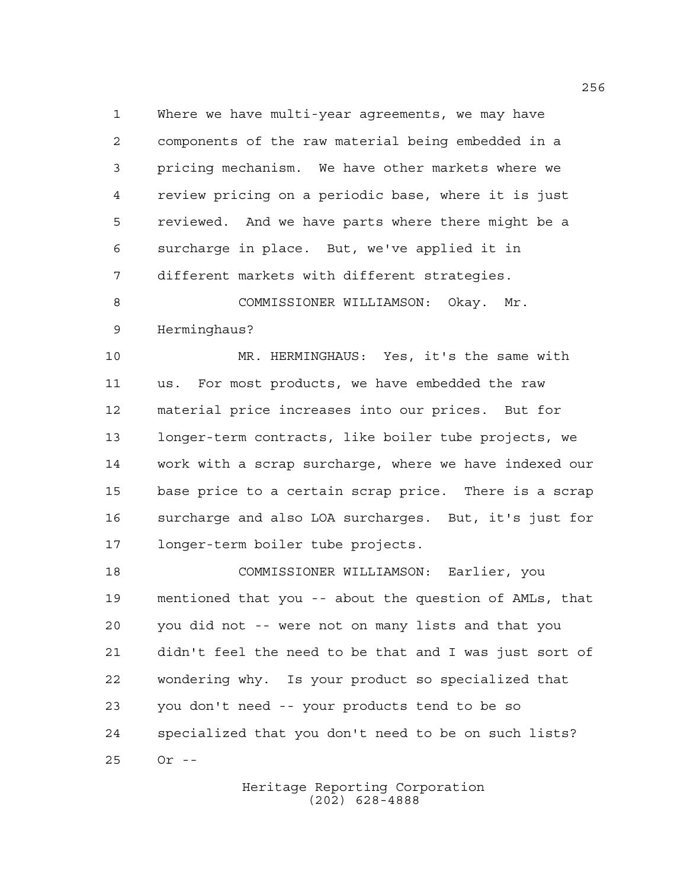Where we have multi-year agreements, we may have components of the raw material being embedded in a pricing mechanism. We have other markets where we review pricing on a periodic base, where it is just reviewed. And we have parts where there might be a surcharge in place. But, we've applied it in different markets with different strategies.

8 COMMISSIONER WILLIAMSON: Okay. Mr. Herminghaus?

 MR. HERMINGHAUS: Yes, it's the same with us. For most products, we have embedded the raw material price increases into our prices. But for longer-term contracts, like boiler tube projects, we work with a scrap surcharge, where we have indexed our base price to a certain scrap price. There is a scrap surcharge and also LOA surcharges. But, it's just for longer-term boiler tube projects.

 COMMISSIONER WILLIAMSON: Earlier, you mentioned that you -- about the question of AMLs, that you did not -- were not on many lists and that you didn't feel the need to be that and I was just sort of wondering why. Is your product so specialized that you don't need -- your products tend to be so specialized that you don't need to be on such lists? Or --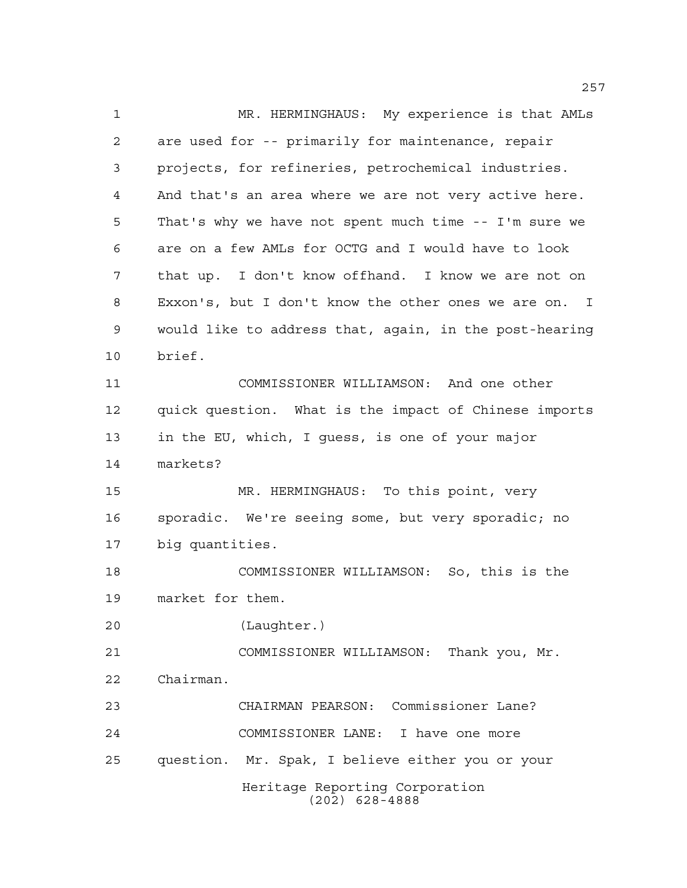Heritage Reporting Corporation (202) 628-4888 MR. HERMINGHAUS: My experience is that AMLs are used for -- primarily for maintenance, repair projects, for refineries, petrochemical industries. And that's an area where we are not very active here. That's why we have not spent much time -- I'm sure we are on a few AMLs for OCTG and I would have to look that up. I don't know offhand. I know we are not on Exxon's, but I don't know the other ones we are on. I would like to address that, again, in the post-hearing brief. COMMISSIONER WILLIAMSON: And one other quick question. What is the impact of Chinese imports in the EU, which, I guess, is one of your major markets? MR. HERMINGHAUS: To this point, very sporadic. We're seeing some, but very sporadic; no big quantities. COMMISSIONER WILLIAMSON: So, this is the market for them. (Laughter.) COMMISSIONER WILLIAMSON: Thank you, Mr. Chairman. CHAIRMAN PEARSON: Commissioner Lane? COMMISSIONER LANE: I have one more question. Mr. Spak, I believe either you or your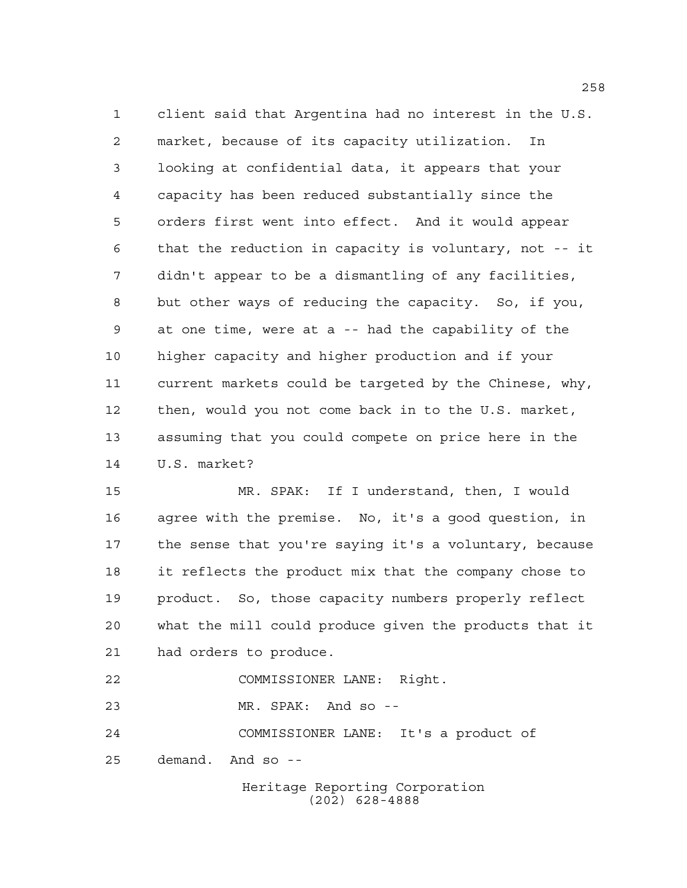client said that Argentina had no interest in the U.S. market, because of its capacity utilization. In looking at confidential data, it appears that your capacity has been reduced substantially since the orders first went into effect. And it would appear that the reduction in capacity is voluntary, not -- it didn't appear to be a dismantling of any facilities, but other ways of reducing the capacity. So, if you, at one time, were at a -- had the capability of the higher capacity and higher production and if your current markets could be targeted by the Chinese, why, then, would you not come back in to the U.S. market, assuming that you could compete on price here in the U.S. market?

 MR. SPAK: If I understand, then, I would agree with the premise. No, it's a good question, in the sense that you're saying it's a voluntary, because it reflects the product mix that the company chose to product. So, those capacity numbers properly reflect what the mill could produce given the products that it had orders to produce.

COMMISSIONER LANE: Right.

MR. SPAK: And so --

COMMISSIONER LANE: It's a product of

demand. And so --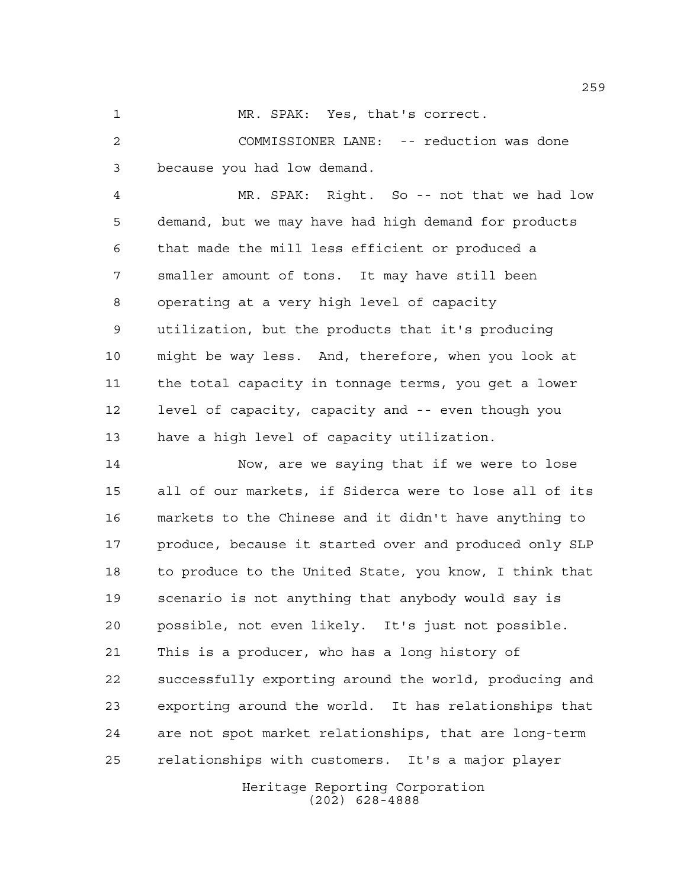MR. SPAK: Yes, that's correct.

 COMMISSIONER LANE: -- reduction was done because you had low demand.

 MR. SPAK: Right. So -- not that we had low demand, but we may have had high demand for products that made the mill less efficient or produced a smaller amount of tons. It may have still been operating at a very high level of capacity utilization, but the products that it's producing might be way less. And, therefore, when you look at the total capacity in tonnage terms, you get a lower level of capacity, capacity and -- even though you have a high level of capacity utilization.

 Now, are we saying that if we were to lose all of our markets, if Siderca were to lose all of its markets to the Chinese and it didn't have anything to 17 produce, because it started over and produced only SLP to produce to the United State, you know, I think that scenario is not anything that anybody would say is possible, not even likely. It's just not possible. This is a producer, who has a long history of successfully exporting around the world, producing and exporting around the world. It has relationships that are not spot market relationships, that are long-term relationships with customers. It's a major player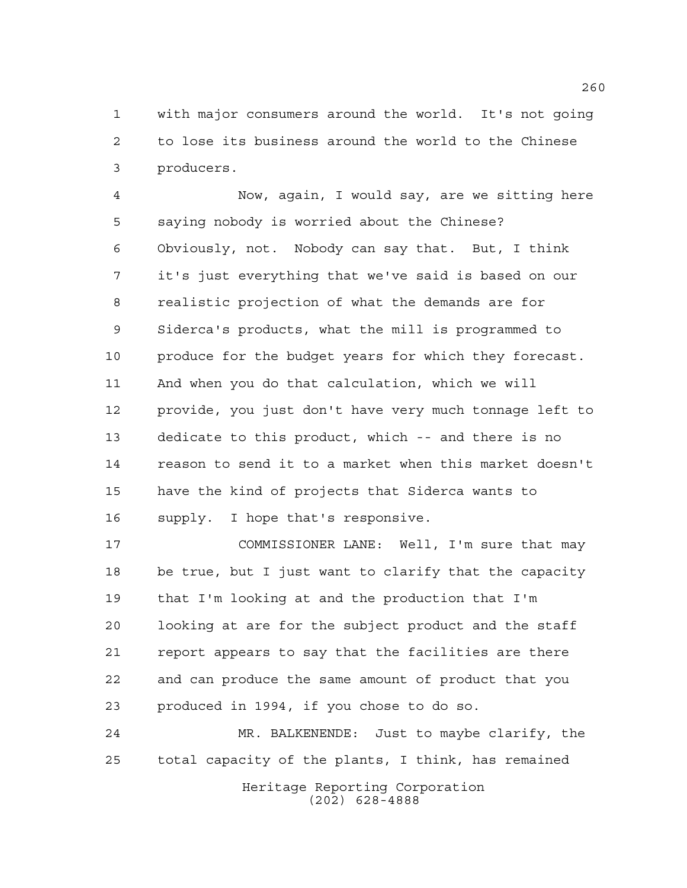with major consumers around the world. It's not going to lose its business around the world to the Chinese producers.

 Now, again, I would say, are we sitting here saying nobody is worried about the Chinese? Obviously, not. Nobody can say that. But, I think it's just everything that we've said is based on our realistic projection of what the demands are for Siderca's products, what the mill is programmed to 10 produce for the budget years for which they forecast. And when you do that calculation, which we will provide, you just don't have very much tonnage left to dedicate to this product, which -- and there is no reason to send it to a market when this market doesn't have the kind of projects that Siderca wants to supply. I hope that's responsive.

 COMMISSIONER LANE: Well, I'm sure that may be true, but I just want to clarify that the capacity that I'm looking at and the production that I'm looking at are for the subject product and the staff report appears to say that the facilities are there and can produce the same amount of product that you produced in 1994, if you chose to do so.

Heritage Reporting Corporation (202) 628-4888 MR. BALKENENDE: Just to maybe clarify, the total capacity of the plants, I think, has remained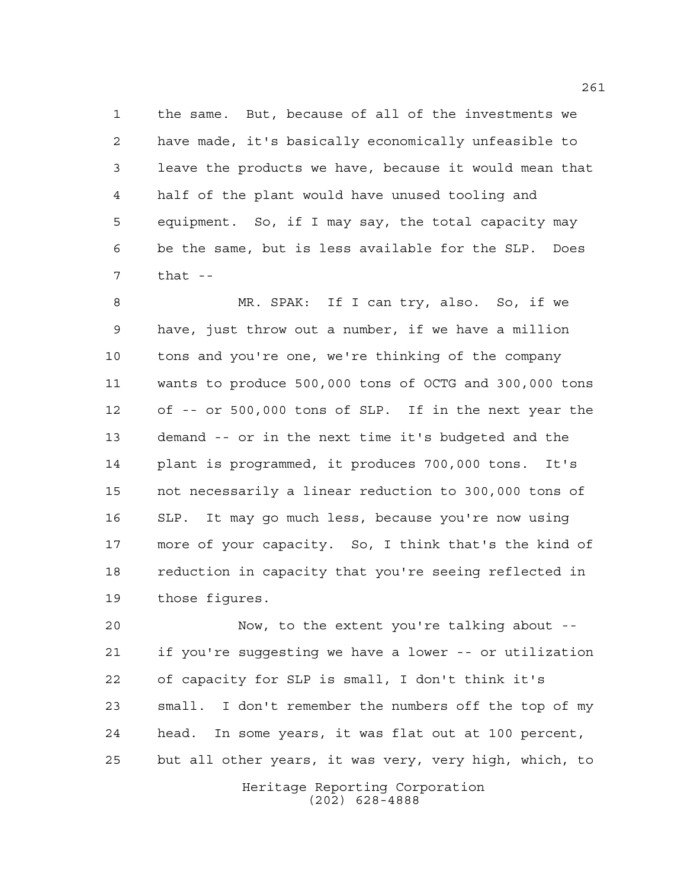the same. But, because of all of the investments we have made, it's basically economically unfeasible to leave the products we have, because it would mean that half of the plant would have unused tooling and equipment. So, if I may say, the total capacity may be the same, but is less available for the SLP. Does that --

 MR. SPAK: If I can try, also. So, if we have, just throw out a number, if we have a million tons and you're one, we're thinking of the company wants to produce 500,000 tons of OCTG and 300,000 tons of -- or 500,000 tons of SLP. If in the next year the demand -- or in the next time it's budgeted and the plant is programmed, it produces 700,000 tons. It's not necessarily a linear reduction to 300,000 tons of SLP. It may go much less, because you're now using more of your capacity. So, I think that's the kind of reduction in capacity that you're seeing reflected in those figures.

 Now, to the extent you're talking about -- if you're suggesting we have a lower -- or utilization of capacity for SLP is small, I don't think it's small. I don't remember the numbers off the top of my head. In some years, it was flat out at 100 percent, but all other years, it was very, very high, which, to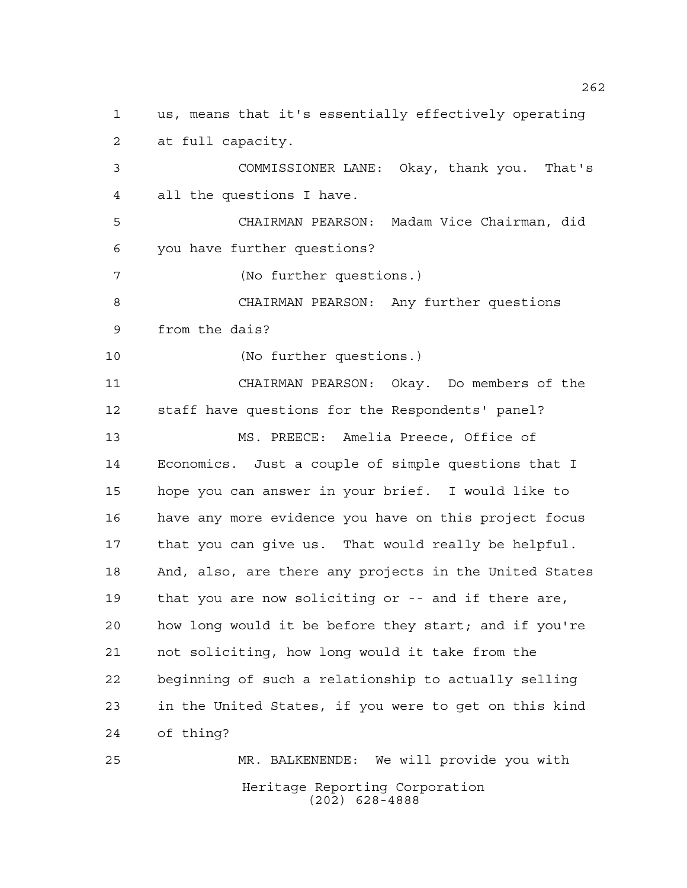Heritage Reporting Corporation us, means that it's essentially effectively operating at full capacity. COMMISSIONER LANE: Okay, thank you. That's all the questions I have. CHAIRMAN PEARSON: Madam Vice Chairman, did you have further questions? (No further questions.) CHAIRMAN PEARSON: Any further questions from the dais? (No further questions.) CHAIRMAN PEARSON: Okay. Do members of the staff have questions for the Respondents' panel? MS. PREECE: Amelia Preece, Office of Economics. Just a couple of simple questions that I hope you can answer in your brief. I would like to have any more evidence you have on this project focus that you can give us. That would really be helpful. And, also, are there any projects in the United States that you are now soliciting or -- and if there are, how long would it be before they start; and if you're not soliciting, how long would it take from the beginning of such a relationship to actually selling in the United States, if you were to get on this kind of thing? MR. BALKENENDE: We will provide you with

(202) 628-4888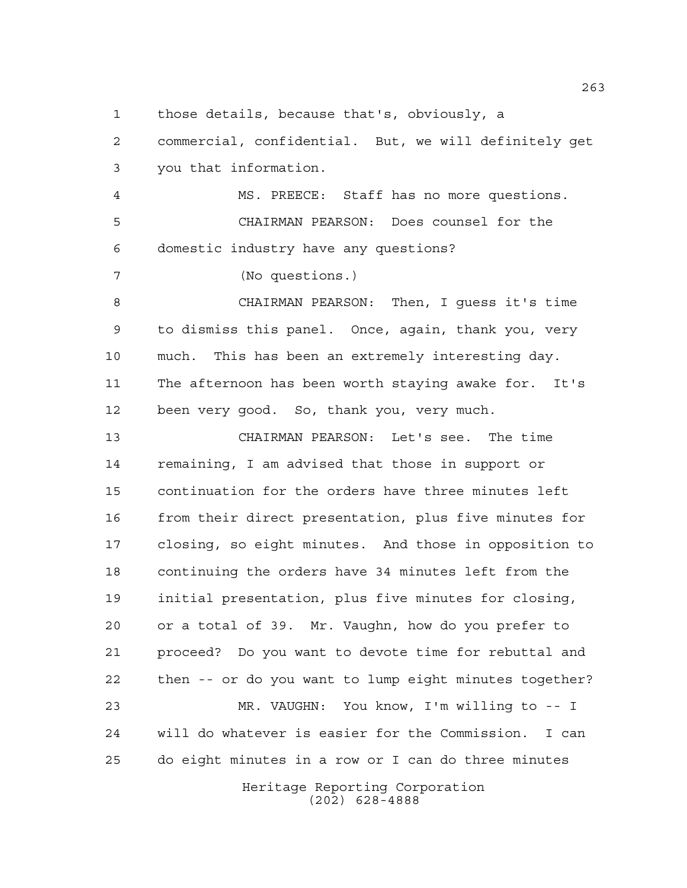those details, because that's, obviously, a

 commercial, confidential. But, we will definitely get you that information.

 MS. PREECE: Staff has no more questions. CHAIRMAN PEARSON: Does counsel for the domestic industry have any questions?

(No questions.)

 CHAIRMAN PEARSON: Then, I guess it's time to dismiss this panel. Once, again, thank you, very much. This has been an extremely interesting day. The afternoon has been worth staying awake for. It's been very good. So, thank you, very much.

 CHAIRMAN PEARSON: Let's see. The time remaining, I am advised that those in support or continuation for the orders have three minutes left from their direct presentation, plus five minutes for closing, so eight minutes. And those in opposition to continuing the orders have 34 minutes left from the initial presentation, plus five minutes for closing, or a total of 39. Mr. Vaughn, how do you prefer to proceed? Do you want to devote time for rebuttal and then -- or do you want to lump eight minutes together? MR. VAUGHN: You know, I'm willing to -- I will do whatever is easier for the Commission. I can

do eight minutes in a row or I can do three minutes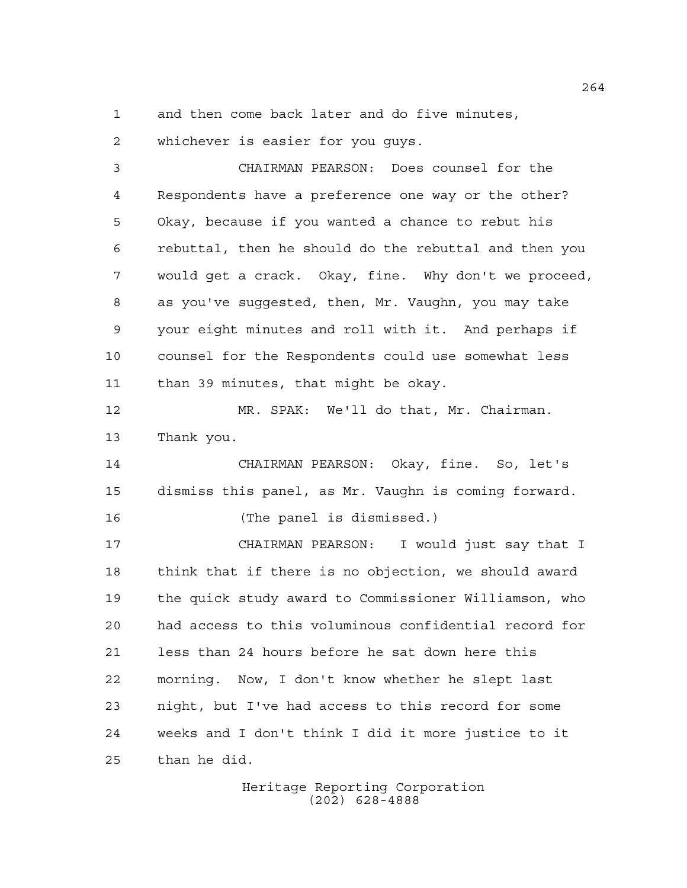and then come back later and do five minutes,

whichever is easier for you guys.

 CHAIRMAN PEARSON: Does counsel for the Respondents have a preference one way or the other? Okay, because if you wanted a chance to rebut his rebuttal, then he should do the rebuttal and then you would get a crack. Okay, fine. Why don't we proceed, as you've suggested, then, Mr. Vaughn, you may take your eight minutes and roll with it. And perhaps if counsel for the Respondents could use somewhat less than 39 minutes, that might be okay.

 MR. SPAK: We'll do that, Mr. Chairman. Thank you.

 CHAIRMAN PEARSON: Okay, fine. So, let's dismiss this panel, as Mr. Vaughn is coming forward. (The panel is dismissed.)

 CHAIRMAN PEARSON: I would just say that I think that if there is no objection, we should award the quick study award to Commissioner Williamson, who had access to this voluminous confidential record for less than 24 hours before he sat down here this morning. Now, I don't know whether he slept last night, but I've had access to this record for some weeks and I don't think I did it more justice to it than he did.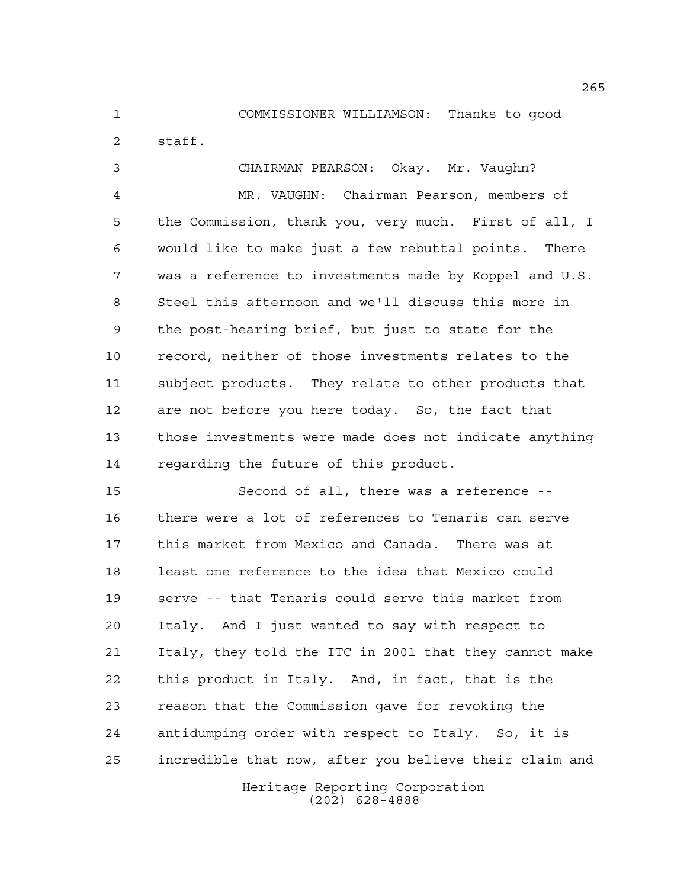COMMISSIONER WILLIAMSON: Thanks to good

staff.

 CHAIRMAN PEARSON: Okay. Mr. Vaughn? MR. VAUGHN: Chairman Pearson, members of the Commission, thank you, very much. First of all, I would like to make just a few rebuttal points. There was a reference to investments made by Koppel and U.S. Steel this afternoon and we'll discuss this more in the post-hearing brief, but just to state for the record, neither of those investments relates to the subject products. They relate to other products that are not before you here today. So, the fact that those investments were made does not indicate anything regarding the future of this product.

 Second of all, there was a reference -- there were a lot of references to Tenaris can serve this market from Mexico and Canada. There was at least one reference to the idea that Mexico could serve -- that Tenaris could serve this market from Italy. And I just wanted to say with respect to Italy, they told the ITC in 2001 that they cannot make this product in Italy. And, in fact, that is the reason that the Commission gave for revoking the antidumping order with respect to Italy. So, it is incredible that now, after you believe their claim and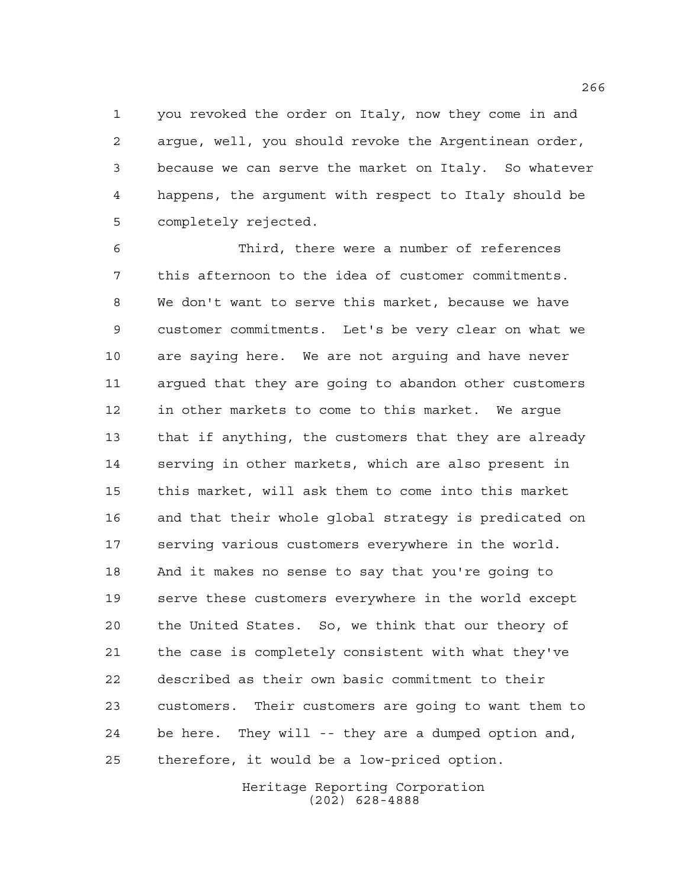you revoked the order on Italy, now they come in and argue, well, you should revoke the Argentinean order, because we can serve the market on Italy. So whatever happens, the argument with respect to Italy should be completely rejected.

 Third, there were a number of references this afternoon to the idea of customer commitments. We don't want to serve this market, because we have customer commitments. Let's be very clear on what we are saying here. We are not arguing and have never argued that they are going to abandon other customers in other markets to come to this market. We argue that if anything, the customers that they are already serving in other markets, which are also present in this market, will ask them to come into this market and that their whole global strategy is predicated on serving various customers everywhere in the world. And it makes no sense to say that you're going to serve these customers everywhere in the world except the United States. So, we think that our theory of the case is completely consistent with what they've described as their own basic commitment to their customers. Their customers are going to want them to be here. They will -- they are a dumped option and, therefore, it would be a low-priced option.

> Heritage Reporting Corporation (202) 628-4888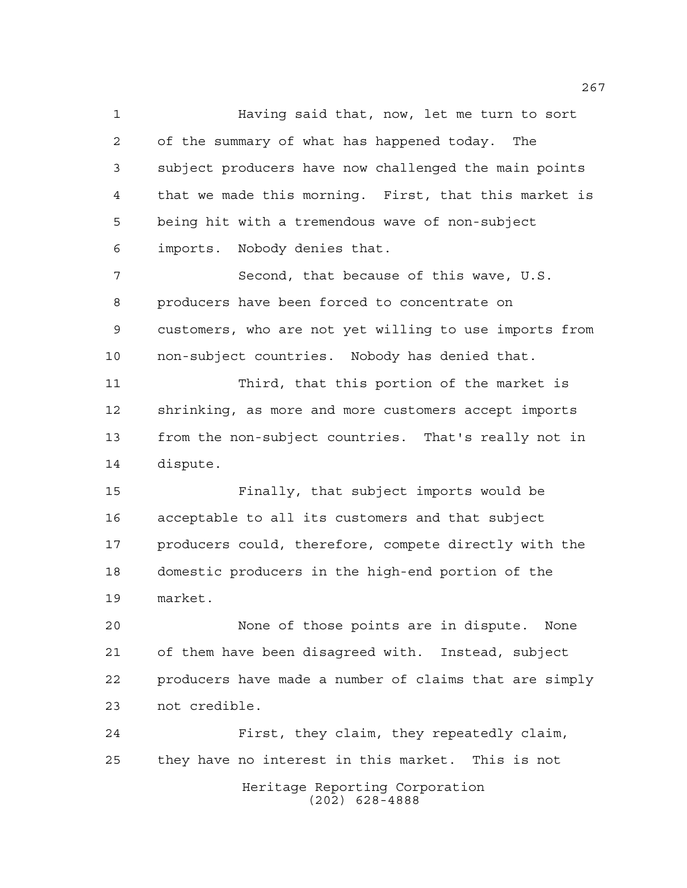Having said that, now, let me turn to sort of the summary of what has happened today. The subject producers have now challenged the main points that we made this morning. First, that this market is being hit with a tremendous wave of non-subject imports. Nobody denies that. Second, that because of this wave, U.S. producers have been forced to concentrate on customers, who are not yet willing to use imports from non-subject countries. Nobody has denied that. Third, that this portion of the market is shrinking, as more and more customers accept imports from the non-subject countries. That's really not in dispute. Finally, that subject imports would be acceptable to all its customers and that subject producers could, therefore, compete directly with the domestic producers in the high-end portion of the market. None of those points are in dispute. None of them have been disagreed with. Instead, subject producers have made a number of claims that are simply not credible. First, they claim, they repeatedly claim, they have no interest in this market. This is not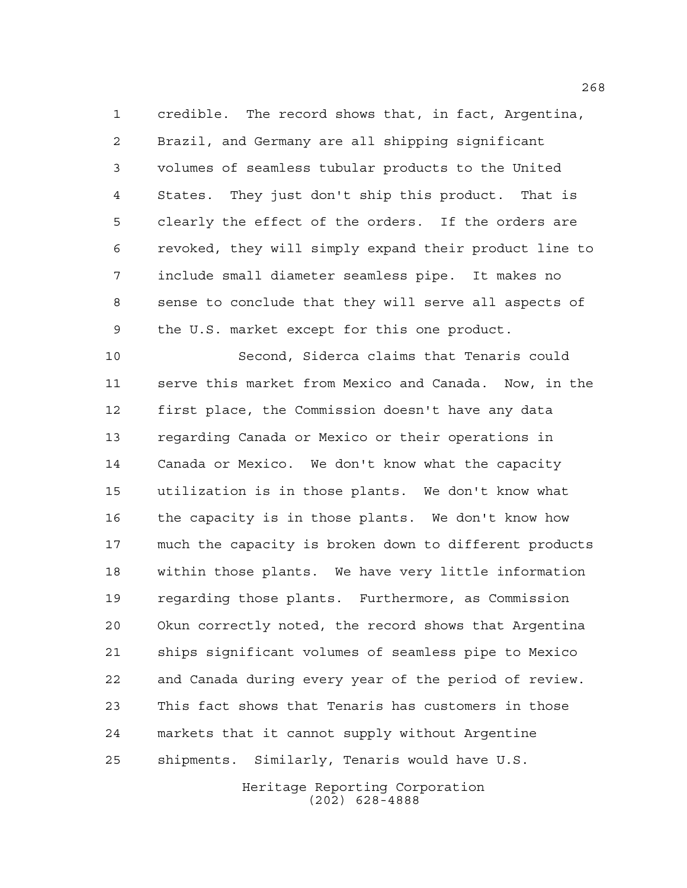credible. The record shows that, in fact, Argentina, Brazil, and Germany are all shipping significant volumes of seamless tubular products to the United States. They just don't ship this product. That is clearly the effect of the orders. If the orders are revoked, they will simply expand their product line to include small diameter seamless pipe. It makes no sense to conclude that they will serve all aspects of the U.S. market except for this one product.

 Second, Siderca claims that Tenaris could serve this market from Mexico and Canada. Now, in the first place, the Commission doesn't have any data regarding Canada or Mexico or their operations in Canada or Mexico. We don't know what the capacity utilization is in those plants. We don't know what the capacity is in those plants. We don't know how much the capacity is broken down to different products within those plants. We have very little information regarding those plants. Furthermore, as Commission Okun correctly noted, the record shows that Argentina ships significant volumes of seamless pipe to Mexico and Canada during every year of the period of review. This fact shows that Tenaris has customers in those markets that it cannot supply without Argentine shipments. Similarly, Tenaris would have U.S.

> Heritage Reporting Corporation (202) 628-4888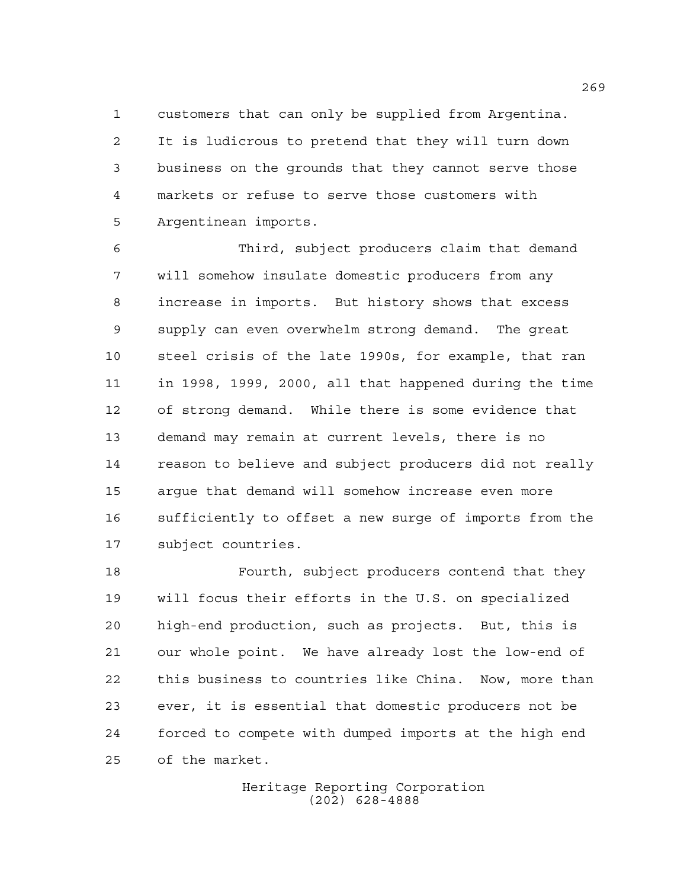customers that can only be supplied from Argentina. It is ludicrous to pretend that they will turn down business on the grounds that they cannot serve those markets or refuse to serve those customers with Argentinean imports.

 Third, subject producers claim that demand will somehow insulate domestic producers from any increase in imports. But history shows that excess supply can even overwhelm strong demand. The great steel crisis of the late 1990s, for example, that ran in 1998, 1999, 2000, all that happened during the time of strong demand. While there is some evidence that demand may remain at current levels, there is no reason to believe and subject producers did not really argue that demand will somehow increase even more sufficiently to offset a new surge of imports from the subject countries.

 Fourth, subject producers contend that they will focus their efforts in the U.S. on specialized high-end production, such as projects. But, this is our whole point. We have already lost the low-end of this business to countries like China. Now, more than ever, it is essential that domestic producers not be forced to compete with dumped imports at the high end of the market.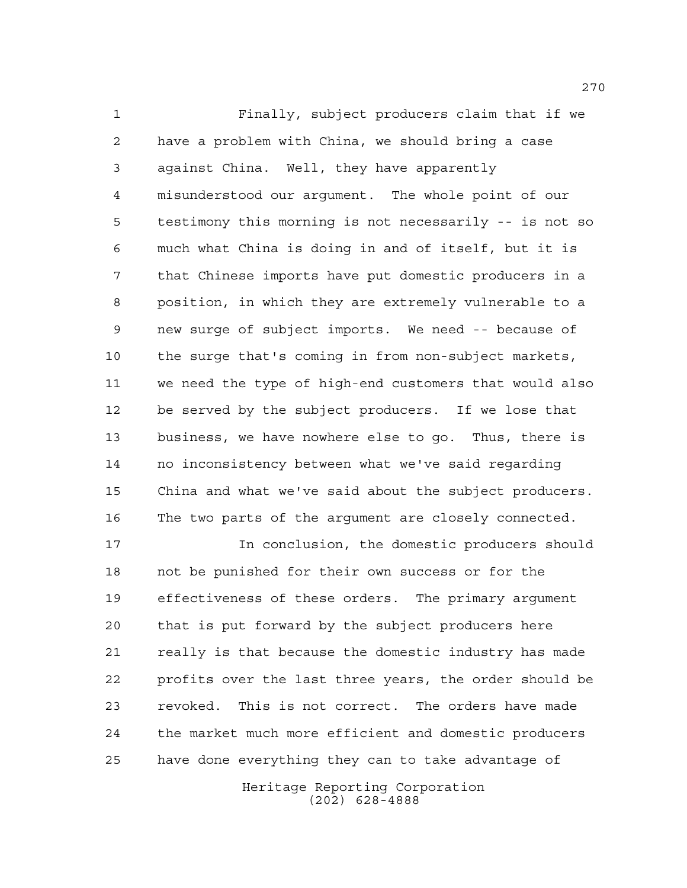Finally, subject producers claim that if we have a problem with China, we should bring a case against China. Well, they have apparently misunderstood our argument. The whole point of our testimony this morning is not necessarily -- is not so much what China is doing in and of itself, but it is that Chinese imports have put domestic producers in a position, in which they are extremely vulnerable to a new surge of subject imports. We need -- because of the surge that's coming in from non-subject markets, we need the type of high-end customers that would also be served by the subject producers. If we lose that business, we have nowhere else to go. Thus, there is no inconsistency between what we've said regarding China and what we've said about the subject producers. The two parts of the argument are closely connected.

 In conclusion, the domestic producers should not be punished for their own success or for the effectiveness of these orders. The primary argument that is put forward by the subject producers here really is that because the domestic industry has made profits over the last three years, the order should be revoked. This is not correct. The orders have made the market much more efficient and domestic producers have done everything they can to take advantage of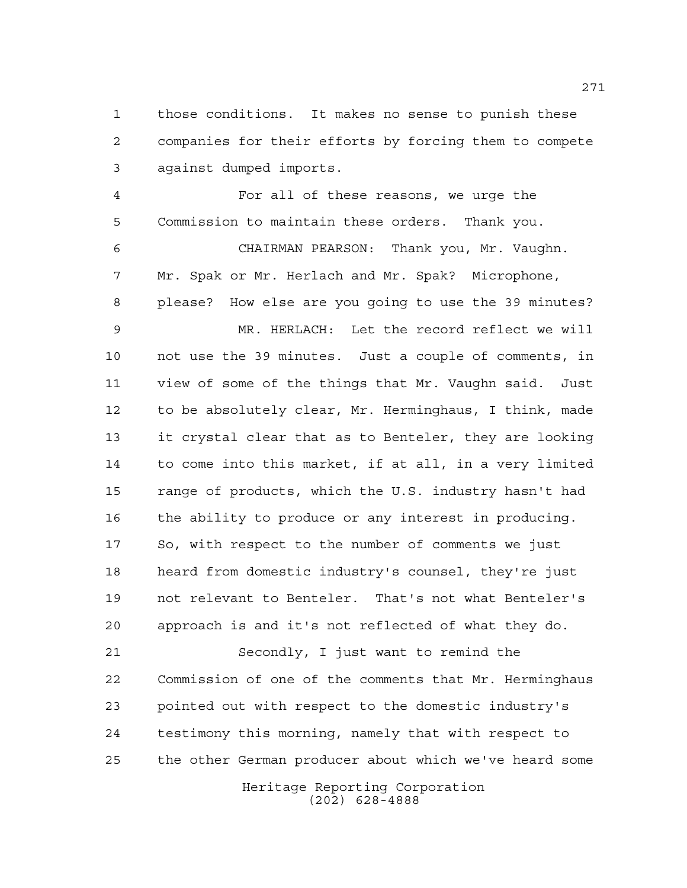those conditions. It makes no sense to punish these companies for their efforts by forcing them to compete against dumped imports.

 For all of these reasons, we urge the Commission to maintain these orders. Thank you. CHAIRMAN PEARSON: Thank you, Mr. Vaughn. Mr. Spak or Mr. Herlach and Mr. Spak? Microphone, please? How else are you going to use the 39 minutes? MR. HERLACH: Let the record reflect we will not use the 39 minutes. Just a couple of comments, in view of some of the things that Mr. Vaughn said. Just to be absolutely clear, Mr. Herminghaus, I think, made it crystal clear that as to Benteler, they are looking to come into this market, if at all, in a very limited range of products, which the U.S. industry hasn't had the ability to produce or any interest in producing. So, with respect to the number of comments we just heard from domestic industry's counsel, they're just not relevant to Benteler. That's not what Benteler's approach is and it's not reflected of what they do.

 Secondly, I just want to remind the Commission of one of the comments that Mr. Herminghaus pointed out with respect to the domestic industry's testimony this morning, namely that with respect to the other German producer about which we've heard some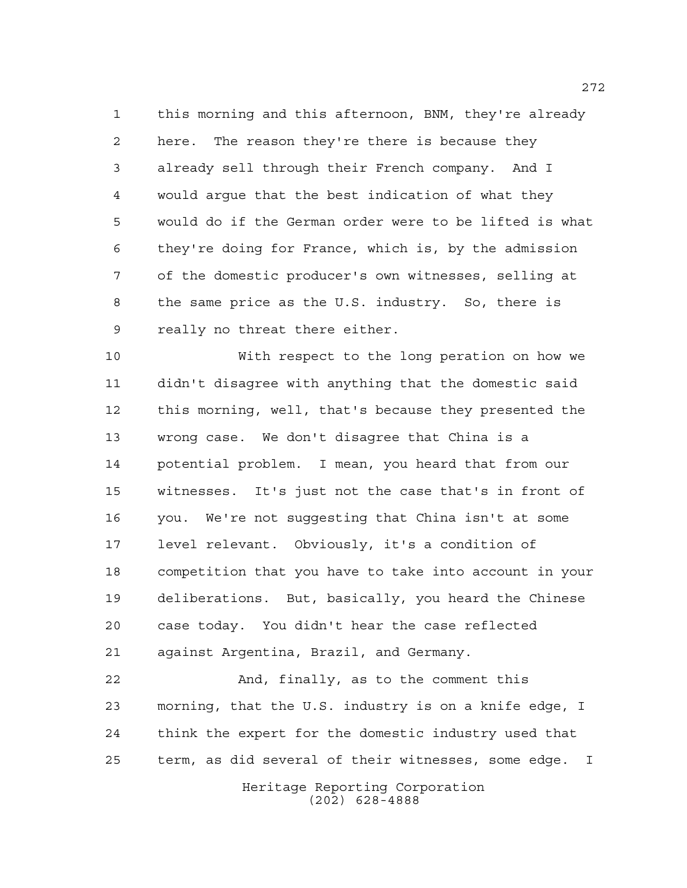this morning and this afternoon, BNM, they're already here. The reason they're there is because they already sell through their French company. And I would argue that the best indication of what they would do if the German order were to be lifted is what they're doing for France, which is, by the admission of the domestic producer's own witnesses, selling at the same price as the U.S. industry. So, there is really no threat there either.

 With respect to the long peration on how we didn't disagree with anything that the domestic said this morning, well, that's because they presented the wrong case. We don't disagree that China is a potential problem. I mean, you heard that from our witnesses. It's just not the case that's in front of you. We're not suggesting that China isn't at some level relevant. Obviously, it's a condition of competition that you have to take into account in your deliberations. But, basically, you heard the Chinese case today. You didn't hear the case reflected against Argentina, Brazil, and Germany.

 And, finally, as to the comment this morning, that the U.S. industry is on a knife edge, I think the expert for the domestic industry used that term, as did several of their witnesses, some edge. I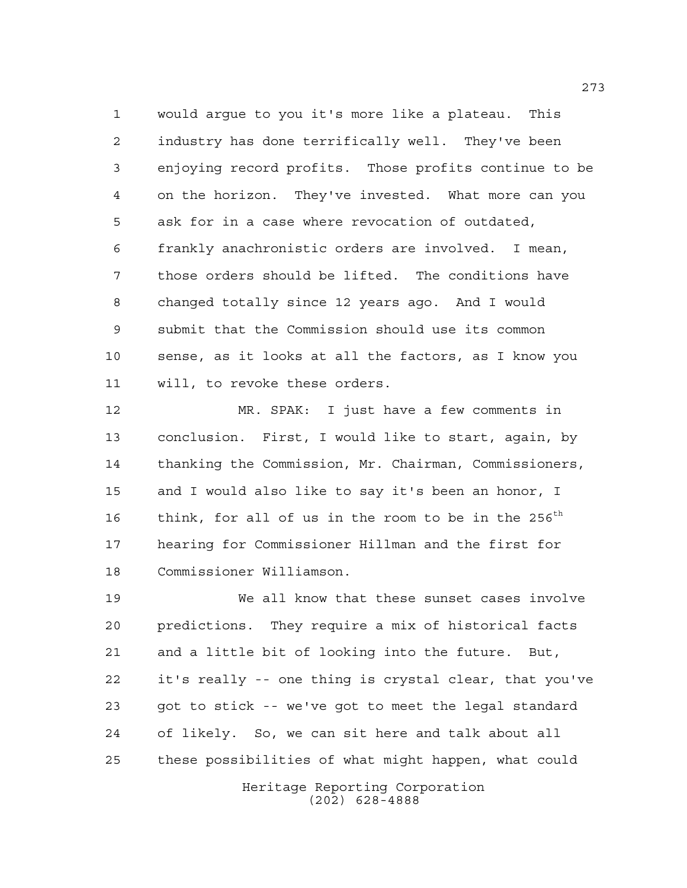would argue to you it's more like a plateau. This industry has done terrifically well. They've been enjoying record profits. Those profits continue to be on the horizon. They've invested. What more can you ask for in a case where revocation of outdated, frankly anachronistic orders are involved. I mean, those orders should be lifted. The conditions have changed totally since 12 years ago. And I would submit that the Commission should use its common sense, as it looks at all the factors, as I know you will, to revoke these orders.

 MR. SPAK: I just have a few comments in conclusion. First, I would like to start, again, by thanking the Commission, Mr. Chairman, Commissioners, and I would also like to say it's been an honor, I 16 think, for all of us in the room to be in the  $256^{th}$  hearing for Commissioner Hillman and the first for Commissioner Williamson.

 We all know that these sunset cases involve predictions. They require a mix of historical facts and a little bit of looking into the future. But, it's really -- one thing is crystal clear, that you've got to stick -- we've got to meet the legal standard of likely. So, we can sit here and talk about all these possibilities of what might happen, what could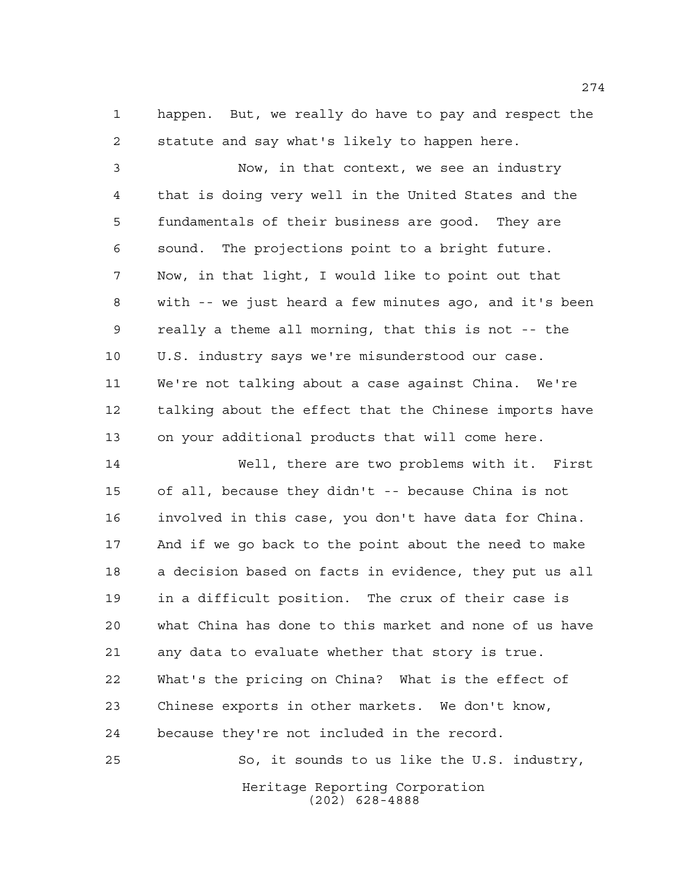happen. But, we really do have to pay and respect the statute and say what's likely to happen here.

 Now, in that context, we see an industry that is doing very well in the United States and the fundamentals of their business are good. They are sound. The projections point to a bright future. Now, in that light, I would like to point out that with -- we just heard a few minutes ago, and it's been really a theme all morning, that this is not -- the U.S. industry says we're misunderstood our case. We're not talking about a case against China. We're talking about the effect that the Chinese imports have on your additional products that will come here.

 Well, there are two problems with it. First of all, because they didn't -- because China is not involved in this case, you don't have data for China. And if we go back to the point about the need to make a decision based on facts in evidence, they put us all in a difficult position. The crux of their case is what China has done to this market and none of us have any data to evaluate whether that story is true. What's the pricing on China? What is the effect of Chinese exports in other markets. We don't know, because they're not included in the record.

Heritage Reporting Corporation (202) 628-4888 So, it sounds to us like the U.S. industry,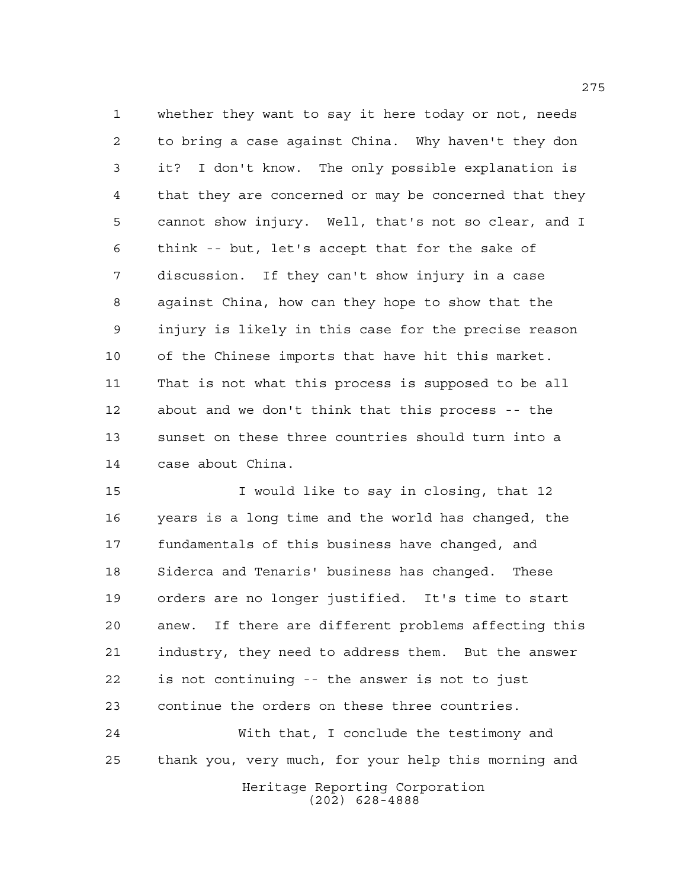whether they want to say it here today or not, needs to bring a case against China. Why haven't they don it? I don't know. The only possible explanation is that they are concerned or may be concerned that they cannot show injury. Well, that's not so clear, and I think -- but, let's accept that for the sake of discussion. If they can't show injury in a case against China, how can they hope to show that the injury is likely in this case for the precise reason of the Chinese imports that have hit this market. That is not what this process is supposed to be all about and we don't think that this process -- the sunset on these three countries should turn into a case about China.

 I would like to say in closing, that 12 years is a long time and the world has changed, the fundamentals of this business have changed, and Siderca and Tenaris' business has changed. These orders are no longer justified. It's time to start anew. If there are different problems affecting this industry, they need to address them. But the answer is not continuing -- the answer is not to just continue the orders on these three countries.

Heritage Reporting Corporation (202) 628-4888 With that, I conclude the testimony and thank you, very much, for your help this morning and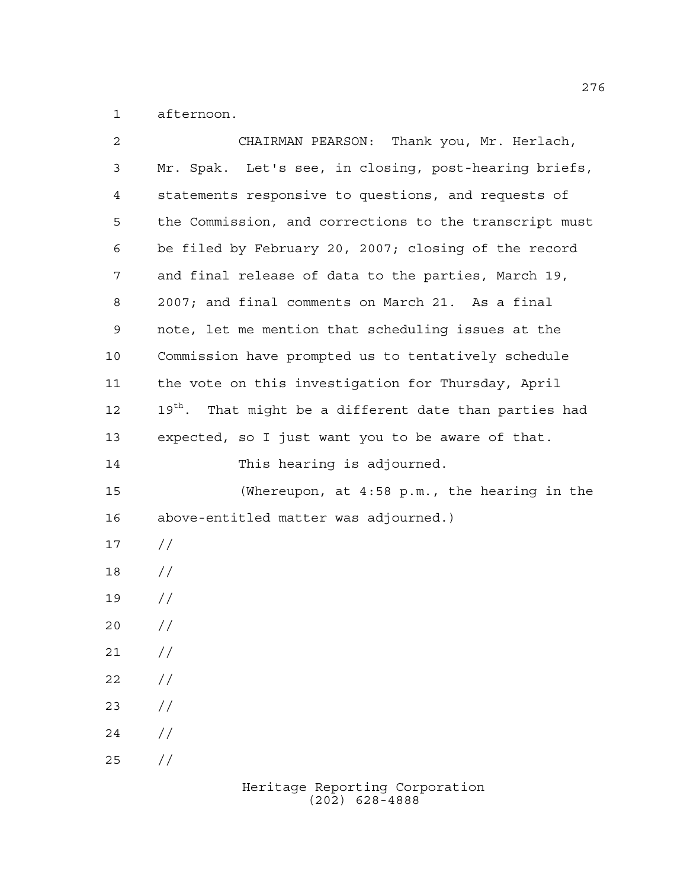afternoon.

| $\overline{2}$ | CHAIRMAN PEARSON: Thank you, Mr. Herlach,                          |  |  |  |
|----------------|--------------------------------------------------------------------|--|--|--|
| 3              | Mr. Spak. Let's see, in closing, post-hearing briefs,              |  |  |  |
| 4              | statements responsive to questions, and requests of                |  |  |  |
| 5              | the Commission, and corrections to the transcript must             |  |  |  |
| 6              | be filed by February 20, 2007; closing of the record               |  |  |  |
| 7              | and final release of data to the parties, March 19,                |  |  |  |
| 8              | 2007; and final comments on March 21. As a final                   |  |  |  |
| 9              | note, let me mention that scheduling issues at the                 |  |  |  |
| 10             | Commission have prompted us to tentatively schedule                |  |  |  |
| 11             | the vote on this investigation for Thursday, April                 |  |  |  |
| 12             | 19 <sup>th</sup> . That might be a different date than parties had |  |  |  |
| 13             | expected, so I just want you to be aware of that.                  |  |  |  |
| 14             | This hearing is adjourned.                                         |  |  |  |
| 15             | (Whereupon, at 4:58 p.m., the hearing in the                       |  |  |  |
| 16             | above-entitled matter was adjourned.)                              |  |  |  |
| 17             | $\frac{1}{2}$                                                      |  |  |  |
| 18             | $\frac{1}{2}$                                                      |  |  |  |
| 19             | $\frac{1}{2}$                                                      |  |  |  |
| 20             | $\frac{1}{2}$                                                      |  |  |  |
| 21             | $\frac{1}{2}$                                                      |  |  |  |
| 22             | $\frac{1}{2}$                                                      |  |  |  |
| 23             | $\frac{1}{2}$                                                      |  |  |  |
| 24             | $\frac{1}{2}$                                                      |  |  |  |
| 25             | $\frac{1}{2}$                                                      |  |  |  |